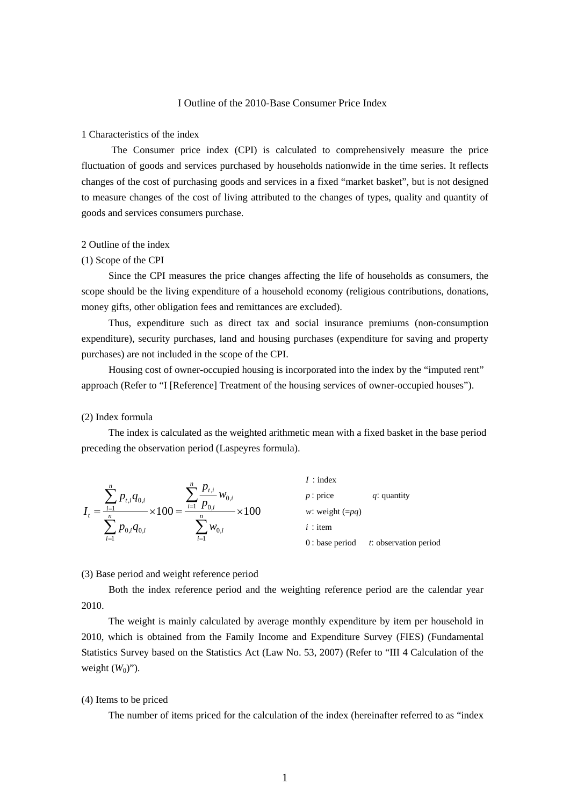# I Outline of the 2010-Base Consumer Price Index

# 1 Characteristics of the index

 The Consumer price index (CPI) is calculated to comprehensively measure the price fluctuation of goods and services purchased by households nationwide in the time series. It reflects changes of the cost of purchasing goods and services in a fixed "market basket", but is not designed to measure changes of the cost of living attributed to the changes of types, quality and quantity of goods and services consumers purchase.

# 2 Outline of the index

## (1) Scope of the CPI

 Since the CPI measures the price changes affecting the life of households as consumers, the scope should be the living expenditure of a household economy (religious contributions, donations, money gifts, other obligation fees and remittances are excluded).

Thus, expenditure such as direct tax and social insurance premiums (non-consumption expenditure), security purchases, land and housing purchases (expenditure for saving and property purchases) are not included in the scope of the CPI.

Housing cost of owner-occupied housing is incorporated into the index by the "imputed rent" approach (Refer to "I [Reference] Treatment of the housing services of owner-occupied houses").

# (2) Index formula

The index is calculated as the weighted arithmetic mean with a fixed basket in the base period preceding the observation period (Laspeyres formula).

$$
I_{t} = \frac{\sum_{i=1}^{n} p_{t,i} q_{0,i}}{\sum_{i=1}^{n} p_{0,i} q_{0,i}} \times 100 = \frac{\sum_{i=1}^{n} \frac{p_{t,i}}{p_{0,i}} w_{0,i}}{\sum_{i=1}^{n} w_{0,i}} \times 100
$$
\n*i*: item\n*i*: item\n*i*: item\n*i*: observation period\n*i*: observation period

#### (3) Base period and weight reference period

Both the index reference period and the weighting reference period are the calendar year 2010.

The weight is mainly calculated by average monthly expenditure by item per household in 2010, which is obtained from the Family Income and Expenditure Survey (FIES) (Fundamental Statistics Survey based on the Statistics Act (Law No. 53, 2007) (Refer to "III 4 Calculation of the weight  $(W_0)$ ").

## (4) Items to be priced

The number of items priced for the calculation of the index (hereinafter referred to as "index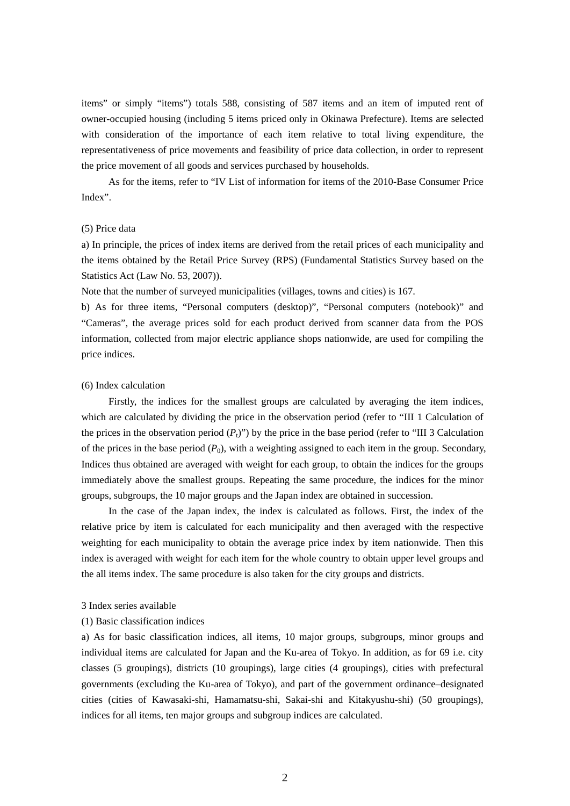items" or simply "items") totals 588, consisting of 587 items and an item of imputed rent of owner-occupied housing (including 5 items priced only in Okinawa Prefecture). Items are selected with consideration of the importance of each item relative to total living expenditure, the representativeness of price movements and feasibility of price data collection, in order to represent the price movement of all goods and services purchased by households.

As for the items, refer to "IV List of information for items of the 2010-Base Consumer Price Index".

## (5) Price data

a) In principle, the prices of index items are derived from the retail prices of each municipality and the items obtained by the Retail Price Survey (RPS) (Fundamental Statistics Survey based on the Statistics Act (Law No. 53, 2007)).

Note that the number of surveyed municipalities (villages, towns and cities) is 167.

b) As for three items, "Personal computers (desktop)", "Personal computers (notebook)" and "Cameras", the average prices sold for each product derived from scanner data from the POS information, collected from major electric appliance shops nationwide, are used for compiling the price indices.

#### (6) Index calculation

Firstly, the indices for the smallest groups are calculated by averaging the item indices, which are calculated by dividing the price in the observation period (refer to "III 1 Calculation of the prices in the observation period  $(P_1)$ ") by the price in the base period (refer to "III 3 Calculation") of the prices in the base period  $(P_0)$ , with a weighting assigned to each item in the group. Secondary, Indices thus obtained are averaged with weight for each group, to obtain the indices for the groups immediately above the smallest groups. Repeating the same procedure, the indices for the minor groups, subgroups, the 10 major groups and the Japan index are obtained in succession.

In the case of the Japan index, the index is calculated as follows. First, the index of the relative price by item is calculated for each municipality and then averaged with the respective weighting for each municipality to obtain the average price index by item nationwide. Then this index is averaged with weight for each item for the whole country to obtain upper level groups and the all items index. The same procedure is also taken for the city groups and districts.

#### 3 Index series available

#### (1) Basic classification indices

a) As for basic classification indices, all items, 10 major groups, subgroups, minor groups and individual items are calculated for Japan and the Ku-area of Tokyo. In addition, as for 69 i.e. city classes (5 groupings), districts (10 groupings), large cities (4 groupings), cities with prefectural governments (excluding the Ku-area of Tokyo), and part of the government ordinance–designated cities (cities of Kawasaki-shi, Hamamatsu-shi, Sakai-shi and Kitakyushu-shi) (50 groupings), indices for all items, ten major groups and subgroup indices are calculated.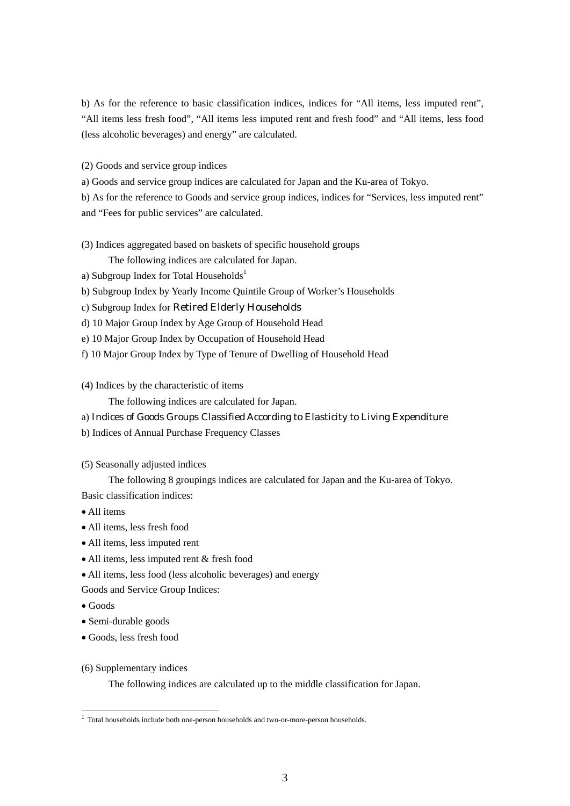b) As for the reference to basic classification indices, indices for "All items, less imputed rent", "All items less fresh food", "All items less imputed rent and fresh food" and "All items, less food (less alcoholic beverages) and energy" are calculated.

(2) Goods and service group indices

a) Goods and service group indices are calculated for Japan and the Ku-area of Tokyo.

b) As for the reference to Goods and service group indices, indices for "Services, less imputed rent" and "Fees for public services" are calculated.

(3) Indices aggregated based on baskets of specific household groups

The following indices are calculated for Japan.

a) Subgroup Index for Total Households<sup>1</sup>

b) Subgroup Index by Yearly Income Quintile Group of Worker's Households

c) Subgroup Index for Retired Elderly Households

d) 10 Major Group Index by Age Group of Household Head

e) 10 Major Group Index by Occupation of Household Head

f) 10 Major Group Index by Type of Tenure of Dwelling of Household Head

(4) Indices by the characteristic of items

The following indices are calculated for Japan.

a) Indices of Goods Groups Classified According to Elasticity to Living Expenditure

b) Indices of Annual Purchase Frequency Classes

(5) Seasonally adjusted indices

The following 8 groupings indices are calculated for Japan and the Ku-area of Tokyo. Basic classification indices:

- All items
- All items, less fresh food
- All items, less imputed rent
- All items, less imputed rent & fresh food
- All items, less food (less alcoholic beverages) and energy

Goods and Service Group Indices:

Goods

-

- Semi-durable goods
- Goods, less fresh food
- (6) Supplementary indices

The following indices are calculated up to the middle classification for Japan.

<sup>&</sup>lt;sup>1</sup> Total households include both one-person households and two-or-more-person households.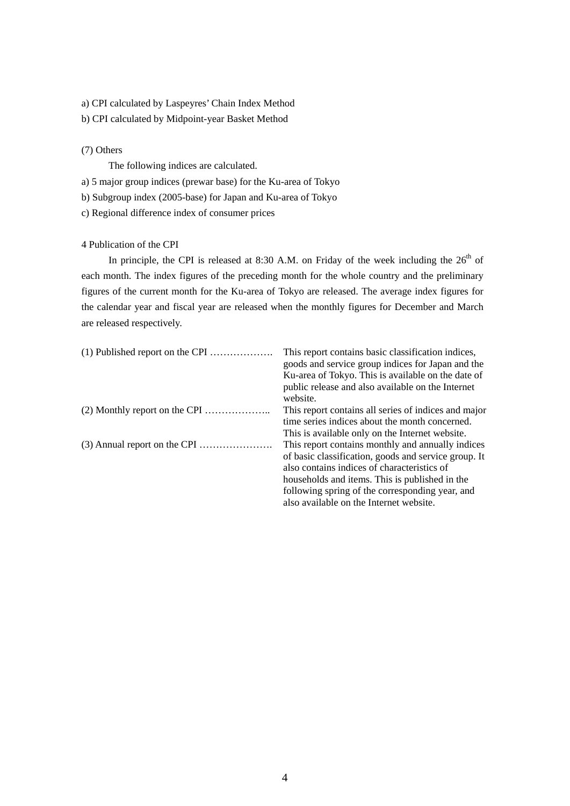- a) CPI calculated by Laspeyres' Chain Index Method
- b) CPI calculated by Midpoint-year Basket Method

# (7) Others

The following indices are calculated.

- a) 5 major group indices (prewar base) for the Ku-area of Tokyo
- b) Subgroup index (2005-base) for Japan and Ku-area of Tokyo
- c) Regional difference index of consumer prices

# 4 Publication of the CPI

In principle, the CPI is released at 8:30 A.M. on Friday of the week including the  $26<sup>th</sup>$  of each month. The index figures of the preceding month for the whole country and the preliminary figures of the current month for the Ku-area of Tokyo are released. The average index figures for the calendar year and fiscal year are released when the monthly figures for December and March are released respectively.

| This report contains basic classification indices,            |
|---------------------------------------------------------------|
| goods and service group indices for Japan and the             |
| Ku-area of Tokyo. This is available on the date of            |
| public release and also available on the Internet<br>website. |
|                                                               |
| This report contains all series of indices and major          |
| time series indices about the month concerned.                |
| This is available only on the Internet website.               |
| This report contains monthly and annually indices             |
| of basic classification, goods and service group. It          |
| also contains indices of characteristics of                   |
| households and items. This is published in the                |
| following spring of the corresponding year, and               |
| also available on the Internet website.                       |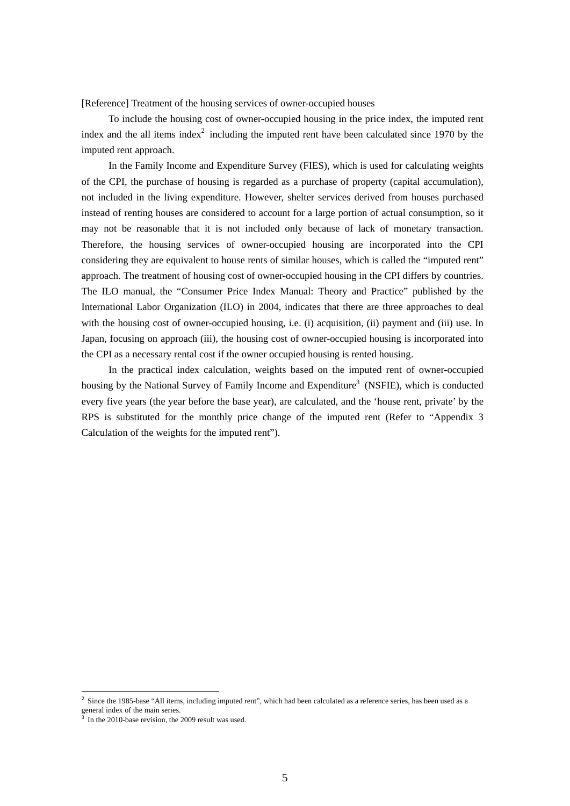[Reference] Treatment of the housing services of owner-occupied houses

To include the housing cost of owner-occupied housing in the price index, the imputed rent index and the all items index<sup>2</sup> including the imputed rent have been calculated since 1970 by the imputed rent approach.

In the Family Income and Expenditure Survey (FIES), which is used for calculating weights of the CPI, the purchase of housing is regarded as a purchase of property (capital accumulation), not included in the living expenditure. However, shelter services derived from houses purchased instead of renting houses are considered to account for a large portion of actual consumption, so it may not be reasonable that it is not included only because of lack of monetary transaction. Therefore, the housing services of owner-occupied housing are incorporated into the CPI considering they are equivalent to house rents of similar houses, which is called the "imputed rent" approach. The treatment of housing cost of owner-occupied housing in the CPI differs by countries. The ILO manual, the "Consumer Price Index Manual: Theory and Practice" published by the International Labor Organization (ILO) in 2004, indicates that there are three approaches to deal with the housing cost of owner-occupied housing, i.e. (i) acquisition, (ii) payment and (iii) use. In Japan, focusing on approach (iii), the housing cost of owner-occupied housing is incorporated into the CPI as a necessary rental cost if the owner occupied housing is rented housing.

In the practical index calculation, weights based on the imputed rent of owner-occupied housing by the National Survey of Family Income and Expenditure<sup>3</sup> (NSFIE), which is conducted every five years (the year before the base year), are calculated, and the 'house rent, private' by the RPS is substituted for the monthly price change of the imputed rent (Refer to "Appendix 3 Calculation of the weights for the imputed rent").

-

<sup>&</sup>lt;sup>2</sup> Since the 1985-base "All items, including imputed rent", which had been calculated as a reference series, has been used as a general index of the main series.

<sup>3</sup> In the 2010-base revision, the 2009 result was used.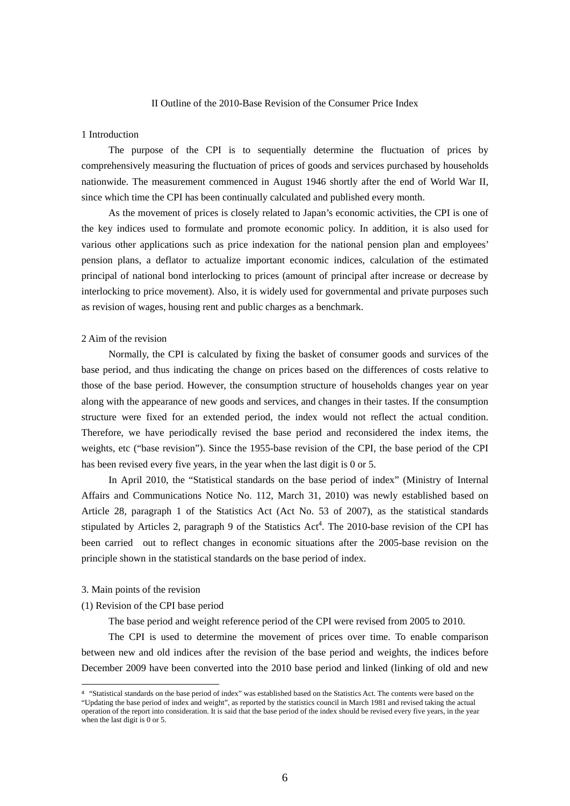#### II Outline of the 2010-Base Revision of the Consumer Price Index

#### 1 Introduction

 The purpose of the CPI is to sequentially determine the fluctuation of prices by comprehensively measuring the fluctuation of prices of goods and services purchased by households nationwide. The measurement commenced in August 1946 shortly after the end of World War II, since which time the CPI has been continually calculated and published every month.

 As the movement of prices is closely related to Japan's economic activities, the CPI is one of the key indices used to formulate and promote economic policy. In addition, it is also used for various other applications such as price indexation for the national pension plan and employees' pension plans, a deflator to actualize important economic indices, calculation of the estimated principal of national bond interlocking to prices (amount of principal after increase or decrease by interlocking to price movement). Also, it is widely used for governmental and private purposes such as revision of wages, housing rent and public charges as a benchmark.

#### 2 Aim of the revision

 Normally, the CPI is calculated by fixing the basket of consumer goods and survices of the base period, and thus indicating the change on prices based on the differences of costs relative to those of the base period. However, the consumption structure of households changes year on year along with the appearance of new goods and services, and changes in their tastes. If the consumption structure were fixed for an extended period, the index would not reflect the actual condition. Therefore, we have periodically revised the base period and reconsidered the index items, the weights, etc ("base revision"). Since the 1955-base revision of the CPI, the base period of the CPI has been revised every five years, in the year when the last digit is 0 or 5.

 In April 2010, the "Statistical standards on the base period of index" (Ministry of Internal Affairs and Communications Notice No. 112, March 31, 2010) was newly established based on Article 28, paragraph 1 of the Statistics Act (Act No. 53 of 2007), as the statistical standards stipulated by Articles 2, paragraph 9 of the Statistics  $Act<sup>4</sup>$ . The 2010-base revision of the CPI has been carried out to reflect changes in economic situations after the 2005-base revision on the principle shown in the statistical standards on the base period of index.

#### 3. Main points of the revision

-

(1) Revision of the CPI base period

The base period and weight reference period of the CPI were revised from 2005 to 2010.

 The CPI is used to determine the movement of prices over time. To enable comparison between new and old indices after the revision of the base period and weights, the indices before December 2009 have been converted into the 2010 base period and linked (linking of old and new

<sup>4</sup> "Statistical standards on the base period of index" was established based on the Statistics Act. The contents were based on the "Updating the base period of index and weight", as reported by the statistics council in March 1981 and revised taking the actual operation of the report into consideration. It is said that the base period of the index should be revised every five years, in the year when the last digit is 0 or 5.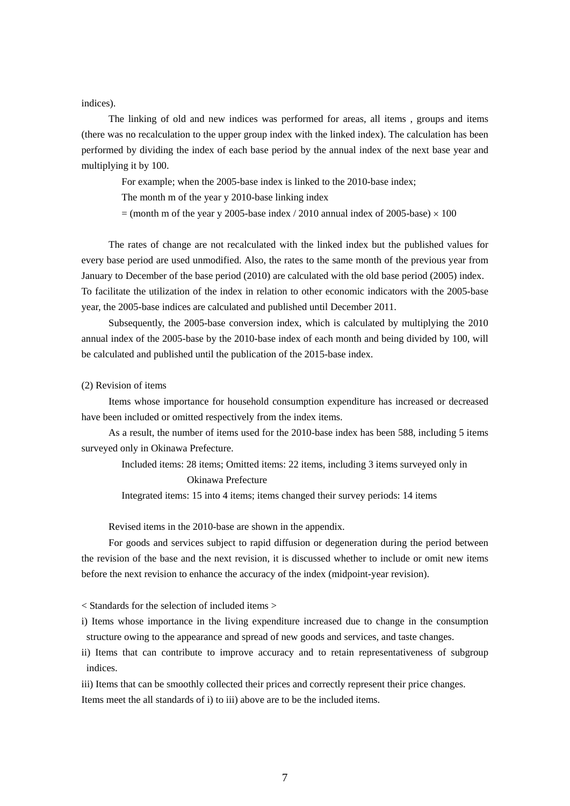indices).

 The linking of old and new indices was performed for areas, all items , groups and items (there was no recalculation to the upper group index with the linked index). The calculation has been performed by dividing the index of each base period by the annual index of the next base year and multiplying it by 100.

For example; when the 2005-base index is linked to the 2010-base index;

The month m of the year y 2010-base linking index

 $=$  (month m of the year y 2005-base index / 2010 annual index of 2005-base)  $\times$  100

 The rates of change are not recalculated with the linked index but the published values for every base period are used unmodified. Also, the rates to the same month of the previous year from January to December of the base period (2010) are calculated with the old base period (2005) index. To facilitate the utilization of the index in relation to other economic indicators with the 2005-base year, the 2005-base indices are calculated and published until December 2011.

 Subsequently, the 2005-base conversion index, which is calculated by multiplying the 2010 annual index of the 2005-base by the 2010-base index of each month and being divided by 100, will be calculated and published until the publication of the 2015-base index.

# (2) Revision of items

 Items whose importance for household consumption expenditure has increased or decreased have been included or omitted respectively from the index items.

 As a result, the number of items used for the 2010-base index has been 588, including 5 items surveyed only in Okinawa Prefecture.

Included items: 28 items; Omitted items: 22 items, including 3 items surveyed only in Okinawa Prefecture

Integrated items: 15 into 4 items; items changed their survey periods: 14 items

Revised items in the 2010-base are shown in the appendix.

 For goods and services subject to rapid diffusion or degeneration during the period between the revision of the base and the next revision, it is discussed whether to include or omit new items before the next revision to enhance the accuracy of the index (midpoint-year revision).

< Standards for the selection of included items >

i) Items whose importance in the living expenditure increased due to change in the consumption structure owing to the appearance and spread of new goods and services, and taste changes.

ii) Items that can contribute to improve accuracy and to retain representativeness of subgroup indices.

iii) Items that can be smoothly collected their prices and correctly represent their price changes. Items meet the all standards of i) to iii) above are to be the included items.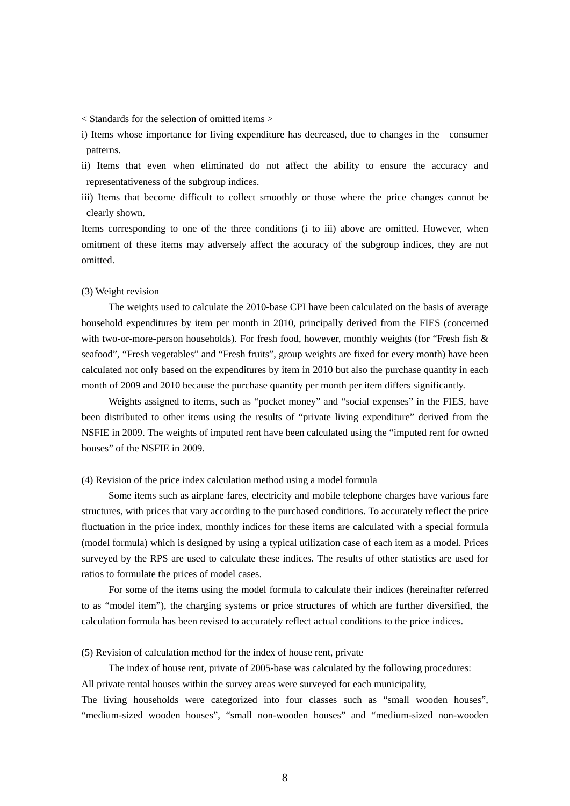< Standards for the selection of omitted items >

i) Items whose importance for living expenditure has decreased, due to changes in the consumer patterns.

ii) Items that even when eliminated do not affect the ability to ensure the accuracy and representativeness of the subgroup indices.

iii) Items that become difficult to collect smoothly or those where the price changes cannot be clearly shown.

Items corresponding to one of the three conditions (i to iii) above are omitted. However, when omitment of these items may adversely affect the accuracy of the subgroup indices, they are not omitted.

#### (3) Weight revision

 The weights used to calculate the 2010-base CPI have been calculated on the basis of average household expenditures by item per month in 2010, principally derived from the FIES (concerned with two-or-more-person households). For fresh food, however, monthly weights (for "Fresh fish  $\&$ seafood", "Fresh vegetables" and "Fresh fruits", group weights are fixed for every month) have been calculated not only based on the expenditures by item in 2010 but also the purchase quantity in each month of 2009 and 2010 because the purchase quantity per month per item differs significantly.

 Weights assigned to items, such as "pocket money" and "social expenses" in the FIES, have been distributed to other items using the results of "private living expenditure" derived from the NSFIE in 2009. The weights of imputed rent have been calculated using the "imputed rent for owned houses" of the NSFIE in 2009.

#### (4) Revision of the price index calculation method using a model formula

 Some items such as airplane fares, electricity and mobile telephone charges have various fare structures, with prices that vary according to the purchased conditions. To accurately reflect the price fluctuation in the price index, monthly indices for these items are calculated with a special formula (model formula) which is designed by using a typical utilization case of each item as a model. Prices surveyed by the RPS are used to calculate these indices. The results of other statistics are used for ratios to formulate the prices of model cases.

 For some of the items using the model formula to calculate their indices (hereinafter referred to as "model item"), the charging systems or price structures of which are further diversified, the calculation formula has been revised to accurately reflect actual conditions to the price indices.

#### (5) Revision of calculation method for the index of house rent, private

 The index of house rent, private of 2005-base was calculated by the following procedures: All private rental houses within the survey areas were surveyed for each municipality,

The living households were categorized into four classes such as "small wooden houses", "medium-sized wooden houses", "small non-wooden houses" and "medium-sized non-wooden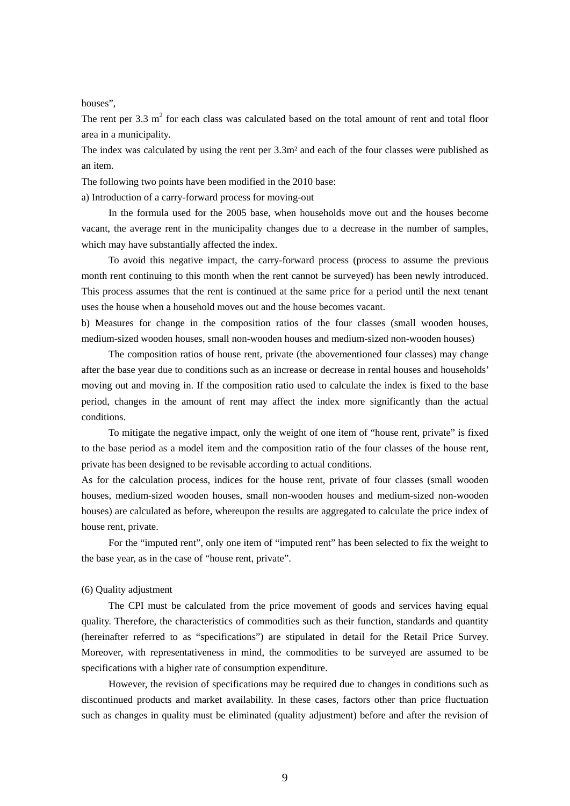houses",

The rent per 3.3  $m<sup>2</sup>$  for each class was calculated based on the total amount of rent and total floor area in a municipality.

The index was calculated by using the rent per 3.3m² and each of the four classes were published as an item.

The following two points have been modified in the 2010 base:

a) Introduction of a carry-forward process for moving-out

 In the formula used for the 2005 base, when households move out and the houses become vacant, the average rent in the municipality changes due to a decrease in the number of samples, which may have substantially affected the index.

 To avoid this negative impact, the carry-forward process (process to assume the previous month rent continuing to this month when the rent cannot be surveyed) has been newly introduced. This process assumes that the rent is continued at the same price for a period until the next tenant uses the house when a household moves out and the house becomes vacant.

b) Measures for change in the composition ratios of the four classes (small wooden houses, medium-sized wooden houses, small non-wooden houses and medium-sized non-wooden houses)

 The composition ratios of house rent, private (the abovementioned four classes) may change after the base year due to conditions such as an increase or decrease in rental houses and households' moving out and moving in. If the composition ratio used to calculate the index is fixed to the base period, changes in the amount of rent may affect the index more significantly than the actual conditions.

 To mitigate the negative impact, only the weight of one item of "house rent, private" is fixed to the base period as a model item and the composition ratio of the four classes of the house rent, private has been designed to be revisable according to actual conditions.

As for the calculation process, indices for the house rent, private of four classes (small wooden houses, medium-sized wooden houses, small non-wooden houses and medium-sized non-wooden houses) are calculated as before, whereupon the results are aggregated to calculate the price index of house rent, private.

 For the "imputed rent", only one item of "imputed rent" has been selected to fix the weight to the base year, as in the case of "house rent, private".

#### (6) Quality adjustment

 The CPI must be calculated from the price movement of goods and services having equal quality. Therefore, the characteristics of commodities such as their function, standards and quantity (hereinafter referred to as "specifications") are stipulated in detail for the Retail Price Survey. Moreover, with representativeness in mind, the commodities to be surveyed are assumed to be specifications with a higher rate of consumption expenditure.

 However, the revision of specifications may be required due to changes in conditions such as discontinued products and market availability. In these cases, factors other than price fluctuation such as changes in quality must be eliminated (quality adjustment) before and after the revision of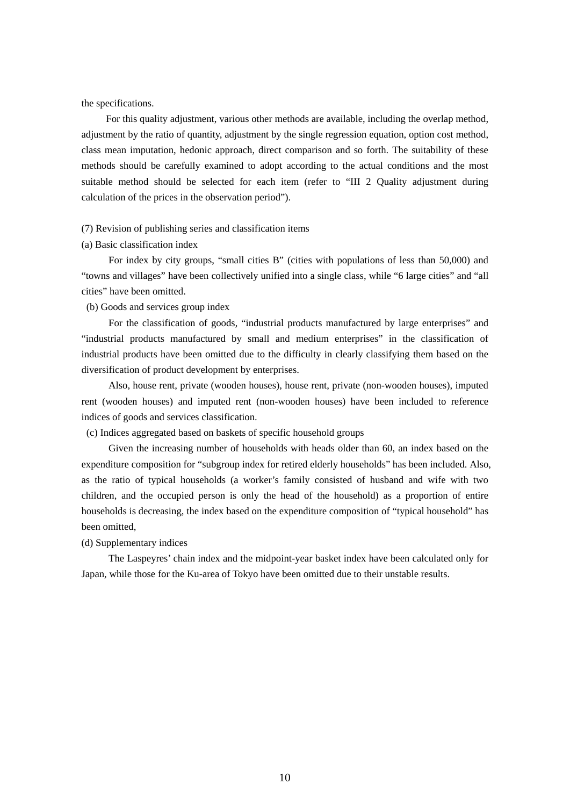the specifications.

 For this quality adjustment, various other methods are available, including the overlap method, adjustment by the ratio of quantity, adjustment by the single regression equation, option cost method, class mean imputation, hedonic approach, direct comparison and so forth. The suitability of these methods should be carefully examined to adopt according to the actual conditions and the most suitable method should be selected for each item (refer to "III 2 Quality adjustment during calculation of the prices in the observation period").

## (7) Revision of publishing series and classification items

#### (a) Basic classification index

 For index by city groups, "small cities B" (cities with populations of less than 50,000) and "towns and villages" have been collectively unified into a single class, while "6 large cities" and "all cities" have been omitted.

# (b) Goods and services group index

 For the classification of goods, "industrial products manufactured by large enterprises" and "industrial products manufactured by small and medium enterprises" in the classification of industrial products have been omitted due to the difficulty in clearly classifying them based on the diversification of product development by enterprises.

 Also, house rent, private (wooden houses), house rent, private (non-wooden houses), imputed rent (wooden houses) and imputed rent (non-wooden houses) have been included to reference indices of goods and services classification.

(c) Indices aggregated based on baskets of specific household groups

 Given the increasing number of households with heads older than 60, an index based on the expenditure composition for "subgroup index for retired elderly households" has been included. Also, as the ratio of typical households (a worker's family consisted of husband and wife with two children, and the occupied person is only the head of the household) as a proportion of entire households is decreasing, the index based on the expenditure composition of "typical household" has been omitted,

(d) Supplementary indices

 The Laspeyres' chain index and the midpoint-year basket index have been calculated only for Japan, while those for the Ku-area of Tokyo have been omitted due to their unstable results.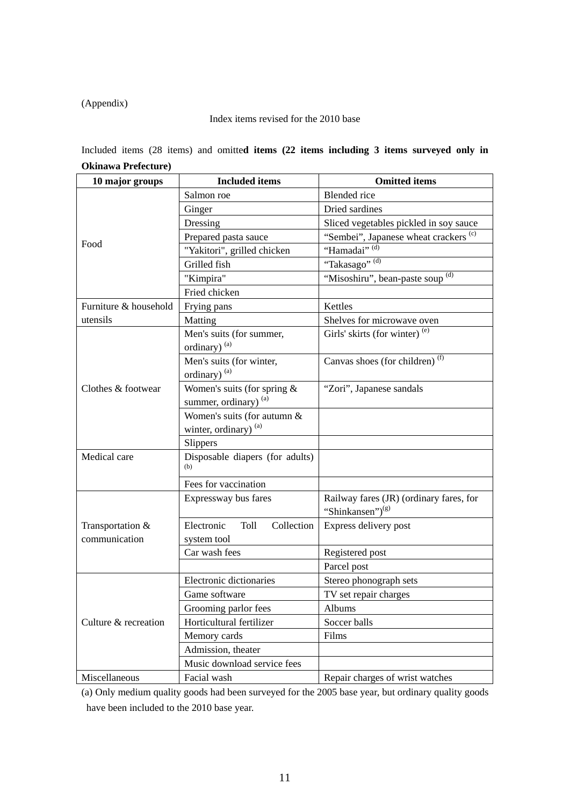# (Appendix)

# Index items revised for the 2010 base

Included items (28 items) and omitte**d items (22 items including 3 items surveyed only in Okinawa Prefecture)** 

| 10 major groups       | <b>Included</b> items                   | <b>Omitted items</b>                                                    |
|-----------------------|-----------------------------------------|-------------------------------------------------------------------------|
|                       | Salmon roe                              | <b>Blended</b> rice                                                     |
|                       | Ginger                                  | Dried sardines                                                          |
|                       | Dressing                                | Sliced vegetables pickled in soy sauce                                  |
|                       | Prepared pasta sauce                    | "Sembei", Japanese wheat crackers <sup>(c)</sup>                        |
| Food                  | "Yakitori", grilled chicken             | "Hamadai" <sup>, (d)</sup>                                              |
|                       | Grilled fish                            | "Takasago" (d)                                                          |
|                       | "Kimpira"                               | "Misoshiru", bean-paste soup <sup>(d)</sup>                             |
|                       | Fried chicken                           |                                                                         |
| Furniture & household | Frying pans                             | Kettles                                                                 |
| utensils              | Matting                                 | Shelves for microwave oven                                              |
|                       | Men's suits (for summer,                | Girls' skirts (for winter) <sup>(e)</sup>                               |
|                       | ordinary) <sup>(a)</sup>                |                                                                         |
|                       | Men's suits (for winter,                | Canvas shoes (for children) <sup>(f)</sup>                              |
|                       | ordinary) <sup>(a)</sup>                |                                                                         |
| Clothes & footwear    | Women's suits (for spring $&$           | "Zori", Japanese sandals                                                |
|                       | summer, ordinary) <sup>(a)</sup>        |                                                                         |
|                       | Women's suits (for autumn &             |                                                                         |
|                       | winter, ordinary) (a)                   |                                                                         |
|                       | <b>Slippers</b>                         |                                                                         |
| Medical care          | Disposable diapers (for adults)<br>(b)  |                                                                         |
|                       | Fees for vaccination                    |                                                                         |
|                       | Expressway bus fares                    | Railway fares (JR) (ordinary fares, for<br>"Shinkansen") <sup>(g)</sup> |
| Transportation &      | Electronic<br><b>Toll</b><br>Collection | Express delivery post                                                   |
| communication         | system tool                             |                                                                         |
|                       | Car wash fees                           | Registered post                                                         |
|                       |                                         | Parcel post                                                             |
|                       | Electronic dictionaries                 | Stereo phonograph sets                                                  |
|                       | Game software                           | TV set repair charges                                                   |
|                       | Grooming parlor fees                    | Albums                                                                  |
| Culture & recreation  | Horticultural fertilizer                | Soccer balls                                                            |
|                       | Memory cards                            | Films                                                                   |
|                       | Admission, theater                      |                                                                         |
|                       | Music download service fees             |                                                                         |
| Miscellaneous         | Facial wash                             | Repair charges of wrist watches                                         |

(a) Only medium quality goods had been surveyed for the 2005 base year, but ordinary quality goods have been included to the 2010 base year.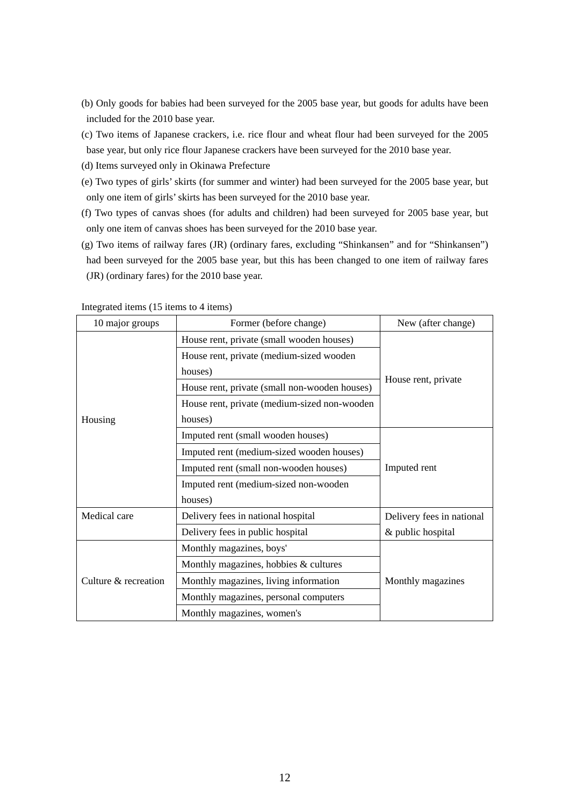- (b) Only goods for babies had been surveyed for the 2005 base year, but goods for adults have been included for the 2010 base year.
- (c) Two items of Japanese crackers, i.e. rice flour and wheat flour had been surveyed for the 2005 base year, but only rice flour Japanese crackers have been surveyed for the 2010 base year.
- (d) Items surveyed only in Okinawa Prefecture
- (e) Two types of girls' skirts (for summer and winter) had been surveyed for the 2005 base year, but only one item of girls' skirts has been surveyed for the 2010 base year.
- (f) Two types of canvas shoes (for adults and children) had been surveyed for 2005 base year, but only one item of canvas shoes has been surveyed for the 2010 base year.
- (g) Two items of railway fares (JR) (ordinary fares, excluding "Shinkansen" and for "Shinkansen") had been surveyed for the 2005 base year, but this has been changed to one item of railway fares (JR) (ordinary fares) for the 2010 base year.

| 10 major groups      | Former (before change)                        | New (after change)        |
|----------------------|-----------------------------------------------|---------------------------|
|                      | House rent, private (small wooden houses)     |                           |
|                      | House rent, private (medium-sized wooden      | House rent, private       |
|                      | houses)                                       |                           |
|                      | House rent, private (small non-wooden houses) |                           |
|                      | House rent, private (medium-sized non-wooden  |                           |
| Housing              | houses)                                       |                           |
|                      | Imputed rent (small wooden houses)            |                           |
|                      | Imputed rent (medium-sized wooden houses)     | Imputed rent              |
|                      | Imputed rent (small non-wooden houses)        |                           |
|                      | Imputed rent (medium-sized non-wooden         |                           |
|                      | houses)                                       |                           |
| Medical care         | Delivery fees in national hospital            | Delivery fees in national |
|                      | Delivery fees in public hospital              | & public hospital         |
|                      | Monthly magazines, boys'                      |                           |
|                      | Monthly magazines, hobbies & cultures         |                           |
| Culture & recreation | Monthly magazines, living information         | Monthly magazines         |
|                      | Monthly magazines, personal computers         |                           |
|                      | Monthly magazines, women's                    |                           |

Integrated items (15 items to 4 items)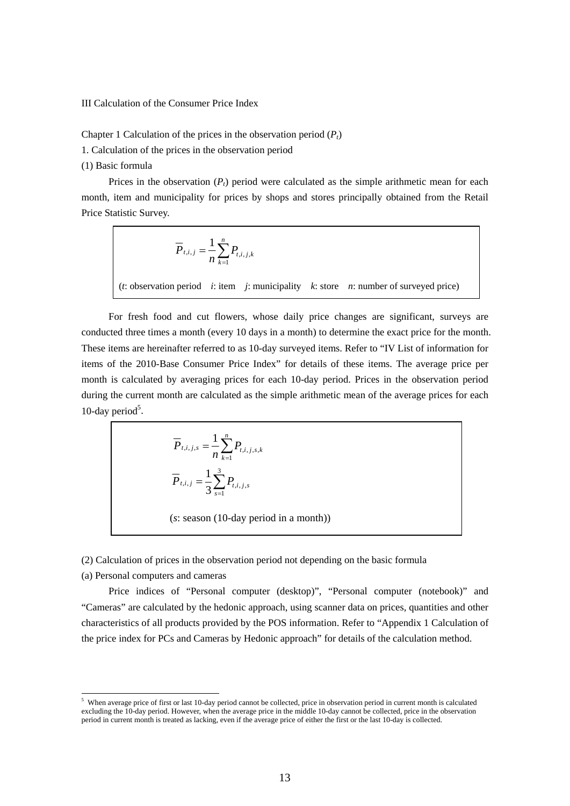III Calculation of the Consumer Price Index

Chapter 1 Calculation of the prices in the observation period  $(P_t)$ 

1. Calculation of the prices in the observation period

(1) Basic formula

r

Prices in the observation  $(P_t)$  period were calculated as the simple arithmetic mean for each month, item and municipality for prices by shops and stores principally obtained from the Retail Price Statistic Survey.

$$
\overline{P}_{t,i,j} = \frac{1}{n} \sum_{k=1}^{n} P_{t,i,j,k}
$$
  
(*t*: observation period *i*: item *j*: municipality *k*: store *n*: number of surveyed price)

 For fresh food and cut flowers, whose daily price changes are significant, surveys are conducted three times a month (every 10 days in a month) to determine the exact price for the month. These items are hereinafter referred to as 10-day surveyed items. Refer to "IV List of information for items of the 2010-Base Consumer Price Index" for details of these items. The average price per month is calculated by averaging prices for each 10-day period. Prices in the observation period during the current month are calculated as the simple arithmetic mean of the average prices for each 10-day period $5$ .

$$
\overline{P}_{t,i,j,s} = \frac{1}{n} \sum_{k=1}^{n} P_{t,i,j,s,k}
$$
\n
$$
\overline{P}_{t,i,j} = \frac{1}{3} \sum_{s=1}^{3} P_{t,i,j,s}
$$
\n(s: season (10-day period in a month))

(2) Calculation of prices in the observation period not depending on the basic formula

(a) Personal computers and cameras

-

 Price indices of "Personal computer (desktop)", "Personal computer (notebook)" and "Cameras" are calculated by the hedonic approach, using scanner data on prices, quantities and other characteristics of all products provided by the POS information. Refer to "Appendix 1 Calculation of the price index for PCs and Cameras by Hedonic approach" for details of the calculation method.

 $5$  When average price of first or last 10-day period cannot be collected, price in observation period in current month is calculated excluding the 10-day period. However, when the average price in the middle 10-day cannot be collected, price in the observation period in current month is treated as lacking, even if the average price of either the first or the last 10-day is collected.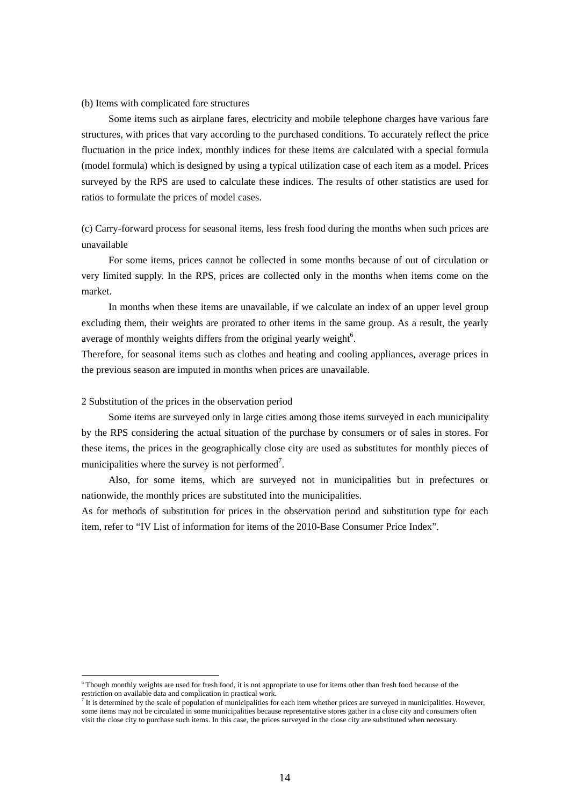## (b) Items with complicated fare structures

 Some items such as airplane fares, electricity and mobile telephone charges have various fare structures, with prices that vary according to the purchased conditions. To accurately reflect the price fluctuation in the price index, monthly indices for these items are calculated with a special formula (model formula) which is designed by using a typical utilization case of each item as a model. Prices surveyed by the RPS are used to calculate these indices. The results of other statistics are used for ratios to formulate the prices of model cases.

# (c) Carry-forward process for seasonal items, less fresh food during the months when such prices are unavailable

 For some items, prices cannot be collected in some months because of out of circulation or very limited supply. In the RPS, prices are collected only in the months when items come on the market.

 In months when these items are unavailable, if we calculate an index of an upper level group excluding them, their weights are prorated to other items in the same group. As a result, the yearly average of monthly weights differs from the original yearly weight<sup>6</sup>.

Therefore, for seasonal items such as clothes and heating and cooling appliances, average prices in the previous season are imputed in months when prices are unavailable.

# 2 Substitution of the prices in the observation period

-

 Some items are surveyed only in large cities among those items surveyed in each municipality by the RPS considering the actual situation of the purchase by consumers or of sales in stores. For these items, the prices in the geographically close city are used as substitutes for monthly pieces of municipalities where the survey is not performed<sup>7</sup>.

 Also, for some items, which are surveyed not in municipalities but in prefectures or nationwide, the monthly prices are substituted into the municipalities.

As for methods of substitution for prices in the observation period and substitution type for each item, refer to "IV List of information for items of the 2010-Base Consumer Price Index".

<sup>&</sup>lt;sup>6</sup> Though monthly weights are used for fresh food, it is not appropriate to use for items other than fresh food because of the restriction on available data and complication in practical work.

 $\overline{I}$  It is determined by the scale of population of municipalities for each item whether prices are surveyed in municipalities. However, some items may not be circulated in some municipalities because representative stores gather in a close city and consumers often visit the close city to purchase such items. In this case, the prices surveyed in the close city are substituted when necessary.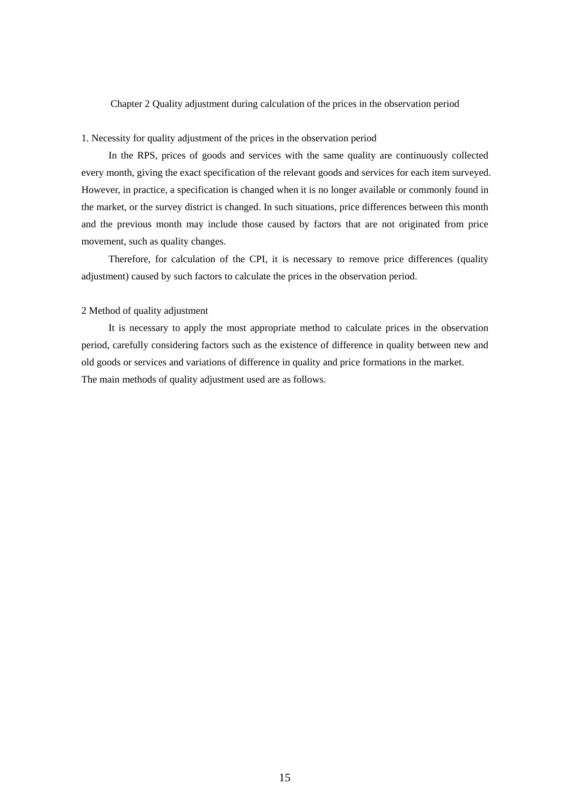# Chapter 2 Quality adjustment during calculation of the prices in the observation period

# 1. Necessity for quality adjustment of the prices in the observation period

 In the RPS, prices of goods and services with the same quality are continuously collected every month, giving the exact specification of the relevant goods and services for each item surveyed. However, in practice, a specification is changed when it is no longer available or commonly found in the market, or the survey district is changed. In such situations, price differences between this month and the previous month may include those caused by factors that are not originated from price movement, such as quality changes.

 Therefore, for calculation of the CPI, it is necessary to remove price differences (quality adjustment) caused by such factors to calculate the prices in the observation period.

# 2 Method of quality adjustment

 It is necessary to apply the most appropriate method to calculate prices in the observation period, carefully considering factors such as the existence of difference in quality between new and old goods or services and variations of difference in quality and price formations in the market. The main methods of quality adjustment used are as follows.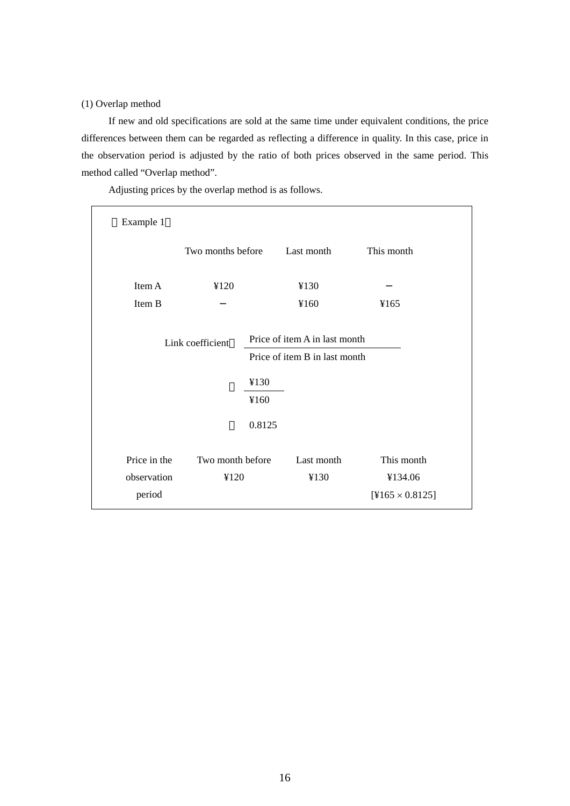(1) Overlap method

 If new and old specifications are sold at the same time under equivalent conditions, the price differences between them can be regarded as reflecting a difference in quality. In this case, price in the observation period is adjusted by the ratio of both prices observed in the same period. This method called "Overlap method".

Adjusting prices by the overlap method is as follows.

| Example 1    |                   |        |                               |                        |
|--------------|-------------------|--------|-------------------------------|------------------------|
|              | Two months before |        | Last month                    | This month             |
| Item A       | ¥120              |        | ¥130                          |                        |
| Item B       |                   |        | ¥160                          | ¥165                   |
|              | Link coefficient  |        | Price of item A in last month |                        |
|              |                   |        | Price of item B in last month |                        |
|              |                   | ¥130   |                               |                        |
|              |                   | ¥160   |                               |                        |
|              |                   | 0.8125 |                               |                        |
| Price in the | Two month before  |        | Last month                    | This month             |
| observation  | ¥120              |        | ¥130                          | ¥134.06                |
| period       |                   |        |                               | $[4165 \times 0.8125]$ |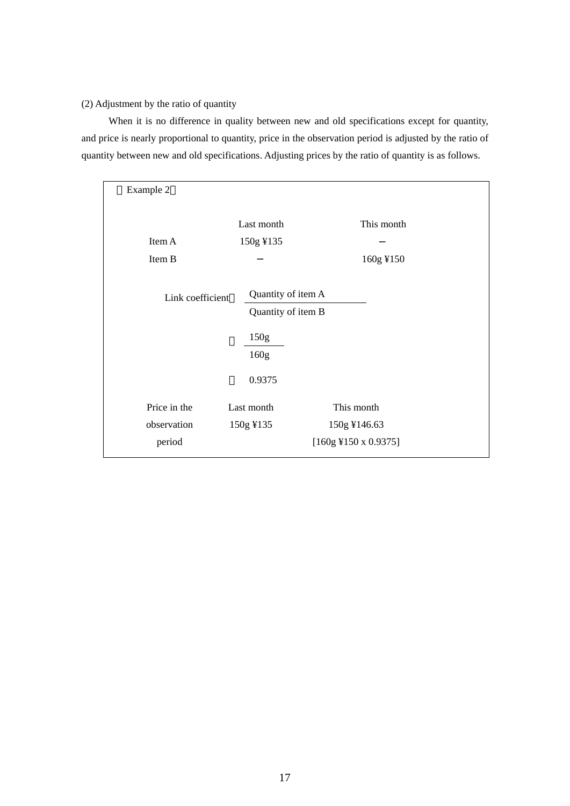# (2) Adjustment by the ratio of quantity

When it is no difference in quality between new and old specifications except for quantity, and price is nearly proportional to quantity, price in the observation period is adjusted by the ratio of quantity between new and old specifications. Adjusting prices by the ratio of quantity is as follows.

| Example 2                             |                                                          |                                                      |
|---------------------------------------|----------------------------------------------------------|------------------------------------------------------|
|                                       | Last month                                               | This month                                           |
| Item A                                | 150g ¥135                                                |                                                      |
| Item B                                |                                                          | 160g ¥150                                            |
| Link coefficient                      | Quantity of item A<br>Quantity of item B<br>150g<br>160g |                                                      |
|                                       | 0.9375                                                   |                                                      |
| Price in the<br>observation<br>period | Last month<br>150g ¥135                                  | This month<br>150g ¥146.63<br>$[160g$ ¥150 x 0.9375] |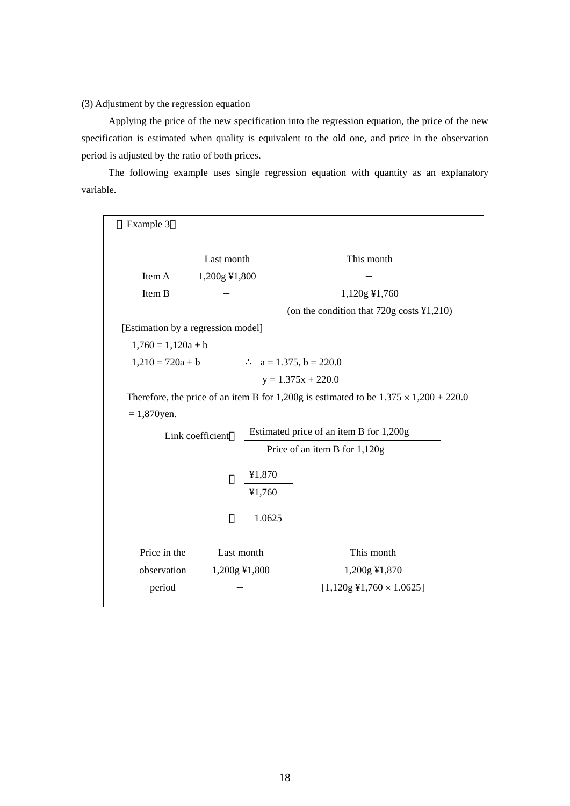# (3) Adjustment by the regression equation

 Applying the price of the new specification into the regression equation, the price of the new specification is estimated when quality is equivalent to the old one, and price in the observation period is adjusted by the ratio of both prices.

 The following example uses single regression equation with quantity as an explanatory variable.

| Example 3                          |                  |                      |                                                                                              |
|------------------------------------|------------------|----------------------|----------------------------------------------------------------------------------------------|
|                                    | Last month       |                      | This month                                                                                   |
| Item A                             | 1,200g ¥1,800    |                      |                                                                                              |
| Item B                             |                  |                      | 1,120g ¥1,760                                                                                |
|                                    |                  |                      | (on the condition that $720g \text{ costs } } \text{\textless} 1,210$ )                      |
| [Estimation by a regression model] |                  |                      |                                                                                              |
| $1,760 = 1,120a + b$               |                  |                      |                                                                                              |
| $1,210 = 720a + b$                 |                  |                      | $a = 1.375$ , $b = 220.0$                                                                    |
|                                    |                  | $y = 1.375x + 220.0$ |                                                                                              |
|                                    |                  |                      |                                                                                              |
|                                    |                  |                      | Therefore, the price of an item B for 1,200g is estimated to be $1.375 \times 1,200 + 220.0$ |
| $= 1,870$ yen.                     |                  |                      |                                                                                              |
|                                    | Link coefficient |                      | Estimated price of an item B for 1,200g                                                      |
|                                    |                  |                      | Price of an item B for 1,120g                                                                |
|                                    |                  | ¥1,870               |                                                                                              |
|                                    |                  | ¥1,760               |                                                                                              |
|                                    |                  | 1.0625               |                                                                                              |
| Price in the                       |                  | Last month           | This month                                                                                   |
| observation                        |                  | 1,200g ¥1,800        | 1,200g ¥1,870                                                                                |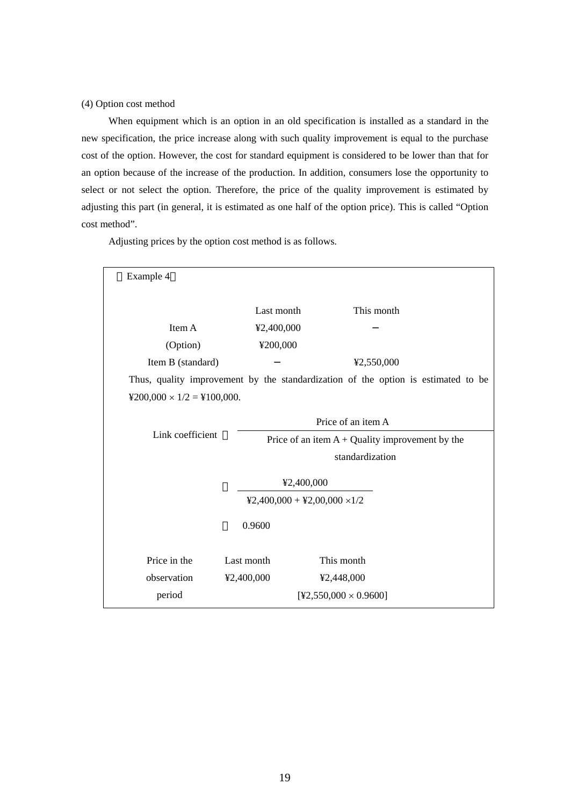# (4) Option cost method

 When equipment which is an option in an old specification is installed as a standard in the new specification, the price increase along with such quality improvement is equal to the purchase cost of the option. However, the cost for standard equipment is considered to be lower than that for an option because of the increase of the production. In addition, consumers lose the opportunity to select or not select the option. Therefore, the price of the quality improvement is estimated by adjusting this part (in general, it is estimated as one half of the option price). This is called "Option cost method".

Adjusting prices by the option cost method is as follows.

| Example 4                                       |            |                                     |                                                                                   |
|-------------------------------------------------|------------|-------------------------------------|-----------------------------------------------------------------------------------|
|                                                 |            |                                     |                                                                                   |
|                                                 | Last month |                                     | This month                                                                        |
| Item A                                          | ¥2,400,000 |                                     |                                                                                   |
| (Option)                                        | ¥200,000   |                                     |                                                                                   |
| Item B (standard)                               |            |                                     | ¥2,550,000                                                                        |
|                                                 |            |                                     | Thus, quality improvement by the standardization of the option is estimated to be |
| $\text{$}200,000 \times 1/2 = \text{$}100,000.$ |            |                                     |                                                                                   |
|                                                 |            | Price of an item A                  |                                                                                   |
| Link coefficient                                |            |                                     |                                                                                   |
|                                                 |            |                                     | Price of an item $A +$ Quality improvement by the                                 |
|                                                 |            | standardization                     |                                                                                   |
|                                                 |            | ¥2,400,000                          |                                                                                   |
|                                                 |            | $42,400,000 + 42,00,000 \times 1/2$ |                                                                                   |
|                                                 |            |                                     |                                                                                   |
|                                                 | 0.9600     |                                     |                                                                                   |
|                                                 |            |                                     |                                                                                   |
| Price in the                                    | Last month | This month                          |                                                                                   |
| observation                                     | ¥2,400,000 | ¥2,448,000                          |                                                                                   |
| period                                          |            | $[42,550,000 \times 0.9600]$        |                                                                                   |
|                                                 |            |                                     |                                                                                   |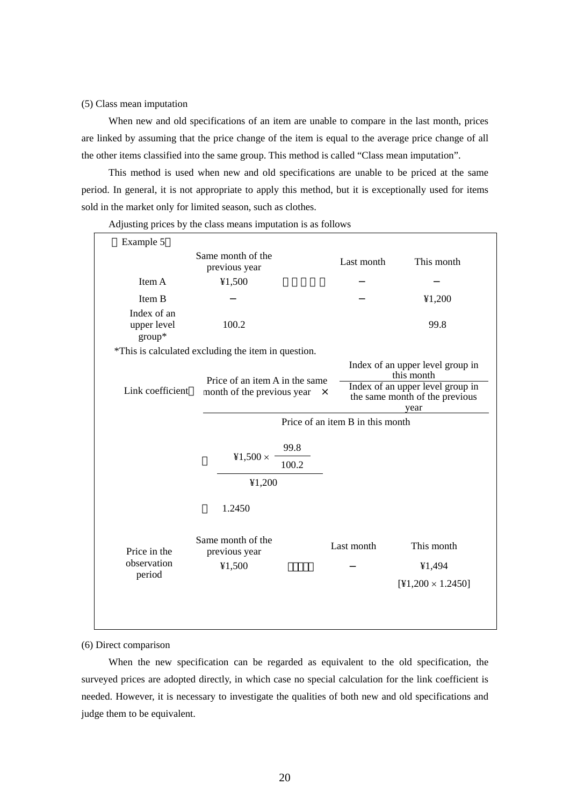## (5) Class mean imputation

 When new and old specifications of an item are unable to compare in the last month, prices are linked by assuming that the price change of the item is equal to the average price change of all the other items classified into the same group. This method is called "Class mean imputation".

 This method is used when new and old specifications are unable to be priced at the same period. In general, it is not appropriate to apply this method, but it is exceptionally used for items sold in the market only for limited season, such as clothes.

| Example 5                            |                                                                              |                                  |                                                                                                                      |
|--------------------------------------|------------------------------------------------------------------------------|----------------------------------|----------------------------------------------------------------------------------------------------------------------|
|                                      | Same month of the<br>previous year                                           | Last month                       | This month                                                                                                           |
| Item A                               | ¥1,500                                                                       |                                  |                                                                                                                      |
| Item B                               |                                                                              |                                  | ¥1,200                                                                                                               |
| Index of an<br>upper level<br>group* | 100.2                                                                        |                                  | 99.8                                                                                                                 |
|                                      | *This is calculated excluding the item in question.                          |                                  |                                                                                                                      |
| Link coefficient                     | Price of an item A in the same<br>month of the previous year<br>$\mathsf{X}$ |                                  | Index of an upper level group in<br>this month<br>Index of an upper level group in<br>the same month of the previous |
|                                      |                                                                              |                                  | year                                                                                                                 |
|                                      |                                                                              | Price of an item B in this month |                                                                                                                      |
|                                      |                                                                              |                                  |                                                                                                                      |
|                                      | 99.8<br>¥1,500 $\times$                                                      |                                  |                                                                                                                      |
|                                      | 100.2                                                                        |                                  |                                                                                                                      |
|                                      | ¥1,200                                                                       |                                  |                                                                                                                      |
|                                      | 1.2450                                                                       |                                  |                                                                                                                      |
| Price in the                         | Same month of the<br>previous year                                           | Last month                       | This month                                                                                                           |
| observation                          | ¥1,500                                                                       |                                  | ¥1,494                                                                                                               |
| period                               |                                                                              |                                  | $[41,200 \times 1.2450]$                                                                                             |
|                                      |                                                                              |                                  |                                                                                                                      |
|                                      |                                                                              |                                  |                                                                                                                      |
|                                      |                                                                              |                                  |                                                                                                                      |

Adjusting prices by the class means imputation is as follows

(6) Direct comparison

 When the new specification can be regarded as equivalent to the old specification, the surveyed prices are adopted directly, in which case no special calculation for the link coefficient is needed. However, it is necessary to investigate the qualities of both new and old specifications and judge them to be equivalent.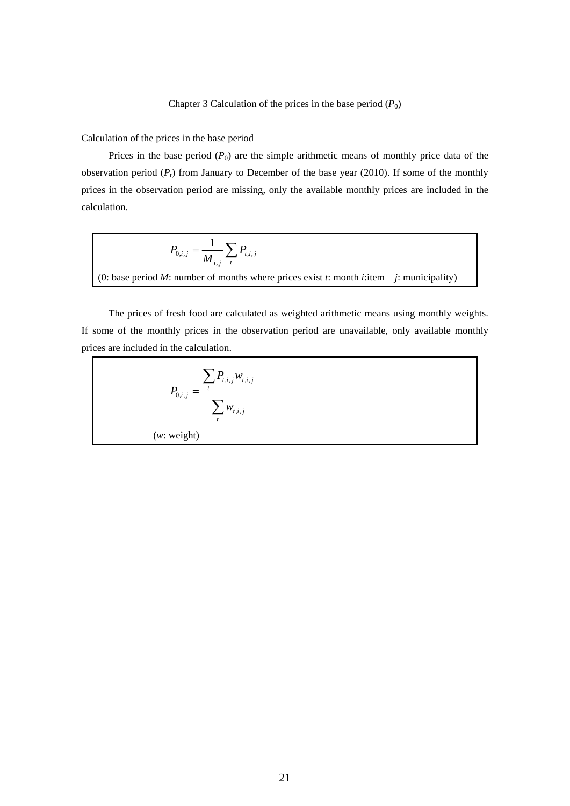Calculation of the prices in the base period

Prices in the base period  $(P_0)$  are the simple arithmetic means of monthly price data of the observation period  $(P_t)$  from January to December of the base year (2010). If some of the monthly prices in the observation period are missing, only the available monthly prices are included in the calculation.

$$
P_{0,i,j} = \frac{1}{M_{i,j}} \sum_{t} P_{t,i,j}
$$
  
(0: base period *M*: number of months where prices exist *t*: month *i*:item *j*: municipality)

 The prices of fresh food are calculated as weighted arithmetic means using monthly weights. If some of the monthly prices in the observation period are unavailable, only available monthly prices are included in the calculation.

$$
P_{0,i,j} = \frac{\sum_{t} P_{t,i,j} w_{t,i,j}}{\sum_{t} w_{t,i,j}}
$$
  
(w: weight)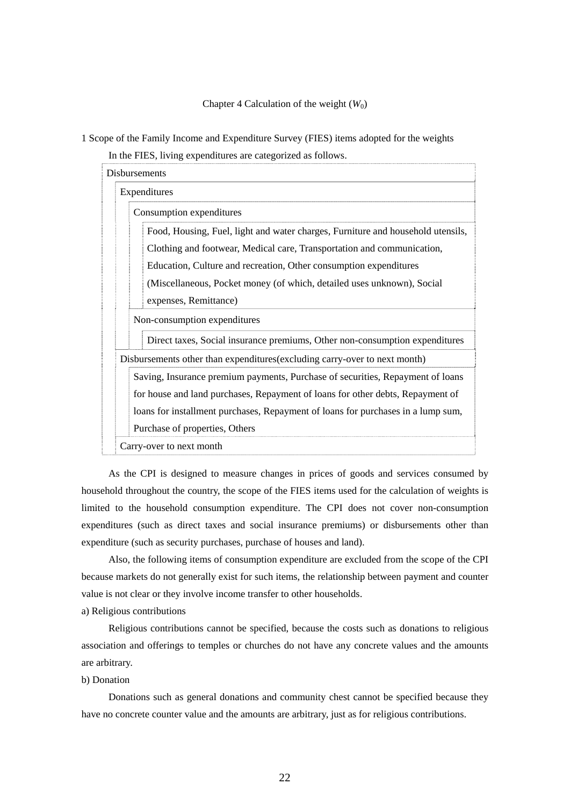## Chapter 4 Calculation of the weight  $(W_0)$

1 Scope of the Family Income and Expenditure Survey (FIES) items adopted for the weights In the FIES, living expenditures are categorized as follows.

| <b>Disbursements</b>                                                             |
|----------------------------------------------------------------------------------|
| Expenditures                                                                     |
| Consumption expenditures                                                         |
| Food, Housing, Fuel, light and water charges, Furniture and household utensils,  |
| Clothing and footwear, Medical care, Transportation and communication,           |
| Education, Culture and recreation, Other consumption expenditures                |
| (Miscellaneous, Pocket money (of which, detailed uses unknown), Social           |
| expenses, Remittance)                                                            |
| Non-consumption expenditures                                                     |
| Direct taxes, Social insurance premiums, Other non-consumption expenditures      |
| Disbursements other than expenditures (excluding carry-over to next month)       |
| Saving, Insurance premium payments, Purchase of securities, Repayment of loans   |
| for house and land purchases, Repayment of loans for other debts, Repayment of   |
| loans for installment purchases, Repayment of loans for purchases in a lump sum, |
| Purchase of properties, Others                                                   |
| Carry-over to next month                                                         |

 As the CPI is designed to measure changes in prices of goods and services consumed by household throughout the country, the scope of the FIES items used for the calculation of weights is limited to the household consumption expenditure. The CPI does not cover non-consumption expenditures (such as direct taxes and social insurance premiums) or disbursements other than expenditure (such as security purchases, purchase of houses and land).

 Also, the following items of consumption expenditure are excluded from the scope of the CPI because markets do not generally exist for such items, the relationship between payment and counter value is not clear or they involve income transfer to other households.

a) Religious contributions

 Religious contributions cannot be specified, because the costs such as donations to religious association and offerings to temples or churches do not have any concrete values and the amounts are arbitrary.

b) Donation

 Donations such as general donations and community chest cannot be specified because they have no concrete counter value and the amounts are arbitrary, just as for religious contributions.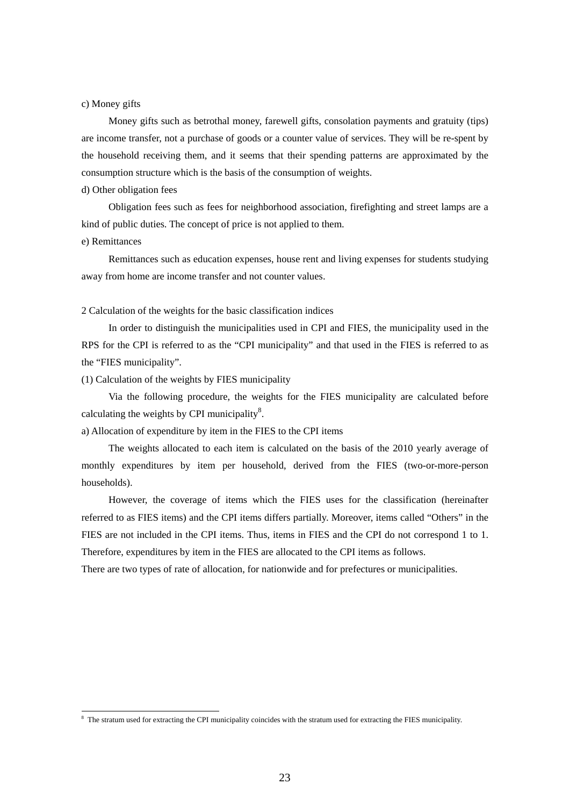## c) Money gifts

 Money gifts such as betrothal money, farewell gifts, consolation payments and gratuity (tips) are income transfer, not a purchase of goods or a counter value of services. They will be re-spent by the household receiving them, and it seems that their spending patterns are approximated by the consumption structure which is the basis of the consumption of weights.

#### d) Other obligation fees

 Obligation fees such as fees for neighborhood association, firefighting and street lamps are a kind of public duties. The concept of price is not applied to them.

#### e) Remittances

-

 Remittances such as education expenses, house rent and living expenses for students studying away from home are income transfer and not counter values.

### 2 Calculation of the weights for the basic classification indices

 In order to distinguish the municipalities used in CPI and FIES, the municipality used in the RPS for the CPI is referred to as the "CPI municipality" and that used in the FIES is referred to as the "FIES municipality".

(1) Calculation of the weights by FIES municipality

 Via the following procedure, the weights for the FIES municipality are calculated before calculating the weights by CPI municipality $\delta$ .

a) Allocation of expenditure by item in the FIES to the CPI items

 The weights allocated to each item is calculated on the basis of the 2010 yearly average of monthly expenditures by item per household, derived from the FIES (two-or-more-person households).

 However, the coverage of items which the FIES uses for the classification (hereinafter referred to as FIES items) and the CPI items differs partially. Moreover, items called "Others" in the FIES are not included in the CPI items. Thus, items in FIES and the CPI do not correspond 1 to 1. Therefore, expenditures by item in the FIES are allocated to the CPI items as follows.

There are two types of rate of allocation, for nationwide and for prefectures or municipalities.

<sup>&</sup>lt;sup>8</sup> The stratum used for extracting the CPI municipality coincides with the stratum used for extracting the FIES municipality.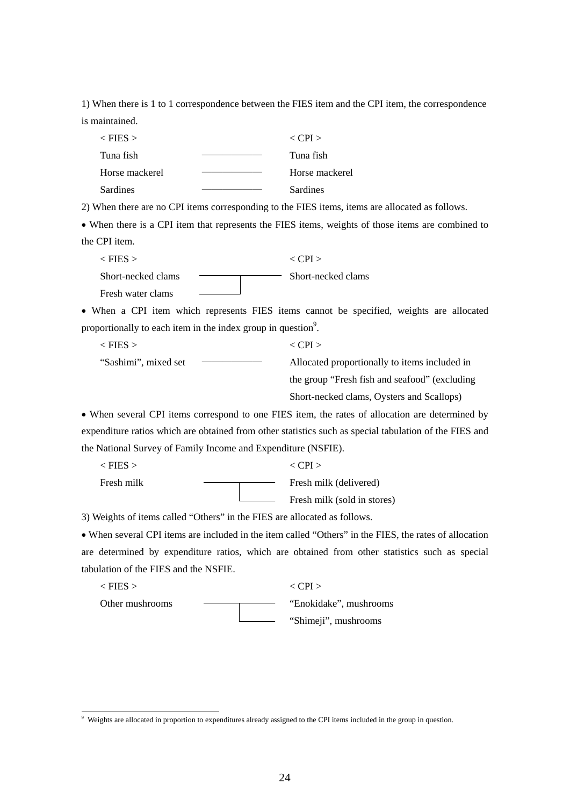1) When there is 1 to 1 correspondence between the FIES item and the CPI item, the correspondence is maintained.

| $<$ FIES $>$   | $\langle$ CPI $>$ |
|----------------|-------------------|
| Tuna fish      | Tuna fish         |
| Horse mackerel | Horse mackerel    |
| Sardines       | <b>Sardines</b>   |

2) When there are no CPI items corresponding to the FIES items, items are allocated as follows.

 When there is a CPI item that represents the FIES items, weights of those items are combined to the CPI item.

 $\langle$  FIES  $>$   $\langle$  CPI  $>$ Short-necked clams The Short-necked clams Fresh water clams

 When a CPI item which represents FIES items cannot be specified, weights are allocated proportionally to each item in the index group in question<sup>9</sup>.

 $\langle$  FIES  $>$   $\langle$  CPI  $>$ "Sashimi", mixed set ―――――― Allocated proportionally to items included in the group "Fresh fish and seafood" (excluding Short-necked clams, Oysters and Scallops)

 When several CPI items correspond to one FIES item, the rates of allocation are determined by expenditure ratios which are obtained from other statistics such as special tabulation of the FIES and the National Survey of Family Income and Expenditure (NSFIE).

 $\langle$  FIES >  $\langle$  CPI > Fresh milk Fresh milk (delivered) Fresh milk (sold in stores)

3) Weights of items called "Others" in the FIES are allocated as follows.

 $\overline{\phantom{a}}$ 

 When several CPI items are included in the item called "Others" in the FIES, the rates of allocation are determined by expenditure ratios, which are obtained from other statistics such as special tabulation of the FIES and the NSFIE.

 $\langle$  FIES >  $\langle$  CPI > Other mushrooms ———————————— "Enokidake", mushrooms "Shimeji", mushrooms

<sup>9</sup> Weights are allocated in proportion to expenditures already assigned to the CPI items included in the group in question.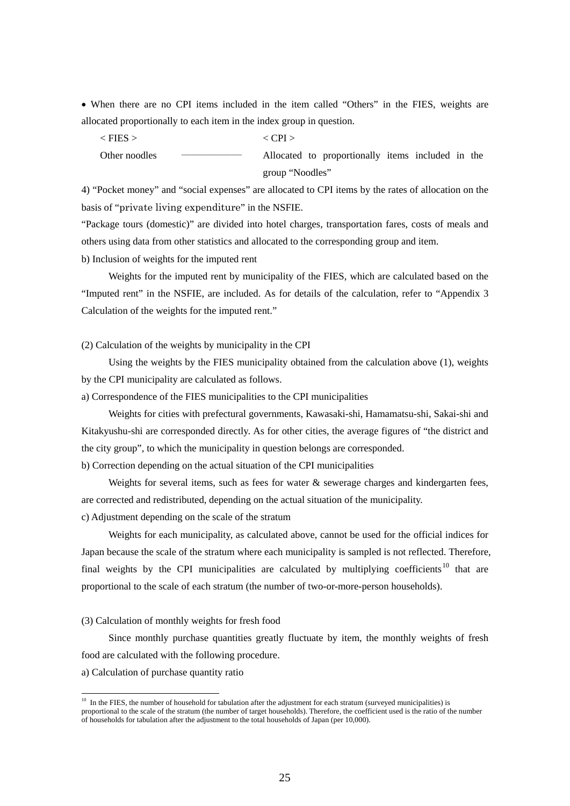When there are no CPI items included in the item called "Others" in the FIES, weights are allocated proportionally to each item in the index group in question.

 $\langle$  FIES  $>$   $\langle$  CPI  $>$ 

Other noodles ―――――― Allocated to proportionally items included in the group "Noodles"

4) "Pocket money" and "social expenses" are allocated to CPI items by the rates of allocation on the basis of "private living expenditure" in the NSFIE.

"Package tours (domestic)" are divided into hotel charges, transportation fares, costs of meals and others using data from other statistics and allocated to the corresponding group and item.

b) Inclusion of weights for the imputed rent

 Weights for the imputed rent by municipality of the FIES, which are calculated based on the "Imputed rent" in the NSFIE, are included. As for details of the calculation, refer to "Appendix 3 Calculation of the weights for the imputed rent."

(2) Calculation of the weights by municipality in the CPI

 Using the weights by the FIES municipality obtained from the calculation above (1), weights by the CPI municipality are calculated as follows.

a) Correspondence of the FIES municipalities to the CPI municipalities

 Weights for cities with prefectural governments, Kawasaki-shi, Hamamatsu-shi, Sakai-shi and Kitakyushu-shi are corresponded directly. As for other cities, the average figures of "the district and the city group", to which the municipality in question belongs are corresponded.

b) Correction depending on the actual situation of the CPI municipalities

Weights for several items, such as fees for water  $\&$  sewerage charges and kindergarten fees, are corrected and redistributed, depending on the actual situation of the municipality.

c) Adjustment depending on the scale of the stratum

 Weights for each municipality, as calculated above, cannot be used for the official indices for Japan because the scale of the stratum where each municipality is sampled is not reflected. Therefore, final weights by the CPI municipalities are calculated by multiplying coefficients<sup>10</sup> that are proportional to the scale of each stratum (the number of two-or-more-person households).

## (3) Calculation of monthly weights for fresh food

 Since monthly purchase quantities greatly fluctuate by item, the monthly weights of fresh food are calculated with the following procedure.

a) Calculation of purchase quantity ratio

-

 $10\;\text{In the FIES, the number of household for tabulation after the adjustment for each stratum (surveved municipalities) is}$ proportional to the scale of the stratum (the number of target households). Therefore, the coefficient used is the ratio of the number of households for tabulation after the adjustment to the total households of Japan (per 10,000).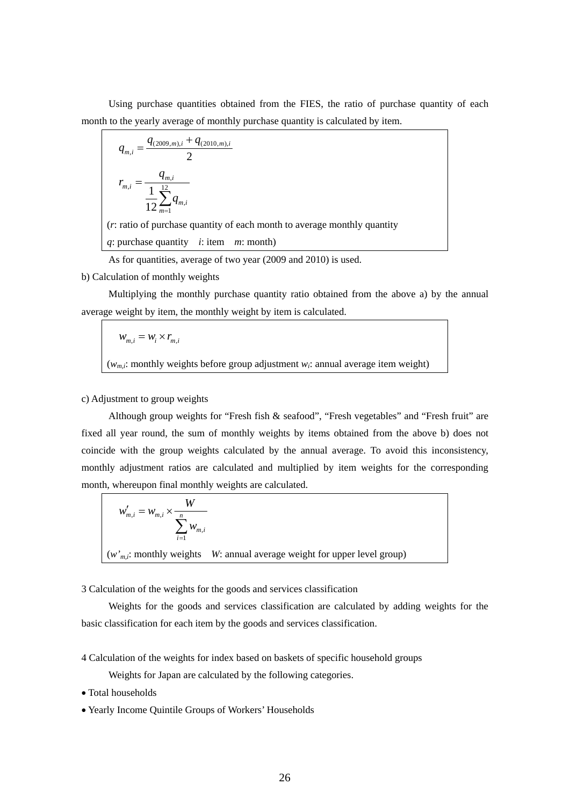Using purchase quantities obtained from the FIES, the ratio of purchase quantity of each month to the yearly average of monthly purchase quantity is calculated by item.

$$
q_{m,i} = \frac{q_{(2009,m),i} + q_{(2010,m),i}}{2}
$$
\n
$$
r_{m,i} = \frac{q_{m,i}}{12 \sum_{m=1}^{12} q_{m,i}}
$$
\n(*r*: ratio of purchase quantity of each month to average monthly quantity *q*: purchase quantity *i*: item *m*: month)

As for quantities, average of two year (2009 and 2010) is used.

b) Calculation of monthly weights

 Multiplying the monthly purchase quantity ratio obtained from the above a) by the annual average weight by item, the monthly weight by item is calculated.

$$
W_{m,i} = W_i \times r_{m,i}
$$
  
( $w_{m,i}$ : monthly weights before group adjustment  $w_i$ : annual average item weight)

# c) Adjustment to group weights

 Although group weights for "Fresh fish & seafood", "Fresh vegetables" and "Fresh fruit" are fixed all year round, the sum of monthly weights by items obtained from the above b) does not coincide with the group weights calculated by the annual average. To avoid this inconsistency, monthly adjustment ratios are calculated and multiplied by item weights for the corresponding month, whereupon final monthly weights are calculated.

$$
w'_{m,i} = w_{m,i} \times \frac{W}{\sum_{i=1}^{n} w_{m,i}}
$$
  
(*w*'<sub>m,i</sub>: monthly weights *W*: annual average weight for upper level group)

3 Calculation of the weights for the goods and services classification

 Weights for the goods and services classification are calculated by adding weights for the basic classification for each item by the goods and services classification.

4 Calculation of the weights for index based on baskets of specific household groups

Weights for Japan are calculated by the following categories.

- Total households
- Yearly Income Quintile Groups of Workers' Households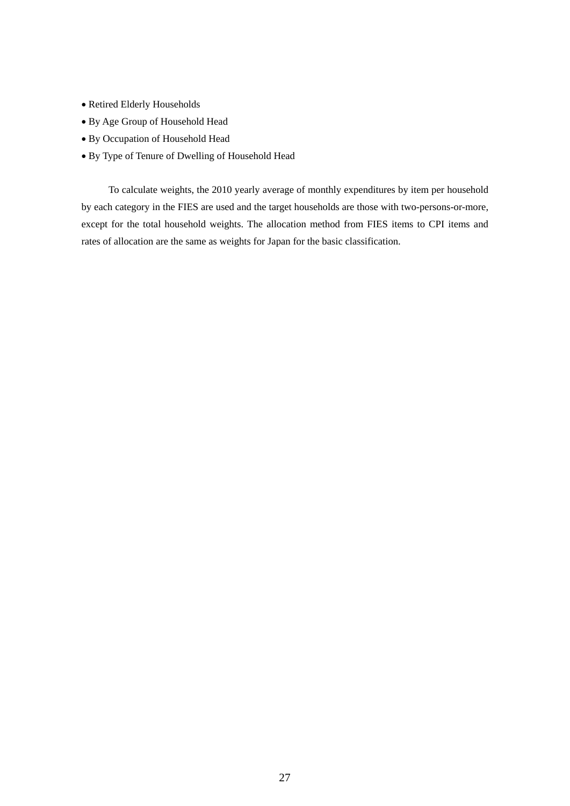- Retired Elderly Households
- By Age Group of Household Head
- By Occupation of Household Head
- By Type of Tenure of Dwelling of Household Head

 To calculate weights, the 2010 yearly average of monthly expenditures by item per household by each category in the FIES are used and the target households are those with two-persons-or-more, except for the total household weights. The allocation method from FIES items to CPI items and rates of allocation are the same as weights for Japan for the basic classification.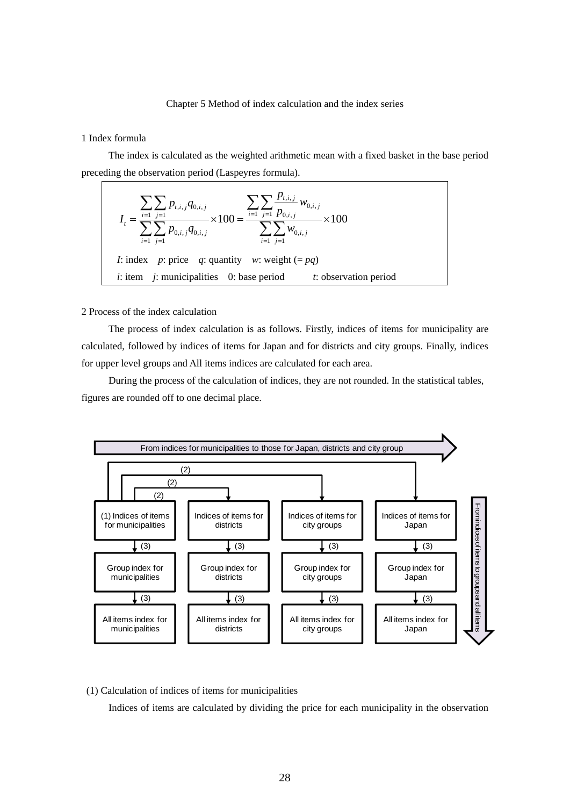## Chapter 5 Method of index calculation and the index series

# 1 Index formula

 The index is calculated as the weighted arithmetic mean with a fixed basket in the base period preceding the observation period (Laspeyres formula).

$$
I_{t} = \frac{\sum_{i=1}^{t} \sum_{j=1}^{t} p_{t,i,j} q_{0,i,j}}{\sum_{i=1}^{t} \sum_{j=1}^{t} p_{0,i,j} q_{0,i,j}} \times 100 = \frac{\sum_{i=1}^{t} \sum_{j=1}^{t} p_{0,i,j}}{\sum_{i=1}^{t} \sum_{j=1}^{t} w_{0,i,j}} \times 100
$$
  
*I*: index *p*: price *q*: quantity *w*: weight (= *pq*)  
*i*: item *j*: municipalities 0: base period *t*: observation period

2 Process of the index calculation

 The process of index calculation is as follows. Firstly, indices of items for municipality are calculated, followed by indices of items for Japan and for districts and city groups. Finally, indices for upper level groups and All items indices are calculated for each area.

 During the process of the calculation of indices, they are not rounded. In the statistical tables, figures are rounded off to one decimal place.



(1) Calculation of indices of items for municipalities

Indices of items are calculated by dividing the price for each municipality in the observation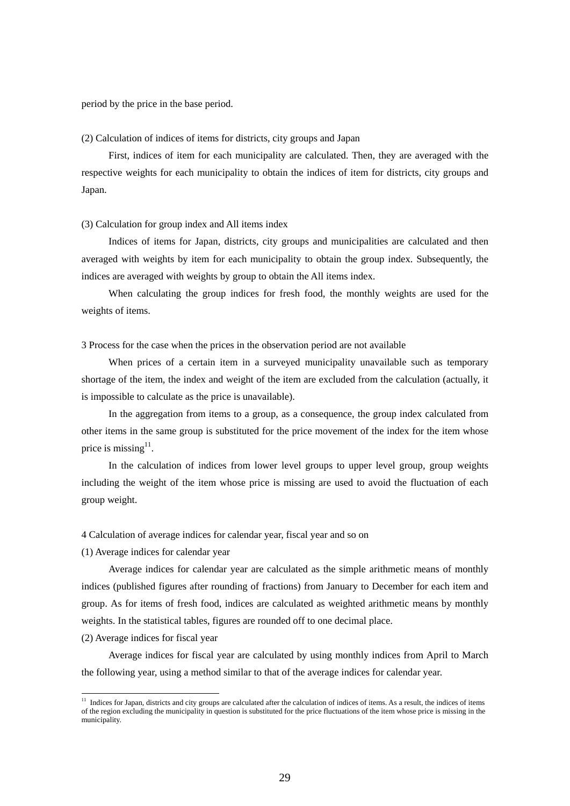period by the price in the base period.

## (2) Calculation of indices of items for districts, city groups and Japan

 First, indices of item for each municipality are calculated. Then, they are averaged with the respective weights for each municipality to obtain the indices of item for districts, city groups and Japan.

# (3) Calculation for group index and All items index

 Indices of items for Japan, districts, city groups and municipalities are calculated and then averaged with weights by item for each municipality to obtain the group index. Subsequently, the indices are averaged with weights by group to obtain the All items index.

 When calculating the group indices for fresh food, the monthly weights are used for the weights of items.

3 Process for the case when the prices in the observation period are not available

When prices of a certain item in a surveyed municipality unavailable such as temporary shortage of the item, the index and weight of the item are excluded from the calculation (actually, it is impossible to calculate as the price is unavailable).

 In the aggregation from items to a group, as a consequence, the group index calculated from other items in the same group is substituted for the price movement of the index for the item whose price is missing<sup>11</sup>.

 In the calculation of indices from lower level groups to upper level group, group weights including the weight of the item whose price is missing are used to avoid the fluctuation of each group weight.

4 Calculation of average indices for calendar year, fiscal year and so on

(1) Average indices for calendar year

 Average indices for calendar year are calculated as the simple arithmetic means of monthly indices (published figures after rounding of fractions) from January to December for each item and group. As for items of fresh food, indices are calculated as weighted arithmetic means by monthly weights. In the statistical tables, figures are rounded off to one decimal place.

#### (2) Average indices for fiscal year

-

 Average indices for fiscal year are calculated by using monthly indices from April to March the following year, using a method similar to that of the average indices for calendar year.

 $11$  Indices for Japan, districts and city groups are calculated after the calculation of indices of items. As a result, the indices of items of the region excluding the municipality in question is substituted for the price fluctuations of the item whose price is missing in the municipality.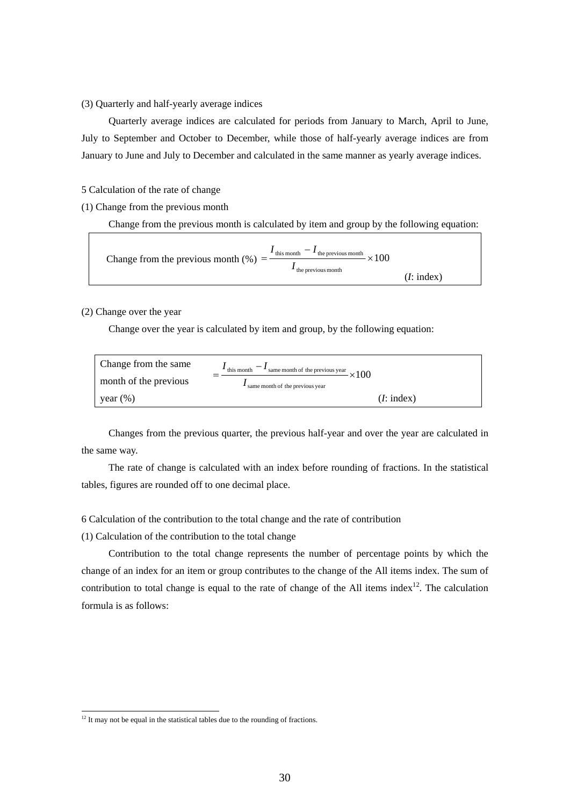# (3) Quarterly and half-yearly average indices

 Quarterly average indices are calculated for periods from January to March, April to June, July to September and October to December, while those of half-yearly average indices are from January to June and July to December and calculated in the same manner as yearly average indices.

5 Calculation of the rate of change

(1) Change from the previous month

Change from the previous month is calculated by item and group by the following equation:

Change from the previous month (%) = 
$$
\frac{I_{\text{this month}} - I_{\text{the previous month}}}{I_{\text{the previous month}}} \times 100
$$
 (I: index)

# (2) Change over the year

Change over the year is calculated by item and group, by the following equation:

| Change from the same  | this month<br>$\leq$ same month of the previous year $\times 100$ |
|-----------------------|-------------------------------------------------------------------|
| month of the previous | same month of the previous year                                   |
| vear $(\%)$           | (I:index)                                                         |

 Changes from the previous quarter, the previous half-year and over the year are calculated in the same way.

 The rate of change is calculated with an index before rounding of fractions. In the statistical tables, figures are rounded off to one decimal place.

6 Calculation of the contribution to the total change and the rate of contribution

(1) Calculation of the contribution to the total change

 Contribution to the total change represents the number of percentage points by which the change of an index for an item or group contributes to the change of the All items index. The sum of contribution to total change is equal to the rate of change of the All items index<sup>12</sup>. The calculation formula is as follows:

-

 $12$  It may not be equal in the statistical tables due to the rounding of fractions.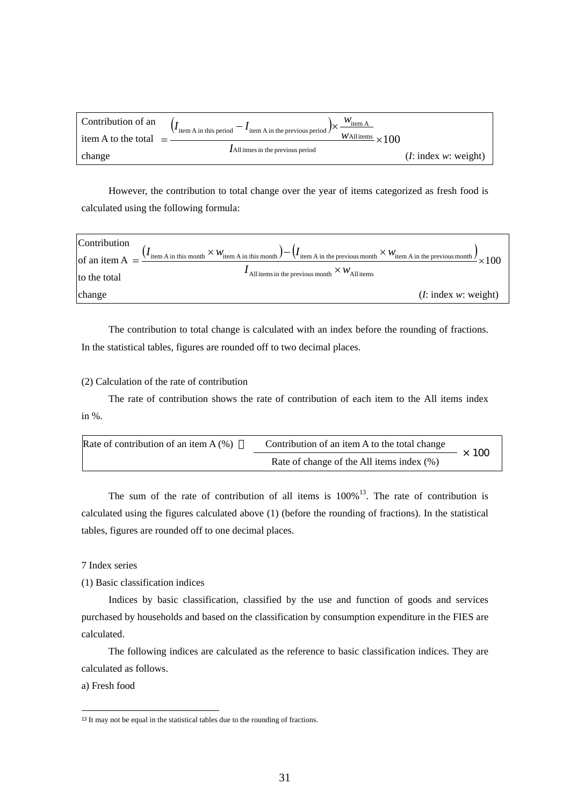| Contribution of an  | $W_{\text{item A}}$<br>$\left(I_{\text{item A in this period}} - I_{\text{item A in the previous period}}\right)$ $\times$ |                     |
|---------------------|----------------------------------------------------------------------------------------------------------------------------|---------------------|
| item A to the total | $\frac{W \text{All items}}{W \times 100}$                                                                                  |                     |
| change              | $I$ All itmes in the previous period                                                                                       | (I:index w: weight) |

 However, the contribution to total change over the year of items categorized as fresh food is calculated using the following formula:



 The contribution to total change is calculated with an index before the rounding of fractions. In the statistical tables, figures are rounded off to two decimal places.

# (2) Calculation of the rate of contribution

The rate of contribution shows the rate of contribution of each item to the All items index in %.

| Rate of contribution of an item $A(\%)$ | Contribution of an item A to the total change | 100 |
|-----------------------------------------|-----------------------------------------------|-----|
|                                         | Rate of change of the All items index (%)     |     |

The sum of the rate of contribution of all items is  $100\%$ <sup>13</sup>. The rate of contribution is calculated using the figures calculated above (1) (before the rounding of fractions). In the statistical tables, figures are rounded off to one decimal places.

# 7 Index series

(1) Basic classification indices

 Indices by basic classification, classified by the use and function of goods and services purchased by households and based on the classification by consumption expenditure in the FIES are calculated.

 The following indices are calculated as the reference to basic classification indices. They are calculated as follows.

a) Fresh food

 $\overline{\phantom{a}}$ 

<sup>&</sup>lt;sup>13</sup> It may not be equal in the statistical tables due to the rounding of fractions.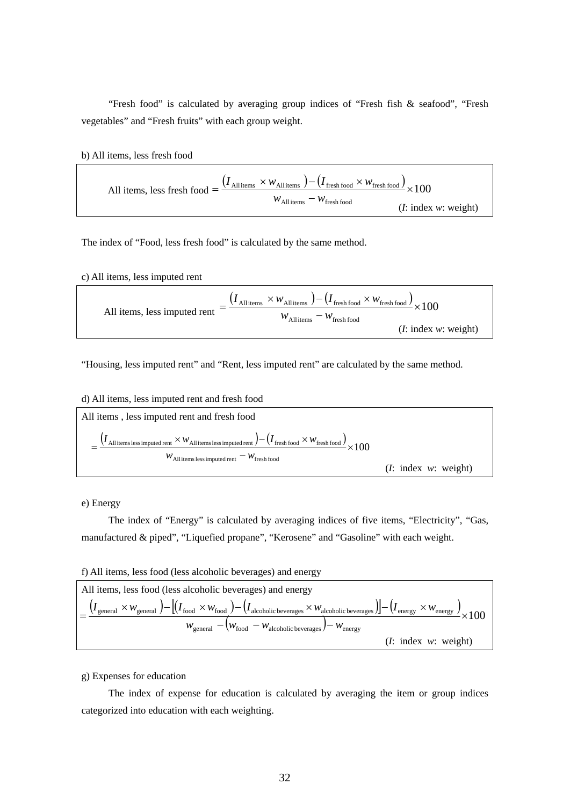"Fresh food" is calculated by averaging group indices of "Fresh fish & seafood", "Fresh vegetables" and "Fresh fruits" with each group weight.

b) All items, less fresh food

All items, less fresh food = 
$$
\frac{(I_{\text{All items}} \times w_{\text{All items}}) - (I_{\text{ fresh food}} \times w_{\text{ fresh food}})}{w_{\text{All items}} - w_{\text{ fresh food}}}
$$
 
$$
\times 100
$$
 (*I*: index *w*: weight)

The index of "Food, less fresh food" is calculated by the same method.

c) All items, less imputed rent

All items, less imputed rent = 
$$
\frac{(I_{\text{All items}} \times w_{\text{All items}}) - (I_{\text{ fresh food}} \times w_{\text{ fresh food}})}{w_{\text{All items}} - w_{\text{ fresh food}}}
$$
 × 100 (I: index w: weight)

"Housing, less imputed rent" and "Rent, less imputed rent" are calculated by the same method.

d) All items, less imputed rent and fresh food



e) Energy

 The index of "Energy" is calculated by averaging indices of five items, "Electricity", "Gas, manufactured & piped", "Liquefied propane", "Kerosene" and "Gasoline" with each weight.

f) All items, less food (less alcoholic beverages) and energy



g) Expenses for education

 The index of expense for education is calculated by averaging the item or group indices categorized into education with each weighting.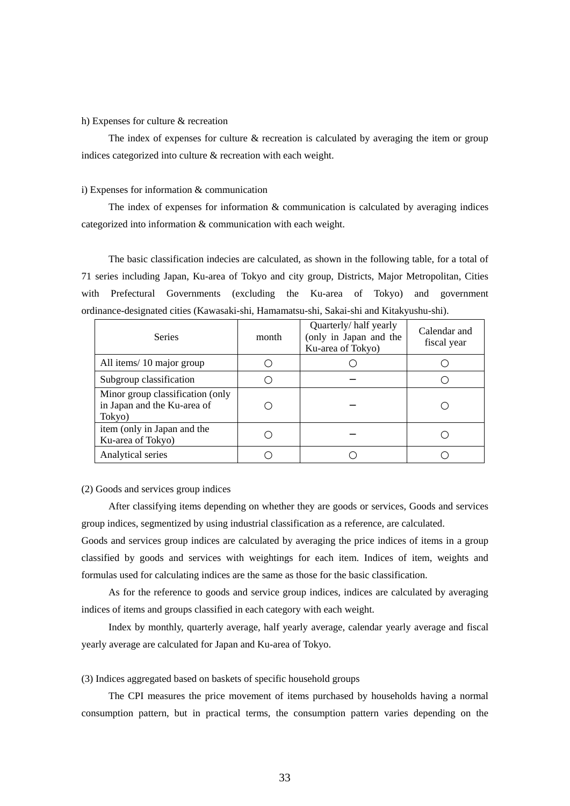#### h) Expenses for culture & recreation

The index of expenses for culture  $\&$  recreation is calculated by averaging the item or group indices categorized into culture & recreation with each weight.

#### i) Expenses for information & communication

The index of expenses for information  $\&$  communication is calculated by averaging indices categorized into information & communication with each weight.

 The basic classification indecies are calculated, as shown in the following table, for a total of 71 series including Japan, Ku-area of Tokyo and city group, Districts, Major Metropolitan, Cities with Prefectural Governments (excluding the Ku-area of Tokyo) and government ordinance-designated cities (Kawasaki-shi, Hamamatsu-shi, Sakai-shi and Kitakyushu-shi).

| <b>Series</b>                                                             | month | Quarterly/half yearly<br>(only in Japan and the<br>Ku-area of Tokyo) | Calendar and<br>fiscal year |
|---------------------------------------------------------------------------|-------|----------------------------------------------------------------------|-----------------------------|
| All items/10 major group                                                  |       |                                                                      |                             |
| Subgroup classification                                                   |       |                                                                      |                             |
| Minor group classification (only<br>in Japan and the Ku-area of<br>Tokyo) |       |                                                                      |                             |
| item (only in Japan and the<br>Ku-area of Tokyo)                          |       |                                                                      |                             |
| Analytical series                                                         |       |                                                                      |                             |

#### (2) Goods and services group indices

 After classifying items depending on whether they are goods or services, Goods and services group indices, segmentized by using industrial classification as a reference, are calculated.

Goods and services group indices are calculated by averaging the price indices of items in a group classified by goods and services with weightings for each item. Indices of item, weights and formulas used for calculating indices are the same as those for the basic classification.

 As for the reference to goods and service group indices, indices are calculated by averaging indices of items and groups classified in each category with each weight.

 Index by monthly, quarterly average, half yearly average, calendar yearly average and fiscal yearly average are calculated for Japan and Ku-area of Tokyo.

# (3) Indices aggregated based on baskets of specific household groups

 The CPI measures the price movement of items purchased by households having a normal consumption pattern, but in practical terms, the consumption pattern varies depending on the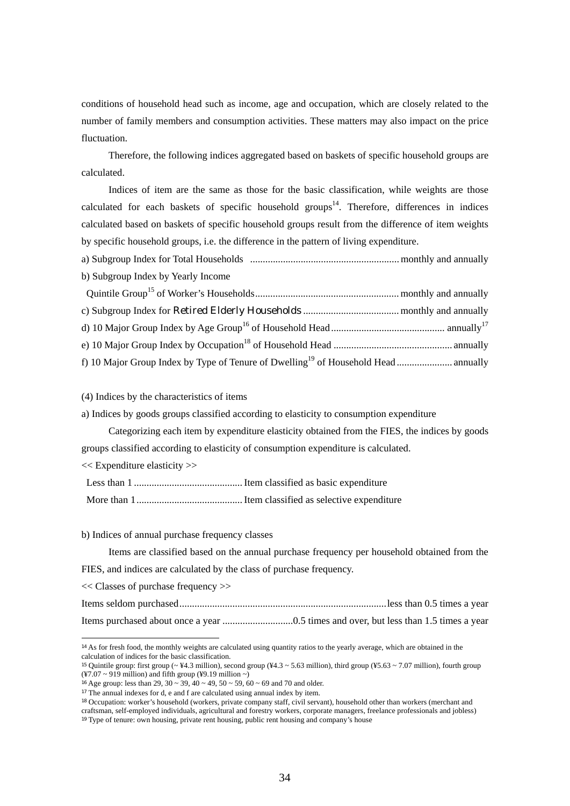conditions of household head such as income, age and occupation, which are closely related to the number of family members and consumption activities. These matters may also impact on the price fluctuation.

 Therefore, the following indices aggregated based on baskets of specific household groups are calculated.

 Indices of item are the same as those for the basic classification, while weights are those calculated for each baskets of specific household groups<sup>14</sup>. Therefore, differences in indices calculated based on baskets of specific household groups result from the difference of item weights by specific household groups, i.e. the difference in the pattern of living expenditure.

a) Subgroup Index for Total Households ........................................................... monthly and annually b) Subgroup Index by Yearly Income

(4) Indices by the characteristics of items

a) Indices by goods groups classified according to elasticity to consumption expenditure

 Categorizing each item by expenditure elasticity obtained from the FIES, the indices by goods groups classified according to elasticity of consumption expenditure is calculated.

<< Expenditure elasticity >>

Less than 1 ........................................... Item classified as basic expenditure

More than 1 .......................................... Item classified as selective expenditure

b) Indices of annual purchase frequency classes

 Items are classified based on the annual purchase frequency per household obtained from the FIES, and indices are calculated by the class of purchase frequency.

<< Classes of purchase frequency >>

-

Items seldom purchased .................................................................................. less than 0.5 times a year Items purchased about once a year ............................0.5 times and over, but less than 1.5 times a year

<sup>&</sup>lt;sup>14</sup> As for fresh food, the monthly weights are calculated using quantity ratios to the yearly average, which are obtained in the calculation of indices for the basic classification.

<sup>&</sup>lt;sup>15</sup> Quintile group: first group ( $\approx$  ¥4.3 million), second group (¥4.3  $\sim$  5.63 million), third group (¥5.63  $\sim$  7.07 million), fourth group  $(*7.07 \sim 919$  million) and fifth group (¥9.19 million ~)

<sup>&</sup>lt;sup>16</sup> Age group: less than 29,  $30 \sim 39$ ,  $40 \sim 49$ ,  $50 \sim 59$ ,  $60 \sim 69$  and 70 and older.

<sup>&</sup>lt;sup>17</sup> The annual indexes for d, e and f are calculated using annual index by item.

<sup>18</sup> Occupation: worker's household (workers, private company staff, civil servant), household other than workers (merchant and craftsman, self-employed individuals, agricultural and forestry workers, corporate managers, freelance professionals and jobless) <sup>19</sup> Type of tenure: own housing, private rent housing, public rent housing and company's house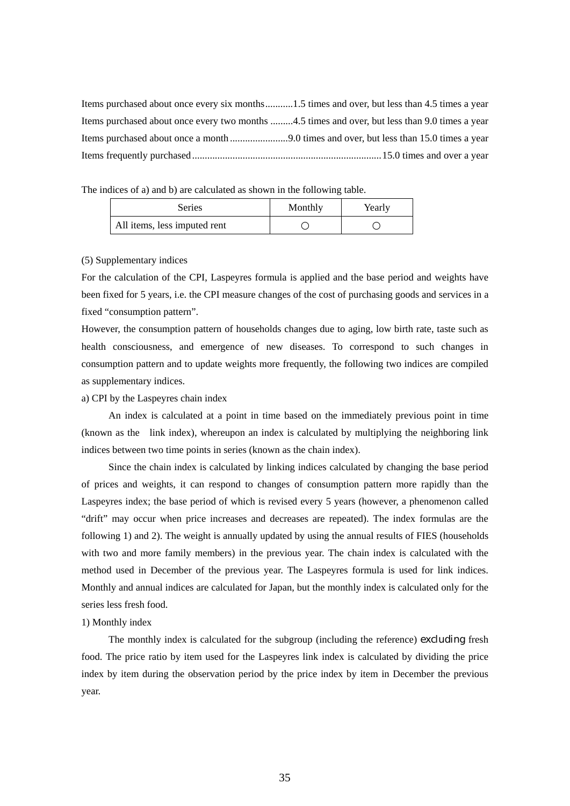Items purchased about once every six months ...........1.5 times and over, but less than 4.5 times a year Items purchased about once every two months .........4.5 times and over, but less than 9.0 times a year Items purchased about once a month ....................... 9.0 times and over, but less than 15.0 times a year Items frequently purchased ........................................................................... 15.0 times and over a year

The indices of a) and b) are calculated as shown in the following table.

| Series                       | Monthly | Yearly |
|------------------------------|---------|--------|
| All items, less imputed rent |         |        |

### (5) Supplementary indices

For the calculation of the CPI, Laspeyres formula is applied and the base period and weights have been fixed for 5 years, i.e. the CPI measure changes of the cost of purchasing goods and services in a fixed "consumption pattern".

However, the consumption pattern of households changes due to aging, low birth rate, taste such as health consciousness, and emergence of new diseases. To correspond to such changes in consumption pattern and to update weights more frequently, the following two indices are compiled as supplementary indices.

a) CPI by the Laspeyres chain index

 An index is calculated at a point in time based on the immediately previous point in time (known as the link index), whereupon an index is calculated by multiplying the neighboring link indices between two time points in series (known as the chain index).

 Since the chain index is calculated by linking indices calculated by changing the base period of prices and weights, it can respond to changes of consumption pattern more rapidly than the Laspeyres index; the base period of which is revised every 5 years (however, a phenomenon called "drift" may occur when price increases and decreases are repeated). The index formulas are the following 1) and 2). The weight is annually updated by using the annual results of FIES (households with two and more family members) in the previous year. The chain index is calculated with the method used in December of the previous year. The Laspeyres formula is used for link indices. Monthly and annual indices are calculated for Japan, but the monthly index is calculated only for the series less fresh food.

# 1) Monthly index

 The monthly index is calculated for the subgroup (including the reference) excluding fresh food. The price ratio by item used for the Laspeyres link index is calculated by dividing the price index by item during the observation period by the price index by item in December the previous year.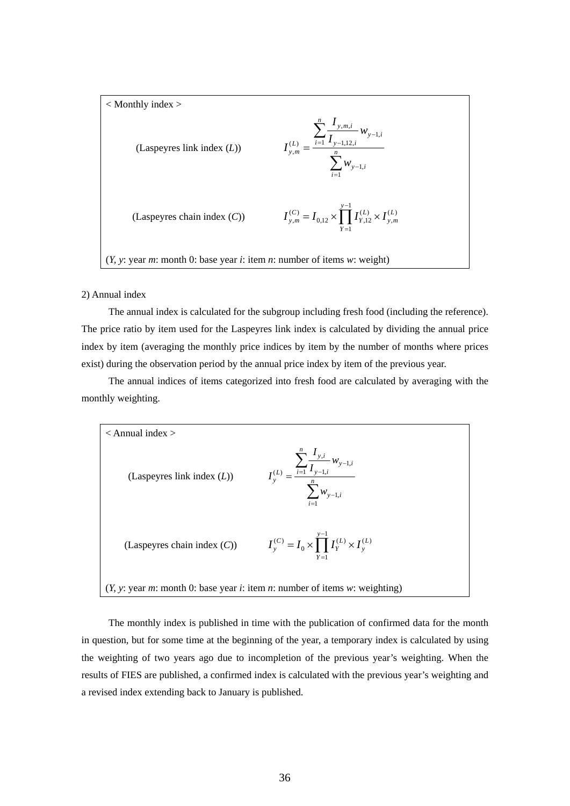

#### 2) Annual index

 The annual index is calculated for the subgroup including fresh food (including the reference). The price ratio by item used for the Laspeyres link index is calculated by dividing the annual price index by item (averaging the monthly price indices by item by the number of months where prices exist) during the observation period by the annual price index by item of the previous year.

 The annual indices of items categorized into fresh food are calculated by averaging with the monthly weighting.



 The monthly index is published in time with the publication of confirmed data for the month in question, but for some time at the beginning of the year, a temporary index is calculated by using the weighting of two years ago due to incompletion of the previous year's weighting. When the results of FIES are published, a confirmed index is calculated with the previous year's weighting and a revised index extending back to January is published.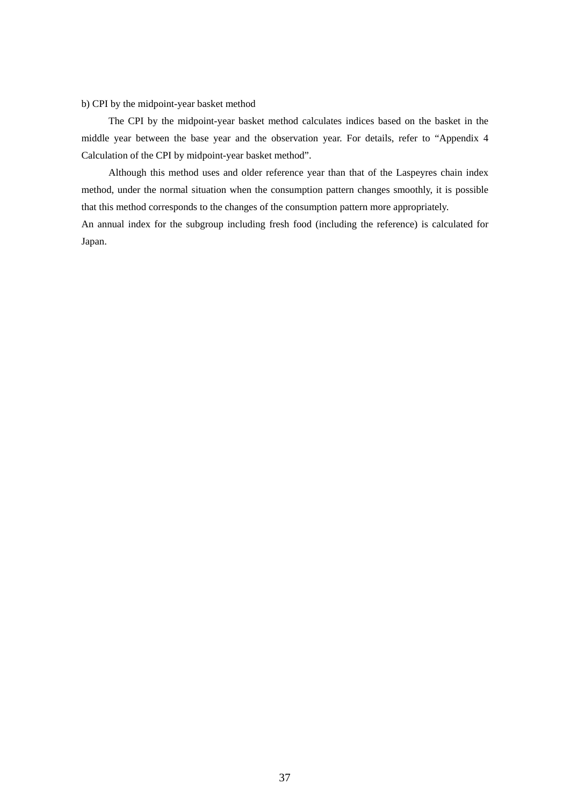b) CPI by the midpoint-year basket method

 The CPI by the midpoint-year basket method calculates indices based on the basket in the middle year between the base year and the observation year. For details, refer to "Appendix 4 Calculation of the CPI by midpoint-year basket method".

 Although this method uses and older reference year than that of the Laspeyres chain index method, under the normal situation when the consumption pattern changes smoothly, it is possible that this method corresponds to the changes of the consumption pattern more appropriately.

An annual index for the subgroup including fresh food (including the reference) is calculated for Japan.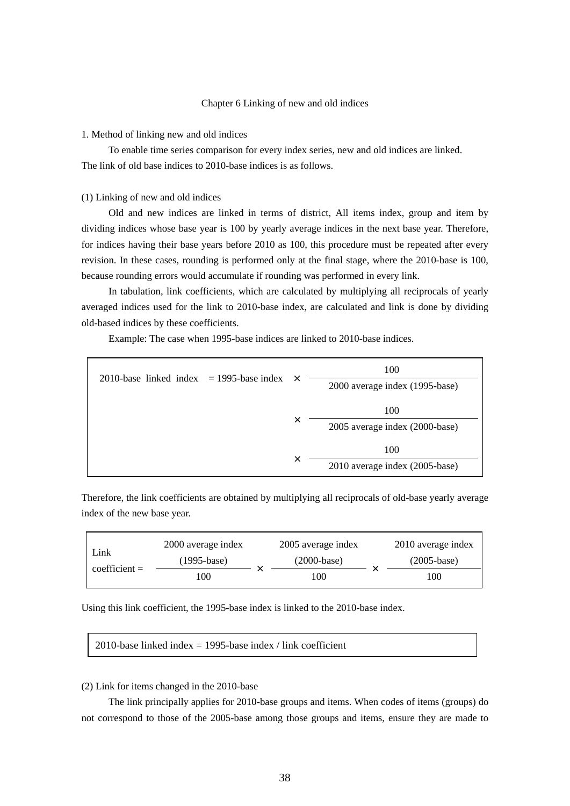# Chapter 6 Linking of new and old indices

#### 1. Method of linking new and old indices

 To enable time series comparison for every index series, new and old indices are linked. The link of old base indices to 2010-base indices is as follows.

#### (1) Linking of new and old indices

 Old and new indices are linked in terms of district, All items index, group and item by dividing indices whose base year is 100 by yearly average indices in the next base year. Therefore, for indices having their base years before 2010 as 100, this procedure must be repeated after every revision. In these cases, rounding is performed only at the final stage, where the 2010-base is 100, because rounding errors would accumulate if rounding was performed in every link.

 In tabulation, link coefficients, which are calculated by multiplying all reciprocals of yearly averaged indices used for the link to 2010-base index, are calculated and link is done by dividing old-based indices by these coefficients.

Example: The case when 1995-base indices are linked to 2010-base indices.

| 2010-base linked index $=$ 1995-base index | $\times$ | 100<br>2000 average index (1995-base) |
|--------------------------------------------|----------|---------------------------------------|
|                                            | X        | 100<br>2005 average index (2000-base) |
|                                            | ×        | 100<br>2010 average index (2005-base) |

Therefore, the link coefficients are obtained by multiplying all reciprocals of old-base yearly average index of the new base year.

| Link            | 2000 average index |  | 2005 average index | 2010 average index |                 |  |
|-----------------|--------------------|--|--------------------|--------------------|-----------------|--|
| $coefficient =$ | $(1995 - base)$    |  | $(2000-base)$      |                    | $(2005 - base)$ |  |
|                 | 100                |  | 100                |                    | 100             |  |

Using this link coefficient, the 1995-base index is linked to the 2010-base index.

2010-base linked index  $= 1995$ -base index / link coefficient

# (2) Link for items changed in the 2010-base

 The link principally applies for 2010-base groups and items. When codes of items (groups) do not correspond to those of the 2005-base among those groups and items, ensure they are made to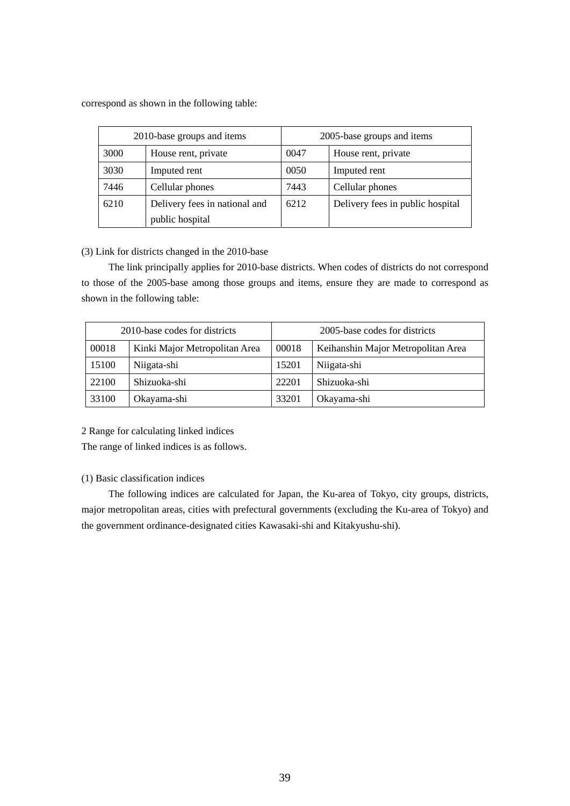correspond as shown in the following table:

| 2010-base groups and items |                               |      | 2005-base groups and items       |
|----------------------------|-------------------------------|------|----------------------------------|
| 3000                       | House rent, private           | 0047 | House rent, private              |
| 3030                       | Imputed rent                  | 0050 | Imputed rent                     |
| 7446                       | Cellular phones               | 7443 | Cellular phones                  |
| 6210                       | Delivery fees in national and | 6212 | Delivery fees in public hospital |
|                            | public hospital               |      |                                  |

# (3) Link for districts changed in the 2010-base

 The link principally applies for 2010-base districts. When codes of districts do not correspond to those of the 2005-base among those groups and items, ensure they are made to correspond as shown in the following table:

|       | 2010-base codes for districts |       | 2005-base codes for districts      |
|-------|-------------------------------|-------|------------------------------------|
| 00018 | Kinki Major Metropolitan Area | 00018 | Keihanshin Major Metropolitan Area |
| 15100 | Niigata-shi                   | 15201 | Niigata-shi                        |
| 22100 | Shizuoka-shi                  | 22201 | Shizuoka-shi                       |
| 33100 | Okayama-shi                   | 33201 | Okayama-shi                        |

2 Range for calculating linked indices

The range of linked indices is as follows.

# (1) Basic classification indices

 The following indices are calculated for Japan, the Ku-area of Tokyo, city groups, districts, major metropolitan areas, cities with prefectural governments (excluding the Ku-area of Tokyo) and the government ordinance-designated cities Kawasaki-shi and Kitakyushu-shi).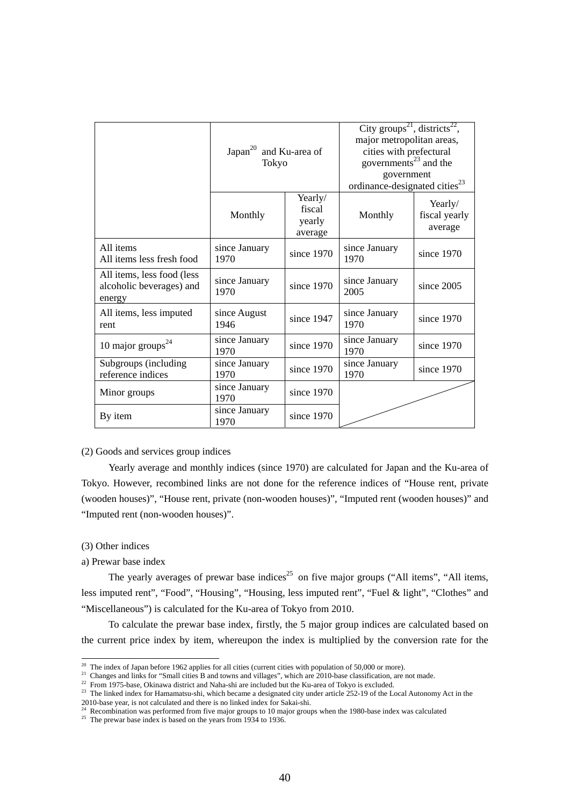|                                                                   | Japan <sup>20</sup> and Ku-area of<br>Tokyo |                                        | City groups <sup>21</sup> , districts <sup>22</sup> ,<br>major metropolitan areas,<br>cities with prefectural<br>governments <sup>23</sup> and the<br>government<br>ordinance-designated cities <sup>23</sup> |                                     |
|-------------------------------------------------------------------|---------------------------------------------|----------------------------------------|---------------------------------------------------------------------------------------------------------------------------------------------------------------------------------------------------------------|-------------------------------------|
|                                                                   | Monthly                                     | Yearly/<br>fiscal<br>yearly<br>average | Monthly                                                                                                                                                                                                       | Yearly/<br>fiscal yearly<br>average |
| All items<br>All items less fresh food                            | since January<br>1970                       | since 1970                             | since January<br>1970                                                                                                                                                                                         | since $1970$                        |
| All items, less food (less)<br>alcoholic beverages) and<br>energy | since January<br>1970                       | since 1970                             | since January<br>2005                                                                                                                                                                                         | since $2005$                        |
| All items, less imputed<br>rent                                   | since August<br>1946                        | since 1947                             | since January<br>1970                                                                                                                                                                                         | since 1970                          |
| 10 major groups $^{24}$                                           | since January<br>1970                       | since 1970                             | since January<br>1970                                                                                                                                                                                         | since 1970                          |
| Subgroups (including<br>reference indices                         | since January<br>1970                       | since 1970                             | since January<br>1970                                                                                                                                                                                         | since 1970                          |
| Minor groups                                                      | since January<br>1970                       | since 1970                             |                                                                                                                                                                                                               |                                     |
| By item                                                           | since January<br>1970                       | since 1970                             |                                                                                                                                                                                                               |                                     |

# (2) Goods and services group indices

 Yearly average and monthly indices (since 1970) are calculated for Japan and the Ku-area of Tokyo. However, recombined links are not done for the reference indices of "House rent, private (wooden houses)", "House rent, private (non-wooden houses)", "Imputed rent (wooden houses)" and "Imputed rent (non-wooden houses)".

### (3) Other indices

#### a) Prewar base index

The yearly averages of prewar base indices<sup>25</sup> on five major groups ("All items", "All items, less imputed rent", "Food", "Housing", "Housing, less imputed rent", "Fuel & light", "Clothes" and "Miscellaneous") is calculated for the Ku-area of Tokyo from 2010.

 To calculate the prewar base index, firstly, the 5 major group indices are calculated based on the current price index by item, whereupon the index is multiplied by the conversion rate for the

 $^{20}$  The index of Japan before 1962 applies for all cities (current cities with population of 50,000 or more).

<sup>&</sup>lt;sup>21</sup> Changes and links for "Small cities B and towns and villages", which are 2010-base classification, are not made.<br><sup>22</sup> From 1975-base, Okinawa district and Naha-shi are included but the Ku-area of Tokyo is excluded.<br><sup>2</sup>

<sup>2010-</sup>base year, is not can unced and there is no mineral method to be seen the 1980-base index was calculated  $\frac{24}{5}$  Recombination was performed from five major groups to 10 major groups when the 1980-base index was c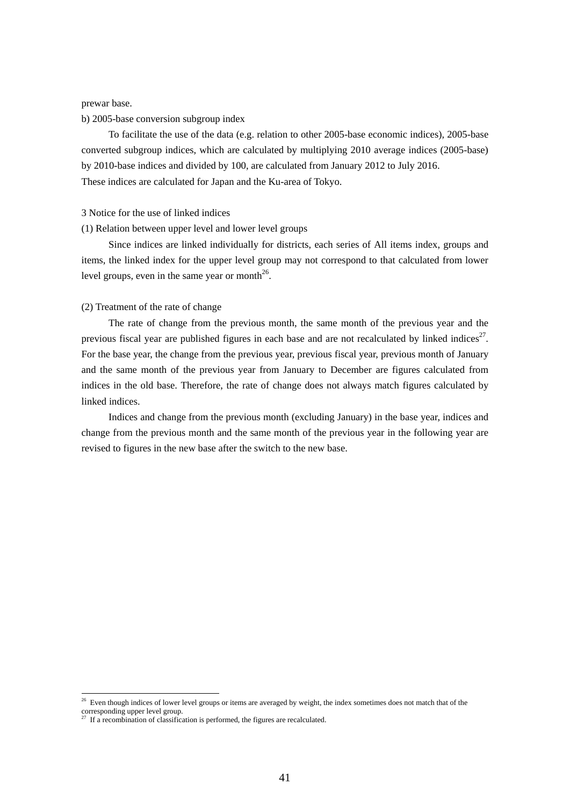prewar base.

b) 2005-base conversion subgroup index

 To facilitate the use of the data (e.g. relation to other 2005-base economic indices), 2005-base converted subgroup indices, which are calculated by multiplying 2010 average indices (2005-base) by 2010-base indices and divided by 100, are calculated from January 2012 to July 2016. These indices are calculated for Japan and the Ku-area of Tokyo.

#### 3 Notice for the use of linked indices

#### (1) Relation between upper level and lower level groups

 Since indices are linked individually for districts, each series of All items index, groups and items, the linked index for the upper level group may not correspond to that calculated from lower level groups, even in the same year or month $^{26}$ .

## (2) Treatment of the rate of change

 The rate of change from the previous month, the same month of the previous year and the previous fiscal year are published figures in each base and are not recalculated by linked indices<sup>27</sup>. For the base year, the change from the previous year, previous fiscal year, previous month of January and the same month of the previous year from January to December are figures calculated from indices in the old base. Therefore, the rate of change does not always match figures calculated by linked indices.

 Indices and change from the previous month (excluding January) in the base year, indices and change from the previous month and the same month of the previous year in the following year are revised to figures in the new base after the switch to the new base.

-

<sup>&</sup>lt;sup>26</sup> Even though indices of lower level groups or items are averaged by weight, the index sometimes does not match that of the corresponding upper level group.

 $27$  If a recombination of classification is performed, the figures are recalculated.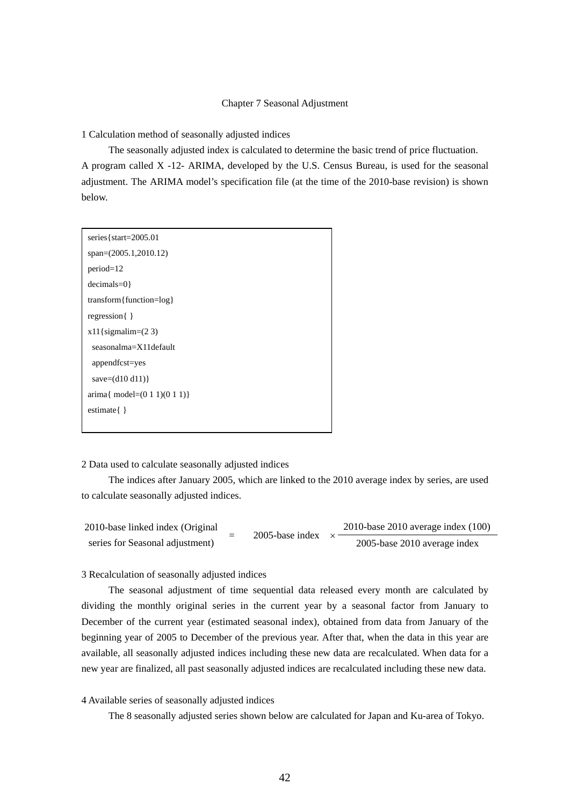## Chapter 7 Seasonal Adjustment

1 Calculation method of seasonally adjusted indices

 The seasonally adjusted index is calculated to determine the basic trend of price fluctuation. A program called X -12- ARIMA, developed by the U.S. Census Bureau, is used for the seasonal adjustment. The ARIMA model's specification file (at the time of the 2010-base revision) is shown below.

| series { $start=2005.01$                            |
|-----------------------------------------------------|
| $span=(2005.1,2010.12)$                             |
| $period=12$                                         |
| $decimals=0$ }                                      |
| transform { function=log }                          |
| regression $\{\}$                                   |
| $x11$ {sigmalim= $(2 3)$                            |
| seasonalma=X11default                               |
| appendfcst=yes                                      |
| save= $(d10 d11)$ }                                 |
| $\text{arima} \{ \text{ model} = (0 1 1)(0 1 1) \}$ |
| estimate $\{\}$                                     |
|                                                     |

### 2 Data used to calculate seasonally adjusted indices

 The indices after January 2005, which are linked to the 2010 average index by series, are used to calculate seasonally adjusted indices.

2010-base linked index (Original series for Seasonal adjustment)  $= 2005$ -base index  $\times$ 2010-base 2010 average index (100) 2005-base 2010 average index

3 Recalculation of seasonally adjusted indices

 The seasonal adjustment of time sequential data released every month are calculated by dividing the monthly original series in the current year by a seasonal factor from January to December of the current year (estimated seasonal index), obtained from data from January of the beginning year of 2005 to December of the previous year. After that, when the data in this year are available, all seasonally adjusted indices including these new data are recalculated. When data for a new year are finalized, all past seasonally adjusted indices are recalculated including these new data.

# 4 Available series of seasonally adjusted indices

The 8 seasonally adjusted series shown below are calculated for Japan and Ku-area of Tokyo.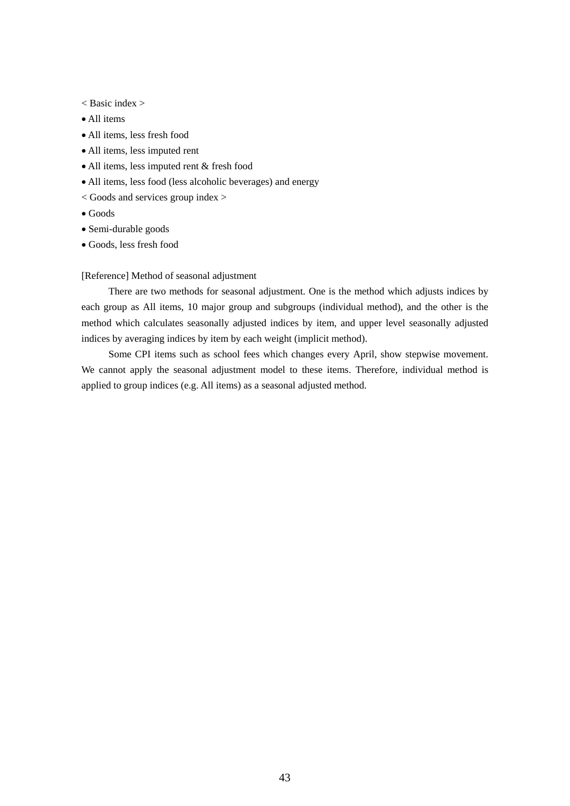- < Basic index >
- All items
- All items, less fresh food
- All items, less imputed rent
- All items, less imputed rent & fresh food
- All items, less food (less alcoholic beverages) and energy
- < Goods and services group index >
- Goods
- Semi-durable goods
- Goods, less fresh food

# [Reference] Method of seasonal adjustment

 There are two methods for seasonal adjustment. One is the method which adjusts indices by each group as All items, 10 major group and subgroups (individual method), and the other is the method which calculates seasonally adjusted indices by item, and upper level seasonally adjusted indices by averaging indices by item by each weight (implicit method).

 Some CPI items such as school fees which changes every April, show stepwise movement. We cannot apply the seasonal adjustment model to these items. Therefore, individual method is applied to group indices (e.g. All items) as a seasonal adjusted method.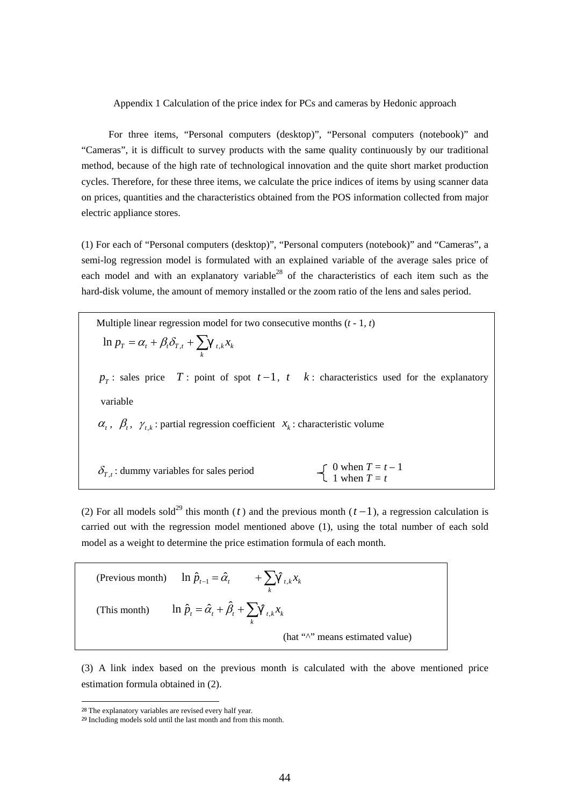Appendix 1 Calculation of the price index for PCs and cameras by Hedonic approach

 For three items, "Personal computers (desktop)", "Personal computers (notebook)" and "Cameras", it is difficult to survey products with the same quality continuously by our traditional method, because of the high rate of technological innovation and the quite short market production cycles. Therefore, for these three items, we calculate the price indices of items by using scanner data on prices, quantities and the characteristics obtained from the POS information collected from major electric appliance stores.

(1) For each of "Personal computers (desktop)", "Personal computers (notebook)" and "Cameras", a semi-log regression model is formulated with an explained variable of the average sales price of each model and with an explanatory variable<sup>28</sup> of the characteristics of each item such as the hard-disk volume, the amount of memory installed or the zoom ratio of the lens and sales period.

 Multiple linear regression model for two consecutive months (*t -* 1*, t*)  $=\alpha_t+\beta_t\delta_{T,t}+\sum_k$  $\ln p_T = \alpha_t + \beta_t \delta_{T,t} + \sum_{t,k} x_k$  $p_T$ : sales price *T* : point of spot  $t-1$ ,  $t$  *k* : characteristics used for the explanatory variable  $\alpha_t$ ,  $\beta_t$ ,  $\gamma_{t,k}$ : partial regression coefficient  $x_k$ : characteristic volume  $\delta_{T,t}$ : dummy variables for sales period 0 when  $T = t - 1$ 1 when  $T = t$ 

(2) For all models sold<sup>29</sup> this month (*t*) and the previous month ( $t-1$ ), a regression calculation is carried out with the regression model mentioned above (1), using the total number of each sold model as a weight to determine the price estimation formula of each month.

(Previous month)  $\ln \hat{p}_{t-1} = \hat{\alpha}_t + \sum_k$  $\ln \hat{p}_{t-1} = \hat{\alpha}_t + \sum_{t,k} \hat{x}_{k}$ (This month)  $\ln \hat{p}_t = \hat{\alpha}_t + \hat{\beta}_t + \sum_k$  $\ln \hat{p}_t = \hat{\alpha}_t + \hat{\beta}_t + \sum_{t,k} x_k$ (hat " $\wedge$ " means estimated value)

(3) A link index based on the previous month is calculated with the above mentioned price estimation formula obtained in (2).

-

<sup>28</sup> The explanatory variables are revised every half year.

<sup>&</sup>lt;sup>29</sup> Including models sold until the last month and from this month.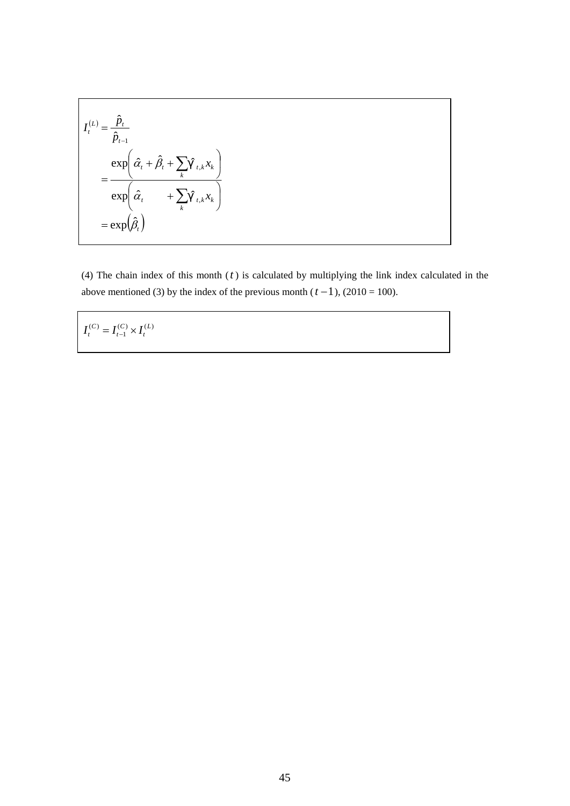$$
I_t^{(L)} = \frac{\hat{p}_t}{\hat{p}_{t-1}}
$$
  
= 
$$
\frac{\exp\left(\hat{\alpha}_t + \hat{\beta}_t + \sum_k \hat{\alpha}_{t,k} x_k\right)}{\exp\left(\hat{\alpha}_t + \sum_k \hat{\alpha}_{t,k} x_k\right)}
$$
  
= 
$$
\exp\left(\hat{\beta}_t\right)
$$

(4) The chain index of this month (*t* ) is calculated by multiplying the link index calculated in the above mentioned (3) by the index of the previous month ( $t - 1$ ), (2010 = 100).

 $(C)$ ,  $I(L)$ 1  $(C)$   $\overline{I}(C)$   $\overline{I}(L)$ *t C t*  $I_t^{(C)} = I_{t-1}^{(C)} \times I$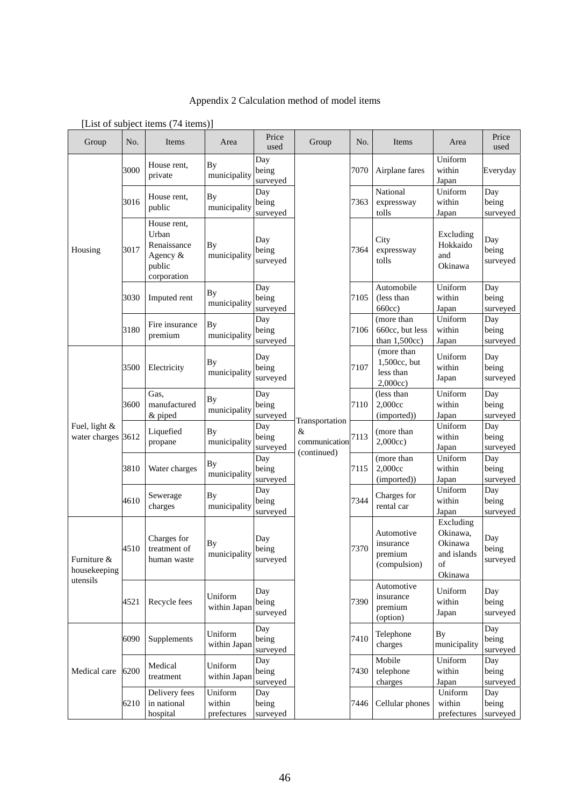Appendix 2 Calculation method of model items

| Group                               | No.  | Items                                                                    | Area                             | Price<br>used            | Group                                               | No.  | Items                                             | Area                             | Price<br>used                                      |                                                                  |                            |
|-------------------------------------|------|--------------------------------------------------------------------------|----------------------------------|--------------------------|-----------------------------------------------------|------|---------------------------------------------------|----------------------------------|----------------------------------------------------|------------------------------------------------------------------|----------------------------|
|                                     | 3000 | House rent,<br>private                                                   | By<br>municipality               | Day<br>being<br>surveyed |                                                     | 7070 | Airplane fares                                    | Uniform<br>within<br>Japan       | Everyday                                           |                                                                  |                            |
|                                     | 3016 | House rent,<br>public                                                    | <b>By</b><br>municipality        | Day<br>being<br>surveyed |                                                     | 7363 | National<br>expressway<br>tolls                   | Uniform<br>within<br>Japan       | Day<br>being<br>surveyed                           |                                                                  |                            |
| Housing                             | 3017 | House rent,<br>Urban<br>Renaissance<br>Agency &<br>public<br>corporation | By<br>municipality               | Day<br>being<br>surveyed |                                                     |      | 7364                                              | City<br>expressway<br>tolls      | Excluding<br>Hokkaido<br>and<br>Okinawa            | Day<br>being<br>surveyed                                         |                            |
|                                     | 3030 | Imputed rent                                                             | <b>By</b><br>municipality        | Day<br>being<br>surveyed |                                                     | 7105 | Automobile<br>(less than<br>660cc)                | Uniform<br>within<br>Japan       | Day<br>being<br>surveyed                           |                                                                  |                            |
|                                     | 3180 | Fire insurance<br>premium                                                | <b>By</b><br>municipality        | Day<br>being<br>surveyed | Transportation<br>&<br>communication<br>(continued) | 7106 | (more than<br>660cc, but less<br>than $1,500cc$ ) | Uniform<br>within<br>Japan       | Day<br>being<br>surveyed                           |                                                                  |                            |
|                                     | 3500 | Electricity                                                              | By<br>municipality               | Day<br>being<br>surveyed |                                                     |      |                                                   | 7107                             | (more than<br>1,500cc, but<br>less than<br>2,000cc | Uniform<br>within<br>Japan                                       | Day<br>being<br>surveyed   |
|                                     | 3600 | Gas,<br>manufactured<br>& piped                                          | By<br>municipality               | Day<br>being<br>surveyed |                                                     | 7110 | (less than<br>2,000cc<br>(imported))              | Uniform<br>within<br>Japan       | Day<br>being<br>surveyed                           |                                                                  |                            |
| Fuel, light &<br>water charges 3612 |      | Liquefied<br>propane                                                     | By<br>municipality               | Day<br>being<br>surveyed |                                                     | 7113 | (more than<br>2,000cc)                            | Uniform<br>within<br>Japan       | Day<br>being<br>surveyed                           |                                                                  |                            |
|                                     | 3810 | Water charges                                                            | <b>By</b><br>municipality        | Day<br>being<br>surveyed |                                                     | 7115 | (more than<br>2,000cc<br>(imported))              | Uniform<br>within<br>Japan       | Day<br>being<br>surveyed                           |                                                                  |                            |
|                                     | 4610 | Sewerage<br>charges                                                      | <b>By</b><br>municipality        | Day<br>being<br>surveyed |                                                     |      | 7344                                              | Charges for<br>rental car        | Uniform<br>within<br>Japan                         | Day<br>being<br>surveyed                                         |                            |
| Furniture &<br>housekeeping         | 4510 | Charges for<br>treatment of<br>human waste                               | By<br>municipality               | Day<br>being<br>surveyed |                                                     |      |                                                   | 7370                             | Automotive<br>insurance<br>premium<br>(compulsion) | Excluding<br>Okinawa,<br>Okinawa<br>and islands<br>of<br>Okinawa | Day<br>being<br>surveyed   |
| utensils                            | 4521 | Recycle fees                                                             | Uniform<br>within Japan          | Day<br>being<br>surveyed |                                                     |      |                                                   |                                  | 7390                                               | Automotive<br>insurance<br>premium<br>(option)                   | Uniform<br>within<br>Japan |
|                                     | 6090 | Supplements                                                              | Uniform<br>within Japan          | Day<br>being<br>surveyed |                                                     | 7410 | Telephone<br>charges                              | By<br>municipality               | Day<br>being<br>surveyed                           |                                                                  |                            |
| Medical care                        | 6200 | Medical<br>treatment                                                     | Uniform<br>within Japan          | Day<br>being<br>surveyed |                                                     | 7430 | Mobile<br>telephone<br>charges                    | Uniform<br>within<br>Japan       | Day<br>being<br>surveyed                           |                                                                  |                            |
|                                     | 6210 | Delivery fees<br>in national<br>hospital                                 | Uniform<br>within<br>prefectures | Day<br>being<br>surveyed |                                                     | 7446 | Cellular phones                                   | Uniform<br>within<br>prefectures | Day<br>being<br>surveyed                           |                                                                  |                            |

[List of subject items (74 items)]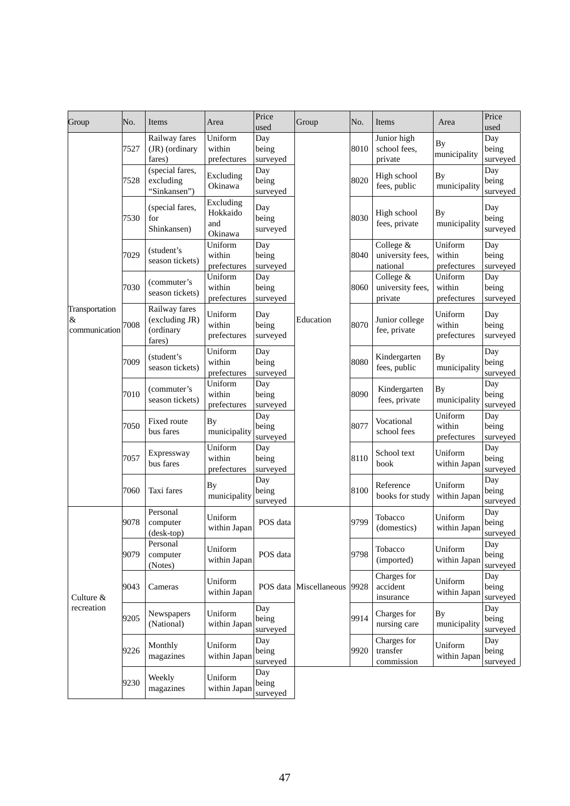| Group                                | No.  | Items                                                  | Area                                    | Price<br>used            | Group                  | No.  | Items                                     | Area                             | Price<br>used                    |                          |
|--------------------------------------|------|--------------------------------------------------------|-----------------------------------------|--------------------------|------------------------|------|-------------------------------------------|----------------------------------|----------------------------------|--------------------------|
|                                      | 7527 | Railway fares<br>(JR) (ordinary<br>fares)              | Uniform<br>within<br>prefectures        | Day<br>being<br>surveyed |                        | 8010 | Junior high<br>school fees,<br>private    | <b>By</b><br>municipality        | Day<br>being<br>surveyed         |                          |
|                                      | 7528 | (special fares,<br>excluding<br>"Sinkansen")           | Excluding<br>Okinawa                    | Day<br>being<br>surveyed |                        | 8020 | High school<br>fees, public               | <b>By</b><br>municipality        | Day<br>being<br>surveyed         |                          |
|                                      | 7530 | (special fares,<br>for<br>Shinkansen)                  | Excluding<br>Hokkaido<br>and<br>Okinawa | Day<br>being<br>surveyed | Education              | 8030 | High school<br>fees, private              | <b>By</b><br>municipality        | Day<br>being<br>surveyed         |                          |
|                                      | 7029 | (student's<br>season tickets)                          | Uniform<br>within<br>prefectures        | Day<br>being<br>surveyed |                        | 8040 | College &<br>university fees,<br>national | Uniform<br>within<br>prefectures | Day<br>being<br>surveyed         |                          |
|                                      | 7030 | (commuter's<br>season tickets)                         | Uniform<br>within<br>prefectures        | Day<br>being<br>surveyed |                        | 8060 | College &<br>university fees,<br>private  | Uniform<br>within<br>prefectures | Day<br>being<br>surveyed         |                          |
| Transportation<br>&<br>communication | 7008 | Railway fares<br>(excluding JR)<br>(ordinary<br>fares) | Uniform<br>within<br>prefectures        | Day<br>being<br>surveyed |                        |      | 8070                                      | Junior college<br>fee, private   | Uniform<br>within<br>prefectures | Day<br>being<br>surveyed |
|                                      | 7009 | (student's<br>season tickets)                          | Uniform<br>within<br>prefectures        | Day<br>being<br>surveyed |                        | 8080 | Kindergarten<br>fees, public              | By<br>municipality               | Day<br>being<br>surveyed         |                          |
|                                      | 7010 | (commuter's<br>season tickets)                         | Uniform<br>within<br>prefectures        | Day<br>being<br>surveyed |                        | 8090 | Kindergarten<br>fees, private             | By<br>municipality               | Day<br>being<br>surveyed         |                          |
|                                      | 7050 | Fixed route<br>bus fares                               | By<br>municipality                      | Day<br>being<br>surveyed |                        | 8077 | Vocational<br>school fees                 | Uniform<br>within<br>prefectures | Day<br>being<br>surveyed         |                          |
|                                      | 7057 | Expressway<br>bus fares                                | Uniform<br>within<br>prefectures        | Day<br>being<br>surveyed |                        | 8110 | School text<br>book                       | Uniform<br>within Japan          | Day<br>being<br>surveyed         |                          |
|                                      | 7060 | Taxi fares                                             | By<br>municipality                      | Day<br>being<br>surveyed |                        | 8100 | Reference<br>books for study              | Uniform<br>within Japan          | Day<br>being<br>surveyed         |                          |
|                                      | 9078 | Personal<br>computer<br>(desk-top)                     | Uniform<br>within Japan                 | POS data                 |                        | 9799 | Tobacco<br>(domestics)                    | Uniform<br>within Japan          | Day<br>being<br>surveyed         |                          |
|                                      | 9079 | Personal<br>computer<br>(Notes)                        | Uniform<br>within Japan                 | POS data                 |                        | 9798 | Tobacco<br>(imported)                     | Uniform<br>within Japan          | Day<br>being<br>surveyed         |                          |
| Culture &<br>recreation              | 9043 | Cameras                                                | Uniform<br>within Japan                 |                          | POS data Miscellaneous | 9928 | Charges for<br>accident<br>insurance      | Uniform<br>within Japan          | Day<br>being<br>surveyed         |                          |
|                                      | 9205 | Newspapers<br>(National)                               | Uniform<br>within Japar                 | Day<br>being<br>surveyed |                        | 9914 | Charges for<br>nursing care               | <b>By</b><br>municipality        | Day<br>being<br>surveyed         |                          |
|                                      | 9226 | Monthly<br>magazines                                   | Uniform<br>within Japan                 | Day<br>being<br>surveyed |                        | 9920 | Charges for<br>transfer<br>commission     | Uniform<br>within Japan          | Day<br>being<br>surveyed         |                          |
|                                      | 9230 | Weekly<br>magazines                                    | Uniform<br>within Japan                 | Day<br>being<br>surveyed |                        |      |                                           |                                  |                                  |                          |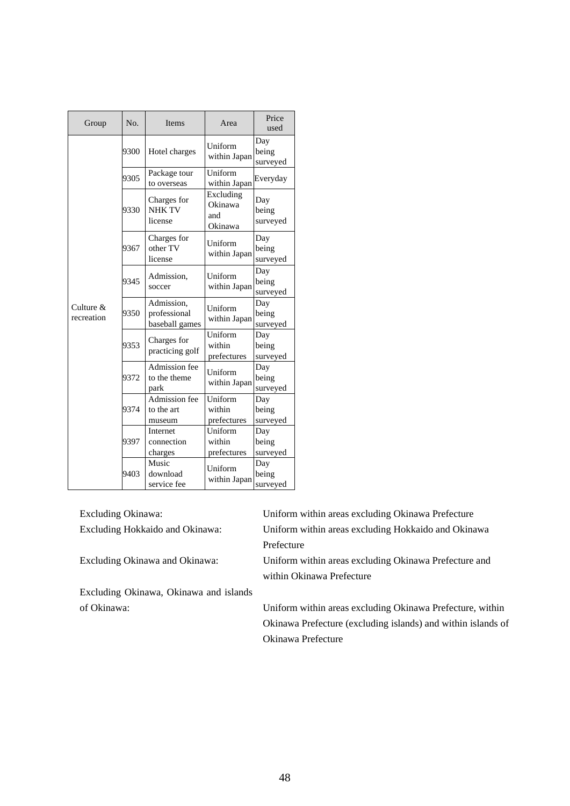| Group                      | N <sub>0</sub> | <b>Items</b>                                 | Area                                   | Price<br>used            |
|----------------------------|----------------|----------------------------------------------|----------------------------------------|--------------------------|
|                            | 9300           | Hotel charges                                | Uniform<br>within Japan                | Day<br>being<br>surveyed |
|                            | 9305           | Package tour<br>to overseas                  | Uniform<br>within Japan                | Everyday                 |
|                            | 9330           | Charges for<br><b>NHK TV</b><br>license      | Excluding<br>Okinawa<br>and<br>Okinawa | Day<br>being<br>surveyed |
|                            | 9367           | Charges for<br>other TV<br>license           | Uniform<br>within Japan                | Day<br>being<br>surveyed |
|                            | 9345           | Admission,<br>soccer                         | Uniform<br>within Japan                | Day<br>being<br>surveyed |
| Culture $\&$<br>recreation | 9350           | Admission,<br>professional<br>baseball games | Uniform<br>within Japan                | Day<br>being<br>surveyed |
|                            | 9353           | Charges for<br>practicing golf               | Uniform<br>within<br>prefectures       | Day<br>being<br>surveyed |
|                            | 9372           | Admission fee<br>to the theme<br>park        | Uniform<br>within Japan                | Day<br>being<br>surveyed |
|                            | 9374           | Admission fee<br>to the art<br>museum        | Uniform<br>within<br>prefectures       | Day<br>being<br>surveyed |
|                            | 9397           | Internet<br>connection<br>charges            | Uniform<br>within<br>prefectures       | Day<br>being<br>surveyed |
|                            | 9403           | Music<br>download<br>service fee             | Uniform<br>within Japan                | Day<br>being<br>surveyed |

| Excluding Okinawa:                     | Uniform within areas excluding Okinawa Prefecture            |
|----------------------------------------|--------------------------------------------------------------|
| Excluding Hokkaido and Okinawa:        | Uniform within areas excluding Hokkaido and Okinawa          |
|                                        | Prefecture                                                   |
| Excluding Okinawa and Okinawa:         | Uniform within areas excluding Okinawa Prefecture and        |
|                                        | within Okinawa Prefecture                                    |
| Excluding Okinawa, Okinawa and islands |                                                              |
| of Okinawa:                            | Uniform within areas excluding Okinawa Prefecture, within    |
|                                        | Okinawa Prefecture (excluding islands) and within islands of |
|                                        | Okinawa Prefecture                                           |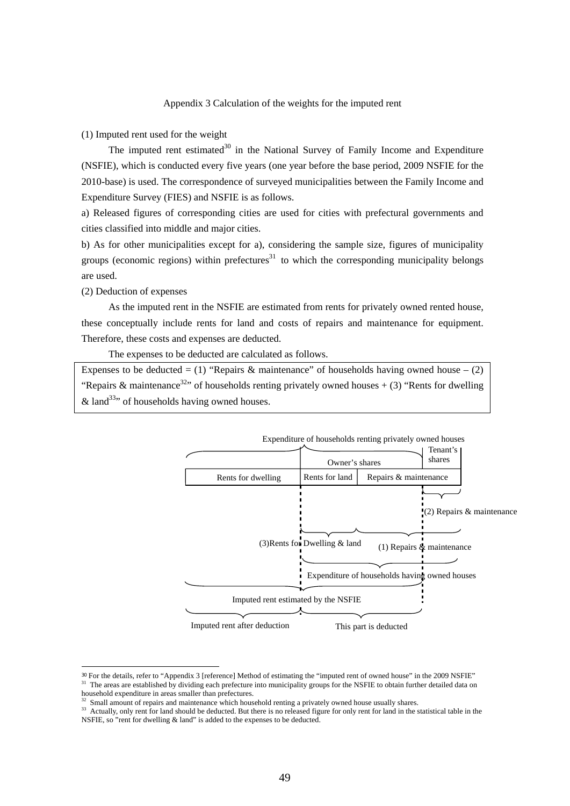# Appendix 3 Calculation of the weights for the imputed rent

(1) Imputed rent used for the weight

The imputed rent estimated $30$  in the National Survey of Family Income and Expenditure (NSFIE), which is conducted every five years (one year before the base period, 2009 NSFIE for the 2010-base) is used. The correspondence of surveyed municipalities between the Family Income and Expenditure Survey (FIES) and NSFIE is as follows.

a) Released figures of corresponding cities are used for cities with prefectural governments and cities classified into middle and major cities.

b) As for other municipalities except for a), considering the sample size, figures of municipality groups (economic regions) within prefectures<sup>31</sup> to which the corresponding municipality belongs are used.

(2) Deduction of expenses

 As the imputed rent in the NSFIE are estimated from rents for privately owned rented house, these conceptually include rents for land and costs of repairs and maintenance for equipment. Therefore, these costs and expenses are deducted.

The expenses to be deducted are calculated as follows.

Expenses to be deducted = (1) "Repairs & maintenance" of households having owned house – (2) "Repairs & maintenance<sup>32</sup>" of households renting privately owned houses  $+(3)$  "Rents for dwelling" & land<sup>33</sup>, of households having owned houses.



<sup>&</sup>lt;sup>30</sup> For the details, refer to "Appendix 3 [reference] Method of estimating the "imputed rent of owned house" in the 2009 NSFIE" <sup>31</sup> The areas are established by dividing each prefecture into municipality groups for the NSFIE to obtain further detailed data on household expenditure in areas smaller than prefectures.

Small amount of repairs and maintenance which household renting a privately owned house usually shares.

<sup>&</sup>lt;sup>33</sup> Actually, only rent for land should be deducted. But there is no released figure for only rent for land in the statistical table in the NSFIE, so "rent for dwelling & land" is added to the expenses to be deducted.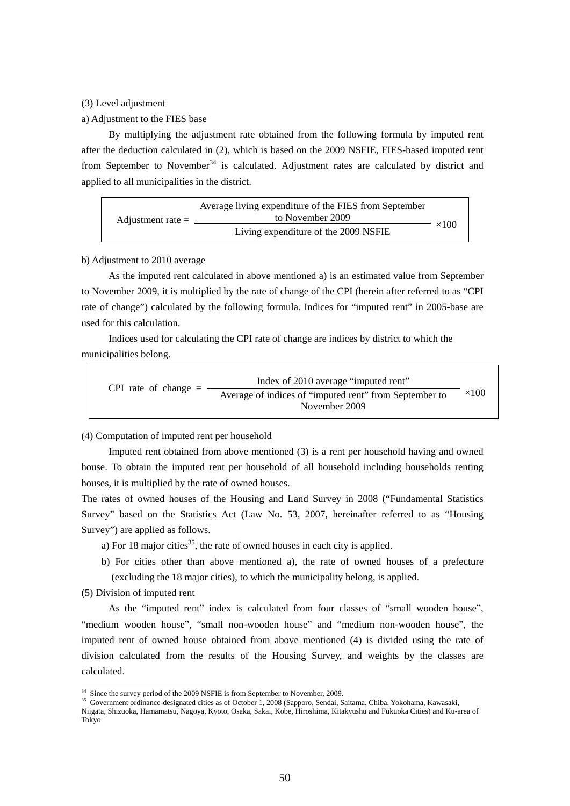#### (3) Level adjustment

#### a) Adjustment to the FIES base

 By multiplying the adjustment rate obtained from the following formula by imputed rent after the deduction calculated in (2), which is based on the 2009 NSFIE, FIES-based imputed rent from September to November<sup>34</sup> is calculated. Adjustment rates are calculated by district and applied to all municipalities in the district.

| Adjustment rate $=$ | Average living expenditure of the FIES from September |              |  |  |  |  |
|---------------------|-------------------------------------------------------|--------------|--|--|--|--|
|                     | to November 2009                                      |              |  |  |  |  |
|                     | Living expenditure of the 2009 NSFIE                  | $\times$ 100 |  |  |  |  |

#### b) Adjustment to 2010 average

 As the imputed rent calculated in above mentioned a) is an estimated value from September to November 2009, it is multiplied by the rate of change of the CPI (herein after referred to as "CPI rate of change") calculated by the following formula. Indices for "imputed rent" in 2005-base are used for this calculation.

 Indices used for calculating the CPI rate of change are indices by district to which the municipalities belong.

| CPI rate of change $=$ | Index of 2010 average "imputed rent"                   |              |  |  |  |  |
|------------------------|--------------------------------------------------------|--------------|--|--|--|--|
|                        | Average of indices of "imputed rent" from September to | $\times 100$ |  |  |  |  |
|                        | November 2009                                          |              |  |  |  |  |

(4) Computation of imputed rent per household

 Imputed rent obtained from above mentioned (3) is a rent per household having and owned house. To obtain the imputed rent per household of all household including households renting houses, it is multiplied by the rate of owned houses.

The rates of owned houses of the Housing and Land Survey in 2008 ("Fundamental Statistics Survey" based on the Statistics Act (Law No. 53, 2007, hereinafter referred to as "Housing Survey") are applied as follows.

- a) For 18 major cities<sup>35</sup>, the rate of owned houses in each city is applied.
- b) For cities other than above mentioned a), the rate of owned houses of a prefecture (excluding the 18 major cities), to which the municipality belong, is applied.
- (5) Division of imputed rent

-

 As the "imputed rent" index is calculated from four classes of "small wooden house", "medium wooden house", "small non-wooden house" and "medium non-wooden house", the imputed rent of owned house obtained from above mentioned (4) is divided using the rate of division calculated from the results of the Housing Survey, and weights by the classes are calculated.

<sup>&</sup>lt;sup>34</sup> Since the survey period of the 2009 NSFIE is from September to November, 2009.

<sup>&</sup>lt;sup>35</sup> Government ordinance-designated cities as of October 1, 2008 (Sapporo, Sendai, Saitama, Chiba, Yokohama, Kawasaki, Niigata, Shizuoka, Hamamatsu, Nagoya, Kyoto, Osaka, Sakai, Kobe, Hiroshima, Kitakyushu and Fukuoka Cities) and Ku-area of Tokyo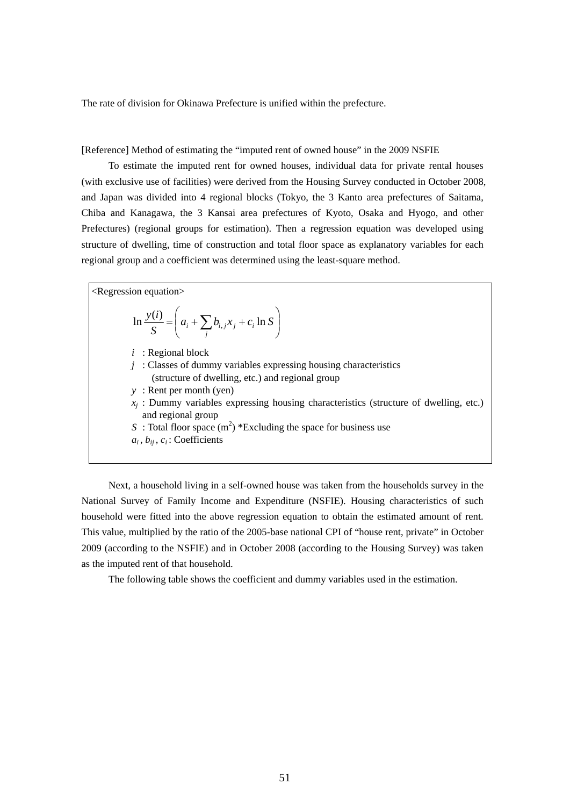The rate of division for Okinawa Prefecture is unified within the prefecture.

[Reference] Method of estimating the "imputed rent of owned house" in the 2009 NSFIE

 To estimate the imputed rent for owned houses, individual data for private rental houses (with exclusive use of facilities) were derived from the Housing Survey conducted in October 2008, and Japan was divided into 4 regional blocks (Tokyo, the 3 Kanto area prefectures of Saitama, Chiba and Kanagawa, the 3 Kansai area prefectures of Kyoto, Osaka and Hyogo, and other Prefectures) (regional groups for estimation). Then a regression equation was developed using structure of dwelling, time of construction and total floor space as explanatory variables for each regional group and a coefficient was determined using the least-square method.

<Regression equation> J  $\setminus$  $\overline{\phantom{a}}$  $\setminus$  $\frac{v(i)}{S} = \left(a_i + \sum_j b_{i,j} x_j + c_i \ln S\right)$ *iy i j*  $\ln \frac{y(i)}{s} = \frac{d}{a_i} + \sum b_{i,j} x_j + c_i \ln \frac{f_i}{f_i}$ *i* : Regional block *j* : Classes of dummy variables expressing housing characteristics (structure of dwelling, etc.) and regional group *y* : Rent per month (yen)  $x_i$ : Dummy variables expressing housing characteristics (structure of dwelling, etc.) and regional group *S* : Total floor space  $(m^2)$  \*Excluding the space for business use  $a_i$ ,  $b_{ij}$ ,  $c_i$ : Coefficients

 Next, a household living in a self-owned house was taken from the households survey in the National Survey of Family Income and Expenditure (NSFIE). Housing characteristics of such household were fitted into the above regression equation to obtain the estimated amount of rent. This value, multiplied by the ratio of the 2005-base national CPI of "house rent, private" in October 2009 (according to the NSFIE) and in October 2008 (according to the Housing Survey) was taken as the imputed rent of that household.

The following table shows the coefficient and dummy variables used in the estimation.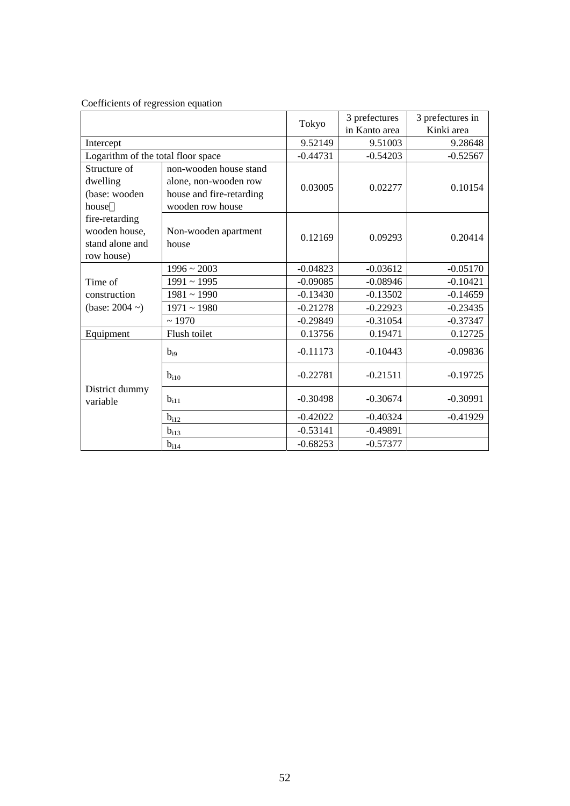|                                                                  |                                                                                                 | Tokyo      | 3 prefectures | 3 prefectures in |  |
|------------------------------------------------------------------|-------------------------------------------------------------------------------------------------|------------|---------------|------------------|--|
|                                                                  |                                                                                                 |            | in Kanto area | Kinki area       |  |
| Intercept                                                        |                                                                                                 | 9.52149    | 9.51003       | 9.28648          |  |
| Logarithm of the total floor space                               |                                                                                                 | $-0.44731$ | $-0.54203$    | $-0.52567$       |  |
| Structure of<br>dwelling<br>(base: wooden<br>house               | non-wooden house stand<br>alone, non-wooden row<br>house and fire-retarding<br>wooden row house | 0.03005    | 0.02277       | 0.10154          |  |
| fire-retarding<br>wooden house,<br>stand alone and<br>row house) | Non-wooden apartment<br>house                                                                   | 0.12169    | 0.09293       | 0.20414          |  |
|                                                                  | $1996 \sim 2003$                                                                                | $-0.04823$ | $-0.03612$    | $-0.05170$       |  |
| Time of                                                          | $1991 \sim 1995$                                                                                | $-0.09085$ | $-0.08946$    | $-0.10421$       |  |
| construction                                                     | $1981 - 1990$                                                                                   | $-0.13430$ | $-0.13502$    | $-0.14659$       |  |
| (base: $2004 \sim$ )                                             | $1971 - 1980$                                                                                   | $-0.21278$ | $-0.22923$    | $-0.23435$       |  |
|                                                                  | ~1970                                                                                           | $-0.29849$ | $-0.31054$    | $-0.37347$       |  |
| Equipment                                                        | Flush toilet                                                                                    | 0.13756    | 0.19471       | 0.12725          |  |
|                                                                  | $b_{i9}$                                                                                        | $-0.11173$ | $-0.10443$    | $-0.09836$       |  |
|                                                                  | $b_{i10}$                                                                                       | $-0.22781$ | $-0.21511$    | $-0.19725$       |  |
| District dummy<br>variable                                       | $b_{i11}$                                                                                       | $-0.30498$ | $-0.30674$    | $-0.30991$       |  |
|                                                                  | $b_{i12}$                                                                                       | $-0.42022$ | $-0.40324$    | $-0.41929$       |  |
|                                                                  | $b_{i13}$                                                                                       | $-0.53141$ | $-0.49891$    |                  |  |
|                                                                  | $b_{i1\underline{4}}$                                                                           | $-0.68253$ | $-0.57377$    |                  |  |

# Coefficients of regression equation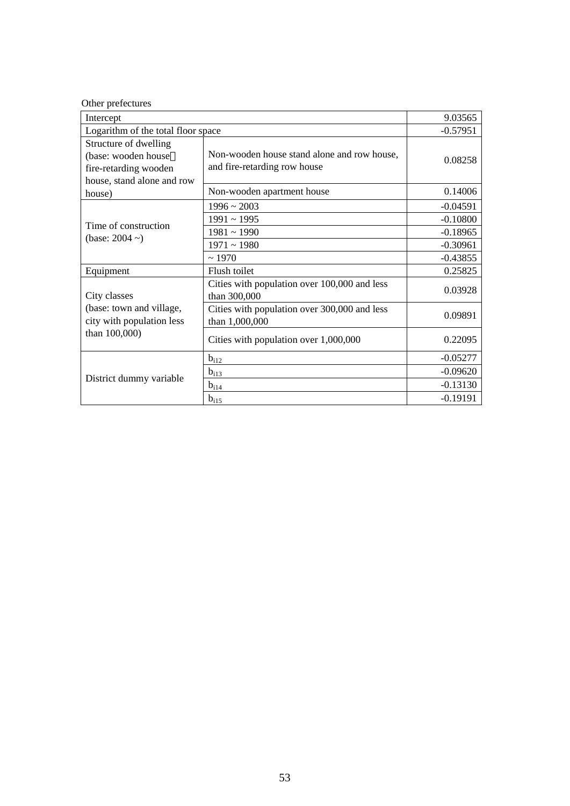|  | Other prefectures |
|--|-------------------|
|--|-------------------|

| Intercept                                                                                           |                                                                             | 9.03565    |
|-----------------------------------------------------------------------------------------------------|-----------------------------------------------------------------------------|------------|
| Logarithm of the total floor space                                                                  |                                                                             | $-0.57951$ |
| Structure of dwelling<br>(base: wooden house<br>fire-retarding wooden<br>house, stand alone and row | Non-wooden house stand alone and row house,<br>and fire-retarding row house | 0.08258    |
| house)                                                                                              | Non-wooden apartment house                                                  | 0.14006    |
|                                                                                                     | $1996 \sim 2003$                                                            | $-0.04591$ |
|                                                                                                     | $1991 \sim 1995$                                                            | $-0.10800$ |
| Time of construction<br>(base: $2004 \sim$ )                                                        | $1981 - 1990$                                                               | $-0.18965$ |
|                                                                                                     | $1971 \sim 1980$                                                            | $-0.30961$ |
|                                                                                                     | ~1970                                                                       | $-0.43855$ |
| Equipment                                                                                           | Flush toilet                                                                | 0.25825    |
| City classes                                                                                        | Cities with population over 100,000 and less<br>than 300,000                | 0.03928    |
| (base: town and village,<br>city with population less                                               | Cities with population over 300,000 and less<br>than 1,000,000              | 0.09891    |
| than 100,000)                                                                                       | Cities with population over 1,000,000                                       | 0.22095    |
|                                                                                                     | $b_{i12}$                                                                   | $-0.05277$ |
|                                                                                                     | $b_{i13}$                                                                   | $-0.09620$ |
| District dummy variable                                                                             | $b_{i14}$                                                                   | $-0.13130$ |
|                                                                                                     | $b_{i\underline{15}}$                                                       | $-0.19191$ |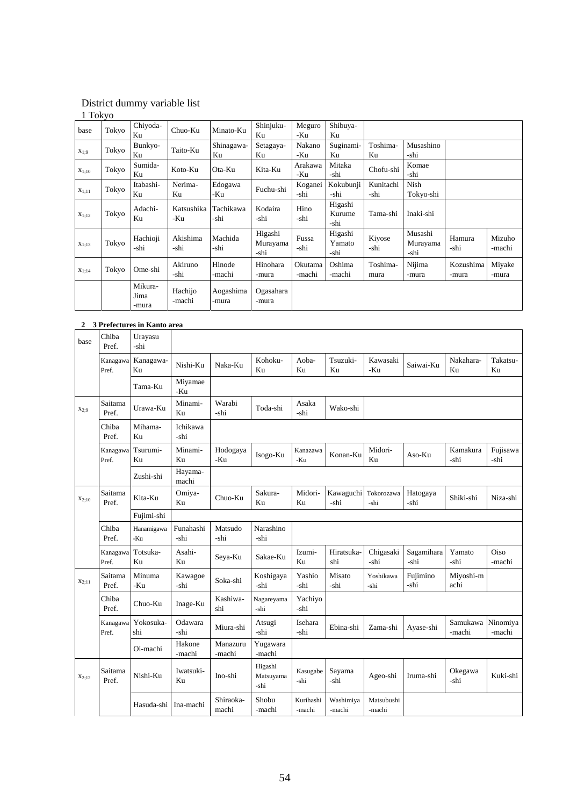# District dummy variable list

1 Tokyo

| base       | Tokyo | Chiyoda-<br>Ku           | Chuo-Ku           | Minato-Ku          | Shinjuku-<br>Ku             | Meguro<br>-Ku     | Shibuya-<br>Ku            |                   |                             |                    |                  |
|------------|-------|--------------------------|-------------------|--------------------|-----------------------------|-------------------|---------------------------|-------------------|-----------------------------|--------------------|------------------|
| $X_{1:9}$  | Tokyo | Bunkyo-<br>Ku            | Taito-Ku          | Shinagawa-<br>Ku   | Setagaya-<br>Ku             | Nakano<br>-Ku     | Suginami-<br>Ku           | Toshima-<br>Ku    | Musashino<br>-shi           |                    |                  |
| $X_{1;10}$ | Tokyo | Sumida-<br>Ku            | Koto-Ku           | Ota-Ku             | Kita-Ku                     | Arakawa<br>-Ku    | Mitaka<br>-shi            | Chofu-shi         | Komae<br>-shi               |                    |                  |
| $X_{1;11}$ | Tokyo | Itabashi-<br>Ku          | Nerima-<br>Ku     | Edogawa<br>-Ku     | Fuchu-shi                   | Koganei<br>-shi   | Kokubunji<br>-shi         | Kunitachi<br>-shi | Nish<br>Tokyo-shi           |                    |                  |
| $X_{1;12}$ | Tokyo | Adachi-<br>Ku            | Katsushika<br>-Ku | Tachikawa<br>-shi  | Kodaira<br>-shi             | Hino<br>-shi      | Higashi<br>Kurume<br>-shi | Tama-shi          | Inaki-shi                   |                    |                  |
| $X_{1;13}$ | Tokyo | Hachioji<br>-shi         | Akishima<br>-shi  | Machida<br>-shi    | Higashi<br>Murayama<br>-shi | Fussa<br>-shi     | Higashi<br>Yamato<br>-shi | Kiyose<br>-shi    | Musashi<br>Murayama<br>-shi | Hamura<br>-shi     | Mizuho<br>-machi |
| $X_{1;14}$ | Tokyo | Ome-shi                  | Akiruno<br>-shi   | Hinode<br>-machi   | Hinohara<br>-mura           | Okutama<br>-machi | Oshima<br>-machi          | Toshima-<br>mura  | Nijima<br>-mura             | Kozushima<br>-mura | Miyake<br>-mura  |
|            |       | Mikura-<br>Jima<br>-mura | Hachijo<br>-machi | Aogashima<br>-mura | Ogasahara<br>-mura          |                   |                           |                   |                             |                    |                  |

# **2 3 Prefectures in Kanto area**

| base       | Chiba<br>Pref.    | Urayasu<br>-shi           |                   |                    |                              |                     |                     |                      |                    |                    |                    |
|------------|-------------------|---------------------------|-------------------|--------------------|------------------------------|---------------------|---------------------|----------------------|--------------------|--------------------|--------------------|
|            | Kanagawa<br>Pref. | Kanagawa-<br>Ku           | Nishi-Ku          | Naka-Ku            | Kohoku-<br>Ku                | Aoba-<br>Ku         | Tsuzuki-<br>Ku      | Kawasaki<br>-Ku      | Saiwai-Ku          | Nakahara-<br>Ku    | Takatsu-<br>Ku     |
|            |                   | Tama-Ku                   | Miyamae<br>-Ku    |                    |                              |                     |                     |                      |                    |                    |                    |
| $X_{2:9}$  | Saitama<br>Pref.  | Urawa-Ku                  | Minami-<br>Ku     | Warabi<br>-shi     | Toda-shi                     | Asaka<br>-shi       | Wako-shi            |                      |                    |                    |                    |
|            | Chiba<br>Pref.    | Mihama-<br>K <sub>u</sub> | Ichikawa<br>-shi  |                    |                              |                     |                     |                      |                    |                    |                    |
|            | Kanagawa<br>Pref. | Tsurumi-<br>Ku            | Minami-<br>Ku     | Hodogaya<br>-Ku    | Isogo-Ku                     | Kanazawa<br>-Ku     | Konan-Ku            | Midori-<br>Ku        | Aso-Ku             | Kamakura<br>-shi   | Fujisawa<br>-shi   |
|            |                   | Zushi-shi                 | Hayama-<br>machi  |                    |                              |                     |                     |                      |                    |                    |                    |
| $X_{2:10}$ | Saitama<br>Pref.  | Kita-Ku                   | Omiya-<br>Ku      | Chuo-Ku            | Sakura-<br>Ku                | Midori-<br>Ku       | Kawaguchi<br>-shi   | Tokorozawa<br>-shi   | Hatogaya<br>-shi   | Shiki-shi          | Niza-shi           |
|            |                   | Fujimi-shi                |                   |                    |                              |                     |                     |                      |                    |                    |                    |
|            | Chiba<br>Pref.    | Hanamigawa<br>-Ku         | Funahashi<br>-shi | Matsudo<br>-shi    | Narashino<br>-shi            |                     |                     |                      |                    |                    |                    |
|            | Kanagawa<br>Pref. | Totsuka-<br>Ku            | Asahi-<br>Ku      | Seya-Ku            | Sakae-Ku                     | Izumi-<br>Ku        | Hiratsuka-<br>shi   | Chigasaki<br>-shi    | Sagamihara<br>-shi | Yamato<br>-shi     | Oiso<br>-machi     |
| $X_{2:11}$ | Saitama<br>Pref.  | Minuma<br>-Ku             | Kawagoe<br>-shi   | Soka-shi           | Koshigaya<br>-shi            | Yashio<br>-shi      | Misato<br>-shi      | Yoshikawa<br>-shi    | Fujimino<br>-shi   | Miyoshi-m<br>achi  |                    |
|            | Chiba<br>Pref.    | Chuo-Ku                   | Inage-Ku          | Kashiwa-<br>shi    | Nagareyama<br>-shi           | Yachiyo<br>-shi     |                     |                      |                    |                    |                    |
|            | Kanagawa<br>Pref. | Yokosuka-<br>shi          | Odawara<br>-shi   | Miura-shi          | Atsugi<br>-shi               | Isehara<br>-shi     | Ebina-shi           | Zama-shi             | Ayase-shi          | Samukawa<br>-machi | Ninomiya<br>-machi |
|            |                   | Oi-machi                  | Hakone<br>-machi  | Manazuru<br>-machi | Yugawara<br>-machi           |                     |                     |                      |                    |                    |                    |
| $X_{2:12}$ | Saitama<br>Pref.  | Nishi-Ku                  | Iwatsuki-<br>Ku   | Ino-shi            | Higashi<br>Matsuyama<br>-shi | Kasugabe<br>-shi    | Sayama<br>-shi      | Ageo-shi             | Iruma-shi          | Okegawa<br>-shi    | Kuki-shi           |
|            |                   | Hasuda-shi                | Ina-machi         | Shiraoka-<br>machi | Shobu<br>-machi              | Kurihashi<br>-machi | Washimiya<br>-machi | Matsubushi<br>-machi |                    |                    |                    |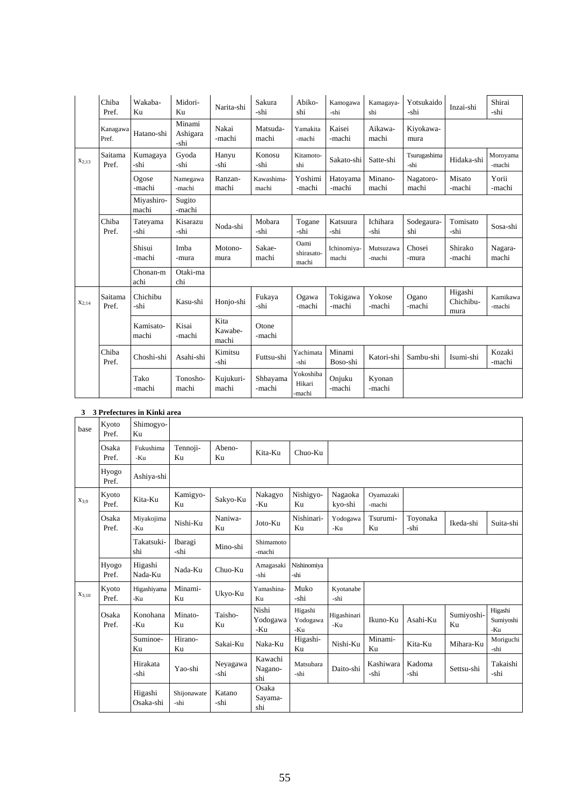|            | Chiba<br>Pref.    | Wakaba-<br>Ku       | Midori-<br>Ku              | Narita-shi               | Sakura<br>-shi      | Abiko-<br>shi                 | Kamogawa<br>-shi     | Kamagaya-<br>shi    | Yotsukaido<br>-shi   | Inzai-shi                    | Shirai<br>-shi     |
|------------|-------------------|---------------------|----------------------------|--------------------------|---------------------|-------------------------------|----------------------|---------------------|----------------------|------------------------------|--------------------|
|            | Kanagawa<br>Pref. | Hatano-shi          | Minami<br>Ashigara<br>-shi | Nakai<br>-machi          | Matsuda-<br>machi   | Yamakita<br>-machi            | Kaisei<br>-machi     | Aikawa-<br>machi    | Kiyokawa-<br>mura    |                              |                    |
| $X_{2:13}$ | Saitama<br>Pref.  | Kumagaya<br>-shi    | Gyoda<br>-shi              | Hanyu<br>-shi            | Konosu<br>-shi      | Kitamoto-<br>shi              | Sakato-shi           | Satte-shi           | Tsurugashima<br>-shi | Hidaka-shi                   | Moroyama<br>-machi |
|            |                   | Ogose<br>-machi     | Namegawa<br>-machi         | Ranzan-<br>machi         | Kawashima-<br>machi | Yoshimi<br>-machi             | Hatoyama<br>-machi   | Minano-<br>machi    | Nagatoro-<br>machi   | Misato<br>-machi             | Yorii<br>-machi    |
|            |                   | Miyashiro-<br>machi | Sugito<br>-machi           |                          |                     |                               |                      |                     |                      |                              |                    |
|            | Chiba<br>Pref.    | Tateyama<br>-shi    | Kisarazu<br>-shi           | Noda-shi                 | Mobara<br>-shi      | Togane<br>-shi                | Katsuura<br>-shi     | Ichihara<br>-shi    | Sodegaura-<br>shi    | Tomisato<br>-shi             | Sosa-shi           |
|            |                   | Shisui<br>-machi    | Imba<br>-mura              | Motono-<br>mura          | Sakae-<br>machi     | Oami<br>shirasato-<br>machi   | Ichinomiya-<br>machi | Mutsuzawa<br>-machi | Chosei<br>-mura      | Shirako<br>-machi            | Nagara-<br>machi   |
|            |                   | Chonan-m<br>achi    | Otaki-ma<br>chi            |                          |                     |                               |                      |                     |                      |                              |                    |
| $X_{2:14}$ | Saitama<br>Pref.  | Chichibu<br>-shi    | Kasu-shi                   | Honjo-shi                | Fukaya<br>-shi      | Ogawa<br>-machi               | Tokigawa<br>-machi   | Yokose<br>-machi    | Ogano<br>-machi      | Higashi<br>Chichibu-<br>mura | Kamikawa<br>-machi |
|            |                   | Kamisato-<br>machi  | Kisai<br>-machi            | Kita<br>Kawabe-<br>machi | Otone<br>-machi     |                               |                      |                     |                      |                              |                    |
|            | Chiba<br>Pref.    | Choshi-shi          | Asahi-shi                  | Kimitsu<br>-shi          | Futtsu-shi          | Yachimata<br>-shi             | Minami<br>Boso-shi   | Katori-shi          | Sambu-shi            | Isumi-shi                    | Kozaki<br>-machi   |
|            |                   | Tako<br>-machi      | Tonosho-<br>machi          | Kujukuri-<br>machi       | Shbayama<br>-machi  | Yokoshiba<br>Hikari<br>-machi | Onjuku<br>-machi     | Kyonan<br>-machi    |                      |                              |                    |

# **3 3 Prefectures in Kinki area**

| base       | Kyoto<br>Pref. | Shimogyo-<br>Ku      |                            |                  |                           |                            |                    |                     |                  |                  |                             |
|------------|----------------|----------------------|----------------------------|------------------|---------------------------|----------------------------|--------------------|---------------------|------------------|------------------|-----------------------------|
|            | Osaka<br>Pref. | Fukushima<br>-Ku     | Tennoji-<br>Ku             | Abeno-<br>Ku     | Kita-Ku                   | Chuo-Ku                    |                    |                     |                  |                  |                             |
|            | Hyogo<br>Pref. | Ashiya-shi           |                            |                  |                           |                            |                    |                     |                  |                  |                             |
| $X_{3:9}$  | Kyoto<br>Pref. | Kita-Ku              | Kamigyo-<br>K <sub>u</sub> | Sakyo-Ku         | Nakagyo<br>-Ku            | Nishigyo-<br>Ku            | Nagaoka<br>kyo-shi | Oyamazaki<br>-machi |                  |                  |                             |
|            | Osaka<br>Pref. | Miyakojima<br>-Ku    | Nishi-Ku                   | Naniwa-<br>Ku    | Joto-Ku                   | Nishinari-<br>Ku           | Yodogawa<br>-Ku    | Tsurumi-<br>Ku      | Toyonaka<br>-shi | Ikeda-shi        | Suita-shi                   |
|            |                | Takatsuki-<br>shi    | Ibaragi<br>-shi            | Mino-shi         | Shimamoto<br>-machi       |                            |                    |                     |                  |                  |                             |
|            | Hyogo<br>Pref. | Higashi<br>Nada-Ku   | Nada-Ku                    | Chuo-Ku          | Amagasaki<br>-shi         | Nishinomiya<br>-shi        |                    |                     |                  |                  |                             |
| $X_{3:10}$ | Kyoto<br>Pref. | Higashiyama<br>-Ku   | Minami-<br>Ku              | Ukyo-Ku          | Yamashina-<br>Ku          | Muko<br>-shi               | Kyotanabe<br>-shi  |                     |                  |                  |                             |
|            | Osaka<br>Pref. | Konohana<br>-Ku      | Minato-<br>Ku              | Taisho-<br>Ku    | Nishi<br>Yodogawa<br>-Ku  | Higashi<br>Yodogawa<br>-Ku | Higashinari<br>-Ku | Ikuno-Ku            | Asahi-Ku         | Sumiyoshi-<br>Ku | Higashi<br>Sumiyoshi<br>-Ku |
|            |                | Suminoe-<br>Ku       | Hirano-<br>Ku              | Sakai-Ku         | Naka-Ku                   | Higashi-<br>Ku             | Nishi-Ku           | Minami-<br>Ku       | Kita-Ku          | Mihara-Ku        | Moriguchi<br>-shi           |
|            |                | Hirakata<br>-shi     | Yao-shi                    | Neyagawa<br>-shi | Kawachi<br>Nagano-<br>shi | Matsubara<br>-shi          | Daito-shi          | Kashiwara<br>-shi   | Kadoma<br>-shi   | Settsu-shi       | Takaishi<br>-shi            |
|            |                | Higashi<br>Osaka-shi | Shijonawate<br>-shi        | Katano<br>-shi   | Osaka<br>Sayama-<br>shi   |                            |                    |                     |                  |                  |                             |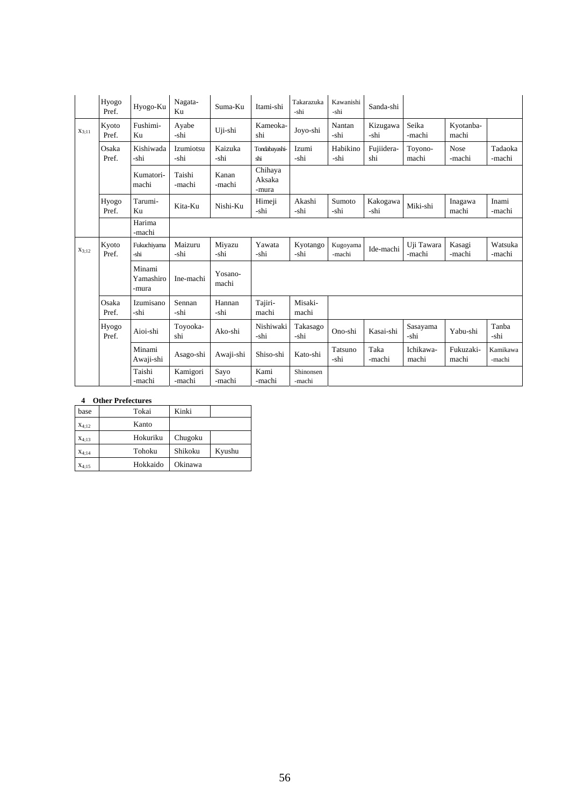|            | Hyogo<br>Pref. | Hyogo-Ku                     | Nagata-<br>Ku            | Suma-Ku          | Itami-shi                  | Takarazuka<br>-shi  | Kawanishi<br>-shi  | Sanda-shi         |                      |                    |                    |
|------------|----------------|------------------------------|--------------------------|------------------|----------------------------|---------------------|--------------------|-------------------|----------------------|--------------------|--------------------|
| $X_{3:11}$ | Kyoto<br>Pref. | Fushimi-<br>Ku               | Ayabe<br>-shi            | Uji-shi          | Kameoka-<br>shi            | Joyo-shi            | Nantan<br>-shi     | Kizugawa<br>-shi  | Seika<br>-machi      | Kyotanba-<br>machi |                    |
|            | Osaka<br>Pref. | Kishiwada<br>-shi            | <b>Izumiotsu</b><br>-shi | Kaizuka<br>-shi  | Tondabayashi-<br>shi       | Izumi<br>-shi       | Habikino<br>-shi   | Fujiidera-<br>shi | Toyono-<br>machi     | Nose<br>-machi     | Tadaoka<br>-machi  |
|            |                | Kumatori-<br>machi           | Taishi<br>-machi         | Kanan<br>-machi  | Chihaya<br>Aksaka<br>-mura |                     |                    |                   |                      |                    |                    |
|            | Hyogo<br>Pref. | Tarumi-<br>Ku                | Kita-Ku                  | Nishi-Ku         | Himeji<br>-shi             | Akashi<br>-shi      | Sumoto<br>-shi     | Kakogawa<br>-shi  | Miki-shi             | Inagawa<br>machi   | Inami<br>-machi    |
|            |                | Harima<br>-machi             |                          |                  |                            |                     |                    |                   |                      |                    |                    |
| $X_{3:12}$ | Kyoto<br>Pref. | Fukuchiyama<br>-shi          | Maizuru<br>-shi          | Miyazu<br>-shi   | Yawata<br>-shi             | Kyotango<br>-shi    | Kugoyama<br>-machi | Ide-machi         | Uji Tawara<br>-machi | Kasagi<br>-machi   | Watsuka<br>-machi  |
|            |                | Minami<br>Yamashiro<br>-mura | Ine-machi                | Yosano-<br>machi |                            |                     |                    |                   |                      |                    |                    |
|            | Osaka<br>Pref. | Izumisano<br>-shi            | Sennan<br>-shi           | Hannan<br>-shi   | Tajiri-<br>machi           | Misaki-<br>machi    |                    |                   |                      |                    |                    |
|            | Hyogo<br>Pref. | Aioi-shi                     | Toyooka-<br>shi          | Ako-shi          | Nishiwaki<br>-shi          | Takasago<br>-shi    | Ono-shi            | Kasai-shi         | Sasayama<br>-shi     | Yabu-shi           | Tanba<br>-shi      |
|            |                | Minami<br>Awaji-shi          | Asago-shi                | Awaji-shi        | Shiso-shi                  | Kato-shi            | Tatsuno<br>-shi    | Taka<br>-machi    | Ichikawa-<br>machi   | Fukuzaki-<br>machi | Kamikawa<br>-machi |
|            |                | Taishi<br>-machi             | Kamigori<br>-machi       | Sayo<br>-machi   | Kami<br>-machi             | Shinonsen<br>-machi |                    |                   |                      |                    |                    |

# **4 Other Prefectures**

| base              | Tokai    | Kinki   |        |
|-------------------|----------|---------|--------|
| $X_{4:12}$        | Kanto    |         |        |
| $X_{4:13}$        | Hokuriku | Chugoku |        |
| $X_{4:14}$        | Tohoku   | Shikoku | Kyushu |
| X <sub>4:15</sub> | Hokkaido | Okinawa |        |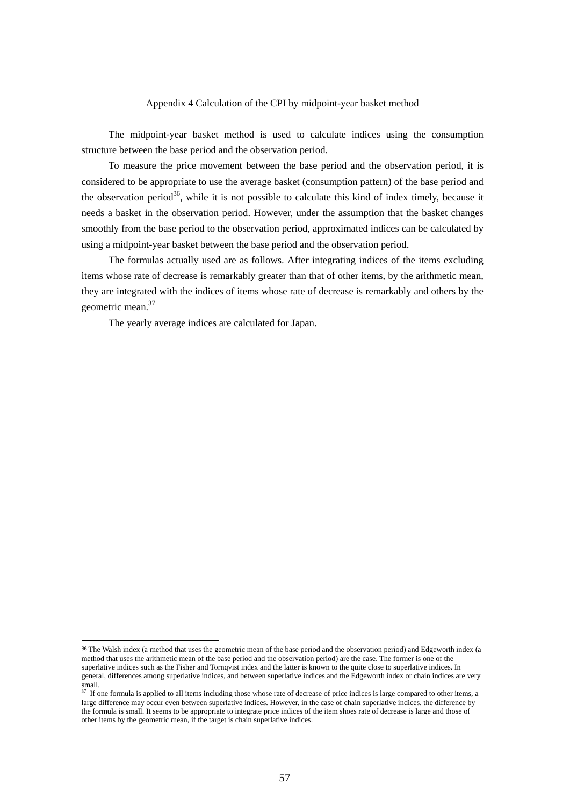## Appendix 4 Calculation of the CPI by midpoint-year basket method

 The midpoint-year basket method is used to calculate indices using the consumption structure between the base period and the observation period.

 To measure the price movement between the base period and the observation period, it is considered to be appropriate to use the average basket (consumption pattern) of the base period and the observation period<sup>36</sup>, while it is not possible to calculate this kind of index timely, because it needs a basket in the observation period. However, under the assumption that the basket changes smoothly from the base period to the observation period, approximated indices can be calculated by using a midpoint-year basket between the base period and the observation period.

 The formulas actually used are as follows. After integrating indices of the items excluding items whose rate of decrease is remarkably greater than that of other items, by the arithmetic mean, they are integrated with the indices of items whose rate of decrease is remarkably and others by the geometric mean.37

The yearly average indices are calculated for Japan.

-

<sup>36</sup> The Walsh index (a method that uses the geometric mean of the base period and the observation period) and Edgeworth index (a method that uses the arithmetic mean of the base period and the observation period) are the case. The former is one of the superlative indices such as the Fisher and Tornqvist index and the latter is known to the quite close to superlative indices. In general, differences among superlative indices, and between superlative indices and the Edgeworth index or chain indices are very small.

If one formula is applied to all items including those whose rate of decrease of price indices is large compared to other items, a large difference may occur even between superlative indices. However, in the case of chain superlative indices, the difference by the formula is small. It seems to be appropriate to integrate price indices of the item shoes rate of decrease is large and those of other items by the geometric mean, if the target is chain superlative indices.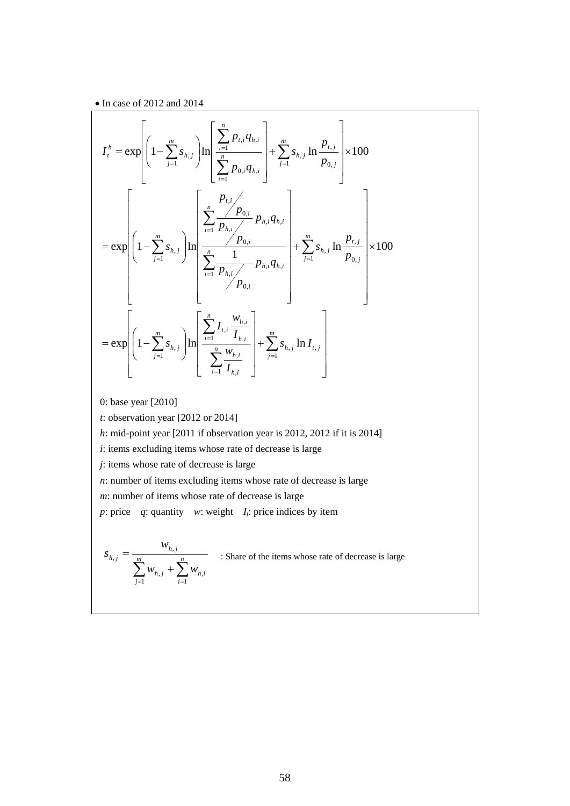$\bullet$  In case of 2012 and 2014

$$
I_{t}^{h} = \exp\left[\left(1 - \sum_{j=1}^{m} s_{h,j}\right) \ln\left[\frac{\sum_{i=1}^{n} p_{t,i} q_{h,i}}{\sum_{i=1}^{n} p_{0,i} q_{h,i}}\right] + \sum_{j=1}^{m} s_{h,j} \ln\frac{p_{t,j}}{p_{0,j}}\right] \times 100
$$
  
\n
$$
= \exp\left[\left(1 - \sum_{j=1}^{m} s_{h,j}\right) \ln\left[\frac{\sum_{i=1}^{n} \frac{p_{0,i}}{p_{h,i}}}{\sum_{i=1}^{n} \frac{p_{0,i}}{p_{h,i}} p_{h,i} q_{h,i}}\right] + \sum_{j=1}^{m} s_{h,j} \ln\frac{p_{t,j}}{p_{0,j}}\right] \times 100
$$
  
\n
$$
= \exp\left[\left(1 - \sum_{j=1}^{m} s_{h,j}\right) \ln\left[\frac{\sum_{i=1}^{n} I_{t,i} \frac{w_{h,i}}{I_{h,i}}}{\sum_{i=1}^{n} I_{h,i}}\right] + \sum_{j=1}^{m} s_{h,j} \ln I_{t,j}\right]
$$
  
\n0: base year [2010]

0: base year [2010]

*t*: observation year [2012 or 2014]

*h*: mid-point year [2011 if observation year is 2012, 2012 if it is 2014]

*i*: items excluding items whose rate of decrease is large

*j*: items whose rate of decrease is large

*n*: number of items excluding items whose rate of decrease is large

*m*: number of items whose rate of decrease is large

*p*: price *q*: quantity *w*: weight  $I_i$ : price indices by item

$$
S_{h,j} = \frac{W_{h,j}}{\sum_{j=1}^{m} W_{h,j} + \sum_{i=1}^{n} W_{h,i}}
$$

: Share of the items whose rate of decrease is large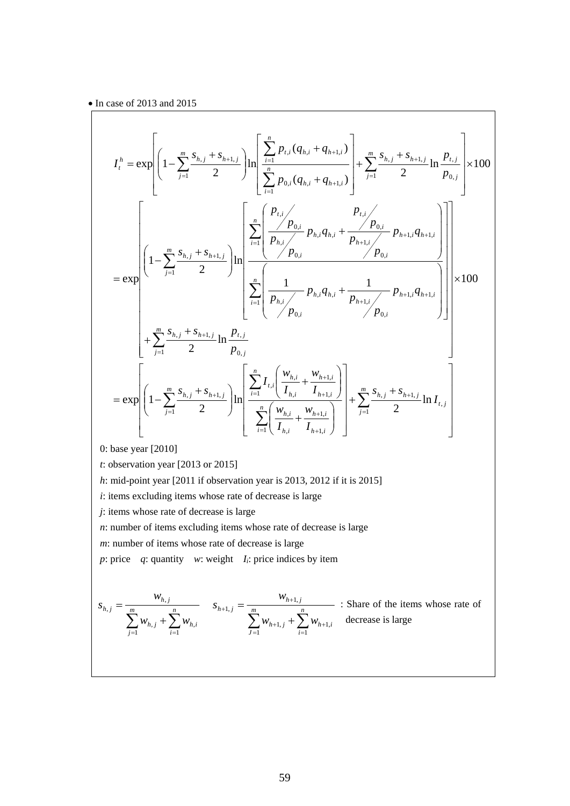$$
I_{i}^{h} = \exp\left[\left(1 - \sum_{j=1}^{m} \frac{s_{h,j} + s_{h+1,j}}{2}\right) \ln\left[\frac{\sum_{i=1}^{n} p_{t,i} (q_{h,i} + q_{h+1,i})}{\sum_{i=1}^{n} p_{0,i} (q_{h,i} + q_{h+1,i})}\right] + \sum_{j=1}^{m} \frac{s_{h,j} + s_{h+1,j}}{2} \ln\frac{p_{t,j}}{p_{0,j}}\right] \times 100
$$
  
\n
$$
= \exp\left[\left(1 - \sum_{j=1}^{m} \frac{s_{h,j} + s_{h+1,j}}{2}\right) \ln\left[\frac{\sum_{i=1}^{n} \left(\frac{p_{t,i}}{p_{h,i}} \right) p_{t,i} q_{h,i} + \frac{p_{0,i}}{p_{h+1,i}} \right) p_{h+1,i} q_{h+1,i}}{p_{0,i}}\right]\right]
$$
  
\n
$$
+ \sum_{j=1}^{m} \frac{s_{h,j} + s_{h+1,j}}{2} \ln\frac{p_{t,j}}{p_{0,j}}
$$
  
\n
$$
= \exp\left[\left(1 - \sum_{j=1}^{m} \frac{s_{h,j} + s_{h+1,j}}{2}\right) \ln\left[\frac{\sum_{i=1}^{n} I_{t,i} \left(\frac{w_{h,i}}{I_{h,i}} + \frac{w_{h+1,i}}{I_{h+1,i}}\right)}{p_{0,i}}\right] + \sum_{j=1}^{m} \frac{s_{h,j} + s_{h+1,j}}{2} \ln I_{t,j}\right]
$$
  
\n0: base year [2010]

0: base year [2010]

*t*: observation year [2013 or 2015]

*h*: mid-point year [2011 if observation year is 2013, 2012 if it is 2015]

*i*: items excluding items whose rate of decrease is large

*j*: items whose rate of decrease is large

*n*: number of items excluding items whose rate of decrease is large

*m*: number of items whose rate of decrease is large

*p*: price *q*: quantity *w*: weight  $I_i$ : price indices by item

$$
S_{h,j} = \frac{w_{h,j}}{\sum_{j=1}^{m} w_{h,j} + \sum_{i=1}^{n} w_{h,i}} \quad S_{h+1,j} = \frac{w_{h+1,j}}{\sum_{j=1}^{m} w_{h+1,j} + \sum_{i=1}^{n} w_{h+1,i}} \quad \text{There is large}
$$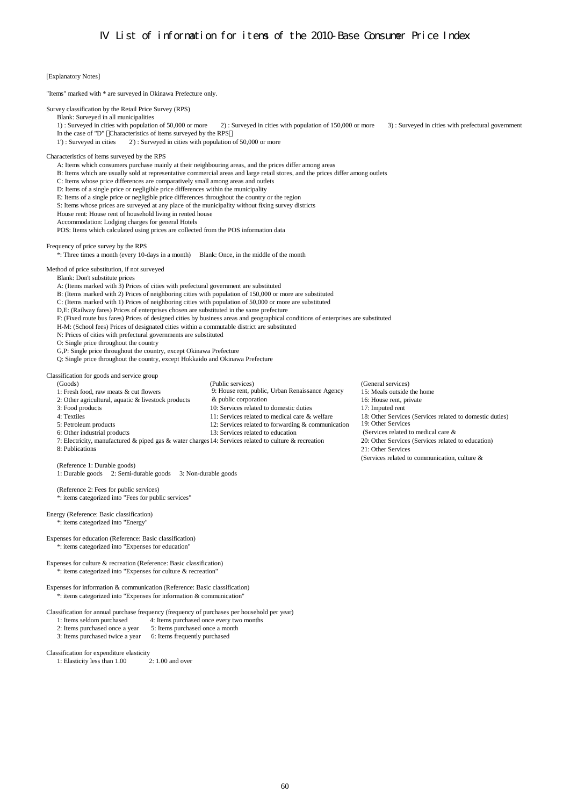# Frequency of price survey by the RPS

Method of price substitution, if not surveyed

F: (Fixed route bus fares) Prices of designed cities by business areas and geographical conditions of enterprises are substituted

# [Explanatory Notes] "Items" marked with \* are surveyed in Okinawa Prefecture only. Survey classification by the Retail Price Survey (RPS) Blank: Surveyed in all municipalities 1) : Surveyed in cities with population of 50,000 or more 2) : Surveyed in cities with population of 150,000 or more 3) : Surveyed in cities with prefectural government In the case of "D" Characteristics of items surveyed by the RPS 1') : Surveyed in cities 2') : Surveyed in cities with population of 50,000 or more Characteristics of items surveyed by the RPS A: Items which consumers purchase mainly at their neighbouring areas, and the prices differ among areas B: Items which are usually sold at representative commercial areas and large retail stores, and the prices differ among outlets C: Items whose price differences are comparatively small among areas and outlets D: Items of a single price or negligible price differences within the municipality E: Items of a single price or negligible price differences throughout the country or the region S: Items whose prices are surveyed at any place of the municipality without fixing survey districts House rent: House rent of household living in rented house Accommodation: Lodging charges for general Hotels POS: Items which calculated using prices are collected from the POS information data \*: Three times a month (every 10-days in a month) Blank: Once, in the middle of the month Blank: Don't substitute prices A: (Items marked with 3) Prices of cities with prefectural government are substituted B: (Items marked with 2) Prices of neighboring cities with population of 150,000 or more are substituted C: (Items marked with 1) Prices of neighboring cities with population of 50,000 or more are substituted D,E: (Railway fares) Prices of enterprises chosen are substituted in the same prefecture H-M: (School fees) Prices of designated cities within a commutable district are substituted N: Prices of cities with prefectural governments are substituted O: Single price throughout the country G,P: Single price throughout the country, except Okinawa Prefecture Q: Single price throughout the country, except Hokkaido and Okinawa Prefecture (Goods) (Public services) (General services) 1: Fresh food, raw meats & cut flowers 9: House rent, public, Urban Renaissance Agency 15: Meals outside the home 2: Other agricultural, aquatic & livestock products  $\&$  public corporation 16: House rent, private 3: Food products 10: Services related to domestic duties 17: Imputed rent 4: Textiles 11: Services related to medical care & welfare 18: Other Services (Services related to domestic duties) 5: Petroleum products 12: Services related to forwarding & communication 6: Other industrial products 13: Services related to education 7: Electricity, manufactured & piped gas & water charges14: Services related to culture & recreation 20: Other Services (Services related to education) 8: Publications (Reference 1: Durable goods) 1: Durable goods 2: Semi-durable goods 3: Non-durable goods (Reference 2: Fees for public services) \*: items categorized into "Fees for public services" Energy (Reference: Basic classification) \*: items categorized into "Energy" Expenses for education (Reference: Basic classification) & public corporation

Classification for goods and service group

\*: items categorized into "Expenses for education"

Expenses for culture & recreation (Reference: Basic classification) \*: items categorized into "Expenses for culture & recreation"

Expenses for information & communication (Reference: Basic classification) \*: items categorized into "Expenses for information & communication"

Classification for annual purchase frequency (frequency of purchases per household per year)

1: Items seldom purchased 4: Items purchased once every two months

2: Items purchased once a year 5: Items purchased once a month

3: Items purchased twice a year 6: Items frequently purchased

Classification for expenditure elasticity

1: Elasticity less than 1.00 2: 1.00 and over

19: Other Services (Services related to medical care & 21: Other Services (Services related to communication, culture &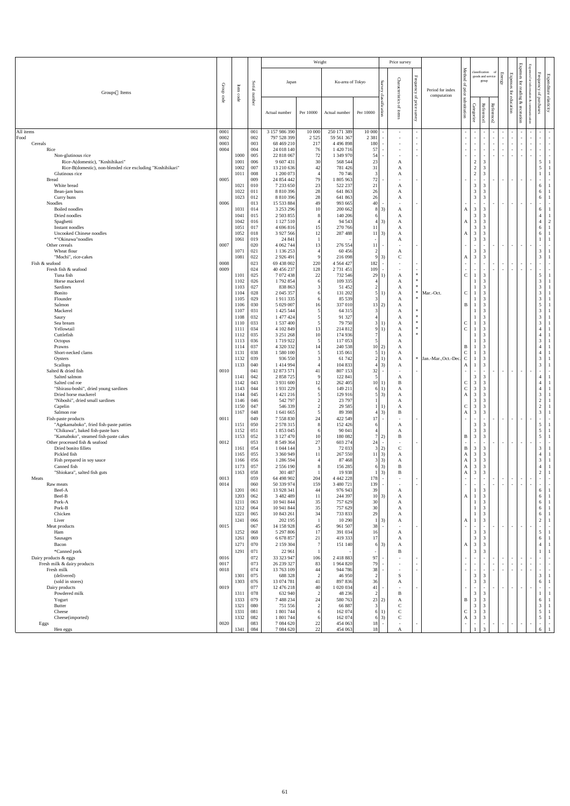| <b>Expenses</b><br>Method<br>classification<br>${\bf Frequency}$<br>Energy<br><b>Expenses</b><br>Expenditure<br>goods and service<br>Frequency<br>Chara<br>Survey<br>Ku-area of Tokyo<br>group<br>$\operatorname{for}$<br>Japan<br>Serial<br>of price<br>Group<br>Item<br>$\overline{a}$<br>cteristics<br>Period for index<br>for<br>ading<br>Groups Items<br>of purchases<br>number<br>classification<br>code<br>computation<br>$\rm{G}$<br>code<br>elasticity<br>education<br>substitution<br>price<br>&<br>Reference2<br>Categorize<br><b>Reference1</b><br>q<br>recreation<br>survey<br>Per 10000<br>Per 10000<br>Actual number<br>Actual number<br>3 157 986 390<br>250 171 389<br>10 000<br>0001<br>10 000<br>001<br>$\sim$<br>Food<br>0002<br>002<br>797 528 399<br>2 3 8 1<br>2 5 2 5<br>59 561 367<br>$\sim$<br>$\overline{\phantom{a}}$<br>$\sim$<br>$\overline{\phantom{0}}$<br>$\sim$<br>$\sim$<br>$\sim$<br>$\overline{\phantom{a}}$<br>$\sim$<br>Cereals<br>0003<br>68 469 210<br>180<br>003<br>217<br>4 4 9 6 8 9 8<br>$\sim$<br>$\sim$<br>$\sim$<br>$\overline{\phantom{a}}$<br>$\sim$<br>$\sim$<br>$\sim$<br>$\overline{\phantom{a}}$<br>$\sim$<br>$\sim$<br>$\sim$<br>0004<br>76<br>57<br>Rice<br>004<br>24 018 140<br>1 420 716<br>$\sim$<br>$\sim$<br>$\sim$<br>$\sim$ .<br>$\overline{\phantom{a}}$<br>$\overline{\phantom{a}}$<br>1000<br>22 818 067<br>72<br>1 349 970<br>54<br>Non-glutinous rice<br>005<br>$\sim$<br>$\sim$<br>$\sim$<br>$\sim$<br>$\mathfrak{S}$<br>30<br>Rice-A(domestic), "Koshihikari"<br>9 607 431<br>23<br>$\overline{2}$<br>006<br>568 544<br>1001<br>A<br>5<br>$\sqrt{2}$<br>31<br>Rice-B(domestic), non-blended rice excluding "Koshihikari"<br>007<br>13 210 636<br>781 426<br>3<br>1002<br>42<br>A<br>$\sqrt{2}$<br>1 200 073<br>70 74 6<br>3<br>Glutinous rice<br>1011<br>008<br>A<br>72<br>0005<br>24 854 442<br>79<br><b>Bread</b><br>009<br>1 805 963<br>$\sim$<br>$\sim$<br>$\overline{\phantom{a}}$<br>$\sim$<br>$\overline{\phantom{a}}$<br>$\sim$<br>White bread<br>7 233 650<br>23<br>522 237<br>21<br>3<br>1021<br>010<br>3<br>6<br>A<br>$\mathfrak{Z}$<br>Bean-jam buns<br>8 810 396<br>28<br>26<br>6<br>1022<br>641 863<br>3<br>011<br>A<br>$\mathfrak{Z}$<br>Curry buns<br>8 810 396<br>28<br>26<br>3<br>6<br>1023<br>641 863<br>012<br>A<br>Noodles<br>0006<br>15 533 884<br>993 665<br>40<br>013<br>49<br>$\sim$<br>$\sim$<br>$\overline{\phantom{a}}$<br>$\overline{\phantom{a}}$<br>$\sim$<br>$\sim$<br>$\sim$<br>$\mathfrak{Z}$<br>Boiled noodles<br>3 253 296<br>1031<br>10<br>200 662<br>$8 \quad 3)$<br>3<br>6<br>014<br>A<br>A<br>$\mathfrak{Z}$<br>Dried noodles<br>2 503 855<br>3<br>$\overline{4}$<br>1041<br>140 206<br>015<br>61<br>A<br>$\mathfrak{Z}$<br>1 127 510<br>$4 \mid 3)$<br>3<br>$\overline{4}$<br>2<br>Spaghetti<br>1042<br>94 5 43<br>016<br>A<br>A<br>$\mathfrak{Z}$<br>3<br>Instant noodles<br>4 696 816<br>6<br>017<br>15<br>270 766<br>1051<br><sup>11</sup><br>A<br>$\mathfrak{Z}$<br>$11 \,   \, 3)$<br>$\overline{3}$<br>6<br>Uncooked Chinese noodles<br>018<br>3 927 566<br>287 488<br>1052<br>12<br>A<br>A<br>$\overline{3}$<br>*"Okinawa"noodles<br>3<br>019<br>24 841<br>1061<br>A<br>0007<br>020<br>4 062 744<br>276 554<br>Other cereals<br>13<br>11<br>$\sim$<br>$\blacksquare$<br>$\sim$<br>$\overline{\phantom{a}}$<br>$\overline{\phantom{a}}$<br>$\mathfrak{Z}$<br>Wheat flour<br>$\mathfrak{Z}$<br>1071<br>021<br>1 136 253<br>60456<br>3<br>A<br>$\overline{3}$<br>$\mathfrak{Z}$<br>$\overline{3}$<br>"Mochi", rice-cakes<br>3)<br>$\mathbf C$<br>1081<br>022<br>2 9 2 6 4 9 1<br>216 098<br>A<br>023<br>69 438 002<br>4 5 6 4 4 2 7<br>Fish & seafood<br>0008<br>220<br>182<br>$\sim$<br>$\sim$<br>$\sim$<br>$\sim$<br>$\overline{\phantom{a}}$<br>$\sim$<br>$\sim$<br>$\sim$<br>$\overline{\phantom{0}}$<br>$\sim$<br>$\sim$<br>0009<br>024<br>40 456 237<br>128<br>2 731 451<br>109<br>Fresh fish & seafood<br>$*$<br>5 <sup>5</sup><br>29 1<br>Tuna fish<br>025<br>7 072 438<br>22<br>732 546<br>$\mathbf C$<br>3<br>1101<br>A<br>$\mathfrak{Z}$<br>026<br>1792854<br>109 335<br>$*$<br>$\mathfrak{Z}$<br>Horse mackerel<br>1102<br>6<br>A<br>3 <sup>7</sup><br>027<br>838 863<br>51 452<br>$*$<br>3<br>Sardines<br>1103<br>3<br>A<br>$\mathfrak{Z}$<br>$*$<br>3<br>Bonito<br>028<br>2 045 357<br>131 202<br>$\mathbf C$<br>5 1)<br>Mar.-Oct.<br>1104<br>A<br>6<br>$\overline{3}$<br>3<br>85 539<br>029<br>1911335<br>$\ast$<br>Flounder<br>1105<br>A<br>$5\overline{)}$<br>3<br>030<br>5 029 007<br>337 010<br>Salmon<br>13 2)<br>B<br>1106<br>16 <sup> </sup><br>A<br>$\overline{3}$<br>Mackerel<br>031<br>1 425 544<br>64 315<br>$*$<br>3<br>1107<br>A<br>$\overline{3}$<br>032<br>91 327<br>$\ast$<br>3<br>1 477 424<br>1108<br>Saury<br>A<br>$\mathfrak{Z}$<br>033<br>1 537 400<br>$\mathsf C$<br>$\mathfrak{Z}$<br>79 750<br>$*$<br>Sea bream<br>1110<br>3 1<br>A<br>$\mathbf C$<br>034<br>3<br>Yellowtail<br>4 102 849<br>214 812<br>$*$<br>$\overline{4}$<br>1111<br>13<br>9 1<br>A<br>Cuttlefish<br>035<br>3 251 268<br>174 936<br>$\ast$<br>3<br>1112<br>10<br>$\overline{4}$<br>A<br>$\mathfrak{Z}$<br>036<br>1719922<br>117053<br>1113<br>$\mathcal{R}$<br>Octopus<br>A<br>037<br>4 320 332<br>240 538<br>10 2)<br>Prawns<br>1114<br>14<br>3<br>$\overline{4}$<br>B<br>A<br>$\mathcal{C}$<br>Short-necked clams<br>038<br>1 580 100<br>135 061<br>3<br>1131<br>5 1)<br>$\overline{4}$<br>A<br>* Jan.-Mar., Oct.-Dec.<br>$\mathfrak{Z}$<br>936 550<br>61 742<br>$\mathcal{C}$<br>3<br>1132<br>039<br>2 1)<br>Oysters<br>A<br>3 <sup>7</sup><br>$4 \mid 3)$<br>3<br>Scallops<br>1 4 1 4 9 9 4<br>104 833<br>1133<br>040<br>A<br>A<br>Salted & dried fish<br>0010<br>041<br>12 873 571<br>807 153<br>32<br>41<br>$\sim$<br>$\sim$<br>$\sim$<br>$\sim$<br>$\sim$<br>$\sim$<br>$\overline{\phantom{a}}$<br>$\sim$<br>2 858 725<br>122 841<br>$\mathfrak{Z}$<br>Salted salmon<br>042<br>3<br>$\overline{4}$<br>1141<br>$\mathbf Q$<br>A<br>$\mathfrak{Z}$<br>$\mathfrak{Z}$<br>3 9 31 600<br>$\bf{B}$<br>$\mathsf{C}$<br>Salted cod roe<br>043<br>262 405<br>10 1)<br>$\overline{4}$<br>1142<br>12<br>$\mathfrak{Z}$<br>${\bf C}$<br>$\overline{3}$<br>149 211<br>"Shirasu-boshi", dried young sardines<br>1931229<br>$\overline{4}$<br>044<br>6 1)<br>1143<br>A<br>$\mathfrak{Z}$<br>$\mathfrak{Z}$<br>$\mathfrak{Z}$<br>$5 \mid 3)$<br>Dried horse mackerel<br>1 421 216<br>129 916<br>045<br>1144<br>A<br>A<br>"Niboshi", dried small sardines<br>$\mathfrak{Z}$<br>$\sqrt{2}$<br>542 797<br>23 797<br>3<br>046<br>1146<br>A<br>$\mathfrak{Z}$<br>$\sqrt{2}$<br>$\mathfrak{Z}$<br>Capelin<br>047<br>546 339<br>29 5 85<br>$\mathsf{C}$<br>1150<br>$ 1\rangle$<br>A<br>$\overline{3}$<br>$\mathfrak{Z}$<br>$\overline{3}$<br>3)<br>Salmon roe<br>1167<br>048<br>1 641 665<br>89 39 8<br>B<br>A<br>Fish-paste products<br>0011<br>049<br>7 558 830<br>24<br>422 549<br>17<br>$\sim$<br>$\sim$ .<br>$\sim$<br>$\overline{\phantom{a}}$<br>$\sim$<br>$\sim$<br>$\mathfrak{S}$<br>$\mathfrak{Z}$<br>"Agekamaboko", fried fish-paste patties<br>2 578 315<br>152 426<br>3<br>1151<br>050<br>6<br>A<br>$5\overline{)}$<br>$\mathfrak{Z}$<br>"Chikuwa", baked fish-paste bars<br>1 853 045<br>90 041<br>$\mathfrak{Z}$<br>1152<br>051<br>A<br>6<br>5 <sup>5</sup><br>$\bf{B}$<br>$\mathfrak{Z}$<br>$\mathfrak{Z}$<br>"Kamaboko", steamed fish-paste cakes<br>3 127 470<br>10<br>180 082<br>$7\quad2)$<br>1153<br>052<br>B<br>Other processed fish & seafood<br>27<br>0012<br>053<br>8 549 364<br>603 274<br>$24$ -<br>$\sim$<br>$\sim$<br>$\sim$<br>$\sim$<br>$\sim$<br>3 <sup>7</sup><br>Dried bonito fillets<br>72 033<br>$\mathbf C$<br>$\mathfrak{Z}$<br>3<br>054<br>1 044 144<br>$\mathcal{E}$<br>$3\vert 2)$<br>B<br>1161<br>$\mathfrak{Z}$<br>$11 \, 3)$<br>3<br>$\overline{4}$<br>Pickled fish<br>055<br>3 360 949<br>267 550<br>11<br>1165<br>A<br>A<br>$\mathfrak{Z}$<br>$\mathfrak{Z}$<br>$3 \mid 3$<br>3<br>056<br>1 286 594<br>87 4 68<br>1166<br>Fish prepared in soy sauce<br>A<br>A<br>$\mathfrak{Z}$<br>057<br>6 3)<br>$\mathfrak{Z}$<br>Canned fish<br>1173<br>2 556 190<br>156 285<br>B<br>$\overline{4}$<br>A<br>$\mathfrak{Z}$<br>$\overline{2}$<br>$\vert 3)$<br>B<br>3<br>301 487<br>19 9 38<br>"Shiokara", salted fish guts<br>1163<br>058<br>$\mathbf{A}$<br>Meats<br>059<br>64 498 902<br>204<br>4 442 228<br>178<br>0013<br>$\sim$<br>$\sim$<br>$\sim$<br>$\overline{\phantom{a}}$<br>$\overline{\phantom{0}}$<br>$\sim$<br>$\sim$<br>$\sim$<br>$\overline{\phantom{a}}$<br>0014<br>159<br>060<br>50 339 974<br>3 480 721<br>139<br>Raw meats<br>39<br>6<br>Beef-A<br>1201<br>13 928 341<br>976 943<br>061<br>44<br>3<br>A<br>$6\,$<br>Beef-B<br>$10 \mid 3)$<br>1203<br>062<br>3 4 8 2 4 8 9<br>244 397<br>$\mathfrak{Z}$<br>11<br>A<br>A<br>Pork-A<br>30<br>10 941 844<br>35<br>757 629<br>3<br>6<br>1211<br>063<br>A<br>Pork-B<br>35<br>30<br>10 941 844<br>757 629<br>6<br>1212<br>3<br>064<br>A<br>Chicken<br>34<br>29<br>10 843 261<br>733 833<br>$\mathfrak{Z}$<br>6<br>1221<br>065<br>A<br>$\overline{2}$<br>$1\overline{3}$<br>$\mathfrak{Z}$<br>Liver<br>202 195<br>10 290<br>1241<br>066<br>A<br>$\mathbf{A}$<br>961 507<br>38<br>Meat products<br>0015<br>067<br>14 158 928<br>45<br>$\sim$<br>$\sim$<br>$\overline{\phantom{a}}$<br>$\sim$<br>$\sim$<br>$\sim$<br>$\mathfrak{S}$<br>$\mathfrak{Z}$<br>16<br>Ham<br>1252<br>068<br>5 297 806<br>17<br>391 034<br>3<br>A<br>$\overline{3}$<br>6<br>21<br>17<br>3<br>1261<br>069<br>6 678 857<br>419 333<br>Sausages<br>A<br>$\mathfrak{Z}$<br>$\overline{4}$<br>1271<br>070<br>2 159 304<br>$6\,3)$<br>3<br>Bacon<br>151 140<br>A<br>A<br>$\mathfrak{Z}$<br>*Canned pork<br>1291<br>071<br>22 961<br>$\mathbf B$<br>3<br>0016<br>106<br>97<br>072<br>33 323 947<br>2418883<br>Dairy products & eggs<br>$\sim$<br>$\blacksquare$<br>$\sim$<br>$\sim$<br>$\sim$<br>$\sim$<br>$\overline{\phantom{a}}$<br>79<br>Fresh milk & dairy products<br>0017<br>073<br>26 239 327<br>83<br>1 964 820<br>$\sim$<br>$\sim$<br>$\overline{\phantom{a}}$<br>0018<br>38<br>Fresh milk<br>074<br>13 763 109<br>944 786<br>44<br>$\sim$<br>$\sim$<br>$\overline{\phantom{a}}$<br>$\mathfrak{Z}$<br>$\mathfrak{Z}$<br>(delivered)<br>1301<br>075<br>688 328<br>46 950<br>S<br>$\overline{2}$<br>3<br>$\mathfrak{Z}$<br>6<br>(sold in stores)<br>36<br>$\overline{3}$<br>1303<br>13 074 781<br>897 836<br>076<br>41<br>A<br>0019<br>41<br>Dairy products<br>077<br>12 476 218<br>1 020 034<br>40<br>$\sim$<br>$\sim$<br>$\sim$<br>$\blacksquare$<br>$\overline{\phantom{a}}$<br>$\sim$<br>$\sim$<br>$\sim$<br>632 940<br>$\mathfrak{Z}$<br>Powdered milk<br>078<br>48 236<br>3<br>1311<br>B<br>$\mathfrak{Z}$<br>7 488 234<br>23 2)<br>$\overline{3}$<br>1333<br>079<br>24<br>580 763<br>6<br>Yogurt<br>B<br>A<br>$\mathfrak{Z}$<br>$\mathfrak{Z}$<br>1321<br>751 556<br>66 887<br>$\mathcal{C}$<br>3<br><b>Butter</b><br>080<br>2<br>3 <sup>1</sup><br>5 <sup>1</sup><br>1 801 744<br>$\mathsf{C}$<br>$\mathfrak{Z}$<br>1331<br>162 074<br>$\mathsf{C}$<br>3<br>Cheese<br>081<br>6 <sub>1</sub><br>6<br>$6\,3)$<br>$\mathbf C$<br>$\mathfrak{Z}$<br>5 <sup>5</sup><br>1332<br>$\mathfrak{Z}$<br>082<br>1 801 744<br>162 074<br>Cheese(imported)<br>$\mathbf{A}$<br>6<br>0020<br>083<br>7 084 620<br>22<br>454 063<br>Eggs<br>18<br>$\sim$ .<br>$\sim$<br>$\blacksquare$<br>$\sim$<br>$\sim$<br>$\sim$<br>$\sim$<br>$\sim$<br>$\sim$<br>$\sim$<br>$\sim$<br>3 |           |      |     |           | Weight |         |    | Price survey |  |  |  |  |   |                |
|-------------------------------------------------------------------------------------------------------------------------------------------------------------------------------------------------------------------------------------------------------------------------------------------------------------------------------------------------------------------------------------------------------------------------------------------------------------------------------------------------------------------------------------------------------------------------------------------------------------------------------------------------------------------------------------------------------------------------------------------------------------------------------------------------------------------------------------------------------------------------------------------------------------------------------------------------------------------------------------------------------------------------------------------------------------------------------------------------------------------------------------------------------------------------------------------------------------------------------------------------------------------------------------------------------------------------------------------------------------------------------------------------------------------------------------------------------------------------------------------------------------------------------------------------------------------------------------------------------------------------------------------------------------------------------------------------------------------------------------------------------------------------------------------------------------------------------------------------------------------------------------------------------------------------------------------------------------------------------------------------------------------------------------------------------------------------------------------------------------------------------------------------------------------------------------------------------------------------------------------------------------------------------------------------------------------------------------------------------------------------------------------------------------------------------------------------------------------------------------------------------------------------------------------------------------------------------------------------------------------------------------------------------------------------------------------------------------------------------------------------------------------------------------------------------------------------------------------------------------------------------------------------------------------------------------------------------------------------------------------------------------------------------------------------------------------------------------------------------------------------------------------------------------------------------------------------------------------------------------------------------------------------------------------------------------------------------------------------------------------------------------------------------------------------------------------------------------------------------------------------------------------------------------------------------------------------------------------------------------------------------------------------------------------------------------------------------------------------------------------------------------------------------------------------------------------------------------------------------------------------------------------------------------------------------------------------------------------------------------------------------------------------------------------------------------------------------------------------------------------------------------------------------------------------------------------------------------------------------------------------------------------------------------------------------------------------------------------------------------------------------------------------------------------------------------------------------------------------------------------------------------------------------------------------------------------------------------------------------------------------------------------------------------------------------------------------------------------------------------------------------------------------------------------------------------------------------------------------------------------------------------------------------------------------------------------------------------------------------------------------------------------------------------------------------------------------------------------------------------------------------------------------------------------------------------------------------------------------------------------------------------------------------------------------------------------------------------------------------------------------------------------------------------------------------------------------------------------------------------------------------------------------------------------------------------------------------------------------------------------------------------------------------------------------------------------------------------------------------------------------------------------------------------------------------------------------------------------------------------------------------------------------------------------------------------------------------------------------------------------------------------------------------------------------------------------------------------------------------------------------------------------------------------------------------------------------------------------------------------------------------------------------------------------------------------------------------------------------------------------------------------------------------------------------------------------------------------------------------------------------------------------------------------------------------------------------------------------------------------------------------------------------------------------------------------------------------------------------------------------------------------------------------------------------------------------------------------------------------------------------------------------------------------------------------------------------------------------------------------------------------------------------------------------------------------------------------------------------------------------------------------------------------------------------------------------------------------------------------------------------------------------------------------------------------------------------------------------------------------------------------------------------------------------------------------------------------------------------------------------------------------------------------------------------------------------------------------------------------------------------------------------------------------------------------------------------------------------------------------------------------------------------------------------------------------------------------------------------------------------------------------------------------------------------------------------------------------------------------------------------------------------------------------------------------------------------------------------------------------------------------------------------------------------------------------------------------------------------------------------------------------------------------------------------------------------------------------------------------------------------------------------------------------------------------------------------------------------------------------------------------------------------------------------------------------------------------------------------------------------------------------------------------------------------------------------------------------------------------------------------------------------------------------------------------------------------------------------------------------------------------------------------------------------------------------------------------------------------------------------------------------------------------------------------------------------------------------------------------------------------------------------------------------------------------------------------------------------------------------------------------------------------------------------------------------------------------------------------------------------------------------------------------------------------------------------------------------------------------------------------------------------------------------------------------------------------------------------------------------------------------------------------------------------------------------------------------------------------------------------------------------------------------------------------------------------------------------------------------------------------------------------------------------------------------------------------------------------------------------------------------------------------------------------------------------------------------------------------------------------------------------------------------------------------------------------------------------------------------------------------------------------------------------------------------------------------------------------------------------------------------------------------------------------------------------------------------------------------------------------------------------------------------------------------------------------------------------------------------------------------------------------------------------------------------------------------------------------------------------------------------------------------------------------------------------------------------------------------------------------------------------------------------------------------------------------------------------------------------------------------------------------------------------------------------------------------------------------------------------------------------------------------------------------------------------------------------------------------------------------------------------------------------------------------------------------------------------------------------------------------------------------------------------------------------------------------------|-----------|------|-----|-----------|--------|---------|----|--------------|--|--|--|--|---|----------------|
|                                                                                                                                                                                                                                                                                                                                                                                                                                                                                                                                                                                                                                                                                                                                                                                                                                                                                                                                                                                                                                                                                                                                                                                                                                                                                                                                                                                                                                                                                                                                                                                                                                                                                                                                                                                                                                                                                                                                                                                                                                                                                                                                                                                                                                                                                                                                                                                                                                                                                                                                                                                                                                                                                                                                                                                                                                                                                                                                                                                                                                                                                                                                                                                                                                                                                                                                                                                                                                                                                                                                                                                                                                                                                                                                                                                                                                                                                                                                                                                                                                                                                                                                                                                                                                                                                                                                                                                                                                                                                                                                                                                                                                                                                                                                                                                                                                                                                                                                                                                                                                                                                                                                                                                                                                                                                                                                                                                                                                                                                                                                                                                                                                                                                                                                                                                                                                                                                                                                                                                                                                                                                                                                                                                                                                                                                                                                                                                                                                                                                                                                                                                                                                                                                                                                                                                                                                                                                                                                                                                                                                                                                                                                                                                                                                                                                                                                                                                                                                                                                                                                                                                                                                                                                                                                                                                                                                                                                                                                                                                                                                                                                                                                                                                                                                                                                                                                                                                                                                                                                                                                                                                                                                                                                                                                                                                                                                                                                                                                                                                                                                                                                                                                                                                                                                                                                                                                                                                                                                                                                                                                                                                                                                                                                                                                                                                                                                                                                                                                                                                                                                                                                                                                                                                                                                                                                                                                                                                                                                                                                                                                                                                                                                                                                                                                                                                                                                                                                                                                                                                                                                                                                                                                                                                                                                                                                                                                                                                                                                                       |           |      |     |           |        |         |    |              |  |  |  |  |   |                |
|                                                                                                                                                                                                                                                                                                                                                                                                                                                                                                                                                                                                                                                                                                                                                                                                                                                                                                                                                                                                                                                                                                                                                                                                                                                                                                                                                                                                                                                                                                                                                                                                                                                                                                                                                                                                                                                                                                                                                                                                                                                                                                                                                                                                                                                                                                                                                                                                                                                                                                                                                                                                                                                                                                                                                                                                                                                                                                                                                                                                                                                                                                                                                                                                                                                                                                                                                                                                                                                                                                                                                                                                                                                                                                                                                                                                                                                                                                                                                                                                                                                                                                                                                                                                                                                                                                                                                                                                                                                                                                                                                                                                                                                                                                                                                                                                                                                                                                                                                                                                                                                                                                                                                                                                                                                                                                                                                                                                                                                                                                                                                                                                                                                                                                                                                                                                                                                                                                                                                                                                                                                                                                                                                                                                                                                                                                                                                                                                                                                                                                                                                                                                                                                                                                                                                                                                                                                                                                                                                                                                                                                                                                                                                                                                                                                                                                                                                                                                                                                                                                                                                                                                                                                                                                                                                                                                                                                                                                                                                                                                                                                                                                                                                                                                                                                                                                                                                                                                                                                                                                                                                                                                                                                                                                                                                                                                                                                                                                                                                                                                                                                                                                                                                                                                                                                                                                                                                                                                                                                                                                                                                                                                                                                                                                                                                                                                                                                                                                                                                                                                                                                                                                                                                                                                                                                                                                                                                                                                                                                                                                                                                                                                                                                                                                                                                                                                                                                                                                                                                                                                                                                                                                                                                                                                                                                                                                                                                                                                                                                       |           |      |     |           |        |         |    |              |  |  |  |  |   |                |
|                                                                                                                                                                                                                                                                                                                                                                                                                                                                                                                                                                                                                                                                                                                                                                                                                                                                                                                                                                                                                                                                                                                                                                                                                                                                                                                                                                                                                                                                                                                                                                                                                                                                                                                                                                                                                                                                                                                                                                                                                                                                                                                                                                                                                                                                                                                                                                                                                                                                                                                                                                                                                                                                                                                                                                                                                                                                                                                                                                                                                                                                                                                                                                                                                                                                                                                                                                                                                                                                                                                                                                                                                                                                                                                                                                                                                                                                                                                                                                                                                                                                                                                                                                                                                                                                                                                                                                                                                                                                                                                                                                                                                                                                                                                                                                                                                                                                                                                                                                                                                                                                                                                                                                                                                                                                                                                                                                                                                                                                                                                                                                                                                                                                                                                                                                                                                                                                                                                                                                                                                                                                                                                                                                                                                                                                                                                                                                                                                                                                                                                                                                                                                                                                                                                                                                                                                                                                                                                                                                                                                                                                                                                                                                                                                                                                                                                                                                                                                                                                                                                                                                                                                                                                                                                                                                                                                                                                                                                                                                                                                                                                                                                                                                                                                                                                                                                                                                                                                                                                                                                                                                                                                                                                                                                                                                                                                                                                                                                                                                                                                                                                                                                                                                                                                                                                                                                                                                                                                                                                                                                                                                                                                                                                                                                                                                                                                                                                                                                                                                                                                                                                                                                                                                                                                                                                                                                                                                                                                                                                                                                                                                                                                                                                                                                                                                                                                                                                                                                                                                                                                                                                                                                                                                                                                                                                                                                                                                                                                                                       | All items |      |     |           |        |         |    |              |  |  |  |  |   |                |
|                                                                                                                                                                                                                                                                                                                                                                                                                                                                                                                                                                                                                                                                                                                                                                                                                                                                                                                                                                                                                                                                                                                                                                                                                                                                                                                                                                                                                                                                                                                                                                                                                                                                                                                                                                                                                                                                                                                                                                                                                                                                                                                                                                                                                                                                                                                                                                                                                                                                                                                                                                                                                                                                                                                                                                                                                                                                                                                                                                                                                                                                                                                                                                                                                                                                                                                                                                                                                                                                                                                                                                                                                                                                                                                                                                                                                                                                                                                                                                                                                                                                                                                                                                                                                                                                                                                                                                                                                                                                                                                                                                                                                                                                                                                                                                                                                                                                                                                                                                                                                                                                                                                                                                                                                                                                                                                                                                                                                                                                                                                                                                                                                                                                                                                                                                                                                                                                                                                                                                                                                                                                                                                                                                                                                                                                                                                                                                                                                                                                                                                                                                                                                                                                                                                                                                                                                                                                                                                                                                                                                                                                                                                                                                                                                                                                                                                                                                                                                                                                                                                                                                                                                                                                                                                                                                                                                                                                                                                                                                                                                                                                                                                                                                                                                                                                                                                                                                                                                                                                                                                                                                                                                                                                                                                                                                                                                                                                                                                                                                                                                                                                                                                                                                                                                                                                                                                                                                                                                                                                                                                                                                                                                                                                                                                                                                                                                                                                                                                                                                                                                                                                                                                                                                                                                                                                                                                                                                                                                                                                                                                                                                                                                                                                                                                                                                                                                                                                                                                                                                                                                                                                                                                                                                                                                                                                                                                                                                                                                                                       |           |      |     |           |        |         |    |              |  |  |  |  |   |                |
|                                                                                                                                                                                                                                                                                                                                                                                                                                                                                                                                                                                                                                                                                                                                                                                                                                                                                                                                                                                                                                                                                                                                                                                                                                                                                                                                                                                                                                                                                                                                                                                                                                                                                                                                                                                                                                                                                                                                                                                                                                                                                                                                                                                                                                                                                                                                                                                                                                                                                                                                                                                                                                                                                                                                                                                                                                                                                                                                                                                                                                                                                                                                                                                                                                                                                                                                                                                                                                                                                                                                                                                                                                                                                                                                                                                                                                                                                                                                                                                                                                                                                                                                                                                                                                                                                                                                                                                                                                                                                                                                                                                                                                                                                                                                                                                                                                                                                                                                                                                                                                                                                                                                                                                                                                                                                                                                                                                                                                                                                                                                                                                                                                                                                                                                                                                                                                                                                                                                                                                                                                                                                                                                                                                                                                                                                                                                                                                                                                                                                                                                                                                                                                                                                                                                                                                                                                                                                                                                                                                                                                                                                                                                                                                                                                                                                                                                                                                                                                                                                                                                                                                                                                                                                                                                                                                                                                                                                                                                                                                                                                                                                                                                                                                                                                                                                                                                                                                                                                                                                                                                                                                                                                                                                                                                                                                                                                                                                                                                                                                                                                                                                                                                                                                                                                                                                                                                                                                                                                                                                                                                                                                                                                                                                                                                                                                                                                                                                                                                                                                                                                                                                                                                                                                                                                                                                                                                                                                                                                                                                                                                                                                                                                                                                                                                                                                                                                                                                                                                                                                                                                                                                                                                                                                                                                                                                                                                                                                                                                                       |           |      |     |           |        |         |    |              |  |  |  |  |   |                |
|                                                                                                                                                                                                                                                                                                                                                                                                                                                                                                                                                                                                                                                                                                                                                                                                                                                                                                                                                                                                                                                                                                                                                                                                                                                                                                                                                                                                                                                                                                                                                                                                                                                                                                                                                                                                                                                                                                                                                                                                                                                                                                                                                                                                                                                                                                                                                                                                                                                                                                                                                                                                                                                                                                                                                                                                                                                                                                                                                                                                                                                                                                                                                                                                                                                                                                                                                                                                                                                                                                                                                                                                                                                                                                                                                                                                                                                                                                                                                                                                                                                                                                                                                                                                                                                                                                                                                                                                                                                                                                                                                                                                                                                                                                                                                                                                                                                                                                                                                                                                                                                                                                                                                                                                                                                                                                                                                                                                                                                                                                                                                                                                                                                                                                                                                                                                                                                                                                                                                                                                                                                                                                                                                                                                                                                                                                                                                                                                                                                                                                                                                                                                                                                                                                                                                                                                                                                                                                                                                                                                                                                                                                                                                                                                                                                                                                                                                                                                                                                                                                                                                                                                                                                                                                                                                                                                                                                                                                                                                                                                                                                                                                                                                                                                                                                                                                                                                                                                                                                                                                                                                                                                                                                                                                                                                                                                                                                                                                                                                                                                                                                                                                                                                                                                                                                                                                                                                                                                                                                                                                                                                                                                                                                                                                                                                                                                                                                                                                                                                                                                                                                                                                                                                                                                                                                                                                                                                                                                                                                                                                                                                                                                                                                                                                                                                                                                                                                                                                                                                                                                                                                                                                                                                                                                                                                                                                                                                                                                                                                       |           |      |     |           |        |         |    |              |  |  |  |  |   |                |
|                                                                                                                                                                                                                                                                                                                                                                                                                                                                                                                                                                                                                                                                                                                                                                                                                                                                                                                                                                                                                                                                                                                                                                                                                                                                                                                                                                                                                                                                                                                                                                                                                                                                                                                                                                                                                                                                                                                                                                                                                                                                                                                                                                                                                                                                                                                                                                                                                                                                                                                                                                                                                                                                                                                                                                                                                                                                                                                                                                                                                                                                                                                                                                                                                                                                                                                                                                                                                                                                                                                                                                                                                                                                                                                                                                                                                                                                                                                                                                                                                                                                                                                                                                                                                                                                                                                                                                                                                                                                                                                                                                                                                                                                                                                                                                                                                                                                                                                                                                                                                                                                                                                                                                                                                                                                                                                                                                                                                                                                                                                                                                                                                                                                                                                                                                                                                                                                                                                                                                                                                                                                                                                                                                                                                                                                                                                                                                                                                                                                                                                                                                                                                                                                                                                                                                                                                                                                                                                                                                                                                                                                                                                                                                                                                                                                                                                                                                                                                                                                                                                                                                                                                                                                                                                                                                                                                                                                                                                                                                                                                                                                                                                                                                                                                                                                                                                                                                                                                                                                                                                                                                                                                                                                                                                                                                                                                                                                                                                                                                                                                                                                                                                                                                                                                                                                                                                                                                                                                                                                                                                                                                                                                                                                                                                                                                                                                                                                                                                                                                                                                                                                                                                                                                                                                                                                                                                                                                                                                                                                                                                                                                                                                                                                                                                                                                                                                                                                                                                                                                                                                                                                                                                                                                                                                                                                                                                                                                                                                                                       |           |      |     |           |        |         |    |              |  |  |  |  |   |                |
|                                                                                                                                                                                                                                                                                                                                                                                                                                                                                                                                                                                                                                                                                                                                                                                                                                                                                                                                                                                                                                                                                                                                                                                                                                                                                                                                                                                                                                                                                                                                                                                                                                                                                                                                                                                                                                                                                                                                                                                                                                                                                                                                                                                                                                                                                                                                                                                                                                                                                                                                                                                                                                                                                                                                                                                                                                                                                                                                                                                                                                                                                                                                                                                                                                                                                                                                                                                                                                                                                                                                                                                                                                                                                                                                                                                                                                                                                                                                                                                                                                                                                                                                                                                                                                                                                                                                                                                                                                                                                                                                                                                                                                                                                                                                                                                                                                                                                                                                                                                                                                                                                                                                                                                                                                                                                                                                                                                                                                                                                                                                                                                                                                                                                                                                                                                                                                                                                                                                                                                                                                                                                                                                                                                                                                                                                                                                                                                                                                                                                                                                                                                                                                                                                                                                                                                                                                                                                                                                                                                                                                                                                                                                                                                                                                                                                                                                                                                                                                                                                                                                                                                                                                                                                                                                                                                                                                                                                                                                                                                                                                                                                                                                                                                                                                                                                                                                                                                                                                                                                                                                                                                                                                                                                                                                                                                                                                                                                                                                                                                                                                                                                                                                                                                                                                                                                                                                                                                                                                                                                                                                                                                                                                                                                                                                                                                                                                                                                                                                                                                                                                                                                                                                                                                                                                                                                                                                                                                                                                                                                                                                                                                                                                                                                                                                                                                                                                                                                                                                                                                                                                                                                                                                                                                                                                                                                                                                                                                                                                                       |           |      |     |           |        |         |    |              |  |  |  |  |   |                |
|                                                                                                                                                                                                                                                                                                                                                                                                                                                                                                                                                                                                                                                                                                                                                                                                                                                                                                                                                                                                                                                                                                                                                                                                                                                                                                                                                                                                                                                                                                                                                                                                                                                                                                                                                                                                                                                                                                                                                                                                                                                                                                                                                                                                                                                                                                                                                                                                                                                                                                                                                                                                                                                                                                                                                                                                                                                                                                                                                                                                                                                                                                                                                                                                                                                                                                                                                                                                                                                                                                                                                                                                                                                                                                                                                                                                                                                                                                                                                                                                                                                                                                                                                                                                                                                                                                                                                                                                                                                                                                                                                                                                                                                                                                                                                                                                                                                                                                                                                                                                                                                                                                                                                                                                                                                                                                                                                                                                                                                                                                                                                                                                                                                                                                                                                                                                                                                                                                                                                                                                                                                                                                                                                                                                                                                                                                                                                                                                                                                                                                                                                                                                                                                                                                                                                                                                                                                                                                                                                                                                                                                                                                                                                                                                                                                                                                                                                                                                                                                                                                                                                                                                                                                                                                                                                                                                                                                                                                                                                                                                                                                                                                                                                                                                                                                                                                                                                                                                                                                                                                                                                                                                                                                                                                                                                                                                                                                                                                                                                                                                                                                                                                                                                                                                                                                                                                                                                                                                                                                                                                                                                                                                                                                                                                                                                                                                                                                                                                                                                                                                                                                                                                                                                                                                                                                                                                                                                                                                                                                                                                                                                                                                                                                                                                                                                                                                                                                                                                                                                                                                                                                                                                                                                                                                                                                                                                                                                                                                                                                       |           |      |     |           |        |         |    |              |  |  |  |  |   |                |
|                                                                                                                                                                                                                                                                                                                                                                                                                                                                                                                                                                                                                                                                                                                                                                                                                                                                                                                                                                                                                                                                                                                                                                                                                                                                                                                                                                                                                                                                                                                                                                                                                                                                                                                                                                                                                                                                                                                                                                                                                                                                                                                                                                                                                                                                                                                                                                                                                                                                                                                                                                                                                                                                                                                                                                                                                                                                                                                                                                                                                                                                                                                                                                                                                                                                                                                                                                                                                                                                                                                                                                                                                                                                                                                                                                                                                                                                                                                                                                                                                                                                                                                                                                                                                                                                                                                                                                                                                                                                                                                                                                                                                                                                                                                                                                                                                                                                                                                                                                                                                                                                                                                                                                                                                                                                                                                                                                                                                                                                                                                                                                                                                                                                                                                                                                                                                                                                                                                                                                                                                                                                                                                                                                                                                                                                                                                                                                                                                                                                                                                                                                                                                                                                                                                                                                                                                                                                                                                                                                                                                                                                                                                                                                                                                                                                                                                                                                                                                                                                                                                                                                                                                                                                                                                                                                                                                                                                                                                                                                                                                                                                                                                                                                                                                                                                                                                                                                                                                                                                                                                                                                                                                                                                                                                                                                                                                                                                                                                                                                                                                                                                                                                                                                                                                                                                                                                                                                                                                                                                                                                                                                                                                                                                                                                                                                                                                                                                                                                                                                                                                                                                                                                                                                                                                                                                                                                                                                                                                                                                                                                                                                                                                                                                                                                                                                                                                                                                                                                                                                                                                                                                                                                                                                                                                                                                                                                                                                                                                                                       |           |      |     |           |        |         |    |              |  |  |  |  |   |                |
|                                                                                                                                                                                                                                                                                                                                                                                                                                                                                                                                                                                                                                                                                                                                                                                                                                                                                                                                                                                                                                                                                                                                                                                                                                                                                                                                                                                                                                                                                                                                                                                                                                                                                                                                                                                                                                                                                                                                                                                                                                                                                                                                                                                                                                                                                                                                                                                                                                                                                                                                                                                                                                                                                                                                                                                                                                                                                                                                                                                                                                                                                                                                                                                                                                                                                                                                                                                                                                                                                                                                                                                                                                                                                                                                                                                                                                                                                                                                                                                                                                                                                                                                                                                                                                                                                                                                                                                                                                                                                                                                                                                                                                                                                                                                                                                                                                                                                                                                                                                                                                                                                                                                                                                                                                                                                                                                                                                                                                                                                                                                                                                                                                                                                                                                                                                                                                                                                                                                                                                                                                                                                                                                                                                                                                                                                                                                                                                                                                                                                                                                                                                                                                                                                                                                                                                                                                                                                                                                                                                                                                                                                                                                                                                                                                                                                                                                                                                                                                                                                                                                                                                                                                                                                                                                                                                                                                                                                                                                                                                                                                                                                                                                                                                                                                                                                                                                                                                                                                                                                                                                                                                                                                                                                                                                                                                                                                                                                                                                                                                                                                                                                                                                                                                                                                                                                                                                                                                                                                                                                                                                                                                                                                                                                                                                                                                                                                                                                                                                                                                                                                                                                                                                                                                                                                                                                                                                                                                                                                                                                                                                                                                                                                                                                                                                                                                                                                                                                                                                                                                                                                                                                                                                                                                                                                                                                                                                                                                                                                                       |           |      |     |           |        |         |    |              |  |  |  |  |   |                |
|                                                                                                                                                                                                                                                                                                                                                                                                                                                                                                                                                                                                                                                                                                                                                                                                                                                                                                                                                                                                                                                                                                                                                                                                                                                                                                                                                                                                                                                                                                                                                                                                                                                                                                                                                                                                                                                                                                                                                                                                                                                                                                                                                                                                                                                                                                                                                                                                                                                                                                                                                                                                                                                                                                                                                                                                                                                                                                                                                                                                                                                                                                                                                                                                                                                                                                                                                                                                                                                                                                                                                                                                                                                                                                                                                                                                                                                                                                                                                                                                                                                                                                                                                                                                                                                                                                                                                                                                                                                                                                                                                                                                                                                                                                                                                                                                                                                                                                                                                                                                                                                                                                                                                                                                                                                                                                                                                                                                                                                                                                                                                                                                                                                                                                                                                                                                                                                                                                                                                                                                                                                                                                                                                                                                                                                                                                                                                                                                                                                                                                                                                                                                                                                                                                                                                                                                                                                                                                                                                                                                                                                                                                                                                                                                                                                                                                                                                                                                                                                                                                                                                                                                                                                                                                                                                                                                                                                                                                                                                                                                                                                                                                                                                                                                                                                                                                                                                                                                                                                                                                                                                                                                                                                                                                                                                                                                                                                                                                                                                                                                                                                                                                                                                                                                                                                                                                                                                                                                                                                                                                                                                                                                                                                                                                                                                                                                                                                                                                                                                                                                                                                                                                                                                                                                                                                                                                                                                                                                                                                                                                                                                                                                                                                                                                                                                                                                                                                                                                                                                                                                                                                                                                                                                                                                                                                                                                                                                                                                                                                       |           |      |     |           |        |         |    |              |  |  |  |  |   |                |
|                                                                                                                                                                                                                                                                                                                                                                                                                                                                                                                                                                                                                                                                                                                                                                                                                                                                                                                                                                                                                                                                                                                                                                                                                                                                                                                                                                                                                                                                                                                                                                                                                                                                                                                                                                                                                                                                                                                                                                                                                                                                                                                                                                                                                                                                                                                                                                                                                                                                                                                                                                                                                                                                                                                                                                                                                                                                                                                                                                                                                                                                                                                                                                                                                                                                                                                                                                                                                                                                                                                                                                                                                                                                                                                                                                                                                                                                                                                                                                                                                                                                                                                                                                                                                                                                                                                                                                                                                                                                                                                                                                                                                                                                                                                                                                                                                                                                                                                                                                                                                                                                                                                                                                                                                                                                                                                                                                                                                                                                                                                                                                                                                                                                                                                                                                                                                                                                                                                                                                                                                                                                                                                                                                                                                                                                                                                                                                                                                                                                                                                                                                                                                                                                                                                                                                                                                                                                                                                                                                                                                                                                                                                                                                                                                                                                                                                                                                                                                                                                                                                                                                                                                                                                                                                                                                                                                                                                                                                                                                                                                                                                                                                                                                                                                                                                                                                                                                                                                                                                                                                                                                                                                                                                                                                                                                                                                                                                                                                                                                                                                                                                                                                                                                                                                                                                                                                                                                                                                                                                                                                                                                                                                                                                                                                                                                                                                                                                                                                                                                                                                                                                                                                                                                                                                                                                                                                                                                                                                                                                                                                                                                                                                                                                                                                                                                                                                                                                                                                                                                                                                                                                                                                                                                                                                                                                                                                                                                                                                                                       |           |      |     |           |        |         |    |              |  |  |  |  |   |                |
|                                                                                                                                                                                                                                                                                                                                                                                                                                                                                                                                                                                                                                                                                                                                                                                                                                                                                                                                                                                                                                                                                                                                                                                                                                                                                                                                                                                                                                                                                                                                                                                                                                                                                                                                                                                                                                                                                                                                                                                                                                                                                                                                                                                                                                                                                                                                                                                                                                                                                                                                                                                                                                                                                                                                                                                                                                                                                                                                                                                                                                                                                                                                                                                                                                                                                                                                                                                                                                                                                                                                                                                                                                                                                                                                                                                                                                                                                                                                                                                                                                                                                                                                                                                                                                                                                                                                                                                                                                                                                                                                                                                                                                                                                                                                                                                                                                                                                                                                                                                                                                                                                                                                                                                                                                                                                                                                                                                                                                                                                                                                                                                                                                                                                                                                                                                                                                                                                                                                                                                                                                                                                                                                                                                                                                                                                                                                                                                                                                                                                                                                                                                                                                                                                                                                                                                                                                                                                                                                                                                                                                                                                                                                                                                                                                                                                                                                                                                                                                                                                                                                                                                                                                                                                                                                                                                                                                                                                                                                                                                                                                                                                                                                                                                                                                                                                                                                                                                                                                                                                                                                                                                                                                                                                                                                                                                                                                                                                                                                                                                                                                                                                                                                                                                                                                                                                                                                                                                                                                                                                                                                                                                                                                                                                                                                                                                                                                                                                                                                                                                                                                                                                                                                                                                                                                                                                                                                                                                                                                                                                                                                                                                                                                                                                                                                                                                                                                                                                                                                                                                                                                                                                                                                                                                                                                                                                                                                                                                                                                                       |           |      |     |           |        |         |    |              |  |  |  |  |   |                |
|                                                                                                                                                                                                                                                                                                                                                                                                                                                                                                                                                                                                                                                                                                                                                                                                                                                                                                                                                                                                                                                                                                                                                                                                                                                                                                                                                                                                                                                                                                                                                                                                                                                                                                                                                                                                                                                                                                                                                                                                                                                                                                                                                                                                                                                                                                                                                                                                                                                                                                                                                                                                                                                                                                                                                                                                                                                                                                                                                                                                                                                                                                                                                                                                                                                                                                                                                                                                                                                                                                                                                                                                                                                                                                                                                                                                                                                                                                                                                                                                                                                                                                                                                                                                                                                                                                                                                                                                                                                                                                                                                                                                                                                                                                                                                                                                                                                                                                                                                                                                                                                                                                                                                                                                                                                                                                                                                                                                                                                                                                                                                                                                                                                                                                                                                                                                                                                                                                                                                                                                                                                                                                                                                                                                                                                                                                                                                                                                                                                                                                                                                                                                                                                                                                                                                                                                                                                                                                                                                                                                                                                                                                                                                                                                                                                                                                                                                                                                                                                                                                                                                                                                                                                                                                                                                                                                                                                                                                                                                                                                                                                                                                                                                                                                                                                                                                                                                                                                                                                                                                                                                                                                                                                                                                                                                                                                                                                                                                                                                                                                                                                                                                                                                                                                                                                                                                                                                                                                                                                                                                                                                                                                                                                                                                                                                                                                                                                                                                                                                                                                                                                                                                                                                                                                                                                                                                                                                                                                                                                                                                                                                                                                                                                                                                                                                                                                                                                                                                                                                                                                                                                                                                                                                                                                                                                                                                                                                                                                                                                       |           |      |     |           |        |         |    |              |  |  |  |  |   |                |
|                                                                                                                                                                                                                                                                                                                                                                                                                                                                                                                                                                                                                                                                                                                                                                                                                                                                                                                                                                                                                                                                                                                                                                                                                                                                                                                                                                                                                                                                                                                                                                                                                                                                                                                                                                                                                                                                                                                                                                                                                                                                                                                                                                                                                                                                                                                                                                                                                                                                                                                                                                                                                                                                                                                                                                                                                                                                                                                                                                                                                                                                                                                                                                                                                                                                                                                                                                                                                                                                                                                                                                                                                                                                                                                                                                                                                                                                                                                                                                                                                                                                                                                                                                                                                                                                                                                                                                                                                                                                                                                                                                                                                                                                                                                                                                                                                                                                                                                                                                                                                                                                                                                                                                                                                                                                                                                                                                                                                                                                                                                                                                                                                                                                                                                                                                                                                                                                                                                                                                                                                                                                                                                                                                                                                                                                                                                                                                                                                                                                                                                                                                                                                                                                                                                                                                                                                                                                                                                                                                                                                                                                                                                                                                                                                                                                                                                                                                                                                                                                                                                                                                                                                                                                                                                                                                                                                                                                                                                                                                                                                                                                                                                                                                                                                                                                                                                                                                                                                                                                                                                                                                                                                                                                                                                                                                                                                                                                                                                                                                                                                                                                                                                                                                                                                                                                                                                                                                                                                                                                                                                                                                                                                                                                                                                                                                                                                                                                                                                                                                                                                                                                                                                                                                                                                                                                                                                                                                                                                                                                                                                                                                                                                                                                                                                                                                                                                                                                                                                                                                                                                                                                                                                                                                                                                                                                                                                                                                                                                                                       |           |      |     |           |        |         |    |              |  |  |  |  |   |                |
|                                                                                                                                                                                                                                                                                                                                                                                                                                                                                                                                                                                                                                                                                                                                                                                                                                                                                                                                                                                                                                                                                                                                                                                                                                                                                                                                                                                                                                                                                                                                                                                                                                                                                                                                                                                                                                                                                                                                                                                                                                                                                                                                                                                                                                                                                                                                                                                                                                                                                                                                                                                                                                                                                                                                                                                                                                                                                                                                                                                                                                                                                                                                                                                                                                                                                                                                                                                                                                                                                                                                                                                                                                                                                                                                                                                                                                                                                                                                                                                                                                                                                                                                                                                                                                                                                                                                                                                                                                                                                                                                                                                                                                                                                                                                                                                                                                                                                                                                                                                                                                                                                                                                                                                                                                                                                                                                                                                                                                                                                                                                                                                                                                                                                                                                                                                                                                                                                                                                                                                                                                                                                                                                                                                                                                                                                                                                                                                                                                                                                                                                                                                                                                                                                                                                                                                                                                                                                                                                                                                                                                                                                                                                                                                                                                                                                                                                                                                                                                                                                                                                                                                                                                                                                                                                                                                                                                                                                                                                                                                                                                                                                                                                                                                                                                                                                                                                                                                                                                                                                                                                                                                                                                                                                                                                                                                                                                                                                                                                                                                                                                                                                                                                                                                                                                                                                                                                                                                                                                                                                                                                                                                                                                                                                                                                                                                                                                                                                                                                                                                                                                                                                                                                                                                                                                                                                                                                                                                                                                                                                                                                                                                                                                                                                                                                                                                                                                                                                                                                                                                                                                                                                                                                                                                                                                                                                                                                                                                                                                                       |           |      |     |           |        |         |    |              |  |  |  |  |   |                |
|                                                                                                                                                                                                                                                                                                                                                                                                                                                                                                                                                                                                                                                                                                                                                                                                                                                                                                                                                                                                                                                                                                                                                                                                                                                                                                                                                                                                                                                                                                                                                                                                                                                                                                                                                                                                                                                                                                                                                                                                                                                                                                                                                                                                                                                                                                                                                                                                                                                                                                                                                                                                                                                                                                                                                                                                                                                                                                                                                                                                                                                                                                                                                                                                                                                                                                                                                                                                                                                                                                                                                                                                                                                                                                                                                                                                                                                                                                                                                                                                                                                                                                                                                                                                                                                                                                                                                                                                                                                                                                                                                                                                                                                                                                                                                                                                                                                                                                                                                                                                                                                                                                                                                                                                                                                                                                                                                                                                                                                                                                                                                                                                                                                                                                                                                                                                                                                                                                                                                                                                                                                                                                                                                                                                                                                                                                                                                                                                                                                                                                                                                                                                                                                                                                                                                                                                                                                                                                                                                                                                                                                                                                                                                                                                                                                                                                                                                                                                                                                                                                                                                                                                                                                                                                                                                                                                                                                                                                                                                                                                                                                                                                                                                                                                                                                                                                                                                                                                                                                                                                                                                                                                                                                                                                                                                                                                                                                                                                                                                                                                                                                                                                                                                                                                                                                                                                                                                                                                                                                                                                                                                                                                                                                                                                                                                                                                                                                                                                                                                                                                                                                                                                                                                                                                                                                                                                                                                                                                                                                                                                                                                                                                                                                                                                                                                                                                                                                                                                                                                                                                                                                                                                                                                                                                                                                                                                                                                                                                                                                       |           |      |     |           |        |         |    |              |  |  |  |  |   |                |
|                                                                                                                                                                                                                                                                                                                                                                                                                                                                                                                                                                                                                                                                                                                                                                                                                                                                                                                                                                                                                                                                                                                                                                                                                                                                                                                                                                                                                                                                                                                                                                                                                                                                                                                                                                                                                                                                                                                                                                                                                                                                                                                                                                                                                                                                                                                                                                                                                                                                                                                                                                                                                                                                                                                                                                                                                                                                                                                                                                                                                                                                                                                                                                                                                                                                                                                                                                                                                                                                                                                                                                                                                                                                                                                                                                                                                                                                                                                                                                                                                                                                                                                                                                                                                                                                                                                                                                                                                                                                                                                                                                                                                                                                                                                                                                                                                                                                                                                                                                                                                                                                                                                                                                                                                                                                                                                                                                                                                                                                                                                                                                                                                                                                                                                                                                                                                                                                                                                                                                                                                                                                                                                                                                                                                                                                                                                                                                                                                                                                                                                                                                                                                                                                                                                                                                                                                                                                                                                                                                                                                                                                                                                                                                                                                                                                                                                                                                                                                                                                                                                                                                                                                                                                                                                                                                                                                                                                                                                                                                                                                                                                                                                                                                                                                                                                                                                                                                                                                                                                                                                                                                                                                                                                                                                                                                                                                                                                                                                                                                                                                                                                                                                                                                                                                                                                                                                                                                                                                                                                                                                                                                                                                                                                                                                                                                                                                                                                                                                                                                                                                                                                                                                                                                                                                                                                                                                                                                                                                                                                                                                                                                                                                                                                                                                                                                                                                                                                                                                                                                                                                                                                                                                                                                                                                                                                                                                                                                                                                                                       |           |      |     |           |        |         |    |              |  |  |  |  |   |                |
|                                                                                                                                                                                                                                                                                                                                                                                                                                                                                                                                                                                                                                                                                                                                                                                                                                                                                                                                                                                                                                                                                                                                                                                                                                                                                                                                                                                                                                                                                                                                                                                                                                                                                                                                                                                                                                                                                                                                                                                                                                                                                                                                                                                                                                                                                                                                                                                                                                                                                                                                                                                                                                                                                                                                                                                                                                                                                                                                                                                                                                                                                                                                                                                                                                                                                                                                                                                                                                                                                                                                                                                                                                                                                                                                                                                                                                                                                                                                                                                                                                                                                                                                                                                                                                                                                                                                                                                                                                                                                                                                                                                                                                                                                                                                                                                                                                                                                                                                                                                                                                                                                                                                                                                                                                                                                                                                                                                                                                                                                                                                                                                                                                                                                                                                                                                                                                                                                                                                                                                                                                                                                                                                                                                                                                                                                                                                                                                                                                                                                                                                                                                                                                                                                                                                                                                                                                                                                                                                                                                                                                                                                                                                                                                                                                                                                                                                                                                                                                                                                                                                                                                                                                                                                                                                                                                                                                                                                                                                                                                                                                                                                                                                                                                                                                                                                                                                                                                                                                                                                                                                                                                                                                                                                                                                                                                                                                                                                                                                                                                                                                                                                                                                                                                                                                                                                                                                                                                                                                                                                                                                                                                                                                                                                                                                                                                                                                                                                                                                                                                                                                                                                                                                                                                                                                                                                                                                                                                                                                                                                                                                                                                                                                                                                                                                                                                                                                                                                                                                                                                                                                                                                                                                                                                                                                                                                                                                                                                                                                                       |           |      |     |           |        |         |    |              |  |  |  |  |   |                |
|                                                                                                                                                                                                                                                                                                                                                                                                                                                                                                                                                                                                                                                                                                                                                                                                                                                                                                                                                                                                                                                                                                                                                                                                                                                                                                                                                                                                                                                                                                                                                                                                                                                                                                                                                                                                                                                                                                                                                                                                                                                                                                                                                                                                                                                                                                                                                                                                                                                                                                                                                                                                                                                                                                                                                                                                                                                                                                                                                                                                                                                                                                                                                                                                                                                                                                                                                                                                                                                                                                                                                                                                                                                                                                                                                                                                                                                                                                                                                                                                                                                                                                                                                                                                                                                                                                                                                                                                                                                                                                                                                                                                                                                                                                                                                                                                                                                                                                                                                                                                                                                                                                                                                                                                                                                                                                                                                                                                                                                                                                                                                                                                                                                                                                                                                                                                                                                                                                                                                                                                                                                                                                                                                                                                                                                                                                                                                                                                                                                                                                                                                                                                                                                                                                                                                                                                                                                                                                                                                                                                                                                                                                                                                                                                                                                                                                                                                                                                                                                                                                                                                                                                                                                                                                                                                                                                                                                                                                                                                                                                                                                                                                                                                                                                                                                                                                                                                                                                                                                                                                                                                                                                                                                                                                                                                                                                                                                                                                                                                                                                                                                                                                                                                                                                                                                                                                                                                                                                                                                                                                                                                                                                                                                                                                                                                                                                                                                                                                                                                                                                                                                                                                                                                                                                                                                                                                                                                                                                                                                                                                                                                                                                                                                                                                                                                                                                                                                                                                                                                                                                                                                                                                                                                                                                                                                                                                                                                                                                                                                       |           |      |     |           |        |         |    |              |  |  |  |  |   |                |
|                                                                                                                                                                                                                                                                                                                                                                                                                                                                                                                                                                                                                                                                                                                                                                                                                                                                                                                                                                                                                                                                                                                                                                                                                                                                                                                                                                                                                                                                                                                                                                                                                                                                                                                                                                                                                                                                                                                                                                                                                                                                                                                                                                                                                                                                                                                                                                                                                                                                                                                                                                                                                                                                                                                                                                                                                                                                                                                                                                                                                                                                                                                                                                                                                                                                                                                                                                                                                                                                                                                                                                                                                                                                                                                                                                                                                                                                                                                                                                                                                                                                                                                                                                                                                                                                                                                                                                                                                                                                                                                                                                                                                                                                                                                                                                                                                                                                                                                                                                                                                                                                                                                                                                                                                                                                                                                                                                                                                                                                                                                                                                                                                                                                                                                                                                                                                                                                                                                                                                                                                                                                                                                                                                                                                                                                                                                                                                                                                                                                                                                                                                                                                                                                                                                                                                                                                                                                                                                                                                                                                                                                                                                                                                                                                                                                                                                                                                                                                                                                                                                                                                                                                                                                                                                                                                                                                                                                                                                                                                                                                                                                                                                                                                                                                                                                                                                                                                                                                                                                                                                                                                                                                                                                                                                                                                                                                                                                                                                                                                                                                                                                                                                                                                                                                                                                                                                                                                                                                                                                                                                                                                                                                                                                                                                                                                                                                                                                                                                                                                                                                                                                                                                                                                                                                                                                                                                                                                                                                                                                                                                                                                                                                                                                                                                                                                                                                                                                                                                                                                                                                                                                                                                                                                                                                                                                                                                                                                                                                                                       |           |      |     |           |        |         |    |              |  |  |  |  |   |                |
|                                                                                                                                                                                                                                                                                                                                                                                                                                                                                                                                                                                                                                                                                                                                                                                                                                                                                                                                                                                                                                                                                                                                                                                                                                                                                                                                                                                                                                                                                                                                                                                                                                                                                                                                                                                                                                                                                                                                                                                                                                                                                                                                                                                                                                                                                                                                                                                                                                                                                                                                                                                                                                                                                                                                                                                                                                                                                                                                                                                                                                                                                                                                                                                                                                                                                                                                                                                                                                                                                                                                                                                                                                                                                                                                                                                                                                                                                                                                                                                                                                                                                                                                                                                                                                                                                                                                                                                                                                                                                                                                                                                                                                                                                                                                                                                                                                                                                                                                                                                                                                                                                                                                                                                                                                                                                                                                                                                                                                                                                                                                                                                                                                                                                                                                                                                                                                                                                                                                                                                                                                                                                                                                                                                                                                                                                                                                                                                                                                                                                                                                                                                                                                                                                                                                                                                                                                                                                                                                                                                                                                                                                                                                                                                                                                                                                                                                                                                                                                                                                                                                                                                                                                                                                                                                                                                                                                                                                                                                                                                                                                                                                                                                                                                                                                                                                                                                                                                                                                                                                                                                                                                                                                                                                                                                                                                                                                                                                                                                                                                                                                                                                                                                                                                                                                                                                                                                                                                                                                                                                                                                                                                                                                                                                                                                                                                                                                                                                                                                                                                                                                                                                                                                                                                                                                                                                                                                                                                                                                                                                                                                                                                                                                                                                                                                                                                                                                                                                                                                                                                                                                                                                                                                                                                                                                                                                                                                                                                                                                                       |           |      |     |           |        |         |    |              |  |  |  |  |   |                |
|                                                                                                                                                                                                                                                                                                                                                                                                                                                                                                                                                                                                                                                                                                                                                                                                                                                                                                                                                                                                                                                                                                                                                                                                                                                                                                                                                                                                                                                                                                                                                                                                                                                                                                                                                                                                                                                                                                                                                                                                                                                                                                                                                                                                                                                                                                                                                                                                                                                                                                                                                                                                                                                                                                                                                                                                                                                                                                                                                                                                                                                                                                                                                                                                                                                                                                                                                                                                                                                                                                                                                                                                                                                                                                                                                                                                                                                                                                                                                                                                                                                                                                                                                                                                                                                                                                                                                                                                                                                                                                                                                                                                                                                                                                                                                                                                                                                                                                                                                                                                                                                                                                                                                                                                                                                                                                                                                                                                                                                                                                                                                                                                                                                                                                                                                                                                                                                                                                                                                                                                                                                                                                                                                                                                                                                                                                                                                                                                                                                                                                                                                                                                                                                                                                                                                                                                                                                                                                                                                                                                                                                                                                                                                                                                                                                                                                                                                                                                                                                                                                                                                                                                                                                                                                                                                                                                                                                                                                                                                                                                                                                                                                                                                                                                                                                                                                                                                                                                                                                                                                                                                                                                                                                                                                                                                                                                                                                                                                                                                                                                                                                                                                                                                                                                                                                                                                                                                                                                                                                                                                                                                                                                                                                                                                                                                                                                                                                                                                                                                                                                                                                                                                                                                                                                                                                                                                                                                                                                                                                                                                                                                                                                                                                                                                                                                                                                                                                                                                                                                                                                                                                                                                                                                                                                                                                                                                                                                                                                                                                       |           |      |     |           |        |         |    |              |  |  |  |  |   |                |
|                                                                                                                                                                                                                                                                                                                                                                                                                                                                                                                                                                                                                                                                                                                                                                                                                                                                                                                                                                                                                                                                                                                                                                                                                                                                                                                                                                                                                                                                                                                                                                                                                                                                                                                                                                                                                                                                                                                                                                                                                                                                                                                                                                                                                                                                                                                                                                                                                                                                                                                                                                                                                                                                                                                                                                                                                                                                                                                                                                                                                                                                                                                                                                                                                                                                                                                                                                                                                                                                                                                                                                                                                                                                                                                                                                                                                                                                                                                                                                                                                                                                                                                                                                                                                                                                                                                                                                                                                                                                                                                                                                                                                                                                                                                                                                                                                                                                                                                                                                                                                                                                                                                                                                                                                                                                                                                                                                                                                                                                                                                                                                                                                                                                                                                                                                                                                                                                                                                                                                                                                                                                                                                                                                                                                                                                                                                                                                                                                                                                                                                                                                                                                                                                                                                                                                                                                                                                                                                                                                                                                                                                                                                                                                                                                                                                                                                                                                                                                                                                                                                                                                                                                                                                                                                                                                                                                                                                                                                                                                                                                                                                                                                                                                                                                                                                                                                                                                                                                                                                                                                                                                                                                                                                                                                                                                                                                                                                                                                                                                                                                                                                                                                                                                                                                                                                                                                                                                                                                                                                                                                                                                                                                                                                                                                                                                                                                                                                                                                                                                                                                                                                                                                                                                                                                                                                                                                                                                                                                                                                                                                                                                                                                                                                                                                                                                                                                                                                                                                                                                                                                                                                                                                                                                                                                                                                                                                                                                                                                                                       |           |      |     |           |        |         |    |              |  |  |  |  |   |                |
|                                                                                                                                                                                                                                                                                                                                                                                                                                                                                                                                                                                                                                                                                                                                                                                                                                                                                                                                                                                                                                                                                                                                                                                                                                                                                                                                                                                                                                                                                                                                                                                                                                                                                                                                                                                                                                                                                                                                                                                                                                                                                                                                                                                                                                                                                                                                                                                                                                                                                                                                                                                                                                                                                                                                                                                                                                                                                                                                                                                                                                                                                                                                                                                                                                                                                                                                                                                                                                                                                                                                                                                                                                                                                                                                                                                                                                                                                                                                                                                                                                                                                                                                                                                                                                                                                                                                                                                                                                                                                                                                                                                                                                                                                                                                                                                                                                                                                                                                                                                                                                                                                                                                                                                                                                                                                                                                                                                                                                                                                                                                                                                                                                                                                                                                                                                                                                                                                                                                                                                                                                                                                                                                                                                                                                                                                                                                                                                                                                                                                                                                                                                                                                                                                                                                                                                                                                                                                                                                                                                                                                                                                                                                                                                                                                                                                                                                                                                                                                                                                                                                                                                                                                                                                                                                                                                                                                                                                                                                                                                                                                                                                                                                                                                                                                                                                                                                                                                                                                                                                                                                                                                                                                                                                                                                                                                                                                                                                                                                                                                                                                                                                                                                                                                                                                                                                                                                                                                                                                                                                                                                                                                                                                                                                                                                                                                                                                                                                                                                                                                                                                                                                                                                                                                                                                                                                                                                                                                                                                                                                                                                                                                                                                                                                                                                                                                                                                                                                                                                                                                                                                                                                                                                                                                                                                                                                                                                                                                                                                                       |           |      |     |           |        |         |    |              |  |  |  |  |   |                |
|                                                                                                                                                                                                                                                                                                                                                                                                                                                                                                                                                                                                                                                                                                                                                                                                                                                                                                                                                                                                                                                                                                                                                                                                                                                                                                                                                                                                                                                                                                                                                                                                                                                                                                                                                                                                                                                                                                                                                                                                                                                                                                                                                                                                                                                                                                                                                                                                                                                                                                                                                                                                                                                                                                                                                                                                                                                                                                                                                                                                                                                                                                                                                                                                                                                                                                                                                                                                                                                                                                                                                                                                                                                                                                                                                                                                                                                                                                                                                                                                                                                                                                                                                                                                                                                                                                                                                                                                                                                                                                                                                                                                                                                                                                                                                                                                                                                                                                                                                                                                                                                                                                                                                                                                                                                                                                                                                                                                                                                                                                                                                                                                                                                                                                                                                                                                                                                                                                                                                                                                                                                                                                                                                                                                                                                                                                                                                                                                                                                                                                                                                                                                                                                                                                                                                                                                                                                                                                                                                                                                                                                                                                                                                                                                                                                                                                                                                                                                                                                                                                                                                                                                                                                                                                                                                                                                                                                                                                                                                                                                                                                                                                                                                                                                                                                                                                                                                                                                                                                                                                                                                                                                                                                                                                                                                                                                                                                                                                                                                                                                                                                                                                                                                                                                                                                                                                                                                                                                                                                                                                                                                                                                                                                                                                                                                                                                                                                                                                                                                                                                                                                                                                                                                                                                                                                                                                                                                                                                                                                                                                                                                                                                                                                                                                                                                                                                                                                                                                                                                                                                                                                                                                                                                                                                                                                                                                                                                                                                                                                       |           |      |     |           |        |         |    |              |  |  |  |  |   |                |
|                                                                                                                                                                                                                                                                                                                                                                                                                                                                                                                                                                                                                                                                                                                                                                                                                                                                                                                                                                                                                                                                                                                                                                                                                                                                                                                                                                                                                                                                                                                                                                                                                                                                                                                                                                                                                                                                                                                                                                                                                                                                                                                                                                                                                                                                                                                                                                                                                                                                                                                                                                                                                                                                                                                                                                                                                                                                                                                                                                                                                                                                                                                                                                                                                                                                                                                                                                                                                                                                                                                                                                                                                                                                                                                                                                                                                                                                                                                                                                                                                                                                                                                                                                                                                                                                                                                                                                                                                                                                                                                                                                                                                                                                                                                                                                                                                                                                                                                                                                                                                                                                                                                                                                                                                                                                                                                                                                                                                                                                                                                                                                                                                                                                                                                                                                                                                                                                                                                                                                                                                                                                                                                                                                                                                                                                                                                                                                                                                                                                                                                                                                                                                                                                                                                                                                                                                                                                                                                                                                                                                                                                                                                                                                                                                                                                                                                                                                                                                                                                                                                                                                                                                                                                                                                                                                                                                                                                                                                                                                                                                                                                                                                                                                                                                                                                                                                                                                                                                                                                                                                                                                                                                                                                                                                                                                                                                                                                                                                                                                                                                                                                                                                                                                                                                                                                                                                                                                                                                                                                                                                                                                                                                                                                                                                                                                                                                                                                                                                                                                                                                                                                                                                                                                                                                                                                                                                                                                                                                                                                                                                                                                                                                                                                                                                                                                                                                                                                                                                                                                                                                                                                                                                                                                                                                                                                                                                                                                                                                                                       |           |      |     |           |        |         |    |              |  |  |  |  |   |                |
|                                                                                                                                                                                                                                                                                                                                                                                                                                                                                                                                                                                                                                                                                                                                                                                                                                                                                                                                                                                                                                                                                                                                                                                                                                                                                                                                                                                                                                                                                                                                                                                                                                                                                                                                                                                                                                                                                                                                                                                                                                                                                                                                                                                                                                                                                                                                                                                                                                                                                                                                                                                                                                                                                                                                                                                                                                                                                                                                                                                                                                                                                                                                                                                                                                                                                                                                                                                                                                                                                                                                                                                                                                                                                                                                                                                                                                                                                                                                                                                                                                                                                                                                                                                                                                                                                                                                                                                                                                                                                                                                                                                                                                                                                                                                                                                                                                                                                                                                                                                                                                                                                                                                                                                                                                                                                                                                                                                                                                                                                                                                                                                                                                                                                                                                                                                                                                                                                                                                                                                                                                                                                                                                                                                                                                                                                                                                                                                                                                                                                                                                                                                                                                                                                                                                                                                                                                                                                                                                                                                                                                                                                                                                                                                                                                                                                                                                                                                                                                                                                                                                                                                                                                                                                                                                                                                                                                                                                                                                                                                                                                                                                                                                                                                                                                                                                                                                                                                                                                                                                                                                                                                                                                                                                                                                                                                                                                                                                                                                                                                                                                                                                                                                                                                                                                                                                                                                                                                                                                                                                                                                                                                                                                                                                                                                                                                                                                                                                                                                                                                                                                                                                                                                                                                                                                                                                                                                                                                                                                                                                                                                                                                                                                                                                                                                                                                                                                                                                                                                                                                                                                                                                                                                                                                                                                                                                                                                                                                                                                                       |           |      |     |           |        |         |    |              |  |  |  |  |   |                |
|                                                                                                                                                                                                                                                                                                                                                                                                                                                                                                                                                                                                                                                                                                                                                                                                                                                                                                                                                                                                                                                                                                                                                                                                                                                                                                                                                                                                                                                                                                                                                                                                                                                                                                                                                                                                                                                                                                                                                                                                                                                                                                                                                                                                                                                                                                                                                                                                                                                                                                                                                                                                                                                                                                                                                                                                                                                                                                                                                                                                                                                                                                                                                                                                                                                                                                                                                                                                                                                                                                                                                                                                                                                                                                                                                                                                                                                                                                                                                                                                                                                                                                                                                                                                                                                                                                                                                                                                                                                                                                                                                                                                                                                                                                                                                                                                                                                                                                                                                                                                                                                                                                                                                                                                                                                                                                                                                                                                                                                                                                                                                                                                                                                                                                                                                                                                                                                                                                                                                                                                                                                                                                                                                                                                                                                                                                                                                                                                                                                                                                                                                                                                                                                                                                                                                                                                                                                                                                                                                                                                                                                                                                                                                                                                                                                                                                                                                                                                                                                                                                                                                                                                                                                                                                                                                                                                                                                                                                                                                                                                                                                                                                                                                                                                                                                                                                                                                                                                                                                                                                                                                                                                                                                                                                                                                                                                                                                                                                                                                                                                                                                                                                                                                                                                                                                                                                                                                                                                                                                                                                                                                                                                                                                                                                                                                                                                                                                                                                                                                                                                                                                                                                                                                                                                                                                                                                                                                                                                                                                                                                                                                                                                                                                                                                                                                                                                                                                                                                                                                                                                                                                                                                                                                                                                                                                                                                                                                                                                                                                       |           |      |     |           |        |         |    |              |  |  |  |  |   |                |
|                                                                                                                                                                                                                                                                                                                                                                                                                                                                                                                                                                                                                                                                                                                                                                                                                                                                                                                                                                                                                                                                                                                                                                                                                                                                                                                                                                                                                                                                                                                                                                                                                                                                                                                                                                                                                                                                                                                                                                                                                                                                                                                                                                                                                                                                                                                                                                                                                                                                                                                                                                                                                                                                                                                                                                                                                                                                                                                                                                                                                                                                                                                                                                                                                                                                                                                                                                                                                                                                                                                                                                                                                                                                                                                                                                                                                                                                                                                                                                                                                                                                                                                                                                                                                                                                                                                                                                                                                                                                                                                                                                                                                                                                                                                                                                                                                                                                                                                                                                                                                                                                                                                                                                                                                                                                                                                                                                                                                                                                                                                                                                                                                                                                                                                                                                                                                                                                                                                                                                                                                                                                                                                                                                                                                                                                                                                                                                                                                                                                                                                                                                                                                                                                                                                                                                                                                                                                                                                                                                                                                                                                                                                                                                                                                                                                                                                                                                                                                                                                                                                                                                                                                                                                                                                                                                                                                                                                                                                                                                                                                                                                                                                                                                                                                                                                                                                                                                                                                                                                                                                                                                                                                                                                                                                                                                                                                                                                                                                                                                                                                                                                                                                                                                                                                                                                                                                                                                                                                                                                                                                                                                                                                                                                                                                                                                                                                                                                                                                                                                                                                                                                                                                                                                                                                                                                                                                                                                                                                                                                                                                                                                                                                                                                                                                                                                                                                                                                                                                                                                                                                                                                                                                                                                                                                                                                                                                                                                                                                                                       |           |      |     |           |        |         |    |              |  |  |  |  |   |                |
|                                                                                                                                                                                                                                                                                                                                                                                                                                                                                                                                                                                                                                                                                                                                                                                                                                                                                                                                                                                                                                                                                                                                                                                                                                                                                                                                                                                                                                                                                                                                                                                                                                                                                                                                                                                                                                                                                                                                                                                                                                                                                                                                                                                                                                                                                                                                                                                                                                                                                                                                                                                                                                                                                                                                                                                                                                                                                                                                                                                                                                                                                                                                                                                                                                                                                                                                                                                                                                                                                                                                                                                                                                                                                                                                                                                                                                                                                                                                                                                                                                                                                                                                                                                                                                                                                                                                                                                                                                                                                                                                                                                                                                                                                                                                                                                                                                                                                                                                                                                                                                                                                                                                                                                                                                                                                                                                                                                                                                                                                                                                                                                                                                                                                                                                                                                                                                                                                                                                                                                                                                                                                                                                                                                                                                                                                                                                                                                                                                                                                                                                                                                                                                                                                                                                                                                                                                                                                                                                                                                                                                                                                                                                                                                                                                                                                                                                                                                                                                                                                                                                                                                                                                                                                                                                                                                                                                                                                                                                                                                                                                                                                                                                                                                                                                                                                                                                                                                                                                                                                                                                                                                                                                                                                                                                                                                                                                                                                                                                                                                                                                                                                                                                                                                                                                                                                                                                                                                                                                                                                                                                                                                                                                                                                                                                                                                                                                                                                                                                                                                                                                                                                                                                                                                                                                                                                                                                                                                                                                                                                                                                                                                                                                                                                                                                                                                                                                                                                                                                                                                                                                                                                                                                                                                                                                                                                                                                                                                                                                                       |           |      |     |           |        |         |    |              |  |  |  |  |   |                |
|                                                                                                                                                                                                                                                                                                                                                                                                                                                                                                                                                                                                                                                                                                                                                                                                                                                                                                                                                                                                                                                                                                                                                                                                                                                                                                                                                                                                                                                                                                                                                                                                                                                                                                                                                                                                                                                                                                                                                                                                                                                                                                                                                                                                                                                                                                                                                                                                                                                                                                                                                                                                                                                                                                                                                                                                                                                                                                                                                                                                                                                                                                                                                                                                                                                                                                                                                                                                                                                                                                                                                                                                                                                                                                                                                                                                                                                                                                                                                                                                                                                                                                                                                                                                                                                                                                                                                                                                                                                                                                                                                                                                                                                                                                                                                                                                                                                                                                                                                                                                                                                                                                                                                                                                                                                                                                                                                                                                                                                                                                                                                                                                                                                                                                                                                                                                                                                                                                                                                                                                                                                                                                                                                                                                                                                                                                                                                                                                                                                                                                                                                                                                                                                                                                                                                                                                                                                                                                                                                                                                                                                                                                                                                                                                                                                                                                                                                                                                                                                                                                                                                                                                                                                                                                                                                                                                                                                                                                                                                                                                                                                                                                                                                                                                                                                                                                                                                                                                                                                                                                                                                                                                                                                                                                                                                                                                                                                                                                                                                                                                                                                                                                                                                                                                                                                                                                                                                                                                                                                                                                                                                                                                                                                                                                                                                                                                                                                                                                                                                                                                                                                                                                                                                                                                                                                                                                                                                                                                                                                                                                                                                                                                                                                                                                                                                                                                                                                                                                                                                                                                                                                                                                                                                                                                                                                                                                                                                                                                                                                       |           |      |     |           |        |         |    |              |  |  |  |  |   |                |
|                                                                                                                                                                                                                                                                                                                                                                                                                                                                                                                                                                                                                                                                                                                                                                                                                                                                                                                                                                                                                                                                                                                                                                                                                                                                                                                                                                                                                                                                                                                                                                                                                                                                                                                                                                                                                                                                                                                                                                                                                                                                                                                                                                                                                                                                                                                                                                                                                                                                                                                                                                                                                                                                                                                                                                                                                                                                                                                                                                                                                                                                                                                                                                                                                                                                                                                                                                                                                                                                                                                                                                                                                                                                                                                                                                                                                                                                                                                                                                                                                                                                                                                                                                                                                                                                                                                                                                                                                                                                                                                                                                                                                                                                                                                                                                                                                                                                                                                                                                                                                                                                                                                                                                                                                                                                                                                                                                                                                                                                                                                                                                                                                                                                                                                                                                                                                                                                                                                                                                                                                                                                                                                                                                                                                                                                                                                                                                                                                                                                                                                                                                                                                                                                                                                                                                                                                                                                                                                                                                                                                                                                                                                                                                                                                                                                                                                                                                                                                                                                                                                                                                                                                                                                                                                                                                                                                                                                                                                                                                                                                                                                                                                                                                                                                                                                                                                                                                                                                                                                                                                                                                                                                                                                                                                                                                                                                                                                                                                                                                                                                                                                                                                                                                                                                                                                                                                                                                                                                                                                                                                                                                                                                                                                                                                                                                                                                                                                                                                                                                                                                                                                                                                                                                                                                                                                                                                                                                                                                                                                                                                                                                                                                                                                                                                                                                                                                                                                                                                                                                                                                                                                                                                                                                                                                                                                                                                                                                                                                                                       |           |      |     |           |        |         |    |              |  |  |  |  |   |                |
|                                                                                                                                                                                                                                                                                                                                                                                                                                                                                                                                                                                                                                                                                                                                                                                                                                                                                                                                                                                                                                                                                                                                                                                                                                                                                                                                                                                                                                                                                                                                                                                                                                                                                                                                                                                                                                                                                                                                                                                                                                                                                                                                                                                                                                                                                                                                                                                                                                                                                                                                                                                                                                                                                                                                                                                                                                                                                                                                                                                                                                                                                                                                                                                                                                                                                                                                                                                                                                                                                                                                                                                                                                                                                                                                                                                                                                                                                                                                                                                                                                                                                                                                                                                                                                                                                                                                                                                                                                                                                                                                                                                                                                                                                                                                                                                                                                                                                                                                                                                                                                                                                                                                                                                                                                                                                                                                                                                                                                                                                                                                                                                                                                                                                                                                                                                                                                                                                                                                                                                                                                                                                                                                                                                                                                                                                                                                                                                                                                                                                                                                                                                                                                                                                                                                                                                                                                                                                                                                                                                                                                                                                                                                                                                                                                                                                                                                                                                                                                                                                                                                                                                                                                                                                                                                                                                                                                                                                                                                                                                                                                                                                                                                                                                                                                                                                                                                                                                                                                                                                                                                                                                                                                                                                                                                                                                                                                                                                                                                                                                                                                                                                                                                                                                                                                                                                                                                                                                                                                                                                                                                                                                                                                                                                                                                                                                                                                                                                                                                                                                                                                                                                                                                                                                                                                                                                                                                                                                                                                                                                                                                                                                                                                                                                                                                                                                                                                                                                                                                                                                                                                                                                                                                                                                                                                                                                                                                                                                                                                                       |           |      |     |           |        |         |    |              |  |  |  |  |   |                |
|                                                                                                                                                                                                                                                                                                                                                                                                                                                                                                                                                                                                                                                                                                                                                                                                                                                                                                                                                                                                                                                                                                                                                                                                                                                                                                                                                                                                                                                                                                                                                                                                                                                                                                                                                                                                                                                                                                                                                                                                                                                                                                                                                                                                                                                                                                                                                                                                                                                                                                                                                                                                                                                                                                                                                                                                                                                                                                                                                                                                                                                                                                                                                                                                                                                                                                                                                                                                                                                                                                                                                                                                                                                                                                                                                                                                                                                                                                                                                                                                                                                                                                                                                                                                                                                                                                                                                                                                                                                                                                                                                                                                                                                                                                                                                                                                                                                                                                                                                                                                                                                                                                                                                                                                                                                                                                                                                                                                                                                                                                                                                                                                                                                                                                                                                                                                                                                                                                                                                                                                                                                                                                                                                                                                                                                                                                                                                                                                                                                                                                                                                                                                                                                                                                                                                                                                                                                                                                                                                                                                                                                                                                                                                                                                                                                                                                                                                                                                                                                                                                                                                                                                                                                                                                                                                                                                                                                                                                                                                                                                                                                                                                                                                                                                                                                                                                                                                                                                                                                                                                                                                                                                                                                                                                                                                                                                                                                                                                                                                                                                                                                                                                                                                                                                                                                                                                                                                                                                                                                                                                                                                                                                                                                                                                                                                                                                                                                                                                                                                                                                                                                                                                                                                                                                                                                                                                                                                                                                                                                                                                                                                                                                                                                                                                                                                                                                                                                                                                                                                                                                                                                                                                                                                                                                                                                                                                                                                                                                                                                       |           |      |     |           |        |         |    |              |  |  |  |  |   |                |
|                                                                                                                                                                                                                                                                                                                                                                                                                                                                                                                                                                                                                                                                                                                                                                                                                                                                                                                                                                                                                                                                                                                                                                                                                                                                                                                                                                                                                                                                                                                                                                                                                                                                                                                                                                                                                                                                                                                                                                                                                                                                                                                                                                                                                                                                                                                                                                                                                                                                                                                                                                                                                                                                                                                                                                                                                                                                                                                                                                                                                                                                                                                                                                                                                                                                                                                                                                                                                                                                                                                                                                                                                                                                                                                                                                                                                                                                                                                                                                                                                                                                                                                                                                                                                                                                                                                                                                                                                                                                                                                                                                                                                                                                                                                                                                                                                                                                                                                                                                                                                                                                                                                                                                                                                                                                                                                                                                                                                                                                                                                                                                                                                                                                                                                                                                                                                                                                                                                                                                                                                                                                                                                                                                                                                                                                                                                                                                                                                                                                                                                                                                                                                                                                                                                                                                                                                                                                                                                                                                                                                                                                                                                                                                                                                                                                                                                                                                                                                                                                                                                                                                                                                                                                                                                                                                                                                                                                                                                                                                                                                                                                                                                                                                                                                                                                                                                                                                                                                                                                                                                                                                                                                                                                                                                                                                                                                                                                                                                                                                                                                                                                                                                                                                                                                                                                                                                                                                                                                                                                                                                                                                                                                                                                                                                                                                                                                                                                                                                                                                                                                                                                                                                                                                                                                                                                                                                                                                                                                                                                                                                                                                                                                                                                                                                                                                                                                                                                                                                                                                                                                                                                                                                                                                                                                                                                                                                                                                                                                                                       |           |      |     |           |        |         |    |              |  |  |  |  |   |                |
|                                                                                                                                                                                                                                                                                                                                                                                                                                                                                                                                                                                                                                                                                                                                                                                                                                                                                                                                                                                                                                                                                                                                                                                                                                                                                                                                                                                                                                                                                                                                                                                                                                                                                                                                                                                                                                                                                                                                                                                                                                                                                                                                                                                                                                                                                                                                                                                                                                                                                                                                                                                                                                                                                                                                                                                                                                                                                                                                                                                                                                                                                                                                                                                                                                                                                                                                                                                                                                                                                                                                                                                                                                                                                                                                                                                                                                                                                                                                                                                                                                                                                                                                                                                                                                                                                                                                                                                                                                                                                                                                                                                                                                                                                                                                                                                                                                                                                                                                                                                                                                                                                                                                                                                                                                                                                                                                                                                                                                                                                                                                                                                                                                                                                                                                                                                                                                                                                                                                                                                                                                                                                                                                                                                                                                                                                                                                                                                                                                                                                                                                                                                                                                                                                                                                                                                                                                                                                                                                                                                                                                                                                                                                                                                                                                                                                                                                                                                                                                                                                                                                                                                                                                                                                                                                                                                                                                                                                                                                                                                                                                                                                                                                                                                                                                                                                                                                                                                                                                                                                                                                                                                                                                                                                                                                                                                                                                                                                                                                                                                                                                                                                                                                                                                                                                                                                                                                                                                                                                                                                                                                                                                                                                                                                                                                                                                                                                                                                                                                                                                                                                                                                                                                                                                                                                                                                                                                                                                                                                                                                                                                                                                                                                                                                                                                                                                                                                                                                                                                                                                                                                                                                                                                                                                                                                                                                                                                                                                                                                                       |           |      |     |           |        |         |    |              |  |  |  |  |   |                |
|                                                                                                                                                                                                                                                                                                                                                                                                                                                                                                                                                                                                                                                                                                                                                                                                                                                                                                                                                                                                                                                                                                                                                                                                                                                                                                                                                                                                                                                                                                                                                                                                                                                                                                                                                                                                                                                                                                                                                                                                                                                                                                                                                                                                                                                                                                                                                                                                                                                                                                                                                                                                                                                                                                                                                                                                                                                                                                                                                                                                                                                                                                                                                                                                                                                                                                                                                                                                                                                                                                                                                                                                                                                                                                                                                                                                                                                                                                                                                                                                                                                                                                                                                                                                                                                                                                                                                                                                                                                                                                                                                                                                                                                                                                                                                                                                                                                                                                                                                                                                                                                                                                                                                                                                                                                                                                                                                                                                                                                                                                                                                                                                                                                                                                                                                                                                                                                                                                                                                                                                                                                                                                                                                                                                                                                                                                                                                                                                                                                                                                                                                                                                                                                                                                                                                                                                                                                                                                                                                                                                                                                                                                                                                                                                                                                                                                                                                                                                                                                                                                                                                                                                                                                                                                                                                                                                                                                                                                                                                                                                                                                                                                                                                                                                                                                                                                                                                                                                                                                                                                                                                                                                                                                                                                                                                                                                                                                                                                                                                                                                                                                                                                                                                                                                                                                                                                                                                                                                                                                                                                                                                                                                                                                                                                                                                                                                                                                                                                                                                                                                                                                                                                                                                                                                                                                                                                                                                                                                                                                                                                                                                                                                                                                                                                                                                                                                                                                                                                                                                                                                                                                                                                                                                                                                                                                                                                                                                                                                                                                       |           |      |     |           |        |         |    |              |  |  |  |  |   |                |
|                                                                                                                                                                                                                                                                                                                                                                                                                                                                                                                                                                                                                                                                                                                                                                                                                                                                                                                                                                                                                                                                                                                                                                                                                                                                                                                                                                                                                                                                                                                                                                                                                                                                                                                                                                                                                                                                                                                                                                                                                                                                                                                                                                                                                                                                                                                                                                                                                                                                                                                                                                                                                                                                                                                                                                                                                                                                                                                                                                                                                                                                                                                                                                                                                                                                                                                                                                                                                                                                                                                                                                                                                                                                                                                                                                                                                                                                                                                                                                                                                                                                                                                                                                                                                                                                                                                                                                                                                                                                                                                                                                                                                                                                                                                                                                                                                                                                                                                                                                                                                                                                                                                                                                                                                                                                                                                                                                                                                                                                                                                                                                                                                                                                                                                                                                                                                                                                                                                                                                                                                                                                                                                                                                                                                                                                                                                                                                                                                                                                                                                                                                                                                                                                                                                                                                                                                                                                                                                                                                                                                                                                                                                                                                                                                                                                                                                                                                                                                                                                                                                                                                                                                                                                                                                                                                                                                                                                                                                                                                                                                                                                                                                                                                                                                                                                                                                                                                                                                                                                                                                                                                                                                                                                                                                                                                                                                                                                                                                                                                                                                                                                                                                                                                                                                                                                                                                                                                                                                                                                                                                                                                                                                                                                                                                                                                                                                                                                                                                                                                                                                                                                                                                                                                                                                                                                                                                                                                                                                                                                                                                                                                                                                                                                                                                                                                                                                                                                                                                                                                                                                                                                                                                                                                                                                                                                                                                                                                                                                                                       |           |      |     |           |        |         |    |              |  |  |  |  |   |                |
|                                                                                                                                                                                                                                                                                                                                                                                                                                                                                                                                                                                                                                                                                                                                                                                                                                                                                                                                                                                                                                                                                                                                                                                                                                                                                                                                                                                                                                                                                                                                                                                                                                                                                                                                                                                                                                                                                                                                                                                                                                                                                                                                                                                                                                                                                                                                                                                                                                                                                                                                                                                                                                                                                                                                                                                                                                                                                                                                                                                                                                                                                                                                                                                                                                                                                                                                                                                                                                                                                                                                                                                                                                                                                                                                                                                                                                                                                                                                                                                                                                                                                                                                                                                                                                                                                                                                                                                                                                                                                                                                                                                                                                                                                                                                                                                                                                                                                                                                                                                                                                                                                                                                                                                                                                                                                                                                                                                                                                                                                                                                                                                                                                                                                                                                                                                                                                                                                                                                                                                                                                                                                                                                                                                                                                                                                                                                                                                                                                                                                                                                                                                                                                                                                                                                                                                                                                                                                                                                                                                                                                                                                                                                                                                                                                                                                                                                                                                                                                                                                                                                                                                                                                                                                                                                                                                                                                                                                                                                                                                                                                                                                                                                                                                                                                                                                                                                                                                                                                                                                                                                                                                                                                                                                                                                                                                                                                                                                                                                                                                                                                                                                                                                                                                                                                                                                                                                                                                                                                                                                                                                                                                                                                                                                                                                                                                                                                                                                                                                                                                                                                                                                                                                                                                                                                                                                                                                                                                                                                                                                                                                                                                                                                                                                                                                                                                                                                                                                                                                                                                                                                                                                                                                                                                                                                                                                                                                                                                                                                                       |           |      |     |           |        |         |    |              |  |  |  |  |   |                |
|                                                                                                                                                                                                                                                                                                                                                                                                                                                                                                                                                                                                                                                                                                                                                                                                                                                                                                                                                                                                                                                                                                                                                                                                                                                                                                                                                                                                                                                                                                                                                                                                                                                                                                                                                                                                                                                                                                                                                                                                                                                                                                                                                                                                                                                                                                                                                                                                                                                                                                                                                                                                                                                                                                                                                                                                                                                                                                                                                                                                                                                                                                                                                                                                                                                                                                                                                                                                                                                                                                                                                                                                                                                                                                                                                                                                                                                                                                                                                                                                                                                                                                                                                                                                                                                                                                                                                                                                                                                                                                                                                                                                                                                                                                                                                                                                                                                                                                                                                                                                                                                                                                                                                                                                                                                                                                                                                                                                                                                                                                                                                                                                                                                                                                                                                                                                                                                                                                                                                                                                                                                                                                                                                                                                                                                                                                                                                                                                                                                                                                                                                                                                                                                                                                                                                                                                                                                                                                                                                                                                                                                                                                                                                                                                                                                                                                                                                                                                                                                                                                                                                                                                                                                                                                                                                                                                                                                                                                                                                                                                                                                                                                                                                                                                                                                                                                                                                                                                                                                                                                                                                                                                                                                                                                                                                                                                                                                                                                                                                                                                                                                                                                                                                                                                                                                                                                                                                                                                                                                                                                                                                                                                                                                                                                                                                                                                                                                                                                                                                                                                                                                                                                                                                                                                                                                                                                                                                                                                                                                                                                                                                                                                                                                                                                                                                                                                                                                                                                                                                                                                                                                                                                                                                                                                                                                                                                                                                                                                                                                       |           |      |     |           |        |         |    |              |  |  |  |  |   |                |
|                                                                                                                                                                                                                                                                                                                                                                                                                                                                                                                                                                                                                                                                                                                                                                                                                                                                                                                                                                                                                                                                                                                                                                                                                                                                                                                                                                                                                                                                                                                                                                                                                                                                                                                                                                                                                                                                                                                                                                                                                                                                                                                                                                                                                                                                                                                                                                                                                                                                                                                                                                                                                                                                                                                                                                                                                                                                                                                                                                                                                                                                                                                                                                                                                                                                                                                                                                                                                                                                                                                                                                                                                                                                                                                                                                                                                                                                                                                                                                                                                                                                                                                                                                                                                                                                                                                                                                                                                                                                                                                                                                                                                                                                                                                                                                                                                                                                                                                                                                                                                                                                                                                                                                                                                                                                                                                                                                                                                                                                                                                                                                                                                                                                                                                                                                                                                                                                                                                                                                                                                                                                                                                                                                                                                                                                                                                                                                                                                                                                                                                                                                                                                                                                                                                                                                                                                                                                                                                                                                                                                                                                                                                                                                                                                                                                                                                                                                                                                                                                                                                                                                                                                                                                                                                                                                                                                                                                                                                                                                                                                                                                                                                                                                                                                                                                                                                                                                                                                                                                                                                                                                                                                                                                                                                                                                                                                                                                                                                                                                                                                                                                                                                                                                                                                                                                                                                                                                                                                                                                                                                                                                                                                                                                                                                                                                                                                                                                                                                                                                                                                                                                                                                                                                                                                                                                                                                                                                                                                                                                                                                                                                                                                                                                                                                                                                                                                                                                                                                                                                                                                                                                                                                                                                                                                                                                                                                                                                                                                                                       |           |      |     |           |        |         |    |              |  |  |  |  |   |                |
|                                                                                                                                                                                                                                                                                                                                                                                                                                                                                                                                                                                                                                                                                                                                                                                                                                                                                                                                                                                                                                                                                                                                                                                                                                                                                                                                                                                                                                                                                                                                                                                                                                                                                                                                                                                                                                                                                                                                                                                                                                                                                                                                                                                                                                                                                                                                                                                                                                                                                                                                                                                                                                                                                                                                                                                                                                                                                                                                                                                                                                                                                                                                                                                                                                                                                                                                                                                                                                                                                                                                                                                                                                                                                                                                                                                                                                                                                                                                                                                                                                                                                                                                                                                                                                                                                                                                                                                                                                                                                                                                                                                                                                                                                                                                                                                                                                                                                                                                                                                                                                                                                                                                                                                                                                                                                                                                                                                                                                                                                                                                                                                                                                                                                                                                                                                                                                                                                                                                                                                                                                                                                                                                                                                                                                                                                                                                                                                                                                                                                                                                                                                                                                                                                                                                                                                                                                                                                                                                                                                                                                                                                                                                                                                                                                                                                                                                                                                                                                                                                                                                                                                                                                                                                                                                                                                                                                                                                                                                                                                                                                                                                                                                                                                                                                                                                                                                                                                                                                                                                                                                                                                                                                                                                                                                                                                                                                                                                                                                                                                                                                                                                                                                                                                                                                                                                                                                                                                                                                                                                                                                                                                                                                                                                                                                                                                                                                                                                                                                                                                                                                                                                                                                                                                                                                                                                                                                                                                                                                                                                                                                                                                                                                                                                                                                                                                                                                                                                                                                                                                                                                                                                                                                                                                                                                                                                                                                                                                                                                                       |           |      |     |           |        |         |    |              |  |  |  |  |   |                |
|                                                                                                                                                                                                                                                                                                                                                                                                                                                                                                                                                                                                                                                                                                                                                                                                                                                                                                                                                                                                                                                                                                                                                                                                                                                                                                                                                                                                                                                                                                                                                                                                                                                                                                                                                                                                                                                                                                                                                                                                                                                                                                                                                                                                                                                                                                                                                                                                                                                                                                                                                                                                                                                                                                                                                                                                                                                                                                                                                                                                                                                                                                                                                                                                                                                                                                                                                                                                                                                                                                                                                                                                                                                                                                                                                                                                                                                                                                                                                                                                                                                                                                                                                                                                                                                                                                                                                                                                                                                                                                                                                                                                                                                                                                                                                                                                                                                                                                                                                                                                                                                                                                                                                                                                                                                                                                                                                                                                                                                                                                                                                                                                                                                                                                                                                                                                                                                                                                                                                                                                                                                                                                                                                                                                                                                                                                                                                                                                                                                                                                                                                                                                                                                                                                                                                                                                                                                                                                                                                                                                                                                                                                                                                                                                                                                                                                                                                                                                                                                                                                                                                                                                                                                                                                                                                                                                                                                                                                                                                                                                                                                                                                                                                                                                                                                                                                                                                                                                                                                                                                                                                                                                                                                                                                                                                                                                                                                                                                                                                                                                                                                                                                                                                                                                                                                                                                                                                                                                                                                                                                                                                                                                                                                                                                                                                                                                                                                                                                                                                                                                                                                                                                                                                                                                                                                                                                                                                                                                                                                                                                                                                                                                                                                                                                                                                                                                                                                                                                                                                                                                                                                                                                                                                                                                                                                                                                                                                                                                                                                       |           |      |     |           |        |         |    |              |  |  |  |  |   |                |
|                                                                                                                                                                                                                                                                                                                                                                                                                                                                                                                                                                                                                                                                                                                                                                                                                                                                                                                                                                                                                                                                                                                                                                                                                                                                                                                                                                                                                                                                                                                                                                                                                                                                                                                                                                                                                                                                                                                                                                                                                                                                                                                                                                                                                                                                                                                                                                                                                                                                                                                                                                                                                                                                                                                                                                                                                                                                                                                                                                                                                                                                                                                                                                                                                                                                                                                                                                                                                                                                                                                                                                                                                                                                                                                                                                                                                                                                                                                                                                                                                                                                                                                                                                                                                                                                                                                                                                                                                                                                                                                                                                                                                                                                                                                                                                                                                                                                                                                                                                                                                                                                                                                                                                                                                                                                                                                                                                                                                                                                                                                                                                                                                                                                                                                                                                                                                                                                                                                                                                                                                                                                                                                                                                                                                                                                                                                                                                                                                                                                                                                                                                                                                                                                                                                                                                                                                                                                                                                                                                                                                                                                                                                                                                                                                                                                                                                                                                                                                                                                                                                                                                                                                                                                                                                                                                                                                                                                                                                                                                                                                                                                                                                                                                                                                                                                                                                                                                                                                                                                                                                                                                                                                                                                                                                                                                                                                                                                                                                                                                                                                                                                                                                                                                                                                                                                                                                                                                                                                                                                                                                                                                                                                                                                                                                                                                                                                                                                                                                                                                                                                                                                                                                                                                                                                                                                                                                                                                                                                                                                                                                                                                                                                                                                                                                                                                                                                                                                                                                                                                                                                                                                                                                                                                                                                                                                                                                                                                                                                                                       |           |      |     |           |        |         |    |              |  |  |  |  |   |                |
|                                                                                                                                                                                                                                                                                                                                                                                                                                                                                                                                                                                                                                                                                                                                                                                                                                                                                                                                                                                                                                                                                                                                                                                                                                                                                                                                                                                                                                                                                                                                                                                                                                                                                                                                                                                                                                                                                                                                                                                                                                                                                                                                                                                                                                                                                                                                                                                                                                                                                                                                                                                                                                                                                                                                                                                                                                                                                                                                                                                                                                                                                                                                                                                                                                                                                                                                                                                                                                                                                                                                                                                                                                                                                                                                                                                                                                                                                                                                                                                                                                                                                                                                                                                                                                                                                                                                                                                                                                                                                                                                                                                                                                                                                                                                                                                                                                                                                                                                                                                                                                                                                                                                                                                                                                                                                                                                                                                                                                                                                                                                                                                                                                                                                                                                                                                                                                                                                                                                                                                                                                                                                                                                                                                                                                                                                                                                                                                                                                                                                                                                                                                                                                                                                                                                                                                                                                                                                                                                                                                                                                                                                                                                                                                                                                                                                                                                                                                                                                                                                                                                                                                                                                                                                                                                                                                                                                                                                                                                                                                                                                                                                                                                                                                                                                                                                                                                                                                                                                                                                                                                                                                                                                                                                                                                                                                                                                                                                                                                                                                                                                                                                                                                                                                                                                                                                                                                                                                                                                                                                                                                                                                                                                                                                                                                                                                                                                                                                                                                                                                                                                                                                                                                                                                                                                                                                                                                                                                                                                                                                                                                                                                                                                                                                                                                                                                                                                                                                                                                                                                                                                                                                                                                                                                                                                                                                                                                                                                                                                                       |           |      |     |           |        |         |    |              |  |  |  |  |   |                |
|                                                                                                                                                                                                                                                                                                                                                                                                                                                                                                                                                                                                                                                                                                                                                                                                                                                                                                                                                                                                                                                                                                                                                                                                                                                                                                                                                                                                                                                                                                                                                                                                                                                                                                                                                                                                                                                                                                                                                                                                                                                                                                                                                                                                                                                                                                                                                                                                                                                                                                                                                                                                                                                                                                                                                                                                                                                                                                                                                                                                                                                                                                                                                                                                                                                                                                                                                                                                                                                                                                                                                                                                                                                                                                                                                                                                                                                                                                                                                                                                                                                                                                                                                                                                                                                                                                                                                                                                                                                                                                                                                                                                                                                                                                                                                                                                                                                                                                                                                                                                                                                                                                                                                                                                                                                                                                                                                                                                                                                                                                                                                                                                                                                                                                                                                                                                                                                                                                                                                                                                                                                                                                                                                                                                                                                                                                                                                                                                                                                                                                                                                                                                                                                                                                                                                                                                                                                                                                                                                                                                                                                                                                                                                                                                                                                                                                                                                                                                                                                                                                                                                                                                                                                                                                                                                                                                                                                                                                                                                                                                                                                                                                                                                                                                                                                                                                                                                                                                                                                                                                                                                                                                                                                                                                                                                                                                                                                                                                                                                                                                                                                                                                                                                                                                                                                                                                                                                                                                                                                                                                                                                                                                                                                                                                                                                                                                                                                                                                                                                                                                                                                                                                                                                                                                                                                                                                                                                                                                                                                                                                                                                                                                                                                                                                                                                                                                                                                                                                                                                                                                                                                                                                                                                                                                                                                                                                                                                                                                                                                       |           |      |     |           |        |         |    |              |  |  |  |  |   |                |
|                                                                                                                                                                                                                                                                                                                                                                                                                                                                                                                                                                                                                                                                                                                                                                                                                                                                                                                                                                                                                                                                                                                                                                                                                                                                                                                                                                                                                                                                                                                                                                                                                                                                                                                                                                                                                                                                                                                                                                                                                                                                                                                                                                                                                                                                                                                                                                                                                                                                                                                                                                                                                                                                                                                                                                                                                                                                                                                                                                                                                                                                                                                                                                                                                                                                                                                                                                                                                                                                                                                                                                                                                                                                                                                                                                                                                                                                                                                                                                                                                                                                                                                                                                                                                                                                                                                                                                                                                                                                                                                                                                                                                                                                                                                                                                                                                                                                                                                                                                                                                                                                                                                                                                                                                                                                                                                                                                                                                                                                                                                                                                                                                                                                                                                                                                                                                                                                                                                                                                                                                                                                                                                                                                                                                                                                                                                                                                                                                                                                                                                                                                                                                                                                                                                                                                                                                                                                                                                                                                                                                                                                                                                                                                                                                                                                                                                                                                                                                                                                                                                                                                                                                                                                                                                                                                                                                                                                                                                                                                                                                                                                                                                                                                                                                                                                                                                                                                                                                                                                                                                                                                                                                                                                                                                                                                                                                                                                                                                                                                                                                                                                                                                                                                                                                                                                                                                                                                                                                                                                                                                                                                                                                                                                                                                                                                                                                                                                                                                                                                                                                                                                                                                                                                                                                                                                                                                                                                                                                                                                                                                                                                                                                                                                                                                                                                                                                                                                                                                                                                                                                                                                                                                                                                                                                                                                                                                                                                                                                                                       |           |      |     |           |        |         |    |              |  |  |  |  |   |                |
|                                                                                                                                                                                                                                                                                                                                                                                                                                                                                                                                                                                                                                                                                                                                                                                                                                                                                                                                                                                                                                                                                                                                                                                                                                                                                                                                                                                                                                                                                                                                                                                                                                                                                                                                                                                                                                                                                                                                                                                                                                                                                                                                                                                                                                                                                                                                                                                                                                                                                                                                                                                                                                                                                                                                                                                                                                                                                                                                                                                                                                                                                                                                                                                                                                                                                                                                                                                                                                                                                                                                                                                                                                                                                                                                                                                                                                                                                                                                                                                                                                                                                                                                                                                                                                                                                                                                                                                                                                                                                                                                                                                                                                                                                                                                                                                                                                                                                                                                                                                                                                                                                                                                                                                                                                                                                                                                                                                                                                                                                                                                                                                                                                                                                                                                                                                                                                                                                                                                                                                                                                                                                                                                                                                                                                                                                                                                                                                                                                                                                                                                                                                                                                                                                                                                                                                                                                                                                                                                                                                                                                                                                                                                                                                                                                                                                                                                                                                                                                                                                                                                                                                                                                                                                                                                                                                                                                                                                                                                                                                                                                                                                                                                                                                                                                                                                                                                                                                                                                                                                                                                                                                                                                                                                                                                                                                                                                                                                                                                                                                                                                                                                                                                                                                                                                                                                                                                                                                                                                                                                                                                                                                                                                                                                                                                                                                                                                                                                                                                                                                                                                                                                                                                                                                                                                                                                                                                                                                                                                                                                                                                                                                                                                                                                                                                                                                                                                                                                                                                                                                                                                                                                                                                                                                                                                                                                                                                                                                                                                                       |           |      |     |           |        |         |    |              |  |  |  |  |   |                |
|                                                                                                                                                                                                                                                                                                                                                                                                                                                                                                                                                                                                                                                                                                                                                                                                                                                                                                                                                                                                                                                                                                                                                                                                                                                                                                                                                                                                                                                                                                                                                                                                                                                                                                                                                                                                                                                                                                                                                                                                                                                                                                                                                                                                                                                                                                                                                                                                                                                                                                                                                                                                                                                                                                                                                                                                                                                                                                                                                                                                                                                                                                                                                                                                                                                                                                                                                                                                                                                                                                                                                                                                                                                                                                                                                                                                                                                                                                                                                                                                                                                                                                                                                                                                                                                                                                                                                                                                                                                                                                                                                                                                                                                                                                                                                                                                                                                                                                                                                                                                                                                                                                                                                                                                                                                                                                                                                                                                                                                                                                                                                                                                                                                                                                                                                                                                                                                                                                                                                                                                                                                                                                                                                                                                                                                                                                                                                                                                                                                                                                                                                                                                                                                                                                                                                                                                                                                                                                                                                                                                                                                                                                                                                                                                                                                                                                                                                                                                                                                                                                                                                                                                                                                                                                                                                                                                                                                                                                                                                                                                                                                                                                                                                                                                                                                                                                                                                                                                                                                                                                                                                                                                                                                                                                                                                                                                                                                                                                                                                                                                                                                                                                                                                                                                                                                                                                                                                                                                                                                                                                                                                                                                                                                                                                                                                                                                                                                                                                                                                                                                                                                                                                                                                                                                                                                                                                                                                                                                                                                                                                                                                                                                                                                                                                                                                                                                                                                                                                                                                                                                                                                                                                                                                                                                                                                                                                                                                                                                                                                       |           |      |     |           |        |         |    |              |  |  |  |  |   |                |
|                                                                                                                                                                                                                                                                                                                                                                                                                                                                                                                                                                                                                                                                                                                                                                                                                                                                                                                                                                                                                                                                                                                                                                                                                                                                                                                                                                                                                                                                                                                                                                                                                                                                                                                                                                                                                                                                                                                                                                                                                                                                                                                                                                                                                                                                                                                                                                                                                                                                                                                                                                                                                                                                                                                                                                                                                                                                                                                                                                                                                                                                                                                                                                                                                                                                                                                                                                                                                                                                                                                                                                                                                                                                                                                                                                                                                                                                                                                                                                                                                                                                                                                                                                                                                                                                                                                                                                                                                                                                                                                                                                                                                                                                                                                                                                                                                                                                                                                                                                                                                                                                                                                                                                                                                                                                                                                                                                                                                                                                                                                                                                                                                                                                                                                                                                                                                                                                                                                                                                                                                                                                                                                                                                                                                                                                                                                                                                                                                                                                                                                                                                                                                                                                                                                                                                                                                                                                                                                                                                                                                                                                                                                                                                                                                                                                                                                                                                                                                                                                                                                                                                                                                                                                                                                                                                                                                                                                                                                                                                                                                                                                                                                                                                                                                                                                                                                                                                                                                                                                                                                                                                                                                                                                                                                                                                                                                                                                                                                                                                                                                                                                                                                                                                                                                                                                                                                                                                                                                                                                                                                                                                                                                                                                                                                                                                                                                                                                                                                                                                                                                                                                                                                                                                                                                                                                                                                                                                                                                                                                                                                                                                                                                                                                                                                                                                                                                                                                                                                                                                                                                                                                                                                                                                                                                                                                                                                                                                                                                                                       |           |      |     |           |        |         |    |              |  |  |  |  |   |                |
|                                                                                                                                                                                                                                                                                                                                                                                                                                                                                                                                                                                                                                                                                                                                                                                                                                                                                                                                                                                                                                                                                                                                                                                                                                                                                                                                                                                                                                                                                                                                                                                                                                                                                                                                                                                                                                                                                                                                                                                                                                                                                                                                                                                                                                                                                                                                                                                                                                                                                                                                                                                                                                                                                                                                                                                                                                                                                                                                                                                                                                                                                                                                                                                                                                                                                                                                                                                                                                                                                                                                                                                                                                                                                                                                                                                                                                                                                                                                                                                                                                                                                                                                                                                                                                                                                                                                                                                                                                                                                                                                                                                                                                                                                                                                                                                                                                                                                                                                                                                                                                                                                                                                                                                                                                                                                                                                                                                                                                                                                                                                                                                                                                                                                                                                                                                                                                                                                                                                                                                                                                                                                                                                                                                                                                                                                                                                                                                                                                                                                                                                                                                                                                                                                                                                                                                                                                                                                                                                                                                                                                                                                                                                                                                                                                                                                                                                                                                                                                                                                                                                                                                                                                                                                                                                                                                                                                                                                                                                                                                                                                                                                                                                                                                                                                                                                                                                                                                                                                                                                                                                                                                                                                                                                                                                                                                                                                                                                                                                                                                                                                                                                                                                                                                                                                                                                                                                                                                                                                                                                                                                                                                                                                                                                                                                                                                                                                                                                                                                                                                                                                                                                                                                                                                                                                                                                                                                                                                                                                                                                                                                                                                                                                                                                                                                                                                                                                                                                                                                                                                                                                                                                                                                                                                                                                                                                                                                                                                                                                                       |           |      |     |           |        |         |    |              |  |  |  |  |   |                |
|                                                                                                                                                                                                                                                                                                                                                                                                                                                                                                                                                                                                                                                                                                                                                                                                                                                                                                                                                                                                                                                                                                                                                                                                                                                                                                                                                                                                                                                                                                                                                                                                                                                                                                                                                                                                                                                                                                                                                                                                                                                                                                                                                                                                                                                                                                                                                                                                                                                                                                                                                                                                                                                                                                                                                                                                                                                                                                                                                                                                                                                                                                                                                                                                                                                                                                                                                                                                                                                                                                                                                                                                                                                                                                                                                                                                                                                                                                                                                                                                                                                                                                                                                                                                                                                                                                                                                                                                                                                                                                                                                                                                                                                                                                                                                                                                                                                                                                                                                                                                                                                                                                                                                                                                                                                                                                                                                                                                                                                                                                                                                                                                                                                                                                                                                                                                                                                                                                                                                                                                                                                                                                                                                                                                                                                                                                                                                                                                                                                                                                                                                                                                                                                                                                                                                                                                                                                                                                                                                                                                                                                                                                                                                                                                                                                                                                                                                                                                                                                                                                                                                                                                                                                                                                                                                                                                                                                                                                                                                                                                                                                                                                                                                                                                                                                                                                                                                                                                                                                                                                                                                                                                                                                                                                                                                                                                                                                                                                                                                                                                                                                                                                                                                                                                                                                                                                                                                                                                                                                                                                                                                                                                                                                                                                                                                                                                                                                                                                                                                                                                                                                                                                                                                                                                                                                                                                                                                                                                                                                                                                                                                                                                                                                                                                                                                                                                                                                                                                                                                                                                                                                                                                                                                                                                                                                                                                                                                                                                                                                       |           |      |     |           |        |         |    |              |  |  |  |  |   |                |
|                                                                                                                                                                                                                                                                                                                                                                                                                                                                                                                                                                                                                                                                                                                                                                                                                                                                                                                                                                                                                                                                                                                                                                                                                                                                                                                                                                                                                                                                                                                                                                                                                                                                                                                                                                                                                                                                                                                                                                                                                                                                                                                                                                                                                                                                                                                                                                                                                                                                                                                                                                                                                                                                                                                                                                                                                                                                                                                                                                                                                                                                                                                                                                                                                                                                                                                                                                                                                                                                                                                                                                                                                                                                                                                                                                                                                                                                                                                                                                                                                                                                                                                                                                                                                                                                                                                                                                                                                                                                                                                                                                                                                                                                                                                                                                                                                                                                                                                                                                                                                                                                                                                                                                                                                                                                                                                                                                                                                                                                                                                                                                                                                                                                                                                                                                                                                                                                                                                                                                                                                                                                                                                                                                                                                                                                                                                                                                                                                                                                                                                                                                                                                                                                                                                                                                                                                                                                                                                                                                                                                                                                                                                                                                                                                                                                                                                                                                                                                                                                                                                                                                                                                                                                                                                                                                                                                                                                                                                                                                                                                                                                                                                                                                                                                                                                                                                                                                                                                                                                                                                                                                                                                                                                                                                                                                                                                                                                                                                                                                                                                                                                                                                                                                                                                                                                                                                                                                                                                                                                                                                                                                                                                                                                                                                                                                                                                                                                                                                                                                                                                                                                                                                                                                                                                                                                                                                                                                                                                                                                                                                                                                                                                                                                                                                                                                                                                                                                                                                                                                                                                                                                                                                                                                                                                                                                                                                                                                                                                                                       |           |      |     |           |        |         |    |              |  |  |  |  |   |                |
|                                                                                                                                                                                                                                                                                                                                                                                                                                                                                                                                                                                                                                                                                                                                                                                                                                                                                                                                                                                                                                                                                                                                                                                                                                                                                                                                                                                                                                                                                                                                                                                                                                                                                                                                                                                                                                                                                                                                                                                                                                                                                                                                                                                                                                                                                                                                                                                                                                                                                                                                                                                                                                                                                                                                                                                                                                                                                                                                                                                                                                                                                                                                                                                                                                                                                                                                                                                                                                                                                                                                                                                                                                                                                                                                                                                                                                                                                                                                                                                                                                                                                                                                                                                                                                                                                                                                                                                                                                                                                                                                                                                                                                                                                                                                                                                                                                                                                                                                                                                                                                                                                                                                                                                                                                                                                                                                                                                                                                                                                                                                                                                                                                                                                                                                                                                                                                                                                                                                                                                                                                                                                                                                                                                                                                                                                                                                                                                                                                                                                                                                                                                                                                                                                                                                                                                                                                                                                                                                                                                                                                                                                                                                                                                                                                                                                                                                                                                                                                                                                                                                                                                                                                                                                                                                                                                                                                                                                                                                                                                                                                                                                                                                                                                                                                                                                                                                                                                                                                                                                                                                                                                                                                                                                                                                                                                                                                                                                                                                                                                                                                                                                                                                                                                                                                                                                                                                                                                                                                                                                                                                                                                                                                                                                                                                                                                                                                                                                                                                                                                                                                                                                                                                                                                                                                                                                                                                                                                                                                                                                                                                                                                                                                                                                                                                                                                                                                                                                                                                                                                                                                                                                                                                                                                                                                                                                                                                                                                                                                                       |           |      |     |           |        |         |    |              |  |  |  |  |   |                |
|                                                                                                                                                                                                                                                                                                                                                                                                                                                                                                                                                                                                                                                                                                                                                                                                                                                                                                                                                                                                                                                                                                                                                                                                                                                                                                                                                                                                                                                                                                                                                                                                                                                                                                                                                                                                                                                                                                                                                                                                                                                                                                                                                                                                                                                                                                                                                                                                                                                                                                                                                                                                                                                                                                                                                                                                                                                                                                                                                                                                                                                                                                                                                                                                                                                                                                                                                                                                                                                                                                                                                                                                                                                                                                                                                                                                                                                                                                                                                                                                                                                                                                                                                                                                                                                                                                                                                                                                                                                                                                                                                                                                                                                                                                                                                                                                                                                                                                                                                                                                                                                                                                                                                                                                                                                                                                                                                                                                                                                                                                                                                                                                                                                                                                                                                                                                                                                                                                                                                                                                                                                                                                                                                                                                                                                                                                                                                                                                                                                                                                                                                                                                                                                                                                                                                                                                                                                                                                                                                                                                                                                                                                                                                                                                                                                                                                                                                                                                                                                                                                                                                                                                                                                                                                                                                                                                                                                                                                                                                                                                                                                                                                                                                                                                                                                                                                                                                                                                                                                                                                                                                                                                                                                                                                                                                                                                                                                                                                                                                                                                                                                                                                                                                                                                                                                                                                                                                                                                                                                                                                                                                                                                                                                                                                                                                                                                                                                                                                                                                                                                                                                                                                                                                                                                                                                                                                                                                                                                                                                                                                                                                                                                                                                                                                                                                                                                                                                                                                                                                                                                                                                                                                                                                                                                                                                                                                                                                                                                                                                       |           |      |     |           |        |         |    |              |  |  |  |  |   |                |
|                                                                                                                                                                                                                                                                                                                                                                                                                                                                                                                                                                                                                                                                                                                                                                                                                                                                                                                                                                                                                                                                                                                                                                                                                                                                                                                                                                                                                                                                                                                                                                                                                                                                                                                                                                                                                                                                                                                                                                                                                                                                                                                                                                                                                                                                                                                                                                                                                                                                                                                                                                                                                                                                                                                                                                                                                                                                                                                                                                                                                                                                                                                                                                                                                                                                                                                                                                                                                                                                                                                                                                                                                                                                                                                                                                                                                                                                                                                                                                                                                                                                                                                                                                                                                                                                                                                                                                                                                                                                                                                                                                                                                                                                                                                                                                                                                                                                                                                                                                                                                                                                                                                                                                                                                                                                                                                                                                                                                                                                                                                                                                                                                                                                                                                                                                                                                                                                                                                                                                                                                                                                                                                                                                                                                                                                                                                                                                                                                                                                                                                                                                                                                                                                                                                                                                                                                                                                                                                                                                                                                                                                                                                                                                                                                                                                                                                                                                                                                                                                                                                                                                                                                                                                                                                                                                                                                                                                                                                                                                                                                                                                                                                                                                                                                                                                                                                                                                                                                                                                                                                                                                                                                                                                                                                                                                                                                                                                                                                                                                                                                                                                                                                                                                                                                                                                                                                                                                                                                                                                                                                                                                                                                                                                                                                                                                                                                                                                                                                                                                                                                                                                                                                                                                                                                                                                                                                                                                                                                                                                                                                                                                                                                                                                                                                                                                                                                                                                                                                                                                                                                                                                                                                                                                                                                                                                                                                                                                                                                                                       |           |      |     |           |        |         |    |              |  |  |  |  |   |                |
|                                                                                                                                                                                                                                                                                                                                                                                                                                                                                                                                                                                                                                                                                                                                                                                                                                                                                                                                                                                                                                                                                                                                                                                                                                                                                                                                                                                                                                                                                                                                                                                                                                                                                                                                                                                                                                                                                                                                                                                                                                                                                                                                                                                                                                                                                                                                                                                                                                                                                                                                                                                                                                                                                                                                                                                                                                                                                                                                                                                                                                                                                                                                                                                                                                                                                                                                                                                                                                                                                                                                                                                                                                                                                                                                                                                                                                                                                                                                                                                                                                                                                                                                                                                                                                                                                                                                                                                                                                                                                                                                                                                                                                                                                                                                                                                                                                                                                                                                                                                                                                                                                                                                                                                                                                                                                                                                                                                                                                                                                                                                                                                                                                                                                                                                                                                                                                                                                                                                                                                                                                                                                                                                                                                                                                                                                                                                                                                                                                                                                                                                                                                                                                                                                                                                                                                                                                                                                                                                                                                                                                                                                                                                                                                                                                                                                                                                                                                                                                                                                                                                                                                                                                                                                                                                                                                                                                                                                                                                                                                                                                                                                                                                                                                                                                                                                                                                                                                                                                                                                                                                                                                                                                                                                                                                                                                                                                                                                                                                                                                                                                                                                                                                                                                                                                                                                                                                                                                                                                                                                                                                                                                                                                                                                                                                                                                                                                                                                                                                                                                                                                                                                                                                                                                                                                                                                                                                                                                                                                                                                                                                                                                                                                                                                                                                                                                                                                                                                                                                                                                                                                                                                                                                                                                                                                                                                                                                                                                                                                                       |           |      |     |           |        |         |    |              |  |  |  |  |   |                |
|                                                                                                                                                                                                                                                                                                                                                                                                                                                                                                                                                                                                                                                                                                                                                                                                                                                                                                                                                                                                                                                                                                                                                                                                                                                                                                                                                                                                                                                                                                                                                                                                                                                                                                                                                                                                                                                                                                                                                                                                                                                                                                                                                                                                                                                                                                                                                                                                                                                                                                                                                                                                                                                                                                                                                                                                                                                                                                                                                                                                                                                                                                                                                                                                                                                                                                                                                                                                                                                                                                                                                                                                                                                                                                                                                                                                                                                                                                                                                                                                                                                                                                                                                                                                                                                                                                                                                                                                                                                                                                                                                                                                                                                                                                                                                                                                                                                                                                                                                                                                                                                                                                                                                                                                                                                                                                                                                                                                                                                                                                                                                                                                                                                                                                                                                                                                                                                                                                                                                                                                                                                                                                                                                                                                                                                                                                                                                                                                                                                                                                                                                                                                                                                                                                                                                                                                                                                                                                                                                                                                                                                                                                                                                                                                                                                                                                                                                                                                                                                                                                                                                                                                                                                                                                                                                                                                                                                                                                                                                                                                                                                                                                                                                                                                                                                                                                                                                                                                                                                                                                                                                                                                                                                                                                                                                                                                                                                                                                                                                                                                                                                                                                                                                                                                                                                                                                                                                                                                                                                                                                                                                                                                                                                                                                                                                                                                                                                                                                                                                                                                                                                                                                                                                                                                                                                                                                                                                                                                                                                                                                                                                                                                                                                                                                                                                                                                                                                                                                                                                                                                                                                                                                                                                                                                                                                                                                                                                                                                                                                       |           |      |     |           |        |         |    |              |  |  |  |  |   |                |
|                                                                                                                                                                                                                                                                                                                                                                                                                                                                                                                                                                                                                                                                                                                                                                                                                                                                                                                                                                                                                                                                                                                                                                                                                                                                                                                                                                                                                                                                                                                                                                                                                                                                                                                                                                                                                                                                                                                                                                                                                                                                                                                                                                                                                                                                                                                                                                                                                                                                                                                                                                                                                                                                                                                                                                                                                                                                                                                                                                                                                                                                                                                                                                                                                                                                                                                                                                                                                                                                                                                                                                                                                                                                                                                                                                                                                                                                                                                                                                                                                                                                                                                                                                                                                                                                                                                                                                                                                                                                                                                                                                                                                                                                                                                                                                                                                                                                                                                                                                                                                                                                                                                                                                                                                                                                                                                                                                                                                                                                                                                                                                                                                                                                                                                                                                                                                                                                                                                                                                                                                                                                                                                                                                                                                                                                                                                                                                                                                                                                                                                                                                                                                                                                                                                                                                                                                                                                                                                                                                                                                                                                                                                                                                                                                                                                                                                                                                                                                                                                                                                                                                                                                                                                                                                                                                                                                                                                                                                                                                                                                                                                                                                                                                                                                                                                                                                                                                                                                                                                                                                                                                                                                                                                                                                                                                                                                                                                                                                                                                                                                                                                                                                                                                                                                                                                                                                                                                                                                                                                                                                                                                                                                                                                                                                                                                                                                                                                                                                                                                                                                                                                                                                                                                                                                                                                                                                                                                                                                                                                                                                                                                                                                                                                                                                                                                                                                                                                                                                                                                                                                                                                                                                                                                                                                                                                                                                                                                                                                                                       |           |      |     |           |        |         |    |              |  |  |  |  |   |                |
|                                                                                                                                                                                                                                                                                                                                                                                                                                                                                                                                                                                                                                                                                                                                                                                                                                                                                                                                                                                                                                                                                                                                                                                                                                                                                                                                                                                                                                                                                                                                                                                                                                                                                                                                                                                                                                                                                                                                                                                                                                                                                                                                                                                                                                                                                                                                                                                                                                                                                                                                                                                                                                                                                                                                                                                                                                                                                                                                                                                                                                                                                                                                                                                                                                                                                                                                                                                                                                                                                                                                                                                                                                                                                                                                                                                                                                                                                                                                                                                                                                                                                                                                                                                                                                                                                                                                                                                                                                                                                                                                                                                                                                                                                                                                                                                                                                                                                                                                                                                                                                                                                                                                                                                                                                                                                                                                                                                                                                                                                                                                                                                                                                                                                                                                                                                                                                                                                                                                                                                                                                                                                                                                                                                                                                                                                                                                                                                                                                                                                                                                                                                                                                                                                                                                                                                                                                                                                                                                                                                                                                                                                                                                                                                                                                                                                                                                                                                                                                                                                                                                                                                                                                                                                                                                                                                                                                                                                                                                                                                                                                                                                                                                                                                                                                                                                                                                                                                                                                                                                                                                                                                                                                                                                                                                                                                                                                                                                                                                                                                                                                                                                                                                                                                                                                                                                                                                                                                                                                                                                                                                                                                                                                                                                                                                                                                                                                                                                                                                                                                                                                                                                                                                                                                                                                                                                                                                                                                                                                                                                                                                                                                                                                                                                                                                                                                                                                                                                                                                                                                                                                                                                                                                                                                                                                                                                                                                                                                                                                                       | Hen eggs  | 1341 | 084 | 7 084 620 | 22     | 454 063 | 18 | A            |  |  |  |  | 6 | $\overline{1}$ |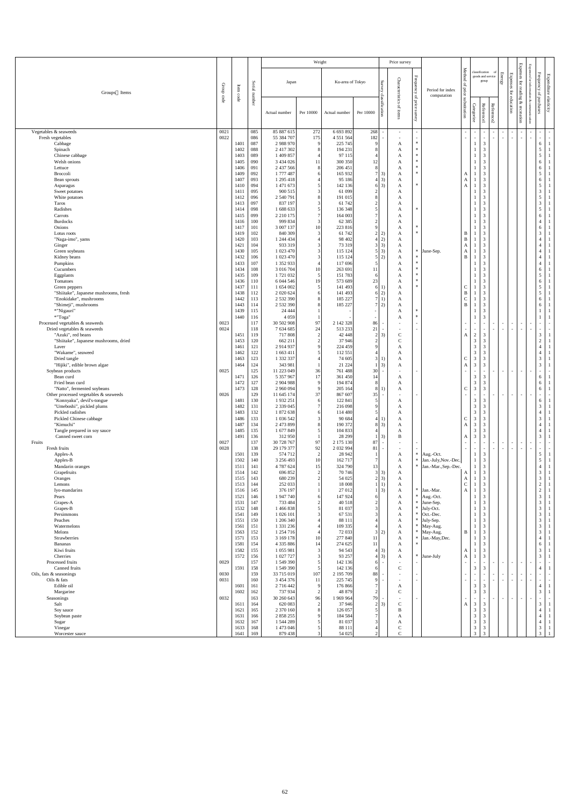|                                                             |               |                    |                   |                             | Weight                           |                          |                                  |                                    | Price survey                 |                          |                                 |                                                 |                                  |                                              |                           |                                                      |                                                         |                                                      |                           |
|-------------------------------------------------------------|---------------|--------------------|-------------------|-----------------------------|----------------------------------|--------------------------|----------------------------------|------------------------------------|------------------------------|--------------------------|---------------------------------|-------------------------------------------------|----------------------------------|----------------------------------------------|---------------------------|------------------------------------------------------|---------------------------------------------------------|------------------------------------------------------|---------------------------|
| Groups Items                                                | Group<br>code | $\rm Item$<br>code | Serial<br>Inumber | Japan                       |                                  | Ku-area of Tokyo         |                                  | Sur<br>Ç,<br>cla<br>ssific         | Characteristics<br>of items  | Frequency<br>of price    | Period for index<br>computation | Method<br>$\mathbf{p}$<br>price<br>substitution |                                  | classification<br>goods and service<br>group | $\Omega$<br><b>Energy</b> | <b>Expenses</b><br>$\operatorname{for}$<br>education | Expenses<br>$\operatorname{for}$<br>reading<br>$\infty$ | Expenses<br>Frequency<br>Γōι<br>inf<br>of purchases  | Expenditure<br>elasticity |
|                                                             |               |                    |                   | Actual number               | Per 10000                        | Actual number            | Per 10000                        | tion                               |                              | survey                   |                                 |                                                 | Categorize                       | Reference1                                   | Reference2                |                                                      | recreation                                              |                                                      |                           |
| Vegetables & seaweeds                                       | 0021          |                    | 085               | 85 887 615                  | 272                              | 6 693 892                | 268                              | $\sim$                             | $\sim$                       | $\overline{\phantom{a}}$ |                                 | $\sim$                                          |                                  | $\sim$                                       | $\sim$                    | $\sim$                                               | $\sim$                                                  | $\sim$<br>$\sim$                                     | $\sim$                    |
| Fresh vegetables<br>Cabbage                                 | 0022          | 1401               | 086<br>087        | 55 384 707<br>2 988 970     | 175<br>9                         | 4 5 5 1 5 6 4<br>225 745 | 182<br>9                         | $\overline{\phantom{a}}$           | $\sim$<br>A                  | $\ast$                   |                                 | $\sim$                                          |                                  | $\sim$<br>$\mathfrak{Z}$                     | $\sim$                    | $\sim$                                               | $\sim$                                                  | $\overline{\phantom{a}}$<br>$\sim$<br>6              | $\sim$                    |
| Spinach                                                     |               | 1402               | 088               | 2 417 302                   | 8                                | 194 231                  | 8                                |                                    | A                            | $\ast$<br>$*$            |                                 |                                                 |                                  | $\mathfrak{Z}$                               |                           |                                                      |                                                         | 5                                                    |                           |
| Chinese cabbage<br>Welsh onions                             |               | 1403<br>1405       | 089<br>090        | 1 409 857<br>3 434 026      | 11                               | 97 115<br>300 350        | 12                               |                                    | A<br>A                       | $\ast$                   |                                 |                                                 |                                  | $\mathfrak{Z}$<br>$\mathfrak{Z}$             |                           |                                                      |                                                         | 5<br>6                                               |                           |
| Lettuce<br>Broccoli                                         |               | 1406<br>1409       | 091<br>092        | 2 437 566<br>1777487        | 8<br>6                           | 206 451<br>165 932       | $8\phantom{.0}$                  |                                    | A                            | $\ast$<br>$\ast$         |                                 |                                                 |                                  | $\mathfrak{Z}$<br>$\mathfrak{Z}$             |                           |                                                      |                                                         | 6<br>5                                               |                           |
| Bean sprouts                                                |               | 1407               | 093               | 1 295 418                   |                                  | 95 186                   |                                  | $7 \vert 3)$<br>$4 \mid 3)$        | A<br>A                       |                          |                                 | A<br>A                                          |                                  | $\mathfrak{Z}$                               |                           |                                                      |                                                         | 6                                                    |                           |
| Asparagus<br>Sweet potatoes                                 |               | 1410<br>1411       | 094<br>095        | 1 471 673<br>900 515        | 5<br>3                           | 142 136<br>61 099        | $\vert$ 2                        | $6 \mid 3)$                        | A<br>A                       | $\ast$                   |                                 | A                                               |                                  | 3<br>$\mathfrak{Z}$                          |                           |                                                      |                                                         | 5 <sup>5</sup><br>$\mathfrak{Z}$                     |                           |
| White potatoes                                              |               | 1412               | 096               | 2 540 791                   | 8                                | 191 015                  | 8                                |                                    | A                            |                          |                                 |                                                 |                                  | $\mathfrak{Z}$                               |                           |                                                      |                                                         | $5\overline{)}$                                      |                           |
| Taros<br>Radishes                                           |               | 1413<br>1414       | 097<br>098        | 837 197<br>1 688 633        | 5                                | 61 742<br>136 348        | $\boldsymbol{2}$<br>5            |                                    | A<br>A                       | $\ast$                   |                                 |                                                 |                                  | $\mathfrak{Z}$<br>$\mathfrak{Z}$             |                           |                                                      |                                                         | $\overline{3}$<br>5 <sup>5</sup>                     |                           |
| Carrots                                                     |               | 1415               | 099               | 2 2 10 175                  |                                  | 164 003                  |                                  |                                    | A                            |                          |                                 |                                                 |                                  | $\mathfrak{Z}$                               |                           |                                                      |                                                         | 6                                                    |                           |
| <b>Burdocks</b><br>Onions                                   |               | 1416<br>1417       | 100<br>101        | 999 834<br>3 007 137        | $\mathbf{3}$<br>10               | 62 3 85<br>223 816       | $\overline{2}$<br>9              |                                    | A<br>A                       | $\ast$                   |                                 |                                                 |                                  | $\mathfrak{Z}$<br>$\mathfrak{Z}$             |                           |                                                      |                                                         | 4<br>6                                               |                           |
| Lotus roots                                                 |               | 1419<br>1420       | 102<br>103        | 840 309<br>1 244 434        | 3                                | 61 742<br>98 402         | $\overline{2}$                   | 2)                                 | A                            | $\ast$                   |                                 | $\mathbf B$<br>$\mathbf B$                      |                                  | $\mathfrak{Z}$<br>$\mathfrak{Z}$             |                           |                                                      |                                                         | 3                                                    |                           |
| "Naga-imo", yams<br>Ginger                                  |               | 1421               | 104               | 933 319                     | 3                                | 73 319                   |                                  | 2)<br>$3 \mid 3$                   | A<br>A                       |                          |                                 | A                                               |                                  | $\mathfrak{Z}$                               |                           |                                                      |                                                         |                                                      |                           |
| Green soybeans<br>Kidney beans                              |               | 1430<br>1432       | 105<br>106        | 1 023 470<br>1 023 470      | 3<br>$\mathcal{R}$               | 115 124<br>115 124       |                                  | $5 \mid 3)$<br>5 2)                | A<br>A                       | $*$                      | June-Sep.                       | A<br>$\mathbf{B}$                               |                                  | $\mathfrak{Z}$<br>$\mathfrak{Z}$             |                           |                                                      |                                                         | 4<br>$\overline{4}$                                  |                           |
| Pumpkins                                                    |               | 1433               | 107               | 1 352 933                   |                                  | 117 696                  | 5 <sup>1</sup>                   |                                    | A                            | ∗                        |                                 |                                                 |                                  | $\mathfrak{Z}$                               |                           |                                                      |                                                         | $\overline{4}$                                       |                           |
| Cucumbers<br>Eggplants                                      |               | 1434<br>1435       | 108<br>109        | 3 016 704<br>1721032        | 10<br>5 <sub>5</sub>             | 263 691<br>151783        | 11<br>6                          |                                    | $\mathbf{A}$<br>A            | $\ast$<br>$*$            |                                 |                                                 |                                  | $\mathfrak{Z}$<br>$\mathfrak{Z}$             |                           |                                                      |                                                         | 5 <sup>5</sup>                                       |                           |
| Tomatoes                                                    |               | 1436               | 110               | 6 044 546                   | 19                               | 573 689                  | 23                               |                                    | A                            | $*$                      |                                 |                                                 |                                  | $\mathfrak{Z}$                               |                           |                                                      |                                                         | 6                                                    |                           |
| Green peppers<br>"Shiitake", Japanese mushrooms, fresh      |               | 1437<br>1438       | 111<br>112        | 1 654 002<br>2 0 2 0 6 2 4  | .5                               | 141 493<br>141 493       | 6                                | 6 2)                               | A<br>A                       | $*$                      |                                 | $\mathbf C$<br>$\mathbf B$                      |                                  | $\mathfrak{Z}$<br>$\mathfrak{Z}$             |                           |                                                      |                                                         | 5 <sup>5</sup><br>5                                  |                           |
| "Enokidake", mushrooms                                      |               | 1442               | 113               | 2 532 390                   |                                  | 185 227                  | $7^{\circ}$                      | 1)                                 | A                            |                          |                                 | $\mathbf C$                                     |                                  | $\mathfrak{Z}$                               |                           |                                                      |                                                         | 6                                                    |                           |
| "Shimeji", mushrooms<br>*"Nigauri"                          |               | 1443<br>1439       | 114<br>115        | 2 532 390<br>24 4 4 4       |                                  | 185 227                  |                                  | 7 2)                               | A<br>A                       | $\ast$                   |                                 | $\mathbf{B}$                                    |                                  | $\mathfrak{Z}$<br>3                          |                           |                                                      |                                                         | 6                                                    |                           |
| *"Toga"<br>Processed vegetables & seaweeds                  | 0023          | 1440               | 116<br>117        | 4 0 5 9<br>30 502 908       | 97                               | 2 142 328                | 86                               | $\overline{\phantom{a}}$           | A                            | $\ast$<br>$\overline{a}$ |                                 | $\sim$                                          |                                  | $\mathfrak{Z}$<br>$\sim$                     |                           | $\sim$                                               | $\sim$                                                  | $\overline{\phantom{a}}$<br>$\sim$                   | $\sim$                    |
| Dried vegetables & seaweeds                                 | 0024          |                    | 118               | 7 634 685                   | 24                               | 513 233                  | 21                               | $\blacksquare$                     |                              | $\overline{\phantom{a}}$ |                                 | $\sim$                                          |                                  | $\sim$                                       | $\sim$<br>$\sim$          | $\sim$ $-$                                           | $\sim$                                                  | $\sim$<br>$\sim$                                     | $\sim$                    |
| "Azuki", red beans<br>"Shiitake", Japanese mushrooms, dried |               | 1451<br>1453       | 119<br>120        | 717 808<br>662 211          | $\overline{2}$<br>$\overline{2}$ | 42 448<br>37 946         | $\overline{2}$<br>$\overline{2}$ | 3)                                 | $\mathsf{C}$<br>$\mathsf{C}$ |                          |                                 | A                                               | $\overline{2}$<br>3              | $\mathfrak{Z}$<br>$\mathfrak{Z}$             |                           |                                                      |                                                         | 3 <sup>7</sup><br>$\overline{2}$                     |                           |
| Laver                                                       |               | 1461               | 121               | 2914937                     | 9                                | 224 459                  | $\mathbf{Q}$                     |                                    | A                            |                          |                                 |                                                 | 3                                | $\mathfrak{Z}$                               |                           |                                                      |                                                         | $\overline{4}$                                       |                           |
| "Wakame", seaweed<br>Dried tangle                           |               | 1462<br>1463       | 122<br>123        | 1 663 411<br>1 332 337      |                                  | 112 551<br>74 605        | $\overline{3}$                   |                                    | A<br>A                       |                          |                                 | $\mathsf{C}$                                    | 3<br>3                           | 3<br>$\mathfrak{Z}$                          |                           |                                                      |                                                         | 3                                                    |                           |
| "Hijiki", edible brown algae                                |               | 1464               | 124               | 343 981                     |                                  | 21 224                   |                                  | $1 \vert 3$                        | A                            |                          |                                 | A                                               | 3                                | $\mathfrak{Z}$                               |                           |                                                      |                                                         | 3                                                    |                           |
| Soybean products<br>Bean curd                               | 0025          | 1471               | 125<br>126        | 11 223 049<br>5 357 967     | 36<br>17                         | 761 488<br>361 450       | 30<br>14                         |                                    | A                            |                          |                                 | $\blacksquare$                                  | 3                                | $\sim$<br>$\mathfrak{Z}$                     | $\overline{\phantom{0}}$  | $\sim$ $-$                                           | $\sim$                                                  | $\overline{\phantom{a}}$<br>$\sim$<br>6              |                           |
| Fried bean curd<br>"Natto", fermented soybeans              |               | 1472<br>1473       | 127<br>128        | 2 904 988<br>2 960 094      | $\mathbf{Q}$<br>9                | 194 874<br>205 164       | 8<br>8                           |                                    | A<br>A                       |                          |                                 | $\mathbf C$                                     | $\overline{3}$<br>$\overline{3}$ | $\mathfrak{Z}$<br>3                          |                           |                                                      |                                                         | 6<br>6                                               |                           |
| Other processed vegetables & seaweeds                       | 0026          |                    | 129               | 11 645 174                  | 37                               | 867 607                  | 35                               | $\sim$                             |                              | $\sim$                   |                                 | $\sim$                                          |                                  | $\sim$                                       | $\sim$                    | $\sim$ $-$                                           | $\sim$                                                  | $\blacksquare$                                       |                           |
| "Konnyaku", devil's-tongue<br>"Umeboshi", pickled plums     |               | 1481<br>1482       | 130<br>131        | 1 9 3 2 2 5 1<br>2 339 045  | 6<br>$\tau$                      | 122 841<br>216 098       | 5<br>$\mathbf Q$                 |                                    | A<br>A                       |                          |                                 |                                                 | 3<br>3                           | 3<br>3                                       |                           |                                                      |                                                         | 6<br>3                                               |                           |
| Pickled radishes                                            |               | 1483               | 132               | 1 872 638                   |                                  | 114 480                  | 5 <sup>1</sup>                   |                                    | A                            |                          |                                 |                                                 | 3                                | $\mathfrak{Z}$                               |                           |                                                      |                                                         |                                                      |                           |
| Pickled Chinese cabbage<br>"Kimuchi"                        |               | 1486<br>1487       | 133<br>134        | 1 036 542<br>2 473 899      |                                  | 90 684<br>190 372        | 4 <sup>1</sup>                   | $8 \mid 3)$                        | A<br>A                       |                          |                                 | $\mathbf C$<br>A                                | 3<br>3                           | $\mathfrak{Z}$<br>$\mathfrak{Z}$             |                           |                                                      |                                                         | 3                                                    |                           |
| Tangle prepared in soy sauce<br>Canned sweet corn           |               | 1485<br>1491       | 135<br>136        | 1 677 849<br>312 950        |                                  | 104 833<br>28 29 9       |                                  | 3)                                 | A<br>B                       |                          |                                 | $\mathbf{A}$                                    | 3<br>3                           | $\mathfrak{Z}$<br>$\mathfrak{Z}$             |                           |                                                      |                                                         | 3                                                    |                           |
| Fruits                                                      | 0027          |                    | 137               | 30 728 767                  | 97                               | 2 175 130                | 87                               | $\overline{\phantom{a}}$           |                              |                          |                                 |                                                 |                                  |                                              |                           | $\sim$                                               | $\sim$                                                  | $\overline{\phantom{a}}$<br>$\sim$                   | $\sim$                    |
| Fresh fruits<br>Apples-A                                    | 0028          | 1501               | 138<br>139        | 29 179 377<br>574 712       | 92<br>$\overline{2}$             | 2 032 994<br>28 942      | 81                               | $\overline{\phantom{a}}$           | $\sim$<br>A                  | ∗                        | Aug.-Oct.                       | $\sim$                                          |                                  | $\sim$<br>$\mathfrak{Z}$                     |                           | $\sim$                                               | $\sim$                                                  | $\sim$<br>$\sim$<br>5 <sup>5</sup>                   | $\sim$                    |
| Apples-B                                                    |               | 1502               | 140               | 3 256 493                   | 10                               | 162 717                  |                                  |                                    | A                            | $*$                      | Jan.-July, Nov.-Dec.            |                                                 |                                  | $\mathfrak{Z}$                               |                           |                                                      |                                                         | 5 <sup>5</sup>                                       |                           |
| Mandarin oranges<br>Grapefruits                             |               | 1511<br>1514       | 141<br>142        | 4 787 624<br>696 852        | 15<br>2                          | 324 790<br>70 74 6       | 13                               | $3 \mid 3)$                        | A<br>A                       |                          | Jan.-Mar., Sep.-Dec.            | A                                               |                                  | $\mathfrak{Z}$<br>$\mathfrak{Z}$             |                           |                                                      |                                                         | 3                                                    |                           |
| Oranges<br>Lemons                                           |               | 1515<br>1513       | 143<br>144        | 680 239<br>252 033          | $\overline{2}$                   | 54 025<br>18 008         |                                  | $2 \mid 3)$<br>$1 \mid 1$          | A                            |                          |                                 | A<br>$\Gamma$                                   |                                  | 3<br>$\overline{2}$                          |                           |                                                      |                                                         | 3<br>$\gamma$                                        |                           |
| Iyo-mandarins                                               |               | 1516               | 145               | 376 197                     |                                  | 27 012                   |                                  | $1 \vert 3$                        | $\mathbf{A}$<br>$\mathbf{A}$ |                          | $*$ Jan.-Mar.                   | ◡<br>$\mathbf{A}$                               |                                  | $\mathcal{L}$<br>$\overline{3}$              |                           |                                                      |                                                         | ∠<br>2 <sup>1</sup>                                  | $\mathbf{1}$              |
| Pears<br>Grapes-A                                           |               | 1521<br>1531       | 146<br>147        | 1 947 740<br>733 484        | 6<br>$\mathcal{D}_{\mathcal{L}}$ | 147 924<br>40 518        | 6<br>$\overline{2}$              |                                    | A<br>A                       | $\ast$                   | $*$   Aug.-Oct.<br>June-Sep.    |                                                 |                                  | $\mathfrak{Z}$<br>$\mathfrak{Z}$             |                           |                                                      |                                                         | $\overline{3}$<br>$\mathfrak{Z}$                     | $\overline{1}$            |
| Grapes-B                                                    |               | 1532               | 148               | 1 466 838                   |                                  | 81 037                   | 3 <sup>l</sup>                   |                                    | A                            |                          | July-Oct.                       |                                                 |                                  | $\mathfrak{Z}$                               |                           |                                                      |                                                         | 3                                                    |                           |
| Persimmons<br>Peaches                                       |               | 1541<br>1551       | 149<br>150        | 1 026 101<br>1 206 340      |                                  | 67 531<br>88 111         | 3                                |                                    | A<br>A                       | $\ast$                   | Oct.-Dec.<br>July-Sep.          |                                                 |                                  | $\mathfrak{Z}$<br>$\mathfrak{Z}$             |                           |                                                      |                                                         | 3<br>3                                               |                           |
| Watermelons<br>Melons                                       |               | 1561<br>1563       | 151<br>152        | 1 331 236<br>1 254 716      |                                  | 109 335<br>72 033        | 3 <sup>l</sup>                   | 2)                                 | A<br>A                       | $\ast$                   | May-Aug.<br>May-Aug.            | B                                               |                                  | $\mathfrak{Z}$<br>$\mathfrak{Z}$             |                           |                                                      |                                                         | 3<br>3                                               |                           |
| Strawberries                                                |               | 1571               | 153               | 3 169 178                   | 10                               | 277 840                  | 11                               |                                    | A                            | $*$                      | Jan.-May, Dec.                  |                                                 |                                  | $\mathfrak{Z}$                               |                           |                                                      |                                                         | 4                                                    |                           |
| Bananas<br>Kiwi fruits                                      |               | 1581<br>1582       | 154<br>155        | 4 335 886<br>1 055 981      | 14                               | 274 625<br>94 5 43       | 11                               | $4 \mid 3)$                        | A<br>$\mathbf{A}$            |                          |                                 | $\mathbf{A}$                                    |                                  | $\mathfrak{Z}$<br>$\mathfrak{Z}$             |                           |                                                      |                                                         | 6<br>$\mathfrak{Z}$                                  |                           |
| Cherries                                                    |               | 1572               | 156               | 1 027 727                   |                                  | 93 257                   |                                  | $4 \mid 3)$                        | $\mathbf{A}$                 |                          | * June-July                     | $\mathbf{A}$                                    |                                  | $\mathfrak{Z}$                               |                           |                                                      |                                                         | 3 <sup>7</sup>                                       | $\mathbf{1}$              |
| Processed fruits<br>Canned fruits                           | 0029          | 1591               | 157<br>158        | 1 549 390<br>1 549 390      |                                  | 142 136<br>142 136       | 6<br>6                           | $\sim$                             | $\mathbf C$                  |                          |                                 | $\sim$                                          | 3                                | $\sim$<br>$\mathfrak{Z}$                     | $\overline{\phantom{0}}$  | $\sim$                                               | $\sim$                                                  | $\overline{\phantom{a}}$<br>$\sim$<br>$\overline{4}$ | $\sim$                    |
| Oils, fats & seasonings<br>Oils & fats                      | 0030<br>0031  |                    | 159<br>160        | 33 715 019<br>3 4 5 4 3 7 6 | 107<br>11                        | 2 195 709<br>225 745     | 88<br>9                          | $\sim$<br>$\overline{\phantom{a}}$ |                              | $\overline{a}$           |                                 | $\sim$<br>$\sim$                                |                                  | $\sim$                                       | $\sim$                    | $\sim$<br>$\sim$                                     | $\sim$<br>$\sim$                                        | $\blacksquare$<br>$\sim$<br>$\blacksquare$           | $\sim$<br>$\sim$          |
| Edible oil                                                  |               | 1601               | 161               | 2 716 442                   | 9                                | 176 866                  | 7                                |                                    | A                            |                          |                                 |                                                 | 3                                | 3                                            |                           |                                                      |                                                         | $\overline{4}$                                       |                           |
| Margarine<br>Seasonings                                     | 0032          | 1602               | 162<br>163        | 737 934<br>30 260 643       | $\overline{2}$<br>96             | 48 879<br>1 969 964      | $\overline{2}$<br>79             | $\sim$                             | $\mathcal{C}$<br>$\sim$      |                          |                                 | $\sim$                                          | 3                                | $\mathfrak{Z}$<br>$\sim$                     | $\sim$<br>$\sim$          | $\sim$ $-$                                           | $\sim$                                                  | $\mathfrak{Z}$<br>$\blacksquare$<br>$\sim$           | $\sim$                    |
| Salt                                                        |               | 1611               | 164               | 620 083                     | $\overline{2}$                   | 37 946                   |                                  | $2 \mid 3)$                        | C                            |                          |                                 | A                                               | 3                                | 3                                            |                           |                                                      |                                                         | $\mathfrak{Z}$                                       |                           |
| Soy sauce<br>Soybean paste                                  |               | 1621<br>1631       | 165<br>166        | 2 370 160<br>2 858 255      |                                  | 126 057<br>184 584       | 5                                |                                    | B<br>A                       |                          |                                 |                                                 | 3<br>3                           | $\mathfrak{Z}$<br>3                          |                           |                                                      |                                                         |                                                      |                           |
| Sugar                                                       |               | 1632<br>1633       | 167<br>168        | 1 544 289<br>1 473 046      |                                  | 81 037                   | 3                                |                                    | A<br>$\mathcal{C}$           |                          |                                 |                                                 | 3<br>3                           | $\mathfrak{Z}$<br>$\mathfrak{Z}$             |                           |                                                      |                                                         | $\overline{4}$                                       |                           |
| Vinegar<br>Worcester sauce                                  |               | 1641               | 169               | 879 438                     | 3 <sup>l</sup>                   | 88 111<br>54 025         | $\overline{2}$                   |                                    | $\mathsf{C}$                 |                          |                                 |                                                 | 3                                | 3                                            |                           |                                                      |                                                         | 3 <sup>7</sup><br>3 <sup>1</sup>                     |                           |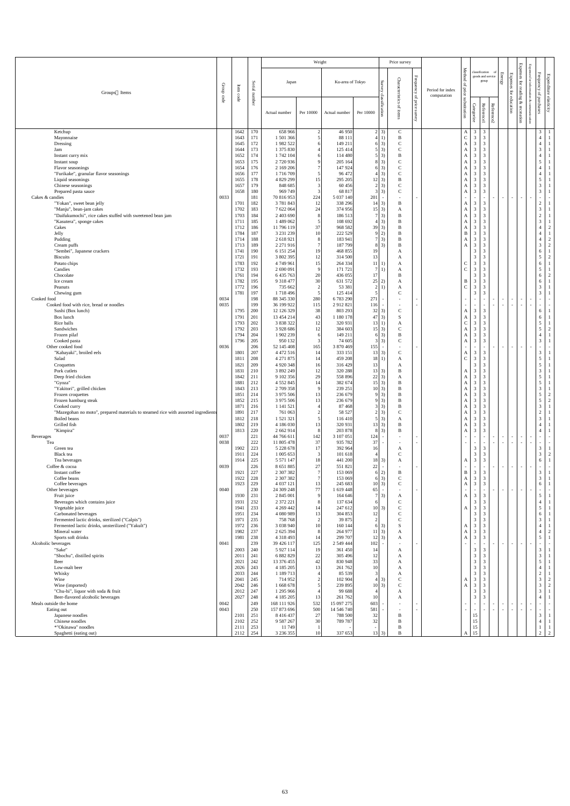|                                                                                                   |                       |              |            |                            | Weight              |                          |                                 |                                  | Price survey                  |                                              |                                 |                             |                                                                      |                |                           |                                                    |                          |                                                                  |
|---------------------------------------------------------------------------------------------------|-----------------------|--------------|------------|----------------------------|---------------------|--------------------------|---------------------------------|----------------------------------|-------------------------------|----------------------------------------------|---------------------------------|-----------------------------|----------------------------------------------------------------------|----------------|---------------------------|----------------------------------------------------|--------------------------|------------------------------------------------------------------|
| Groups Items                                                                                      | Group                 | Item         | Serial     | Japan                      |                     | Ku-area of Tokyo         |                                 | Survey                           | Characteristics               | ${\bf Frequency}$<br>$\mathsf{G}_\mathsf{L}$ | Period for index<br>computation | Method<br>l of price        | classification<br>goods and service<br>group                         |                | <b>Energy</b><br>Expenses | <b>Expenses</b><br>$\operatorname{for}$<br>reading | for                      | ${\bf Frequency}$<br>Expenditure<br>$\mathsf{G}$                 |
|                                                                                                   | $\operatorname{code}$ | code         | number     | Actual number              | Per 10000           | Actual number            | Per 10000                       | classification                   | $\mathbf{q}$<br><i>items</i>  | price<br>survey                              |                                 | substitution                | Categorize<br>Reference1                                             | Reference2     |                           | for education<br>&<br>recreation                   | ⊗                        | elasticity<br>purchases                                          |
| Ketchup<br>Mayonnaise                                                                             |                       | 1642<br>1643 | 170<br>171 | 658 966<br>1 501 366       | $\overline{2}$<br>5 | 46950<br>88 111          |                                 | $2 \mid 3)$<br>4 <sub>1</sub>    | $\mathsf{C}$<br>$\bf{B}$      |                                              |                                 | $\mathbf{A}$ +<br>${\bf C}$ | $\overline{3}$<br>3<br>$\mathfrak{Z}$<br>$\overline{3}$              |                |                           |                                                    |                          | 3 <sup>7</sup><br>$\overline{4}$                                 |
| Dressing                                                                                          |                       | 1645         | 172        | 1 982 522                  |                     | 149 211                  |                                 | $6\vert 3)$                      | $\mathbf C$                   |                                              |                                 | A                           | $\mathfrak{Z}$<br>3                                                  |                |                           |                                                    |                          | $\overline{4}$                                                   |
| Jam<br>Instant curry mix                                                                          |                       | 1644<br>1652 | 173<br>174 | 1 375 830<br>1 742 104     |                     | 125 414<br>114 480       |                                 | $5\vert 3)$<br>$5 \mid 3)$       | $\overline{C}$<br>B           |                                              |                                 | A<br>A                      | 3<br>$\mathfrak{Z}$<br>3<br>3                                        |                |                           |                                                    |                          | $\mathfrak{Z}$<br>$\overline{4}$                                 |
| Instant soup                                                                                      |                       | 1653         | 175        | 2 720 936                  |                     | 205 164                  |                                 | $8 \mid 3)$                      | $\mathsf{C}$                  |                                              |                                 | A                           | $\mathfrak{Z}$<br>3                                                  |                |                           |                                                    |                          | $5\overline{)}$                                                  |
| Flavor seasonings<br>"Furikake", granular flavor seasonings                                       |                       | 1654<br>1656 | 176<br>177 | 2 169 206<br>1716709       |                     | 147 924<br>96 472        |                                 | $6 \quad 3)$<br>$4 \overline{3}$ | $\mathbf C$<br>$\mathsf{C}$   |                                              |                                 | A<br>A                      | $\mathfrak{Z}$<br>$\mathfrak{Z}$<br>3<br>$\overline{3}$              |                |                           |                                                    |                          | $\overline{4}$<br>$\overline{4}$                                 |
| Liquid seasonings                                                                                 |                       | 1655         | 178        | 4 829 299                  | 15                  | 295 205                  |                                 | $12 \mid 3)$                     | B                             |                                              |                                 | A                           | 3<br>3                                                               |                |                           |                                                    |                          | $\mathfrak{S}$                                                   |
| Chinese seasonings<br>Prepared pasta sauce                                                        |                       | 1657<br>1658 | 179<br>180 | 848 685<br>969 749         | $\mathcal{E}$       | 60 45 6<br>68 817        |                                 | $2 \quad 3)$<br>$3 \mid 3)$      | $\mathcal{C}$<br>$\mathsf{C}$ |                                              |                                 | A<br>A                      | 3<br>3<br>$\mathfrak{Z}$<br>3                                        |                |                           |                                                    |                          | $\mathfrak{Z}$<br>$\overline{3}$                                 |
| Cakes & candies                                                                                   | 0033                  |              | 181        | 70 816 953                 | 224                 | 5 037 140                | 201                             | $\sim$                           |                               | $\sim$                                       |                                 |                             | $\sim$<br>$\sim$                                                     | $\overline{a}$ | $\sim$                    | $\sim$<br>$\sim$                                   |                          | $\sim$                                                           |
| "Yokan", sweet bean jelly<br>"Manju", bean-jam cakes                                              |                       | 1701<br>1702 | 182<br>183 | 3781843<br>7 622 064       | 12<br>24            | 338 296<br>374 956       | $14 \mid 3)$<br>$15 \quad 3)$   |                                  | $\mathbf B$<br>A              |                                              |                                 | A<br>A                      | $\mathfrak{Z}$<br>3<br>$\mathfrak{Z}$<br>$\overline{3}$              |                |                           |                                                    |                          | $\sqrt{2}$<br>$\overline{3}$                                     |
| "Daifukumochi", rice cakes stuffed with sweetened bean jam                                        |                       | 1703         | 184        | 2 403 690                  | 8                   | 186 513                  |                                 | 7 <sup>3</sup>                   | $\mathbf B$                   |                                              |                                 | A                           | $\mathfrak{Z}$<br>3                                                  |                |                           |                                                    |                          | $\sqrt{2}$                                                       |
| "Kasutera", sponge cakes<br>Cakes                                                                 |                       | 1711<br>1712 | 185<br>186 | 1 489 062<br>11 796 119    | 37                  | 108 692<br>968 582       | $39 \mid 3)$                    | $4 \overline{3}$                 | B<br>B                        |                                              |                                 | A<br>А                      | $\mathfrak{Z}$<br>3<br>$\mathfrak{Z}$<br>3                           |                |                           |                                                    |                          | $\mathfrak{Z}$<br>$\overline{4}$<br>2                            |
| Jelly                                                                                             |                       | 1784         | 187        | 3 2 3 1 2 3 9              | 10                  | 222 529                  |                                 | 9 2)                             | B                             |                                              |                                 | B                           | $\mathfrak{Z}$<br>3                                                  |                |                           |                                                    |                          | $\overline{4}$                                                   |
| Pudding<br>Cream puffs                                                                            |                       | 1714<br>1713 | 188<br>189 | 2 618 921<br>2 271 916     |                     | 183 941<br>187 799       |                                 | $7 \vert 3)$<br>$8 \quad 3)$     | B<br>B                        |                                              |                                 | A<br>A                      | 3<br>3<br>$\mathfrak{Z}$<br>$\mathfrak{Z}$                           |                |                           |                                                    |                          | $\overline{4}$<br>$\gamma$<br>$\mathfrak{Z}$<br>$\boldsymbol{2}$ |
| "Sembei", Japanese crackers                                                                       |                       | 1741         | 190        | 6 151 254                  | 19                  | 468 855                  | 19 <sup> </sup>                 |                                  | A                             |                                              |                                 |                             | $\mathfrak{Z}$<br>3                                                  |                |                           |                                                    |                          | 6                                                                |
| <b>Biscuits</b><br>Potato chips                                                                   |                       | 1721<br>1783 | 191<br>192 | 3 802 395<br>4 749 961     | 12<br>15            | 314 500<br>264 334       | 13<br>$11 \,   1)$              |                                  | A                             |                                              |                                 | $\mathbf C$                 | $\mathfrak{Z}$<br>3<br>$\mathfrak{Z}$<br>3                           |                |                           |                                                    |                          | $\mathfrak{S}$<br>$\overline{2}$<br>6                            |
| Candies                                                                                           |                       | 1732         | 193        | 2 690 091                  | 9                   | 171 721                  |                                 | 7 1)                             | A<br>$\mathbf{r}$             |                                              |                                 | $\cap$                      | $\mathfrak 3$<br>$\overline{a}$                                      |                |                           |                                                    |                          | 5                                                                |
| Chocolate                                                                                         |                       | 1761         | 194        | 6 435 763                  | 20                  | 436 055                  | 17                              |                                  | B                             |                                              |                                 |                             | $\mathfrak{Z}$<br>$\mathbf{3}$                                       |                |                           |                                                    |                          | 6<br>$\overline{2}$                                              |
| Ice cream<br>Peanuts                                                                              |                       | 1782<br>1772 | 195<br>196 | 9 3 18 4 77<br>735 662     | 30                  | 631 572<br>53 381        | 25 2)                           | 2 1                              | A<br>A                        |                                              |                                 | B<br>$\mathcal{C}$          | $\mathfrak{Z}$<br>$\overline{3}$<br>$\mathfrak{Z}$<br>$\overline{3}$ |                |                           |                                                    |                          | 6<br>$\mathfrak{Z}$                                              |
| Chewing gum                                                                                       |                       | 1781         | 197        | 1718496                    |                     | 125 414                  |                                 |                                  | $\overline{C}$                |                                              |                                 |                             | $\mathfrak{Z}$<br>$\mathfrak{Z}$                                     |                |                           |                                                    |                          | $\overline{3}$                                                   |
| Cooked food<br>Cooked food with rice, bread or noodles                                            | 0034<br>0035          |              | 198<br>199 | 88 345 330<br>36 199 922   | 280<br>115          | 6783290<br>2912821       | 271<br>116                      |                                  |                               |                                              |                                 |                             | $\blacksquare$<br>$\overline{\phantom{a}}$                           |                | $\sim$                    | $\sim$<br>$\sim$<br>$\sim$<br>$\sim$               | $\overline{\phantom{a}}$ | $\sim$<br>$\sim$                                                 |
| Sushi (Box lunch)                                                                                 |                       | 1795         | 200        | 12 126 329                 | 38                  | 803 293                  | $32 \mid 3)$                    |                                  | $\mathcal{C}$                 |                                              |                                 | A                           | $\mathfrak{Z}$<br>3                                                  |                |                           |                                                    |                          | 6                                                                |
| Box lunch<br>Rice balls                                                                           |                       | 1791<br>1793 | 201<br>202 | 13 454 214<br>3 838 322    | 43<br>12            | 1 180 178<br>320 931     | $47 \quad 3)$<br>$13 \mid 1)$   |                                  | S<br>A                        |                                              |                                 | A<br>$\mathsf{C}$           | $\mathfrak{Z}$<br>3<br>$\overline{3}$<br>$\mathfrak{Z}$              |                |                           |                                                    |                          | 6<br>$5\overline{)}$                                             |
| Sandwiches                                                                                        |                       | 1792         | 203        | 3 928 686                  | 12                  | 384 603                  | 15 3)                           |                                  | $\mathcal{C}$                 |                                              |                                 | A                           | 3<br>3                                                               |                |                           |                                                    |                          | $5\overline{)}$                                                  |
| Frozen pilaf<br>Cooked pasta                                                                      |                       | 1794<br>1796 | 204<br>205 | 1 902 239<br>950 132       | 3                   | 149 211<br>74 605        |                                 | $6\,3)$<br>$3 \mid 3$            | B<br>$\mathsf{C}$             |                                              |                                 | A<br>A                      | 3<br>3<br>$\mathfrak{Z}$<br>$\mathfrak{Z}$                           |                |                           |                                                    |                          | $\overline{4}$<br>$\mathfrak{Z}$                                 |
| Other cooked food                                                                                 | 0036                  |              | 206        | 52 145 408                 | 165                 | 3 870 469                | $155$ -                         |                                  |                               | $\sim$                                       |                                 |                             | $\sim$<br>$\sim$                                                     |                | $\sim$                    | $\sim$<br>$\sim$                                   |                          | $\sim$                                                           |
| "Kabayaki", broiled eels<br>Salad                                                                 |                       | 1801<br>1811 | 207<br>208 | 4 472 516<br>4 271 875     | 14<br>14            | 333 151<br>459 208       | $13 \mid 3)$<br>$18 \quad 1)$   |                                  | $\mathbf C$<br>A              |                                              |                                 | А<br>$\mathcal{C}$          | $\mathfrak{Z}$<br>$\mathfrak{Z}$<br>$\mathfrak{Z}$<br>$\overline{3}$ |                |                           |                                                    |                          | $\mathfrak{Z}$<br>5 <sup>5</sup>                                 |
| Croquettes                                                                                        |                       | 1821         | 209        | 4 9 20 3 48                | 16                  | 316 429                  | 13                              |                                  | A                             |                                              |                                 |                             | $\mathfrak{Z}$<br>3                                                  |                |                           |                                                    |                          | $5\overline{)}$                                                  |
| Pork cutlets<br>Deep fried chicken                                                                |                       | 1831<br>1842 | 210<br>211 | 3 892 249<br>9 102 356     | 12<br>29            | 320 288<br>558 896       | $13 \mid 3)$<br>22 3)           |                                  | B<br>A                        |                                              |                                 | A<br>A                      | $\mathfrak{Z}$<br>$\overline{3}$<br>$\mathfrak{Z}$<br>3              |                |                           |                                                    |                          | $\mathfrak{Z}$<br>$5\overline{)}$                                |
| "Gyoza"                                                                                           |                       | 1881         | 212        | 4 5 5 2 8 4 5              | 14                  | 382 674                  | $15 \quad 3)$                   |                                  | B                             |                                              |                                 | A                           | $\mathfrak{Z}$<br>3                                                  |                |                           |                                                    |                          | $5\overline{)}$                                                  |
| "Yakitori", grilled chicken<br>Frozen croquettes                                                  |                       | 1843<br>1851 | 213<br>214 | 2 709 358<br>3 975 506     | $\mathbf Q$<br>13   | 239 251<br>236 679       | 10 3)                           | 9 <sup>3</sup>                   | B<br>B                        |                                              |                                 | A<br>A                      | $\mathfrak{Z}$<br>3<br>$\mathfrak{Z}$<br>3                           |                |                           |                                                    |                          | $\mathfrak{Z}$<br>$5\overline{)}$<br>2                           |
| Frozen hamburg steak                                                                              |                       | 1852         | 215        | 3 975 506                  | 13                  | 236 679                  |                                 | $9 \mid 3)$                      | B                             |                                              |                                 | A                           | $\mathfrak{Z}$<br>3                                                  |                |                           |                                                    |                          | $5\overline{)}$                                                  |
| Cooked curry<br>"Mazegohan no moto", prepared materials to steamed rice with assorted ingredients |                       | 1871<br>1891 | 216<br>217 | 1 141 521<br>761 063       |                     | 87 4 68<br>58 527        |                                 | $3 \mid 3)$<br>$2 \mid 3)$       | B<br>$\mathcal{C}$            |                                              |                                 | A<br>A                      | 3<br>3<br>$\mathfrak{Z}$<br>3                                        |                |                           |                                                    |                          | $\mathfrak{Z}$<br>$\overline{2}$                                 |
| Boiled beans                                                                                      |                       | 1812         | 218        | 1 521 321                  |                     | 116 410                  |                                 | $5 \mid 3)$                      | A                             |                                              |                                 | A                           | $\mathfrak{Z}$<br>$\mathfrak{Z}$                                     |                |                           |                                                    |                          | $\mathfrak{Z}$                                                   |
| Grilled fish<br>"Kimpira"                                                                         |                       | 1802<br>1813 | 219<br>220 | 4 186 030<br>2 662 914     | 13<br>8             | 320 931<br>203 878       | $13 \mid 3)$                    | $8 \mid 3)$                      | B<br>B                        |                                              |                                 | A<br>A                      | $\mathfrak{Z}$<br>$\mathfrak{Z}$<br>$\mathfrak{Z}$<br>$\mathfrak{Z}$ |                |                           |                                                    |                          | $\overline{4}$<br>$\overline{4}$                                 |
| Beverages                                                                                         | 0037                  |              | 221        | 44 766 611                 | 142                 | 3 107 051                | 124                             | $\sim$                           |                               | $\blacksquare$                               |                                 |                             | $\sim$                                                               |                |                           | $\sim$<br>$\overline{a}$                           |                          | $\sim$                                                           |
| Tea<br>Green tea                                                                                  | 0038                  | 1902         | 222<br>223 | 11 805 478<br>5 228 678    | 37<br>17            | 935 782<br>392 964       | 37<br>16                        |                                  | A                             |                                              |                                 |                             | $\sim$<br>$\mathfrak{Z}$<br>3                                        |                |                           | $\sim$ .<br>$\sim$                                 |                          | $\sim$<br>$\mathfrak{Z}$                                         |
| Black tea                                                                                         |                       | 1911         | 224        | 1 005 653                  | 3                   | 101 618                  |                                 |                                  | $\mathsf{C}$                  |                                              |                                 |                             | $\mathfrak{Z}$<br>3                                                  |                |                           |                                                    |                          | $\mathfrak{Z}$<br>$\overline{2}$                                 |
| Tea beverages<br>Coffee & cocoa                                                                   | 0039                  | 1914         | 225<br>226 | 5 5 7 1 1 4 7<br>8 651 885 | 18<br>27            | 441 200<br>551821        | $18 \quad 3)$<br>22             | $\sim$                           | A                             | $\sim$                                       |                                 | А                           | $\mathfrak{Z}$<br>$\mathfrak{Z}$<br>$\sim$<br>$\sim$                 |                | $\sim$ 10 $\pm$           | $\sim$<br>$\sim$                                   |                          | 6<br>$\sim$                                                      |
| Instant coffee                                                                                    |                       | 1921         | 227        | 2 307 382                  |                     | 153 069                  |                                 | 62)                              | B                             |                                              |                                 | B                           | $\mathfrak{Z}$<br>3                                                  |                |                           |                                                    |                          | $\mathfrak{Z}$                                                   |
| Coffee beans<br>Coffee beverages                                                                  |                       | 1922<br>1923 | 228<br>229 | 2 307 382<br>4 0 37 1 21   | 13                  | 153 069<br>245 683       | 10 3)                           | 6 3)                             |                               |                                              |                                 | A<br>$\lambda$<br>TХ        | 3<br>$\mathfrak{Z}$<br>$\mathbf{R}$<br>$\mathcal{R}$                 |                |                           |                                                    |                          | $\mathfrak{Z}$<br>6                                              |
| Other beverages                                                                                   | 0040                  |              | 230        | 24 309 248                 | 77                  | 1 619 448                | 65                              |                                  |                               | $\overline{\phantom{a}}$                     |                                 | $\overline{\phantom{a}}$    | $\sim$<br>$\sim$                                                     | $\sim$         | $\sim$                    | $\sim$<br>$\sim$                                   |                          | $\sim$<br>$\sim$                                                 |
| Fruit juice<br>Beverages which contains juice                                                     |                       | 1930<br>1931 | 231<br>232 | 2 845 001<br>2 372 221     |                     | 164 646<br>137 634       | 61                              | $7 \mid 3)$                      | A<br>$\mathsf{C}$             |                                              |                                 | A                           | $\mathfrak{Z}$<br>3<br>$\mathfrak{Z}$<br>$\mathfrak{Z}$              |                |                           |                                                    |                          | $\mathfrak{S}$<br>$\overline{4}$                                 |
| Vegetable juice                                                                                   |                       | 1941         | 233        | 4 269 442                  | 14                  | 247 612                  | 10 3)                           |                                  | $\mathsf{C}$                  |                                              |                                 | A                           | $\mathfrak{Z}$<br>$\overline{3}$                                     |                |                           |                                                    |                          | 5 <sup>5</sup>                                                   |
| Carbonated beverages<br>Fermented lactic drinks, sterilized ("Calpis")                            |                       | 1951<br>1971 | 234<br>235 | 4 080 989<br>758 768       | 13                  | 304 853<br>39 875        | 12                              |                                  | $\mathsf{C}$                  |                                              |                                 |                             | $\mathfrak{Z}$<br>3<br>$\mathfrak{Z}$<br>3                           |                |                           |                                                    |                          | 6<br>$\mathfrak{Z}$                                              |
| Fermented lactic drinks, unsterilized ("Yakult")                                                  |                       | 1972         | 236        | 3 038 940                  | 10                  | 160 144                  |                                 | $6\,3)$                          | S                             |                                              |                                 | A                           | $\mathfrak{Z}$<br>3                                                  |                |                           |                                                    |                          | $\overline{4}$                                                   |
| Mineral water<br>Sports soft drinks                                                               |                       | 1982<br>1981 | 237<br>238 | 2 625 394<br>4 3 1 8 4 9 3 | 14                  | 264 977<br>299 707       | $11 \,   \, 3)$<br>$12 \mid 3)$ |                                  | A<br>A                        |                                              |                                 | A<br>$\mathbf{A}$           | $\mathfrak{Z}$<br>3<br>$\mathfrak{Z}$<br>3                           |                |                           |                                                    |                          | $\overline{4}$<br>2<br>$5\overline{)}$                           |
| Alcoholic beverages                                                                               | 0041                  |              | 239        | 39 426 117                 | 125                 | 2 549 444                | 102                             |                                  |                               |                                              |                                 |                             |                                                                      |                | $\sim$                    | $\sim$ $-$<br>$\sim$                               |                          | $\sim$                                                           |
| "Sake"<br>"Shochu", distilled spirits                                                             |                       | 2003<br>2011 | 240<br>241 | 5 9 27 114<br>6 882 829    | 19<br>22            | 361 450<br>305 496       | 14<br>12                        |                                  | A<br>A                        |                                              |                                 |                             | $\mathfrak{Z}$<br>3<br>$\mathfrak{Z}$<br>3                           |                |                           |                                                    |                          | $\mathfrak{Z}$<br>$\mathfrak{Z}$                                 |
| Beer                                                                                              |                       | 2021         | 242        | 13 376 455                 | 42                  | 830 948                  | 33                              |                                  | A                             |                                              |                                 |                             | $\mathfrak{Z}$<br>3                                                  |                |                           |                                                    |                          | $5\overline{)}$                                                  |
| Low-malt beer<br>Whisky                                                                           |                       | 2026<br>2033 | 243<br>244 | 4 185 205<br>1 189 7 13    | 13                  | 261 762<br>85 539        | 10                              |                                  | A<br>A                        |                                              |                                 |                             | $\mathfrak{Z}$<br>3<br>$\mathfrak{Z}$<br>3                           |                |                           |                                                    |                          | $\overline{4}$<br>$\overline{2}$                                 |
| Wine                                                                                              |                       | 2041         | 245        | 714 952                    |                     | 102 904                  |                                 | $4\overline{3}$                  | $\mathsf{C}$                  |                                              |                                 | A                           | $\mathfrak{Z}$<br>$\overline{3}$                                     |                |                           |                                                    |                          | $\mathfrak{Z}$<br>2                                              |
| Wine (imported)<br>"Chu-hi", liquor with soda & fruit                                             |                       | 2042<br>2012 | 246<br>247 | 1 668 678<br>1 295 966     |                     | 239 895<br>99 688        | 10 3)                           |                                  | $\mathcal{C}$<br>A            |                                              |                                 | $\overline{A}$              | $\mathfrak{Z}$<br>3<br>$\mathfrak{Z}$<br>3                           |                |                           |                                                    |                          | $\mathfrak{Z}$<br>2<br>$\mathfrak{Z}$                            |
| Beer-flavored alcoholic beverages                                                                 |                       | 2027         | 248        | 4 185 205                  | 13                  | 261 762                  | 10                              |                                  | A                             |                                              |                                 |                             | $\mathfrak{Z}$<br>3                                                  |                |                           |                                                    |                          | $\overline{4}$                                                   |
| Meals outside the home<br>Eating out                                                              | 0042<br>0043          |              | 249<br>250 | 168 111 926<br>157 873 696 | 532<br>500          | 15 097 275<br>14 546 740 | 603<br>581                      |                                  |                               |                                              |                                 |                             | $\sim$<br>$\overline{\phantom{a}}$                                   |                |                           | $\sim$<br>$\overline{a}$<br>$\sim$                 |                          | $\omega$<br>$\sim$                                               |
| Japanese noodles                                                                                  |                       | 2101         | 251        | 8 4 1 6 4 3 7              | 27                  | 788 500                  | 32                              |                                  | B                             |                                              |                                 |                             | 15                                                                   |                |                           |                                                    |                          | $\mathfrak{Z}$                                                   |
| Chinese noodles<br>*"Okinawa" noodles                                                             |                       | 2102<br>2111 | 252<br>253 | 9 5 8 7 2 6 7<br>11 749    | 30                  | 789 787                  | 32                              |                                  | B<br>B                        |                                              |                                 |                             | 15<br>15                                                             |                |                           |                                                    |                          | $\overline{4}$                                                   |
| Spaghetti (eating out)                                                                            |                       | 2112         | 254        | 3 236 355                  | 10                  | 337 653                  | $13 \mid 3)$                    |                                  | B                             |                                              |                                 | A                           | 15                                                                   |                |                           |                                                    |                          | $\overline{2}$                                                   |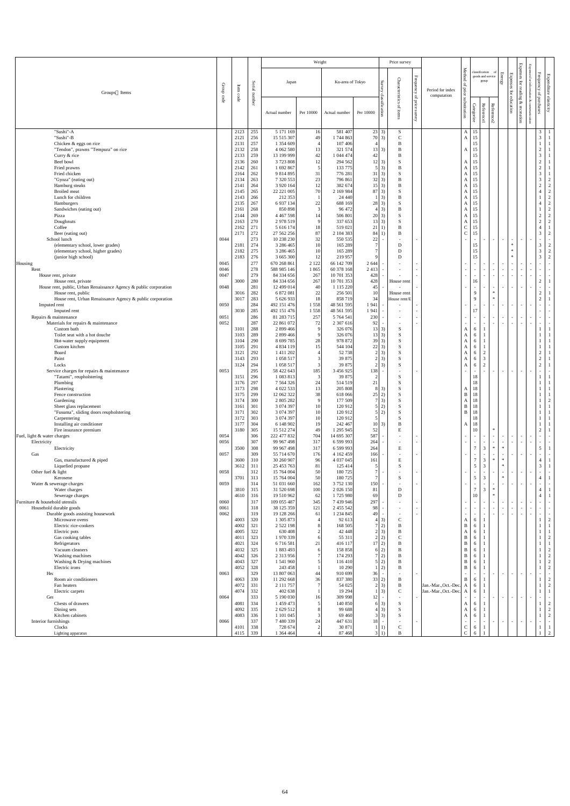| <b>Expenses</b><br>Method<br>classification<br>Frequency<br>Energy<br>Expenses<br>Expenditure<br>goods and service<br>Frequency<br>Characteristics<br>for<br>Surv<br>for reading<br>group<br>Ku-area of Tokyo<br>Japan<br>Serial number<br>$\mathbf{p}$<br>infon<br>Group<br>Item<br>price<br>Period for index<br>for education<br>of purchases<br>Groups Items<br>code<br>computation<br>of price<br>code<br>elasticity<br>substitution<br>Š.<br>&<br>commur<br>Reference2<br>Reference1<br>Categorize<br>of items<br>recreation<br>survey<br>Per 10000<br>Per 10000<br>Actual number<br>Actual number<br>ig.<br>"Sushi"-A<br>2123<br>255<br>5 171 169<br>16<br>581 407<br>23 3)<br>S<br>$A \mid 15$<br>$\mathfrak{Z}$<br>"Sushi"-B<br>70 3)<br>$\overline{3}$<br>256<br>$\mathcal{C}$<br>15<br>15 515 307<br>49<br>1744 863<br>2121<br>$\mathbf{A}$<br>$\mathbf{1}$<br>257<br>15<br>1 354 609<br>107 406<br>Chicken & eggs on rice<br>2131<br>B<br>$\overline{4}$<br>258<br>3)<br>15<br>2132<br>4 0 6 2 5 8 0<br>321 574<br>13<br>B<br>$\overline{2}$<br>"Tendon", prawns "Tempura" on rice<br>13<br>A<br>259<br>13 199 999<br>42<br>42<br>$\overline{3}$<br>2133<br>1 044 474<br>15<br>Curry & rice<br>B<br>Beef bowl<br>$\bigcap$<br>260<br>3723808<br>12<br>294 562<br> 2 <br>3)<br>S<br>15<br>2136<br>A<br>1 692 867<br>$\mathfrak{S}$<br>Fried prawns<br>261<br>133 775<br>$5\quad 3)$<br>$\overline{2}$<br>2142<br>B<br>A<br>15<br>Fried chicken<br>3)<br>$\overline{3}$<br>262<br>9 814 895<br>31<br>776 281<br>2164<br>31<br>S<br>$\mathbf{A}$<br>15<br>"Gyoza" (eating out)<br>$23\,$<br>$32 \mid 3)$<br>263<br>7 320 553<br>796 861<br>3<br>$\overline{2}$<br>2134<br>B<br>A<br>15<br>Hamburg steaks<br>264<br>12<br>15 3)<br>3 9 20 164<br>382 674<br><sub>B</sub><br>$\overline{2}$<br>$\overline{2}$<br>2141<br>15<br>A<br>265<br>70<br>$87 \,   \, 3)$<br><b>Broiled</b> meat<br>22 221 005<br>2 169 984<br>S<br>$\overline{2}$<br>2145<br>15<br>A<br>Lunch for children<br>$1 \vert 3)$<br>$\overline{2}$<br>266<br>212 353<br>B<br>15<br>2143<br>24 440<br>A<br>267<br>15<br>$\overline{2}$<br>6 9 37 1 34<br>$22\,$<br>28 3)<br>S<br>Hamburgers<br>2135<br>688 169<br>$\mathbf{A}$<br>$\overline{3}$<br>$4\overline{3}$<br>268<br>96 472<br>15<br>$\overline{2}$<br>850 898<br>Sandwiches (eating out)<br>2161<br>B<br>$\mathbf{A}$<br>269<br>3)<br>15<br>$\overline{2}$<br>$\overline{2}$<br>2144<br>4 4 6 7 5 9 8<br>14<br>506 801<br>S<br>Pizza<br>20<br>$\mathbf{A}$<br>270<br>2 978 519<br>3)<br>15<br>$\overline{2}$<br>$\overline{2}$<br>2163<br>9<br>337 653<br>S<br>Doughnuts<br>13 <sup>1</sup><br>A<br>$\mathsf C$<br>Coffee<br>271<br>15<br>2162<br>5 616 174<br>18<br>519 021<br>21<br>B<br>$\mathbf C$<br>272<br>87<br>3<br>$\overline{2}$<br>27 562 256<br>2 104 383<br>84<br>B<br>15<br>2171<br>Beer (eating out)<br>273<br>School lunch<br>0044<br>10 238 230<br>32<br>550 535<br>22<br>$\sim$<br>$\sim$<br>$\sim$<br>$\sim$<br>$\sim$<br>$\sim$<br>$\overline{\phantom{a}}$<br>$\sim$<br>274<br>$\overline{3}$<br>$\overline{2}$<br>(elementary school, lower grades)<br>3 286 465<br>10<br>165 289<br>$\ast$<br>2181<br>D<br>15<br>$\overline{3}$<br>275<br>$\overline{2}$<br>(elementary school, higher grades)<br>3 286 465<br>10<br>$\ast$<br>2182<br>165 289<br>D<br>15<br>2<br>(junior high school)<br>2183<br>276<br>3 665 300<br>12<br>219 957<br>D<br>3<br>$\mathbf{Q}$<br>15<br>$\ast$<br>277<br>Housing<br>670 268 861<br>2 1 2 2<br>66 142 709<br>0045<br>2 6 4 4<br>$\sim$<br>$\sim$<br>$\sim$<br>$\sim$<br>$\sim$<br>$\sim$<br>$\sim$<br>$\sim$<br>$\sim$<br>0046<br>278<br>1865<br>60 378 168<br>588 985 146<br>2 4 1 3<br>Rent<br>0047<br>279<br>84 334 656<br>267<br>10 701 353<br>428<br>House rent, private<br>$\overline{\phantom{a}}$<br>$\sim$<br>$\sim$<br>$\sim$ $-$<br>$\sim$<br>$\sim$<br>$\sim$ $-$<br>$\overline{\phantom{a}}$<br>2<br>3000<br>280<br>267<br>428<br>84 334 656<br>10 701 353<br>House rent<br>16<br>House rent, private<br>281<br>House rent, public, Urban Renaissance Agency & public corporation<br>0048<br>12 499 014<br>40<br>1 115 220<br>45<br>$\overline{\phantom{0}}$<br>$\sim$<br>$\sim$<br>$\sim$<br>282<br>10<br>2<br>3016<br>6 872 081<br>22<br>256 501<br>$\mathbf{Q}$<br>House rent, public<br>$\ast$<br>House rent<br>3017<br>283<br>2<br>5 626 933<br>18<br>858719<br>34<br>$\mathbf{Q}$<br>$\ast$<br>House rent, Urban Renaissance Agency & public corporation<br>House rent/E<br>284<br>0050<br>492 151 476<br>1558<br>48 561 595<br>1941<br>Imputed rent<br>$\sim$<br>$\sim$ $-$<br>$\sim$<br>$\sim$<br>$\sim$<br>$\sim$<br>$\sim$<br>$\sim$<br>285<br>3030<br>17<br>1558<br>48 561 595<br>1941<br>492 151 476<br>Imputed rent<br>$\sim$<br>$\sim$<br>$\overline{\phantom{a}}$<br>286<br>0051<br>81 283 715<br>257<br>230<br>Repairs & maintenance<br>5 764 541<br>$\sim$ $-$<br>$\sim$<br>$\sim$<br>$\sim$<br>$\sim$<br>$\overline{\phantom{0}}$<br>287<br>0052<br>22 861 072<br>2 307 616<br>Materials for repairs & maintenance<br>72<br>92<br>$\sim$<br>$\sim$ $-$<br>$\overline{\phantom{a}}$<br>$\sim$<br>$\sim$<br>$\sim$<br>$\sim$<br>$\sim$<br>$\sim$<br>288<br>Custom bath<br>3101<br>2 899 466<br>326 076<br>3)<br>-9<br> 13 <br>S<br>A<br>-6<br>289<br>2 899 466<br>9<br>Toilet seat with a hot douche<br>3103<br>326 076<br>13 3)<br>S<br>A<br>-6<br>8 699 785<br>$28\,$<br>290<br>978 872<br>$39 \mid 3)$<br>S<br>3104<br>Hot-water supply equipment<br>A<br>-6<br>Custom kitchen<br>291<br>4 8 3 4 1 1 9<br>15<br>544 104<br>22<br>3)<br>3105<br>A<br>-6<br>292<br>$2 \overline{3}$<br>2<br>1 411 202<br>52 738<br>S<br>$\overline{2}$<br>3121<br>Board<br>$\overline{4}$<br>-6<br>A<br>$\mathfrak{Z}$<br>293<br>39 875<br>$2 \overline{3}$<br>$\overline{2}$<br>Paint<br>3143<br>1 058 517<br>3<br>S<br>A<br>6<br>2<br>3124<br>294<br>$\overline{3}$<br>$2 \overline{3}$<br>$\overline{2}$<br>Locks<br>1 0 58 5 17<br>39 875<br>S<br>-6<br>A<br>295<br>0053<br>58 422 643<br>185<br>3 456 925<br>138<br>Service charges for repairs & maintenance<br>$\blacksquare$<br>$\sim$<br>$\sim$<br>$\sim$<br>$\sim$<br>$\sim$<br>$\sim$<br>$\overline{\phantom{a}}$<br>$\sim$<br>296<br>1 083 813<br>3<br>39 875<br>"Tatami", reupholstering<br>3151<br>$\overline{2}$<br>S<br>18<br>$21\,$<br>297<br>18<br>Plumbing<br>3176<br>7 5 6 4 3 2 6<br>24<br>514 519<br>298<br>4 022 533<br>13<br>205 808<br>8<br>3)<br>Plastering<br>3173<br>S<br>A<br>3175<br>299<br>12 062 322<br>38<br>2)<br>B<br>618 066<br>25<br>Fence construction<br>18<br>300<br>$7 \vert 3)$<br>3174<br>2 805 282<br>9<br>177 509<br>$\overline{2}$<br>Gardening<br>S<br>A<br>301<br>3161<br>3 0 74 3 97<br>2)<br>B<br>Sheet glass replacement<br>10<br>120 912<br>18<br>302<br>"Fusuma", sliding doors reupholstering<br>3171<br>3 074 397<br>10<br>120 912<br>5 <sup>1</sup><br>2)<br>B<br>18<br>303<br>10<br>3172<br>3 074 397<br>120 912<br>$\overline{5}$<br>S<br>Carpentering<br>18<br>304<br>3177<br>6 148 902<br>19<br>242 467<br>10 3)<br>B<br>Installing air conditioner<br>18<br>A<br>305<br>E<br>$\overline{2}$<br>3180<br>15 512 274<br>49<br>1 295 945<br>52<br>10<br>$\ast$<br>Fire insurance premium<br>306<br>587<br>0054<br>222 477 832<br>704<br>14 695 307<br>Fuel, light & water charges<br>$\overline{\phantom{a}}$<br>$\sim$<br>$\sim$<br>$\sim$<br>307<br>0056<br>99 967 498<br>317<br>6 599 993<br>264<br>Electricity<br>$\sim$<br>$\sim$<br>$\overline{\phantom{a}}$<br>$\sim$<br>$\sim$<br>$\sim$<br>$\sim$<br>$\sim$<br>$\overline{3}$<br>308<br>$\mathcal{L}$<br>5<br>3500<br>317<br>264<br>${\bf E}$<br>$\ast$<br>99 967 498<br>6 599 993<br>$\ast$<br>Electricity<br>309<br>0057<br>55 714 670<br>176<br>4 162 459<br>166<br>Gas<br>$\sim$<br>$\sim$<br>$\sim$<br>$\overline{\phantom{a}}$<br>$\overline{\phantom{0}}$<br>$\mathcal{I}$<br>$\mathfrak{Z}$<br>310<br>30 260 907<br>4 037 045<br>${\bf E}$<br>Gas, manufactured & piped<br>3600<br>96<br>161<br>$\ast$<br>$\ast$<br>$\overline{4}$<br>$\overline{3}$<br>3<br>311<br>25 453 763<br>S<br>5<br>$\ast$<br>Liquefied propane<br>3612<br>81<br>125 414<br>312<br>50<br>180725<br>Other fuel $&$ light<br>0058<br>15 764 004<br>$\sim$<br>$\sim$<br>$\sim$ 10 $\pm$<br>$\sim$<br>$\sim$ $-$<br>$\overline{\phantom{a}}$<br>$\sim$<br>$\sim$<br>$\sim$<br>$\sim$<br>$\sim$<br>3701<br>313<br>15 764 004<br>50<br>180725<br>S<br>5<br>3<br>$\ast$<br>Kerosene<br>0059<br>314<br>162<br>3 752 130<br>51 031 660<br>150<br>Water & sewerage charges<br>3<br>315<br>31 520 698<br>100<br>2 0 2 6 1 5 0<br>81<br>$\overline{7}$<br>Water charges<br>3810<br>D<br>∗<br>$\overline{4}$<br>316<br>19 510 962<br>62<br>1725 980<br>69<br>D<br>Sewerage charges<br>4610<br>$\ast$<br>$\overline{4}$<br>10<br>Furniture & household utensils<br>0060<br>317<br>109 055 487<br>345<br>7 439 946<br>297<br>$\sim$<br>$\sim$<br>$\sim$<br>$\sim$<br>$\sim$<br>$\sim$<br>$\sim$<br>$\sim$<br>$\overline{\phantom{0}}$<br>0061<br>318<br>Household durable goods<br>38 125 359<br>121<br>2 455 542<br>98<br>$\overline{\phantom{a}}$<br>$\sim$<br>$\sim$<br>$\sim$<br>$\overline{\phantom{0}}$<br>$\sim$<br>$\sim$<br>$\overline{\phantom{0}}$<br>0062<br>319<br>19 128 266<br>1 2 3 4 8 4 5<br>61<br>Durable goods assisting housework<br>49<br>$\sim$<br>$\sim$<br>$\sim$<br>320<br>$\overline{2}$<br>Microwave ovens<br>4003<br>1 305 873<br>92 613<br>$4 \mid 3)$<br>$\mathsf{C}$<br>A<br>6<br>321<br>Electric rice-cookers<br>4002<br>2 5 2 2 1 9 8<br>168 505<br>2)<br>B<br>B<br>322<br>630 408<br>42 448<br>$2 \overline{3}$<br>B<br>Electric pots<br>4005<br>$\mathfrak{D}$<br>A<br>-6<br>323<br>$2 \quad 2)$<br>$\mathsf{C}$<br>Gas cooking tables<br>1 970 339<br>55 311<br>$\mathbf B$<br>$\overline{2}$<br>4011<br>6<br>6<br>324<br>6716581<br>416 117<br>17 2)<br>B<br>Refrigerators<br>4021<br>21<br>325<br>1 883 493<br>Vacuum cleaners<br>158 858<br>6 <sub>2</sub><br>B<br>$\overline{2}$<br>4032<br>6<br>B<br>h<br>326<br>$\tau$<br>Washing machines<br>2 3 1 3 9 5 6<br>174 293<br>$7\overline{2}$<br>B<br>$\overline{2}$<br>4042<br>6<br>327<br>1 541 960<br>5<br>116 410<br>5 2)<br>B<br>$\overline{2}$<br>Washing & Drying machines<br>4043<br>B<br>6<br>Electric irons<br>328<br>10 290<br>$1 \vert 2$<br>2<br>4052<br>243 458<br>B<br>B<br>-6<br>329<br>13 807 063<br>0063<br>44<br>910 699<br>36<br>He<br>$\sim$<br>$\sim$<br>$\sim$<br>$\sim$<br>$\sim$<br>$\sim$ $-$<br>330<br>Room air conditioners<br>4063<br>11 292 668<br>36<br>837 380<br>33 2)<br>B<br>B<br>6<br>331<br>$\tau$<br>54 025<br>$2 \overline{3}$<br>$\overline{2}$<br>2 111 757<br>$\, {\bf B}$<br>Jan.-Mar., Oct.-Dec.<br>Fan heaters<br>4072<br>-6<br>A<br>$1 \vert 3)$<br>$\mathbf{C}$<br>4074<br>332<br>402 638<br>19 29 4<br>Jan.-Mar., Oct.-Dec.<br>Electric carpets<br>-6<br>A<br>333<br>0064<br>5 190 030<br>309 998<br>Ger<br>16<br>12<br>$\sim$<br>$\sim$<br>$\sim$<br>$\sim$<br>$\sim$<br>$\sim$<br>$\sim$<br>334<br>$6\quad 3)$<br>Chests of drawers<br>4081<br>1 459 473<br>$\overline{5}$<br>140 850<br>S<br>$\overline{2}$<br>A<br>-6<br>335<br>$4 \mid 3)$<br>$\overline{2}$<br>2 629 512<br>99 688<br>S<br>Dining sets<br>4092<br>A<br>6<br>336<br>$3 \overline{3}$<br>Kitchen cabinets<br>4083<br>1 101 045<br>3<br>S<br>$\overline{2}$<br>69 4 60<br>A<br>6<br>337<br>0066<br>7 480 339<br>24<br>447 631<br>18<br>Interior furnishings<br>$\sim$<br>$\sim$<br>$\sim$<br>$\sim$<br>$\sim$<br>$\sim$ $-$<br>$\sim$<br>$\sim$<br>$\sim$<br>$\sim$<br>$\overline{\phantom{a}}$<br>338<br>$\mathsf{C}$<br>Clocks<br>4101<br>728 674<br>2<br>30 871<br>$\mathsf{C}$<br>1)<br>$\mathbf{1}$<br>-6<br>$\mathbf{I}$<br>$\mathcal{C}$<br>$3 \quad 1)$<br>B |                    |      |     |           | Weight |         |  | Price survey |  |   |  |                 |   |
|-----------------------------------------------------------------------------------------------------------------------------------------------------------------------------------------------------------------------------------------------------------------------------------------------------------------------------------------------------------------------------------------------------------------------------------------------------------------------------------------------------------------------------------------------------------------------------------------------------------------------------------------------------------------------------------------------------------------------------------------------------------------------------------------------------------------------------------------------------------------------------------------------------------------------------------------------------------------------------------------------------------------------------------------------------------------------------------------------------------------------------------------------------------------------------------------------------------------------------------------------------------------------------------------------------------------------------------------------------------------------------------------------------------------------------------------------------------------------------------------------------------------------------------------------------------------------------------------------------------------------------------------------------------------------------------------------------------------------------------------------------------------------------------------------------------------------------------------------------------------------------------------------------------------------------------------------------------------------------------------------------------------------------------------------------------------------------------------------------------------------------------------------------------------------------------------------------------------------------------------------------------------------------------------------------------------------------------------------------------------------------------------------------------------------------------------------------------------------------------------------------------------------------------------------------------------------------------------------------------------------------------------------------------------------------------------------------------------------------------------------------------------------------------------------------------------------------------------------------------------------------------------------------------------------------------------------------------------------------------------------------------------------------------------------------------------------------------------------------------------------------------------------------------------------------------------------------------------------------------------------------------------------------------------------------------------------------------------------------------------------------------------------------------------------------------------------------------------------------------------------------------------------------------------------------------------------------------------------------------------------------------------------------------------------------------------------------------------------------------------------------------------------------------------------------------------------------------------------------------------------------------------------------------------------------------------------------------------------------------------------------------------------------------------------------------------------------------------------------------------------------------------------------------------------------------------------------------------------------------------------------------------------------------------------------------------------------------------------------------------------------------------------------------------------------------------------------------------------------------------------------------------------------------------------------------------------------------------------------------------------------------------------------------------------------------------------------------------------------------------------------------------------------------------------------------------------------------------------------------------------------------------------------------------------------------------------------------------------------------------------------------------------------------------------------------------------------------------------------------------------------------------------------------------------------------------------------------------------------------------------------------------------------------------------------------------------------------------------------------------------------------------------------------------------------------------------------------------------------------------------------------------------------------------------------------------------------------------------------------------------------------------------------------------------------------------------------------------------------------------------------------------------------------------------------------------------------------------------------------------------------------------------------------------------------------------------------------------------------------------------------------------------------------------------------------------------------------------------------------------------------------------------------------------------------------------------------------------------------------------------------------------------------------------------------------------------------------------------------------------------------------------------------------------------------------------------------------------------------------------------------------------------------------------------------------------------------------------------------------------------------------------------------------------------------------------------------------------------------------------------------------------------------------------------------------------------------------------------------------------------------------------------------------------------------------------------------------------------------------------------------------------------------------------------------------------------------------------------------------------------------------------------------------------------------------------------------------------------------------------------------------------------------------------------------------------------------------------------------------------------------------------------------------------------------------------------------------------------------------------------------------------------------------------------------------------------------------------------------------------------------------------------------------------------------------------------------------------------------------------------------------------------------------------------------------------------------------------------------------------------------------------------------------------------------------------------------------------------------------------------------------------------------------------------------------------------------------------------------------------------------------------------------------------------------------------------------------------------------------------------------------------------------------------------------------------------------------------------------------------------------------------------------------------------------------------------------------------------------------------------------------------------------------------------------------------------------------------------------------------------------------------------------------------------------------------------------------------------------------------------------------------------------------------------------------------------------------------------------------------------------------------------------------------------------------------------------------------------------------------------------------------------------------------------------------------------------------------------------------------------------------------------------------------------------------------------------------------------------------------------------------------------------------------------------------------------------------------------------------------------------------------------------------------------------------------------------------------------------------------------------------------------------------------------------------------------------------------------------------------------------------------------------------------------------------------------------------------------------------------------------------------------------------------------------------------------------------------------------------------------------------------------------------------------------------------------------------------------------------------------------------------------------------------------------------------------------------------------------------------------------------------------------------------------------------------------------------------------------------------------------------------------------------------------------------------------------------------------------------------------------------------------------------------------------------------------------------------------------------------------------------------------------------------------------------------------------------------------------------------------------------------------------------------------------------------------------------------------------------------------------------------------------------------------------------------------------------------------------------------------------------------------------------------------------------------------------------------------------------------------------------------------------------------------------------------------------------------------------------------------------------------------------------------------------------------------------------------------------------------------------------------------------------------------------------------------------------------------------------------------------------------------------------------------------------------------------------------------------------------------------------------------------------------------------------------------------------------------------------------------------------------------------------------------------------------------------------------------|--------------------|------|-----|-----------|--------|---------|--|--------------|--|---|--|-----------------|---|
|                                                                                                                                                                                                                                                                                                                                                                                                                                                                                                                                                                                                                                                                                                                                                                                                                                                                                                                                                                                                                                                                                                                                                                                                                                                                                                                                                                                                                                                                                                                                                                                                                                                                                                                                                                                                                                                                                                                                                                                                                                                                                                                                                                                                                                                                                                                                                                                                                                                                                                                                                                                                                                                                                                                                                                                                                                                                                                                                                                                                                                                                                                                                                                                                                                                                                                                                                                                                                                                                                                                                                                                                                                                                                                                                                                                                                                                                                                                                                                                                                                                                                                                                                                                                                                                                                                                                                                                                                                                                                                                                                                                                                                                                                                                                                                                                                                                                                                                                                                                                                                                                                                                                                                                                                                                                                                                                                                                                                                                                                                                                                                                                                                                                                                                                                                                                                                                                                                                                                                                                                                                                                                                                                                                                                                                                                                                                                                                                                                                                                                                                                                                                                                                                                                                                                                                                                                                                                                                                                                                                                                                                                                                                                                                                                                                                                                                                                                                                                                                                                                                                                                                                                                                                                                                                                                                                                                                                                                                                                                                                                                                                                                                                                                                                                                                                                                                                                                                                                                                                                                                                                                                                                                                                                                                                                                                                                                                                                                                                                                                                                                                                                                                                                                                                                                                                                                                                                                                                                                                                                                                                                                                                                                                                                                                                                                                                                                                                                                                                                                                                                                                                                                                                                                                                                                                                                                                                                                                                                                                                                                                                                                                                                                                                                                                                                                                                                                                                                                                                                                                                                                                                                                                                                                                                                                                                                                                                                                                                                                                                                                                                                                                                                                                                                                                       |                    |      |     |           |        |         |  |              |  |   |  | <b>Expenses</b> |   |
|                                                                                                                                                                                                                                                                                                                                                                                                                                                                                                                                                                                                                                                                                                                                                                                                                                                                                                                                                                                                                                                                                                                                                                                                                                                                                                                                                                                                                                                                                                                                                                                                                                                                                                                                                                                                                                                                                                                                                                                                                                                                                                                                                                                                                                                                                                                                                                                                                                                                                                                                                                                                                                                                                                                                                                                                                                                                                                                                                                                                                                                                                                                                                                                                                                                                                                                                                                                                                                                                                                                                                                                                                                                                                                                                                                                                                                                                                                                                                                                                                                                                                                                                                                                                                                                                                                                                                                                                                                                                                                                                                                                                                                                                                                                                                                                                                                                                                                                                                                                                                                                                                                                                                                                                                                                                                                                                                                                                                                                                                                                                                                                                                                                                                                                                                                                                                                                                                                                                                                                                                                                                                                                                                                                                                                                                                                                                                                                                                                                                                                                                                                                                                                                                                                                                                                                                                                                                                                                                                                                                                                                                                                                                                                                                                                                                                                                                                                                                                                                                                                                                                                                                                                                                                                                                                                                                                                                                                                                                                                                                                                                                                                                                                                                                                                                                                                                                                                                                                                                                                                                                                                                                                                                                                                                                                                                                                                                                                                                                                                                                                                                                                                                                                                                                                                                                                                                                                                                                                                                                                                                                                                                                                                                                                                                                                                                                                                                                                                                                                                                                                                                                                                                                                                                                                                                                                                                                                                                                                                                                                                                                                                                                                                                                                                                                                                                                                                                                                                                                                                                                                                                                                                                                                                                                                                                                                                                                                                                                                                                                                                                                                                                                                                                                                                                       |                    |      |     |           |        |         |  |              |  |   |  |                 |   |
| $\mathbf{1}$<br>2                                                                                                                                                                                                                                                                                                                                                                                                                                                                                                                                                                                                                                                                                                                                                                                                                                                                                                                                                                                                                                                                                                                                                                                                                                                                                                                                                                                                                                                                                                                                                                                                                                                                                                                                                                                                                                                                                                                                                                                                                                                                                                                                                                                                                                                                                                                                                                                                                                                                                                                                                                                                                                                                                                                                                                                                                                                                                                                                                                                                                                                                                                                                                                                                                                                                                                                                                                                                                                                                                                                                                                                                                                                                                                                                                                                                                                                                                                                                                                                                                                                                                                                                                                                                                                                                                                                                                                                                                                                                                                                                                                                                                                                                                                                                                                                                                                                                                                                                                                                                                                                                                                                                                                                                                                                                                                                                                                                                                                                                                                                                                                                                                                                                                                                                                                                                                                                                                                                                                                                                                                                                                                                                                                                                                                                                                                                                                                                                                                                                                                                                                                                                                                                                                                                                                                                                                                                                                                                                                                                                                                                                                                                                                                                                                                                                                                                                                                                                                                                                                                                                                                                                                                                                                                                                                                                                                                                                                                                                                                                                                                                                                                                                                                                                                                                                                                                                                                                                                                                                                                                                                                                                                                                                                                                                                                                                                                                                                                                                                                                                                                                                                                                                                                                                                                                                                                                                                                                                                                                                                                                                                                                                                                                                                                                                                                                                                                                                                                                                                                                                                                                                                                                                                                                                                                                                                                                                                                                                                                                                                                                                                                                                                                                                                                                                                                                                                                                                                                                                                                                                                                                                                                                                                                                                                                                                                                                                                                                                                                                                                                                                                                                                                                                                                                     |                    |      |     |           |        |         |  |              |  |   |  |                 |   |
|                                                                                                                                                                                                                                                                                                                                                                                                                                                                                                                                                                                                                                                                                                                                                                                                                                                                                                                                                                                                                                                                                                                                                                                                                                                                                                                                                                                                                                                                                                                                                                                                                                                                                                                                                                                                                                                                                                                                                                                                                                                                                                                                                                                                                                                                                                                                                                                                                                                                                                                                                                                                                                                                                                                                                                                                                                                                                                                                                                                                                                                                                                                                                                                                                                                                                                                                                                                                                                                                                                                                                                                                                                                                                                                                                                                                                                                                                                                                                                                                                                                                                                                                                                                                                                                                                                                                                                                                                                                                                                                                                                                                                                                                                                                                                                                                                                                                                                                                                                                                                                                                                                                                                                                                                                                                                                                                                                                                                                                                                                                                                                                                                                                                                                                                                                                                                                                                                                                                                                                                                                                                                                                                                                                                                                                                                                                                                                                                                                                                                                                                                                                                                                                                                                                                                                                                                                                                                                                                                                                                                                                                                                                                                                                                                                                                                                                                                                                                                                                                                                                                                                                                                                                                                                                                                                                                                                                                                                                                                                                                                                                                                                                                                                                                                                                                                                                                                                                                                                                                                                                                                                                                                                                                                                                                                                                                                                                                                                                                                                                                                                                                                                                                                                                                                                                                                                                                                                                                                                                                                                                                                                                                                                                                                                                                                                                                                                                                                                                                                                                                                                                                                                                                                                                                                                                                                                                                                                                                                                                                                                                                                                                                                                                                                                                                                                                                                                                                                                                                                                                                                                                                                                                                                                                                                                                                                                                                                                                                                                                                                                                                                                                                                                                                                                                       |                    |      |     |           |        |         |  |              |  |   |  |                 |   |
|                                                                                                                                                                                                                                                                                                                                                                                                                                                                                                                                                                                                                                                                                                                                                                                                                                                                                                                                                                                                                                                                                                                                                                                                                                                                                                                                                                                                                                                                                                                                                                                                                                                                                                                                                                                                                                                                                                                                                                                                                                                                                                                                                                                                                                                                                                                                                                                                                                                                                                                                                                                                                                                                                                                                                                                                                                                                                                                                                                                                                                                                                                                                                                                                                                                                                                                                                                                                                                                                                                                                                                                                                                                                                                                                                                                                                                                                                                                                                                                                                                                                                                                                                                                                                                                                                                                                                                                                                                                                                                                                                                                                                                                                                                                                                                                                                                                                                                                                                                                                                                                                                                                                                                                                                                                                                                                                                                                                                                                                                                                                                                                                                                                                                                                                                                                                                                                                                                                                                                                                                                                                                                                                                                                                                                                                                                                                                                                                                                                                                                                                                                                                                                                                                                                                                                                                                                                                                                                                                                                                                                                                                                                                                                                                                                                                                                                                                                                                                                                                                                                                                                                                                                                                                                                                                                                                                                                                                                                                                                                                                                                                                                                                                                                                                                                                                                                                                                                                                                                                                                                                                                                                                                                                                                                                                                                                                                                                                                                                                                                                                                                                                                                                                                                                                                                                                                                                                                                                                                                                                                                                                                                                                                                                                                                                                                                                                                                                                                                                                                                                                                                                                                                                                                                                                                                                                                                                                                                                                                                                                                                                                                                                                                                                                                                                                                                                                                                                                                                                                                                                                                                                                                                                                                                                                                                                                                                                                                                                                                                                                                                                                                                                                                                                                                                       |                    |      |     |           |        |         |  |              |  |   |  |                 |   |
|                                                                                                                                                                                                                                                                                                                                                                                                                                                                                                                                                                                                                                                                                                                                                                                                                                                                                                                                                                                                                                                                                                                                                                                                                                                                                                                                                                                                                                                                                                                                                                                                                                                                                                                                                                                                                                                                                                                                                                                                                                                                                                                                                                                                                                                                                                                                                                                                                                                                                                                                                                                                                                                                                                                                                                                                                                                                                                                                                                                                                                                                                                                                                                                                                                                                                                                                                                                                                                                                                                                                                                                                                                                                                                                                                                                                                                                                                                                                                                                                                                                                                                                                                                                                                                                                                                                                                                                                                                                                                                                                                                                                                                                                                                                                                                                                                                                                                                                                                                                                                                                                                                                                                                                                                                                                                                                                                                                                                                                                                                                                                                                                                                                                                                                                                                                                                                                                                                                                                                                                                                                                                                                                                                                                                                                                                                                                                                                                                                                                                                                                                                                                                                                                                                                                                                                                                                                                                                                                                                                                                                                                                                                                                                                                                                                                                                                                                                                                                                                                                                                                                                                                                                                                                                                                                                                                                                                                                                                                                                                                                                                                                                                                                                                                                                                                                                                                                                                                                                                                                                                                                                                                                                                                                                                                                                                                                                                                                                                                                                                                                                                                                                                                                                                                                                                                                                                                                                                                                                                                                                                                                                                                                                                                                                                                                                                                                                                                                                                                                                                                                                                                                                                                                                                                                                                                                                                                                                                                                                                                                                                                                                                                                                                                                                                                                                                                                                                                                                                                                                                                                                                                                                                                                                                                                                                                                                                                                                                                                                                                                                                                                                                                                                                                                                                       |                    |      |     |           |        |         |  |              |  |   |  |                 |   |
|                                                                                                                                                                                                                                                                                                                                                                                                                                                                                                                                                                                                                                                                                                                                                                                                                                                                                                                                                                                                                                                                                                                                                                                                                                                                                                                                                                                                                                                                                                                                                                                                                                                                                                                                                                                                                                                                                                                                                                                                                                                                                                                                                                                                                                                                                                                                                                                                                                                                                                                                                                                                                                                                                                                                                                                                                                                                                                                                                                                                                                                                                                                                                                                                                                                                                                                                                                                                                                                                                                                                                                                                                                                                                                                                                                                                                                                                                                                                                                                                                                                                                                                                                                                                                                                                                                                                                                                                                                                                                                                                                                                                                                                                                                                                                                                                                                                                                                                                                                                                                                                                                                                                                                                                                                                                                                                                                                                                                                                                                                                                                                                                                                                                                                                                                                                                                                                                                                                                                                                                                                                                                                                                                                                                                                                                                                                                                                                                                                                                                                                                                                                                                                                                                                                                                                                                                                                                                                                                                                                                                                                                                                                                                                                                                                                                                                                                                                                                                                                                                                                                                                                                                                                                                                                                                                                                                                                                                                                                                                                                                                                                                                                                                                                                                                                                                                                                                                                                                                                                                                                                                                                                                                                                                                                                                                                                                                                                                                                                                                                                                                                                                                                                                                                                                                                                                                                                                                                                                                                                                                                                                                                                                                                                                                                                                                                                                                                                                                                                                                                                                                                                                                                                                                                                                                                                                                                                                                                                                                                                                                                                                                                                                                                                                                                                                                                                                                                                                                                                                                                                                                                                                                                                                                                                                                                                                                                                                                                                                                                                                                                                                                                                                                                                                                                       |                    |      |     |           |        |         |  |              |  |   |  |                 |   |
|                                                                                                                                                                                                                                                                                                                                                                                                                                                                                                                                                                                                                                                                                                                                                                                                                                                                                                                                                                                                                                                                                                                                                                                                                                                                                                                                                                                                                                                                                                                                                                                                                                                                                                                                                                                                                                                                                                                                                                                                                                                                                                                                                                                                                                                                                                                                                                                                                                                                                                                                                                                                                                                                                                                                                                                                                                                                                                                                                                                                                                                                                                                                                                                                                                                                                                                                                                                                                                                                                                                                                                                                                                                                                                                                                                                                                                                                                                                                                                                                                                                                                                                                                                                                                                                                                                                                                                                                                                                                                                                                                                                                                                                                                                                                                                                                                                                                                                                                                                                                                                                                                                                                                                                                                                                                                                                                                                                                                                                                                                                                                                                                                                                                                                                                                                                                                                                                                                                                                                                                                                                                                                                                                                                                                                                                                                                                                                                                                                                                                                                                                                                                                                                                                                                                                                                                                                                                                                                                                                                                                                                                                                                                                                                                                                                                                                                                                                                                                                                                                                                                                                                                                                                                                                                                                                                                                                                                                                                                                                                                                                                                                                                                                                                                                                                                                                                                                                                                                                                                                                                                                                                                                                                                                                                                                                                                                                                                                                                                                                                                                                                                                                                                                                                                                                                                                                                                                                                                                                                                                                                                                                                                                                                                                                                                                                                                                                                                                                                                                                                                                                                                                                                                                                                                                                                                                                                                                                                                                                                                                                                                                                                                                                                                                                                                                                                                                                                                                                                                                                                                                                                                                                                                                                                                                                                                                                                                                                                                                                                                                                                                                                                                                                                                                                                       |                    |      |     |           |        |         |  |              |  |   |  |                 |   |
|                                                                                                                                                                                                                                                                                                                                                                                                                                                                                                                                                                                                                                                                                                                                                                                                                                                                                                                                                                                                                                                                                                                                                                                                                                                                                                                                                                                                                                                                                                                                                                                                                                                                                                                                                                                                                                                                                                                                                                                                                                                                                                                                                                                                                                                                                                                                                                                                                                                                                                                                                                                                                                                                                                                                                                                                                                                                                                                                                                                                                                                                                                                                                                                                                                                                                                                                                                                                                                                                                                                                                                                                                                                                                                                                                                                                                                                                                                                                                                                                                                                                                                                                                                                                                                                                                                                                                                                                                                                                                                                                                                                                                                                                                                                                                                                                                                                                                                                                                                                                                                                                                                                                                                                                                                                                                                                                                                                                                                                                                                                                                                                                                                                                                                                                                                                                                                                                                                                                                                                                                                                                                                                                                                                                                                                                                                                                                                                                                                                                                                                                                                                                                                                                                                                                                                                                                                                                                                                                                                                                                                                                                                                                                                                                                                                                                                                                                                                                                                                                                                                                                                                                                                                                                                                                                                                                                                                                                                                                                                                                                                                                                                                                                                                                                                                                                                                                                                                                                                                                                                                                                                                                                                                                                                                                                                                                                                                                                                                                                                                                                                                                                                                                                                                                                                                                                                                                                                                                                                                                                                                                                                                                                                                                                                                                                                                                                                                                                                                                                                                                                                                                                                                                                                                                                                                                                                                                                                                                                                                                                                                                                                                                                                                                                                                                                                                                                                                                                                                                                                                                                                                                                                                                                                                                                                                                                                                                                                                                                                                                                                                                                                                                                                                                                                                       |                    |      |     |           |        |         |  |              |  |   |  |                 |   |
|                                                                                                                                                                                                                                                                                                                                                                                                                                                                                                                                                                                                                                                                                                                                                                                                                                                                                                                                                                                                                                                                                                                                                                                                                                                                                                                                                                                                                                                                                                                                                                                                                                                                                                                                                                                                                                                                                                                                                                                                                                                                                                                                                                                                                                                                                                                                                                                                                                                                                                                                                                                                                                                                                                                                                                                                                                                                                                                                                                                                                                                                                                                                                                                                                                                                                                                                                                                                                                                                                                                                                                                                                                                                                                                                                                                                                                                                                                                                                                                                                                                                                                                                                                                                                                                                                                                                                                                                                                                                                                                                                                                                                                                                                                                                                                                                                                                                                                                                                                                                                                                                                                                                                                                                                                                                                                                                                                                                                                                                                                                                                                                                                                                                                                                                                                                                                                                                                                                                                                                                                                                                                                                                                                                                                                                                                                                                                                                                                                                                                                                                                                                                                                                                                                                                                                                                                                                                                                                                                                                                                                                                                                                                                                                                                                                                                                                                                                                                                                                                                                                                                                                                                                                                                                                                                                                                                                                                                                                                                                                                                                                                                                                                                                                                                                                                                                                                                                                                                                                                                                                                                                                                                                                                                                                                                                                                                                                                                                                                                                                                                                                                                                                                                                                                                                                                                                                                                                                                                                                                                                                                                                                                                                                                                                                                                                                                                                                                                                                                                                                                                                                                                                                                                                                                                                                                                                                                                                                                                                                                                                                                                                                                                                                                                                                                                                                                                                                                                                                                                                                                                                                                                                                                                                                                                                                                                                                                                                                                                                                                                                                                                                                                                                                                                                                       |                    |      |     |           |        |         |  |              |  |   |  |                 |   |
|                                                                                                                                                                                                                                                                                                                                                                                                                                                                                                                                                                                                                                                                                                                                                                                                                                                                                                                                                                                                                                                                                                                                                                                                                                                                                                                                                                                                                                                                                                                                                                                                                                                                                                                                                                                                                                                                                                                                                                                                                                                                                                                                                                                                                                                                                                                                                                                                                                                                                                                                                                                                                                                                                                                                                                                                                                                                                                                                                                                                                                                                                                                                                                                                                                                                                                                                                                                                                                                                                                                                                                                                                                                                                                                                                                                                                                                                                                                                                                                                                                                                                                                                                                                                                                                                                                                                                                                                                                                                                                                                                                                                                                                                                                                                                                                                                                                                                                                                                                                                                                                                                                                                                                                                                                                                                                                                                                                                                                                                                                                                                                                                                                                                                                                                                                                                                                                                                                                                                                                                                                                                                                                                                                                                                                                                                                                                                                                                                                                                                                                                                                                                                                                                                                                                                                                                                                                                                                                                                                                                                                                                                                                                                                                                                                                                                                                                                                                                                                                                                                                                                                                                                                                                                                                                                                                                                                                                                                                                                                                                                                                                                                                                                                                                                                                                                                                                                                                                                                                                                                                                                                                                                                                                                                                                                                                                                                                                                                                                                                                                                                                                                                                                                                                                                                                                                                                                                                                                                                                                                                                                                                                                                                                                                                                                                                                                                                                                                                                                                                                                                                                                                                                                                                                                                                                                                                                                                                                                                                                                                                                                                                                                                                                                                                                                                                                                                                                                                                                                                                                                                                                                                                                                                                                                                                                                                                                                                                                                                                                                                                                                                                                                                                                                                                                       |                    |      |     |           |        |         |  |              |  |   |  |                 |   |
|                                                                                                                                                                                                                                                                                                                                                                                                                                                                                                                                                                                                                                                                                                                                                                                                                                                                                                                                                                                                                                                                                                                                                                                                                                                                                                                                                                                                                                                                                                                                                                                                                                                                                                                                                                                                                                                                                                                                                                                                                                                                                                                                                                                                                                                                                                                                                                                                                                                                                                                                                                                                                                                                                                                                                                                                                                                                                                                                                                                                                                                                                                                                                                                                                                                                                                                                                                                                                                                                                                                                                                                                                                                                                                                                                                                                                                                                                                                                                                                                                                                                                                                                                                                                                                                                                                                                                                                                                                                                                                                                                                                                                                                                                                                                                                                                                                                                                                                                                                                                                                                                                                                                                                                                                                                                                                                                                                                                                                                                                                                                                                                                                                                                                                                                                                                                                                                                                                                                                                                                                                                                                                                                                                                                                                                                                                                                                                                                                                                                                                                                                                                                                                                                                                                                                                                                                                                                                                                                                                                                                                                                                                                                                                                                                                                                                                                                                                                                                                                                                                                                                                                                                                                                                                                                                                                                                                                                                                                                                                                                                                                                                                                                                                                                                                                                                                                                                                                                                                                                                                                                                                                                                                                                                                                                                                                                                                                                                                                                                                                                                                                                                                                                                                                                                                                                                                                                                                                                                                                                                                                                                                                                                                                                                                                                                                                                                                                                                                                                                                                                                                                                                                                                                                                                                                                                                                                                                                                                                                                                                                                                                                                                                                                                                                                                                                                                                                                                                                                                                                                                                                                                                                                                                                                                                                                                                                                                                                                                                                                                                                                                                                                                                                                                                                                       |                    |      |     |           |        |         |  |              |  |   |  |                 |   |
|                                                                                                                                                                                                                                                                                                                                                                                                                                                                                                                                                                                                                                                                                                                                                                                                                                                                                                                                                                                                                                                                                                                                                                                                                                                                                                                                                                                                                                                                                                                                                                                                                                                                                                                                                                                                                                                                                                                                                                                                                                                                                                                                                                                                                                                                                                                                                                                                                                                                                                                                                                                                                                                                                                                                                                                                                                                                                                                                                                                                                                                                                                                                                                                                                                                                                                                                                                                                                                                                                                                                                                                                                                                                                                                                                                                                                                                                                                                                                                                                                                                                                                                                                                                                                                                                                                                                                                                                                                                                                                                                                                                                                                                                                                                                                                                                                                                                                                                                                                                                                                                                                                                                                                                                                                                                                                                                                                                                                                                                                                                                                                                                                                                                                                                                                                                                                                                                                                                                                                                                                                                                                                                                                                                                                                                                                                                                                                                                                                                                                                                                                                                                                                                                                                                                                                                                                                                                                                                                                                                                                                                                                                                                                                                                                                                                                                                                                                                                                                                                                                                                                                                                                                                                                                                                                                                                                                                                                                                                                                                                                                                                                                                                                                                                                                                                                                                                                                                                                                                                                                                                                                                                                                                                                                                                                                                                                                                                                                                                                                                                                                                                                                                                                                                                                                                                                                                                                                                                                                                                                                                                                                                                                                                                                                                                                                                                                                                                                                                                                                                                                                                                                                                                                                                                                                                                                                                                                                                                                                                                                                                                                                                                                                                                                                                                                                                                                                                                                                                                                                                                                                                                                                                                                                                                                                                                                                                                                                                                                                                                                                                                                                                                                                                                                                                       |                    |      |     |           |        |         |  |              |  |   |  |                 |   |
|                                                                                                                                                                                                                                                                                                                                                                                                                                                                                                                                                                                                                                                                                                                                                                                                                                                                                                                                                                                                                                                                                                                                                                                                                                                                                                                                                                                                                                                                                                                                                                                                                                                                                                                                                                                                                                                                                                                                                                                                                                                                                                                                                                                                                                                                                                                                                                                                                                                                                                                                                                                                                                                                                                                                                                                                                                                                                                                                                                                                                                                                                                                                                                                                                                                                                                                                                                                                                                                                                                                                                                                                                                                                                                                                                                                                                                                                                                                                                                                                                                                                                                                                                                                                                                                                                                                                                                                                                                                                                                                                                                                                                                                                                                                                                                                                                                                                                                                                                                                                                                                                                                                                                                                                                                                                                                                                                                                                                                                                                                                                                                                                                                                                                                                                                                                                                                                                                                                                                                                                                                                                                                                                                                                                                                                                                                                                                                                                                                                                                                                                                                                                                                                                                                                                                                                                                                                                                                                                                                                                                                                                                                                                                                                                                                                                                                                                                                                                                                                                                                                                                                                                                                                                                                                                                                                                                                                                                                                                                                                                                                                                                                                                                                                                                                                                                                                                                                                                                                                                                                                                                                                                                                                                                                                                                                                                                                                                                                                                                                                                                                                                                                                                                                                                                                                                                                                                                                                                                                                                                                                                                                                                                                                                                                                                                                                                                                                                                                                                                                                                                                                                                                                                                                                                                                                                                                                                                                                                                                                                                                                                                                                                                                                                                                                                                                                                                                                                                                                                                                                                                                                                                                                                                                                                                                                                                                                                                                                                                                                                                                                                                                                                                                                                                                                       |                    |      |     |           |        |         |  |              |  |   |  |                 |   |
|                                                                                                                                                                                                                                                                                                                                                                                                                                                                                                                                                                                                                                                                                                                                                                                                                                                                                                                                                                                                                                                                                                                                                                                                                                                                                                                                                                                                                                                                                                                                                                                                                                                                                                                                                                                                                                                                                                                                                                                                                                                                                                                                                                                                                                                                                                                                                                                                                                                                                                                                                                                                                                                                                                                                                                                                                                                                                                                                                                                                                                                                                                                                                                                                                                                                                                                                                                                                                                                                                                                                                                                                                                                                                                                                                                                                                                                                                                                                                                                                                                                                                                                                                                                                                                                                                                                                                                                                                                                                                                                                                                                                                                                                                                                                                                                                                                                                                                                                                                                                                                                                                                                                                                                                                                                                                                                                                                                                                                                                                                                                                                                                                                                                                                                                                                                                                                                                                                                                                                                                                                                                                                                                                                                                                                                                                                                                                                                                                                                                                                                                                                                                                                                                                                                                                                                                                                                                                                                                                                                                                                                                                                                                                                                                                                                                                                                                                                                                                                                                                                                                                                                                                                                                                                                                                                                                                                                                                                                                                                                                                                                                                                                                                                                                                                                                                                                                                                                                                                                                                                                                                                                                                                                                                                                                                                                                                                                                                                                                                                                                                                                                                                                                                                                                                                                                                                                                                                                                                                                                                                                                                                                                                                                                                                                                                                                                                                                                                                                                                                                                                                                                                                                                                                                                                                                                                                                                                                                                                                                                                                                                                                                                                                                                                                                                                                                                                                                                                                                                                                                                                                                                                                                                                                                                                                                                                                                                                                                                                                                                                                                                                                                                                                                                                                                       |                    |      |     |           |        |         |  |              |  |   |  |                 |   |
|                                                                                                                                                                                                                                                                                                                                                                                                                                                                                                                                                                                                                                                                                                                                                                                                                                                                                                                                                                                                                                                                                                                                                                                                                                                                                                                                                                                                                                                                                                                                                                                                                                                                                                                                                                                                                                                                                                                                                                                                                                                                                                                                                                                                                                                                                                                                                                                                                                                                                                                                                                                                                                                                                                                                                                                                                                                                                                                                                                                                                                                                                                                                                                                                                                                                                                                                                                                                                                                                                                                                                                                                                                                                                                                                                                                                                                                                                                                                                                                                                                                                                                                                                                                                                                                                                                                                                                                                                                                                                                                                                                                                                                                                                                                                                                                                                                                                                                                                                                                                                                                                                                                                                                                                                                                                                                                                                                                                                                                                                                                                                                                                                                                                                                                                                                                                                                                                                                                                                                                                                                                                                                                                                                                                                                                                                                                                                                                                                                                                                                                                                                                                                                                                                                                                                                                                                                                                                                                                                                                                                                                                                                                                                                                                                                                                                                                                                                                                                                                                                                                                                                                                                                                                                                                                                                                                                                                                                                                                                                                                                                                                                                                                                                                                                                                                                                                                                                                                                                                                                                                                                                                                                                                                                                                                                                                                                                                                                                                                                                                                                                                                                                                                                                                                                                                                                                                                                                                                                                                                                                                                                                                                                                                                                                                                                                                                                                                                                                                                                                                                                                                                                                                                                                                                                                                                                                                                                                                                                                                                                                                                                                                                                                                                                                                                                                                                                                                                                                                                                                                                                                                                                                                                                                                                                                                                                                                                                                                                                                                                                                                                                                                                                                                                                                                       |                    |      |     |           |        |         |  |              |  |   |  |                 |   |
| $1\vert$<br>$+1+$<br>$\vert 1 \vert$<br>$\vert 1 \vert$                                                                                                                                                                                                                                                                                                                                                                                                                                                                                                                                                                                                                                                                                                                                                                                                                                                                                                                                                                                                                                                                                                                                                                                                                                                                                                                                                                                                                                                                                                                                                                                                                                                                                                                                                                                                                                                                                                                                                                                                                                                                                                                                                                                                                                                                                                                                                                                                                                                                                                                                                                                                                                                                                                                                                                                                                                                                                                                                                                                                                                                                                                                                                                                                                                                                                                                                                                                                                                                                                                                                                                                                                                                                                                                                                                                                                                                                                                                                                                                                                                                                                                                                                                                                                                                                                                                                                                                                                                                                                                                                                                                                                                                                                                                                                                                                                                                                                                                                                                                                                                                                                                                                                                                                                                                                                                                                                                                                                                                                                                                                                                                                                                                                                                                                                                                                                                                                                                                                                                                                                                                                                                                                                                                                                                                                                                                                                                                                                                                                                                                                                                                                                                                                                                                                                                                                                                                                                                                                                                                                                                                                                                                                                                                                                                                                                                                                                                                                                                                                                                                                                                                                                                                                                                                                                                                                                                                                                                                                                                                                                                                                                                                                                                                                                                                                                                                                                                                                                                                                                                                                                                                                                                                                                                                                                                                                                                                                                                                                                                                                                                                                                                                                                                                                                                                                                                                                                                                                                                                                                                                                                                                                                                                                                                                                                                                                                                                                                                                                                                                                                                                                                                                                                                                                                                                                                                                                                                                                                                                                                                                                                                                                                                                                                                                                                                                                                                                                                                                                                                                                                                                                                                                                                                                                                                                                                                                                                                                                                                                                                                                                                                                                                                                               |                    |      |     |           |        |         |  |              |  |   |  |                 |   |
|                                                                                                                                                                                                                                                                                                                                                                                                                                                                                                                                                                                                                                                                                                                                                                                                                                                                                                                                                                                                                                                                                                                                                                                                                                                                                                                                                                                                                                                                                                                                                                                                                                                                                                                                                                                                                                                                                                                                                                                                                                                                                                                                                                                                                                                                                                                                                                                                                                                                                                                                                                                                                                                                                                                                                                                                                                                                                                                                                                                                                                                                                                                                                                                                                                                                                                                                                                                                                                                                                                                                                                                                                                                                                                                                                                                                                                                                                                                                                                                                                                                                                                                                                                                                                                                                                                                                                                                                                                                                                                                                                                                                                                                                                                                                                                                                                                                                                                                                                                                                                                                                                                                                                                                                                                                                                                                                                                                                                                                                                                                                                                                                                                                                                                                                                                                                                                                                                                                                                                                                                                                                                                                                                                                                                                                                                                                                                                                                                                                                                                                                                                                                                                                                                                                                                                                                                                                                                                                                                                                                                                                                                                                                                                                                                                                                                                                                                                                                                                                                                                                                                                                                                                                                                                                                                                                                                                                                                                                                                                                                                                                                                                                                                                                                                                                                                                                                                                                                                                                                                                                                                                                                                                                                                                                                                                                                                                                                                                                                                                                                                                                                                                                                                                                                                                                                                                                                                                                                                                                                                                                                                                                                                                                                                                                                                                                                                                                                                                                                                                                                                                                                                                                                                                                                                                                                                                                                                                                                                                                                                                                                                                                                                                                                                                                                                                                                                                                                                                                                                                                                                                                                                                                                                                                                                                                                                                                                                                                                                                                                                                                                                                                                                                                                                                                       |                    |      |     |           |        |         |  |              |  |   |  |                 |   |
|                                                                                                                                                                                                                                                                                                                                                                                                                                                                                                                                                                                                                                                                                                                                                                                                                                                                                                                                                                                                                                                                                                                                                                                                                                                                                                                                                                                                                                                                                                                                                                                                                                                                                                                                                                                                                                                                                                                                                                                                                                                                                                                                                                                                                                                                                                                                                                                                                                                                                                                                                                                                                                                                                                                                                                                                                                                                                                                                                                                                                                                                                                                                                                                                                                                                                                                                                                                                                                                                                                                                                                                                                                                                                                                                                                                                                                                                                                                                                                                                                                                                                                                                                                                                                                                                                                                                                                                                                                                                                                                                                                                                                                                                                                                                                                                                                                                                                                                                                                                                                                                                                                                                                                                                                                                                                                                                                                                                                                                                                                                                                                                                                                                                                                                                                                                                                                                                                                                                                                                                                                                                                                                                                                                                                                                                                                                                                                                                                                                                                                                                                                                                                                                                                                                                                                                                                                                                                                                                                                                                                                                                                                                                                                                                                                                                                                                                                                                                                                                                                                                                                                                                                                                                                                                                                                                                                                                                                                                                                                                                                                                                                                                                                                                                                                                                                                                                                                                                                                                                                                                                                                                                                                                                                                                                                                                                                                                                                                                                                                                                                                                                                                                                                                                                                                                                                                                                                                                                                                                                                                                                                                                                                                                                                                                                                                                                                                                                                                                                                                                                                                                                                                                                                                                                                                                                                                                                                                                                                                                                                                                                                                                                                                                                                                                                                                                                                                                                                                                                                                                                                                                                                                                                                                                                                                                                                                                                                                                                                                                                                                                                                                                                                                                                                                                       |                    |      |     |           |        |         |  |              |  |   |  |                 |   |
|                                                                                                                                                                                                                                                                                                                                                                                                                                                                                                                                                                                                                                                                                                                                                                                                                                                                                                                                                                                                                                                                                                                                                                                                                                                                                                                                                                                                                                                                                                                                                                                                                                                                                                                                                                                                                                                                                                                                                                                                                                                                                                                                                                                                                                                                                                                                                                                                                                                                                                                                                                                                                                                                                                                                                                                                                                                                                                                                                                                                                                                                                                                                                                                                                                                                                                                                                                                                                                                                                                                                                                                                                                                                                                                                                                                                                                                                                                                                                                                                                                                                                                                                                                                                                                                                                                                                                                                                                                                                                                                                                                                                                                                                                                                                                                                                                                                                                                                                                                                                                                                                                                                                                                                                                                                                                                                                                                                                                                                                                                                                                                                                                                                                                                                                                                                                                                                                                                                                                                                                                                                                                                                                                                                                                                                                                                                                                                                                                                                                                                                                                                                                                                                                                                                                                                                                                                                                                                                                                                                                                                                                                                                                                                                                                                                                                                                                                                                                                                                                                                                                                                                                                                                                                                                                                                                                                                                                                                                                                                                                                                                                                                                                                                                                                                                                                                                                                                                                                                                                                                                                                                                                                                                                                                                                                                                                                                                                                                                                                                                                                                                                                                                                                                                                                                                                                                                                                                                                                                                                                                                                                                                                                                                                                                                                                                                                                                                                                                                                                                                                                                                                                                                                                                                                                                                                                                                                                                                                                                                                                                                                                                                                                                                                                                                                                                                                                                                                                                                                                                                                                                                                                                                                                                                                                                                                                                                                                                                                                                                                                                                                                                                                                                                                                                                       |                    |      |     |           |        |         |  |              |  |   |  |                 |   |
|                                                                                                                                                                                                                                                                                                                                                                                                                                                                                                                                                                                                                                                                                                                                                                                                                                                                                                                                                                                                                                                                                                                                                                                                                                                                                                                                                                                                                                                                                                                                                                                                                                                                                                                                                                                                                                                                                                                                                                                                                                                                                                                                                                                                                                                                                                                                                                                                                                                                                                                                                                                                                                                                                                                                                                                                                                                                                                                                                                                                                                                                                                                                                                                                                                                                                                                                                                                                                                                                                                                                                                                                                                                                                                                                                                                                                                                                                                                                                                                                                                                                                                                                                                                                                                                                                                                                                                                                                                                                                                                                                                                                                                                                                                                                                                                                                                                                                                                                                                                                                                                                                                                                                                                                                                                                                                                                                                                                                                                                                                                                                                                                                                                                                                                                                                                                                                                                                                                                                                                                                                                                                                                                                                                                                                                                                                                                                                                                                                                                                                                                                                                                                                                                                                                                                                                                                                                                                                                                                                                                                                                                                                                                                                                                                                                                                                                                                                                                                                                                                                                                                                                                                                                                                                                                                                                                                                                                                                                                                                                                                                                                                                                                                                                                                                                                                                                                                                                                                                                                                                                                                                                                                                                                                                                                                                                                                                                                                                                                                                                                                                                                                                                                                                                                                                                                                                                                                                                                                                                                                                                                                                                                                                                                                                                                                                                                                                                                                                                                                                                                                                                                                                                                                                                                                                                                                                                                                                                                                                                                                                                                                                                                                                                                                                                                                                                                                                                                                                                                                                                                                                                                                                                                                                                                                                                                                                                                                                                                                                                                                                                                                                                                                                                                                                                       |                    |      |     |           |        |         |  |              |  |   |  |                 |   |
|                                                                                                                                                                                                                                                                                                                                                                                                                                                                                                                                                                                                                                                                                                                                                                                                                                                                                                                                                                                                                                                                                                                                                                                                                                                                                                                                                                                                                                                                                                                                                                                                                                                                                                                                                                                                                                                                                                                                                                                                                                                                                                                                                                                                                                                                                                                                                                                                                                                                                                                                                                                                                                                                                                                                                                                                                                                                                                                                                                                                                                                                                                                                                                                                                                                                                                                                                                                                                                                                                                                                                                                                                                                                                                                                                                                                                                                                                                                                                                                                                                                                                                                                                                                                                                                                                                                                                                                                                                                                                                                                                                                                                                                                                                                                                                                                                                                                                                                                                                                                                                                                                                                                                                                                                                                                                                                                                                                                                                                                                                                                                                                                                                                                                                                                                                                                                                                                                                                                                                                                                                                                                                                                                                                                                                                                                                                                                                                                                                                                                                                                                                                                                                                                                                                                                                                                                                                                                                                                                                                                                                                                                                                                                                                                                                                                                                                                                                                                                                                                                                                                                                                                                                                                                                                                                                                                                                                                                                                                                                                                                                                                                                                                                                                                                                                                                                                                                                                                                                                                                                                                                                                                                                                                                                                                                                                                                                                                                                                                                                                                                                                                                                                                                                                                                                                                                                                                                                                                                                                                                                                                                                                                                                                                                                                                                                                                                                                                                                                                                                                                                                                                                                                                                                                                                                                                                                                                                                                                                                                                                                                                                                                                                                                                                                                                                                                                                                                                                                                                                                                                                                                                                                                                                                                                                                                                                                                                                                                                                                                                                                                                                                                                                                                                                                                       |                    |      |     |           |        |         |  |              |  |   |  |                 |   |
|                                                                                                                                                                                                                                                                                                                                                                                                                                                                                                                                                                                                                                                                                                                                                                                                                                                                                                                                                                                                                                                                                                                                                                                                                                                                                                                                                                                                                                                                                                                                                                                                                                                                                                                                                                                                                                                                                                                                                                                                                                                                                                                                                                                                                                                                                                                                                                                                                                                                                                                                                                                                                                                                                                                                                                                                                                                                                                                                                                                                                                                                                                                                                                                                                                                                                                                                                                                                                                                                                                                                                                                                                                                                                                                                                                                                                                                                                                                                                                                                                                                                                                                                                                                                                                                                                                                                                                                                                                                                                                                                                                                                                                                                                                                                                                                                                                                                                                                                                                                                                                                                                                                                                                                                                                                                                                                                                                                                                                                                                                                                                                                                                                                                                                                                                                                                                                                                                                                                                                                                                                                                                                                                                                                                                                                                                                                                                                                                                                                                                                                                                                                                                                                                                                                                                                                                                                                                                                                                                                                                                                                                                                                                                                                                                                                                                                                                                                                                                                                                                                                                                                                                                                                                                                                                                                                                                                                                                                                                                                                                                                                                                                                                                                                                                                                                                                                                                                                                                                                                                                                                                                                                                                                                                                                                                                                                                                                                                                                                                                                                                                                                                                                                                                                                                                                                                                                                                                                                                                                                                                                                                                                                                                                                                                                                                                                                                                                                                                                                                                                                                                                                                                                                                                                                                                                                                                                                                                                                                                                                                                                                                                                                                                                                                                                                                                                                                                                                                                                                                                                                                                                                                                                                                                                                                                                                                                                                                                                                                                                                                                                                                                                                                                                                                                                       |                    |      |     |           |        |         |  |              |  |   |  |                 |   |
|                                                                                                                                                                                                                                                                                                                                                                                                                                                                                                                                                                                                                                                                                                                                                                                                                                                                                                                                                                                                                                                                                                                                                                                                                                                                                                                                                                                                                                                                                                                                                                                                                                                                                                                                                                                                                                                                                                                                                                                                                                                                                                                                                                                                                                                                                                                                                                                                                                                                                                                                                                                                                                                                                                                                                                                                                                                                                                                                                                                                                                                                                                                                                                                                                                                                                                                                                                                                                                                                                                                                                                                                                                                                                                                                                                                                                                                                                                                                                                                                                                                                                                                                                                                                                                                                                                                                                                                                                                                                                                                                                                                                                                                                                                                                                                                                                                                                                                                                                                                                                                                                                                                                                                                                                                                                                                                                                                                                                                                                                                                                                                                                                                                                                                                                                                                                                                                                                                                                                                                                                                                                                                                                                                                                                                                                                                                                                                                                                                                                                                                                                                                                                                                                                                                                                                                                                                                                                                                                                                                                                                                                                                                                                                                                                                                                                                                                                                                                                                                                                                                                                                                                                                                                                                                                                                                                                                                                                                                                                                                                                                                                                                                                                                                                                                                                                                                                                                                                                                                                                                                                                                                                                                                                                                                                                                                                                                                                                                                                                                                                                                                                                                                                                                                                                                                                                                                                                                                                                                                                                                                                                                                                                                                                                                                                                                                                                                                                                                                                                                                                                                                                                                                                                                                                                                                                                                                                                                                                                                                                                                                                                                                                                                                                                                                                                                                                                                                                                                                                                                                                                                                                                                                                                                                                                                                                                                                                                                                                                                                                                                                                                                                                                                                                                                                       |                    |      |     |           |        |         |  |              |  |   |  |                 |   |
|                                                                                                                                                                                                                                                                                                                                                                                                                                                                                                                                                                                                                                                                                                                                                                                                                                                                                                                                                                                                                                                                                                                                                                                                                                                                                                                                                                                                                                                                                                                                                                                                                                                                                                                                                                                                                                                                                                                                                                                                                                                                                                                                                                                                                                                                                                                                                                                                                                                                                                                                                                                                                                                                                                                                                                                                                                                                                                                                                                                                                                                                                                                                                                                                                                                                                                                                                                                                                                                                                                                                                                                                                                                                                                                                                                                                                                                                                                                                                                                                                                                                                                                                                                                                                                                                                                                                                                                                                                                                                                                                                                                                                                                                                                                                                                                                                                                                                                                                                                                                                                                                                                                                                                                                                                                                                                                                                                                                                                                                                                                                                                                                                                                                                                                                                                                                                                                                                                                                                                                                                                                                                                                                                                                                                                                                                                                                                                                                                                                                                                                                                                                                                                                                                                                                                                                                                                                                                                                                                                                                                                                                                                                                                                                                                                                                                                                                                                                                                                                                                                                                                                                                                                                                                                                                                                                                                                                                                                                                                                                                                                                                                                                                                                                                                                                                                                                                                                                                                                                                                                                                                                                                                                                                                                                                                                                                                                                                                                                                                                                                                                                                                                                                                                                                                                                                                                                                                                                                                                                                                                                                                                                                                                                                                                                                                                                                                                                                                                                                                                                                                                                                                                                                                                                                                                                                                                                                                                                                                                                                                                                                                                                                                                                                                                                                                                                                                                                                                                                                                                                                                                                                                                                                                                                                                                                                                                                                                                                                                                                                                                                                                                                                                                                                                                                       |                    |      |     |           |        |         |  |              |  |   |  |                 |   |
|                                                                                                                                                                                                                                                                                                                                                                                                                                                                                                                                                                                                                                                                                                                                                                                                                                                                                                                                                                                                                                                                                                                                                                                                                                                                                                                                                                                                                                                                                                                                                                                                                                                                                                                                                                                                                                                                                                                                                                                                                                                                                                                                                                                                                                                                                                                                                                                                                                                                                                                                                                                                                                                                                                                                                                                                                                                                                                                                                                                                                                                                                                                                                                                                                                                                                                                                                                                                                                                                                                                                                                                                                                                                                                                                                                                                                                                                                                                                                                                                                                                                                                                                                                                                                                                                                                                                                                                                                                                                                                                                                                                                                                                                                                                                                                                                                                                                                                                                                                                                                                                                                                                                                                                                                                                                                                                                                                                                                                                                                                                                                                                                                                                                                                                                                                                                                                                                                                                                                                                                                                                                                                                                                                                                                                                                                                                                                                                                                                                                                                                                                                                                                                                                                                                                                                                                                                                                                                                                                                                                                                                                                                                                                                                                                                                                                                                                                                                                                                                                                                                                                                                                                                                                                                                                                                                                                                                                                                                                                                                                                                                                                                                                                                                                                                                                                                                                                                                                                                                                                                                                                                                                                                                                                                                                                                                                                                                                                                                                                                                                                                                                                                                                                                                                                                                                                                                                                                                                                                                                                                                                                                                                                                                                                                                                                                                                                                                                                                                                                                                                                                                                                                                                                                                                                                                                                                                                                                                                                                                                                                                                                                                                                                                                                                                                                                                                                                                                                                                                                                                                                                                                                                                                                                                                                                                                                                                                                                                                                                                                                                                                                                                                                                                                                                                       |                    |      |     |           |        |         |  |              |  |   |  |                 |   |
|                                                                                                                                                                                                                                                                                                                                                                                                                                                                                                                                                                                                                                                                                                                                                                                                                                                                                                                                                                                                                                                                                                                                                                                                                                                                                                                                                                                                                                                                                                                                                                                                                                                                                                                                                                                                                                                                                                                                                                                                                                                                                                                                                                                                                                                                                                                                                                                                                                                                                                                                                                                                                                                                                                                                                                                                                                                                                                                                                                                                                                                                                                                                                                                                                                                                                                                                                                                                                                                                                                                                                                                                                                                                                                                                                                                                                                                                                                                                                                                                                                                                                                                                                                                                                                                                                                                                                                                                                                                                                                                                                                                                                                                                                                                                                                                                                                                                                                                                                                                                                                                                                                                                                                                                                                                                                                                                                                                                                                                                                                                                                                                                                                                                                                                                                                                                                                                                                                                                                                                                                                                                                                                                                                                                                                                                                                                                                                                                                                                                                                                                                                                                                                                                                                                                                                                                                                                                                                                                                                                                                                                                                                                                                                                                                                                                                                                                                                                                                                                                                                                                                                                                                                                                                                                                                                                                                                                                                                                                                                                                                                                                                                                                                                                                                                                                                                                                                                                                                                                                                                                                                                                                                                                                                                                                                                                                                                                                                                                                                                                                                                                                                                                                                                                                                                                                                                                                                                                                                                                                                                                                                                                                                                                                                                                                                                                                                                                                                                                                                                                                                                                                                                                                                                                                                                                                                                                                                                                                                                                                                                                                                                                                                                                                                                                                                                                                                                                                                                                                                                                                                                                                                                                                                                                                                                                                                                                                                                                                                                                                                                                                                                                                                                                                                                                       |                    |      |     |           |        |         |  |              |  |   |  |                 |   |
|                                                                                                                                                                                                                                                                                                                                                                                                                                                                                                                                                                                                                                                                                                                                                                                                                                                                                                                                                                                                                                                                                                                                                                                                                                                                                                                                                                                                                                                                                                                                                                                                                                                                                                                                                                                                                                                                                                                                                                                                                                                                                                                                                                                                                                                                                                                                                                                                                                                                                                                                                                                                                                                                                                                                                                                                                                                                                                                                                                                                                                                                                                                                                                                                                                                                                                                                                                                                                                                                                                                                                                                                                                                                                                                                                                                                                                                                                                                                                                                                                                                                                                                                                                                                                                                                                                                                                                                                                                                                                                                                                                                                                                                                                                                                                                                                                                                                                                                                                                                                                                                                                                                                                                                                                                                                                                                                                                                                                                                                                                                                                                                                                                                                                                                                                                                                                                                                                                                                                                                                                                                                                                                                                                                                                                                                                                                                                                                                                                                                                                                                                                                                                                                                                                                                                                                                                                                                                                                                                                                                                                                                                                                                                                                                                                                                                                                                                                                                                                                                                                                                                                                                                                                                                                                                                                                                                                                                                                                                                                                                                                                                                                                                                                                                                                                                                                                                                                                                                                                                                                                                                                                                                                                                                                                                                                                                                                                                                                                                                                                                                                                                                                                                                                                                                                                                                                                                                                                                                                                                                                                                                                                                                                                                                                                                                                                                                                                                                                                                                                                                                                                                                                                                                                                                                                                                                                                                                                                                                                                                                                                                                                                                                                                                                                                                                                                                                                                                                                                                                                                                                                                                                                                                                                                                                                                                                                                                                                                                                                                                                                                                                                                                                                                                                                                       |                    |      |     |           |        |         |  |              |  |   |  |                 |   |
|                                                                                                                                                                                                                                                                                                                                                                                                                                                                                                                                                                                                                                                                                                                                                                                                                                                                                                                                                                                                                                                                                                                                                                                                                                                                                                                                                                                                                                                                                                                                                                                                                                                                                                                                                                                                                                                                                                                                                                                                                                                                                                                                                                                                                                                                                                                                                                                                                                                                                                                                                                                                                                                                                                                                                                                                                                                                                                                                                                                                                                                                                                                                                                                                                                                                                                                                                                                                                                                                                                                                                                                                                                                                                                                                                                                                                                                                                                                                                                                                                                                                                                                                                                                                                                                                                                                                                                                                                                                                                                                                                                                                                                                                                                                                                                                                                                                                                                                                                                                                                                                                                                                                                                                                                                                                                                                                                                                                                                                                                                                                                                                                                                                                                                                                                                                                                                                                                                                                                                                                                                                                                                                                                                                                                                                                                                                                                                                                                                                                                                                                                                                                                                                                                                                                                                                                                                                                                                                                                                                                                                                                                                                                                                                                                                                                                                                                                                                                                                                                                                                                                                                                                                                                                                                                                                                                                                                                                                                                                                                                                                                                                                                                                                                                                                                                                                                                                                                                                                                                                                                                                                                                                                                                                                                                                                                                                                                                                                                                                                                                                                                                                                                                                                                                                                                                                                                                                                                                                                                                                                                                                                                                                                                                                                                                                                                                                                                                                                                                                                                                                                                                                                                                                                                                                                                                                                                                                                                                                                                                                                                                                                                                                                                                                                                                                                                                                                                                                                                                                                                                                                                                                                                                                                                                                                                                                                                                                                                                                                                                                                                                                                                                                                                                                                                       |                    |      |     |           |        |         |  |              |  |   |  |                 |   |
|                                                                                                                                                                                                                                                                                                                                                                                                                                                                                                                                                                                                                                                                                                                                                                                                                                                                                                                                                                                                                                                                                                                                                                                                                                                                                                                                                                                                                                                                                                                                                                                                                                                                                                                                                                                                                                                                                                                                                                                                                                                                                                                                                                                                                                                                                                                                                                                                                                                                                                                                                                                                                                                                                                                                                                                                                                                                                                                                                                                                                                                                                                                                                                                                                                                                                                                                                                                                                                                                                                                                                                                                                                                                                                                                                                                                                                                                                                                                                                                                                                                                                                                                                                                                                                                                                                                                                                                                                                                                                                                                                                                                                                                                                                                                                                                                                                                                                                                                                                                                                                                                                                                                                                                                                                                                                                                                                                                                                                                                                                                                                                                                                                                                                                                                                                                                                                                                                                                                                                                                                                                                                                                                                                                                                                                                                                                                                                                                                                                                                                                                                                                                                                                                                                                                                                                                                                                                                                                                                                                                                                                                                                                                                                                                                                                                                                                                                                                                                                                                                                                                                                                                                                                                                                                                                                                                                                                                                                                                                                                                                                                                                                                                                                                                                                                                                                                                                                                                                                                                                                                                                                                                                                                                                                                                                                                                                                                                                                                                                                                                                                                                                                                                                                                                                                                                                                                                                                                                                                                                                                                                                                                                                                                                                                                                                                                                                                                                                                                                                                                                                                                                                                                                                                                                                                                                                                                                                                                                                                                                                                                                                                                                                                                                                                                                                                                                                                                                                                                                                                                                                                                                                                                                                                                                                                                                                                                                                                                                                                                                                                                                                                                                                                                                                                                       |                    |      |     |           |        |         |  |              |  |   |  |                 |   |
|                                                                                                                                                                                                                                                                                                                                                                                                                                                                                                                                                                                                                                                                                                                                                                                                                                                                                                                                                                                                                                                                                                                                                                                                                                                                                                                                                                                                                                                                                                                                                                                                                                                                                                                                                                                                                                                                                                                                                                                                                                                                                                                                                                                                                                                                                                                                                                                                                                                                                                                                                                                                                                                                                                                                                                                                                                                                                                                                                                                                                                                                                                                                                                                                                                                                                                                                                                                                                                                                                                                                                                                                                                                                                                                                                                                                                                                                                                                                                                                                                                                                                                                                                                                                                                                                                                                                                                                                                                                                                                                                                                                                                                                                                                                                                                                                                                                                                                                                                                                                                                                                                                                                                                                                                                                                                                                                                                                                                                                                                                                                                                                                                                                                                                                                                                                                                                                                                                                                                                                                                                                                                                                                                                                                                                                                                                                                                                                                                                                                                                                                                                                                                                                                                                                                                                                                                                                                                                                                                                                                                                                                                                                                                                                                                                                                                                                                                                                                                                                                                                                                                                                                                                                                                                                                                                                                                                                                                                                                                                                                                                                                                                                                                                                                                                                                                                                                                                                                                                                                                                                                                                                                                                                                                                                                                                                                                                                                                                                                                                                                                                                                                                                                                                                                                                                                                                                                                                                                                                                                                                                                                                                                                                                                                                                                                                                                                                                                                                                                                                                                                                                                                                                                                                                                                                                                                                                                                                                                                                                                                                                                                                                                                                                                                                                                                                                                                                                                                                                                                                                                                                                                                                                                                                                                                                                                                                                                                                                                                                                                                                                                                                                                                                                                                                                       |                    |      |     |           |        |         |  |              |  |   |  |                 |   |
|                                                                                                                                                                                                                                                                                                                                                                                                                                                                                                                                                                                                                                                                                                                                                                                                                                                                                                                                                                                                                                                                                                                                                                                                                                                                                                                                                                                                                                                                                                                                                                                                                                                                                                                                                                                                                                                                                                                                                                                                                                                                                                                                                                                                                                                                                                                                                                                                                                                                                                                                                                                                                                                                                                                                                                                                                                                                                                                                                                                                                                                                                                                                                                                                                                                                                                                                                                                                                                                                                                                                                                                                                                                                                                                                                                                                                                                                                                                                                                                                                                                                                                                                                                                                                                                                                                                                                                                                                                                                                                                                                                                                                                                                                                                                                                                                                                                                                                                                                                                                                                                                                                                                                                                                                                                                                                                                                                                                                                                                                                                                                                                                                                                                                                                                                                                                                                                                                                                                                                                                                                                                                                                                                                                                                                                                                                                                                                                                                                                                                                                                                                                                                                                                                                                                                                                                                                                                                                                                                                                                                                                                                                                                                                                                                                                                                                                                                                                                                                                                                                                                                                                                                                                                                                                                                                                                                                                                                                                                                                                                                                                                                                                                                                                                                                                                                                                                                                                                                                                                                                                                                                                                                                                                                                                                                                                                                                                                                                                                                                                                                                                                                                                                                                                                                                                                                                                                                                                                                                                                                                                                                                                                                                                                                                                                                                                                                                                                                                                                                                                                                                                                                                                                                                                                                                                                                                                                                                                                                                                                                                                                                                                                                                                                                                                                                                                                                                                                                                                                                                                                                                                                                                                                                                                                                                                                                                                                                                                                                                                                                                                                                                                                                                                                                                                       |                    |      |     |           |        |         |  |              |  |   |  |                 |   |
|                                                                                                                                                                                                                                                                                                                                                                                                                                                                                                                                                                                                                                                                                                                                                                                                                                                                                                                                                                                                                                                                                                                                                                                                                                                                                                                                                                                                                                                                                                                                                                                                                                                                                                                                                                                                                                                                                                                                                                                                                                                                                                                                                                                                                                                                                                                                                                                                                                                                                                                                                                                                                                                                                                                                                                                                                                                                                                                                                                                                                                                                                                                                                                                                                                                                                                                                                                                                                                                                                                                                                                                                                                                                                                                                                                                                                                                                                                                                                                                                                                                                                                                                                                                                                                                                                                                                                                                                                                                                                                                                                                                                                                                                                                                                                                                                                                                                                                                                                                                                                                                                                                                                                                                                                                                                                                                                                                                                                                                                                                                                                                                                                                                                                                                                                                                                                                                                                                                                                                                                                                                                                                                                                                                                                                                                                                                                                                                                                                                                                                                                                                                                                                                                                                                                                                                                                                                                                                                                                                                                                                                                                                                                                                                                                                                                                                                                                                                                                                                                                                                                                                                                                                                                                                                                                                                                                                                                                                                                                                                                                                                                                                                                                                                                                                                                                                                                                                                                                                                                                                                                                                                                                                                                                                                                                                                                                                                                                                                                                                                                                                                                                                                                                                                                                                                                                                                                                                                                                                                                                                                                                                                                                                                                                                                                                                                                                                                                                                                                                                                                                                                                                                                                                                                                                                                                                                                                                                                                                                                                                                                                                                                                                                                                                                                                                                                                                                                                                                                                                                                                                                                                                                                                                                                                                                                                                                                                                                                                                                                                                                                                                                                                                                                                                                                       |                    |      |     |           |        |         |  |              |  |   |  |                 |   |
|                                                                                                                                                                                                                                                                                                                                                                                                                                                                                                                                                                                                                                                                                                                                                                                                                                                                                                                                                                                                                                                                                                                                                                                                                                                                                                                                                                                                                                                                                                                                                                                                                                                                                                                                                                                                                                                                                                                                                                                                                                                                                                                                                                                                                                                                                                                                                                                                                                                                                                                                                                                                                                                                                                                                                                                                                                                                                                                                                                                                                                                                                                                                                                                                                                                                                                                                                                                                                                                                                                                                                                                                                                                                                                                                                                                                                                                                                                                                                                                                                                                                                                                                                                                                                                                                                                                                                                                                                                                                                                                                                                                                                                                                                                                                                                                                                                                                                                                                                                                                                                                                                                                                                                                                                                                                                                                                                                                                                                                                                                                                                                                                                                                                                                                                                                                                                                                                                                                                                                                                                                                                                                                                                                                                                                                                                                                                                                                                                                                                                                                                                                                                                                                                                                                                                                                                                                                                                                                                                                                                                                                                                                                                                                                                                                                                                                                                                                                                                                                                                                                                                                                                                                                                                                                                                                                                                                                                                                                                                                                                                                                                                                                                                                                                                                                                                                                                                                                                                                                                                                                                                                                                                                                                                                                                                                                                                                                                                                                                                                                                                                                                                                                                                                                                                                                                                                                                                                                                                                                                                                                                                                                                                                                                                                                                                                                                                                                                                                                                                                                                                                                                                                                                                                                                                                                                                                                                                                                                                                                                                                                                                                                                                                                                                                                                                                                                                                                                                                                                                                                                                                                                                                                                                                                                                                                                                                                                                                                                                                                                                                                                                                                                                                                                                                                       |                    |      |     |           |        |         |  |              |  |   |  |                 |   |
|                                                                                                                                                                                                                                                                                                                                                                                                                                                                                                                                                                                                                                                                                                                                                                                                                                                                                                                                                                                                                                                                                                                                                                                                                                                                                                                                                                                                                                                                                                                                                                                                                                                                                                                                                                                                                                                                                                                                                                                                                                                                                                                                                                                                                                                                                                                                                                                                                                                                                                                                                                                                                                                                                                                                                                                                                                                                                                                                                                                                                                                                                                                                                                                                                                                                                                                                                                                                                                                                                                                                                                                                                                                                                                                                                                                                                                                                                                                                                                                                                                                                                                                                                                                                                                                                                                                                                                                                                                                                                                                                                                                                                                                                                                                                                                                                                                                                                                                                                                                                                                                                                                                                                                                                                                                                                                                                                                                                                                                                                                                                                                                                                                                                                                                                                                                                                                                                                                                                                                                                                                                                                                                                                                                                                                                                                                                                                                                                                                                                                                                                                                                                                                                                                                                                                                                                                                                                                                                                                                                                                                                                                                                                                                                                                                                                                                                                                                                                                                                                                                                                                                                                                                                                                                                                                                                                                                                                                                                                                                                                                                                                                                                                                                                                                                                                                                                                                                                                                                                                                                                                                                                                                                                                                                                                                                                                                                                                                                                                                                                                                                                                                                                                                                                                                                                                                                                                                                                                                                                                                                                                                                                                                                                                                                                                                                                                                                                                                                                                                                                                                                                                                                                                                                                                                                                                                                                                                                                                                                                                                                                                                                                                                                                                                                                                                                                                                                                                                                                                                                                                                                                                                                                                                                                                                                                                                                                                                                                                                                                                                                                                                                                                                                                                                                                       |                    |      |     |           |        |         |  |              |  |   |  |                 |   |
|                                                                                                                                                                                                                                                                                                                                                                                                                                                                                                                                                                                                                                                                                                                                                                                                                                                                                                                                                                                                                                                                                                                                                                                                                                                                                                                                                                                                                                                                                                                                                                                                                                                                                                                                                                                                                                                                                                                                                                                                                                                                                                                                                                                                                                                                                                                                                                                                                                                                                                                                                                                                                                                                                                                                                                                                                                                                                                                                                                                                                                                                                                                                                                                                                                                                                                                                                                                                                                                                                                                                                                                                                                                                                                                                                                                                                                                                                                                                                                                                                                                                                                                                                                                                                                                                                                                                                                                                                                                                                                                                                                                                                                                                                                                                                                                                                                                                                                                                                                                                                                                                                                                                                                                                                                                                                                                                                                                                                                                                                                                                                                                                                                                                                                                                                                                                                                                                                                                                                                                                                                                                                                                                                                                                                                                                                                                                                                                                                                                                                                                                                                                                                                                                                                                                                                                                                                                                                                                                                                                                                                                                                                                                                                                                                                                                                                                                                                                                                                                                                                                                                                                                                                                                                                                                                                                                                                                                                                                                                                                                                                                                                                                                                                                                                                                                                                                                                                                                                                                                                                                                                                                                                                                                                                                                                                                                                                                                                                                                                                                                                                                                                                                                                                                                                                                                                                                                                                                                                                                                                                                                                                                                                                                                                                                                                                                                                                                                                                                                                                                                                                                                                                                                                                                                                                                                                                                                                                                                                                                                                                                                                                                                                                                                                                                                                                                                                                                                                                                                                                                                                                                                                                                                                                                                                                                                                                                                                                                                                                                                                                                                                                                                                                                                                                                       |                    |      |     |           |        |         |  |              |  |   |  |                 |   |
|                                                                                                                                                                                                                                                                                                                                                                                                                                                                                                                                                                                                                                                                                                                                                                                                                                                                                                                                                                                                                                                                                                                                                                                                                                                                                                                                                                                                                                                                                                                                                                                                                                                                                                                                                                                                                                                                                                                                                                                                                                                                                                                                                                                                                                                                                                                                                                                                                                                                                                                                                                                                                                                                                                                                                                                                                                                                                                                                                                                                                                                                                                                                                                                                                                                                                                                                                                                                                                                                                                                                                                                                                                                                                                                                                                                                                                                                                                                                                                                                                                                                                                                                                                                                                                                                                                                                                                                                                                                                                                                                                                                                                                                                                                                                                                                                                                                                                                                                                                                                                                                                                                                                                                                                                                                                                                                                                                                                                                                                                                                                                                                                                                                                                                                                                                                                                                                                                                                                                                                                                                                                                                                                                                                                                                                                                                                                                                                                                                                                                                                                                                                                                                                                                                                                                                                                                                                                                                                                                                                                                                                                                                                                                                                                                                                                                                                                                                                                                                                                                                                                                                                                                                                                                                                                                                                                                                                                                                                                                                                                                                                                                                                                                                                                                                                                                                                                                                                                                                                                                                                                                                                                                                                                                                                                                                                                                                                                                                                                                                                                                                                                                                                                                                                                                                                                                                                                                                                                                                                                                                                                                                                                                                                                                                                                                                                                                                                                                                                                                                                                                                                                                                                                                                                                                                                                                                                                                                                                                                                                                                                                                                                                                                                                                                                                                                                                                                                                                                                                                                                                                                                                                                                                                                                                                                                                                                                                                                                                                                                                                                                                                                                                                                                                                                                       |                    |      |     |           |        |         |  |              |  |   |  |                 |   |
|                                                                                                                                                                                                                                                                                                                                                                                                                                                                                                                                                                                                                                                                                                                                                                                                                                                                                                                                                                                                                                                                                                                                                                                                                                                                                                                                                                                                                                                                                                                                                                                                                                                                                                                                                                                                                                                                                                                                                                                                                                                                                                                                                                                                                                                                                                                                                                                                                                                                                                                                                                                                                                                                                                                                                                                                                                                                                                                                                                                                                                                                                                                                                                                                                                                                                                                                                                                                                                                                                                                                                                                                                                                                                                                                                                                                                                                                                                                                                                                                                                                                                                                                                                                                                                                                                                                                                                                                                                                                                                                                                                                                                                                                                                                                                                                                                                                                                                                                                                                                                                                                                                                                                                                                                                                                                                                                                                                                                                                                                                                                                                                                                                                                                                                                                                                                                                                                                                                                                                                                                                                                                                                                                                                                                                                                                                                                                                                                                                                                                                                                                                                                                                                                                                                                                                                                                                                                                                                                                                                                                                                                                                                                                                                                                                                                                                                                                                                                                                                                                                                                                                                                                                                                                                                                                                                                                                                                                                                                                                                                                                                                                                                                                                                                                                                                                                                                                                                                                                                                                                                                                                                                                                                                                                                                                                                                                                                                                                                                                                                                                                                                                                                                                                                                                                                                                                                                                                                                                                                                                                                                                                                                                                                                                                                                                                                                                                                                                                                                                                                                                                                                                                                                                                                                                                                                                                                                                                                                                                                                                                                                                                                                                                                                                                                                                                                                                                                                                                                                                                                                                                                                                                                                                                                                                                                                                                                                                                                                                                                                                                                                                                                                                                                                                                                       |                    |      |     |           |        |         |  |              |  |   |  |                 |   |
|                                                                                                                                                                                                                                                                                                                                                                                                                                                                                                                                                                                                                                                                                                                                                                                                                                                                                                                                                                                                                                                                                                                                                                                                                                                                                                                                                                                                                                                                                                                                                                                                                                                                                                                                                                                                                                                                                                                                                                                                                                                                                                                                                                                                                                                                                                                                                                                                                                                                                                                                                                                                                                                                                                                                                                                                                                                                                                                                                                                                                                                                                                                                                                                                                                                                                                                                                                                                                                                                                                                                                                                                                                                                                                                                                                                                                                                                                                                                                                                                                                                                                                                                                                                                                                                                                                                                                                                                                                                                                                                                                                                                                                                                                                                                                                                                                                                                                                                                                                                                                                                                                                                                                                                                                                                                                                                                                                                                                                                                                                                                                                                                                                                                                                                                                                                                                                                                                                                                                                                                                                                                                                                                                                                                                                                                                                                                                                                                                                                                                                                                                                                                                                                                                                                                                                                                                                                                                                                                                                                                                                                                                                                                                                                                                                                                                                                                                                                                                                                                                                                                                                                                                                                                                                                                                                                                                                                                                                                                                                                                                                                                                                                                                                                                                                                                                                                                                                                                                                                                                                                                                                                                                                                                                                                                                                                                                                                                                                                                                                                                                                                                                                                                                                                                                                                                                                                                                                                                                                                                                                                                                                                                                                                                                                                                                                                                                                                                                                                                                                                                                                                                                                                                                                                                                                                                                                                                                                                                                                                                                                                                                                                                                                                                                                                                                                                                                                                                                                                                                                                                                                                                                                                                                                                                                                                                                                                                                                                                                                                                                                                                                                                                                                                                                                                       |                    |      |     |           |        |         |  |              |  |   |  |                 |   |
|                                                                                                                                                                                                                                                                                                                                                                                                                                                                                                                                                                                                                                                                                                                                                                                                                                                                                                                                                                                                                                                                                                                                                                                                                                                                                                                                                                                                                                                                                                                                                                                                                                                                                                                                                                                                                                                                                                                                                                                                                                                                                                                                                                                                                                                                                                                                                                                                                                                                                                                                                                                                                                                                                                                                                                                                                                                                                                                                                                                                                                                                                                                                                                                                                                                                                                                                                                                                                                                                                                                                                                                                                                                                                                                                                                                                                                                                                                                                                                                                                                                                                                                                                                                                                                                                                                                                                                                                                                                                                                                                                                                                                                                                                                                                                                                                                                                                                                                                                                                                                                                                                                                                                                                                                                                                                                                                                                                                                                                                                                                                                                                                                                                                                                                                                                                                                                                                                                                                                                                                                                                                                                                                                                                                                                                                                                                                                                                                                                                                                                                                                                                                                                                                                                                                                                                                                                                                                                                                                                                                                                                                                                                                                                                                                                                                                                                                                                                                                                                                                                                                                                                                                                                                                                                                                                                                                                                                                                                                                                                                                                                                                                                                                                                                                                                                                                                                                                                                                                                                                                                                                                                                                                                                                                                                                                                                                                                                                                                                                                                                                                                                                                                                                                                                                                                                                                                                                                                                                                                                                                                                                                                                                                                                                                                                                                                                                                                                                                                                                                                                                                                                                                                                                                                                                                                                                                                                                                                                                                                                                                                                                                                                                                                                                                                                                                                                                                                                                                                                                                                                                                                                                                                                                                                                                                                                                                                                                                                                                                                                                                                                                                                                                                                                                                                       |                    |      |     |           |        |         |  |              |  |   |  |                 |   |
|                                                                                                                                                                                                                                                                                                                                                                                                                                                                                                                                                                                                                                                                                                                                                                                                                                                                                                                                                                                                                                                                                                                                                                                                                                                                                                                                                                                                                                                                                                                                                                                                                                                                                                                                                                                                                                                                                                                                                                                                                                                                                                                                                                                                                                                                                                                                                                                                                                                                                                                                                                                                                                                                                                                                                                                                                                                                                                                                                                                                                                                                                                                                                                                                                                                                                                                                                                                                                                                                                                                                                                                                                                                                                                                                                                                                                                                                                                                                                                                                                                                                                                                                                                                                                                                                                                                                                                                                                                                                                                                                                                                                                                                                                                                                                                                                                                                                                                                                                                                                                                                                                                                                                                                                                                                                                                                                                                                                                                                                                                                                                                                                                                                                                                                                                                                                                                                                                                                                                                                                                                                                                                                                                                                                                                                                                                                                                                                                                                                                                                                                                                                                                                                                                                                                                                                                                                                                                                                                                                                                                                                                                                                                                                                                                                                                                                                                                                                                                                                                                                                                                                                                                                                                                                                                                                                                                                                                                                                                                                                                                                                                                                                                                                                                                                                                                                                                                                                                                                                                                                                                                                                                                                                                                                                                                                                                                                                                                                                                                                                                                                                                                                                                                                                                                                                                                                                                                                                                                                                                                                                                                                                                                                                                                                                                                                                                                                                                                                                                                                                                                                                                                                                                                                                                                                                                                                                                                                                                                                                                                                                                                                                                                                                                                                                                                                                                                                                                                                                                                                                                                                                                                                                                                                                                                                                                                                                                                                                                                                                                                                                                                                                                                                                                                                                       |                    |      |     |           |        |         |  |              |  |   |  |                 |   |
|                                                                                                                                                                                                                                                                                                                                                                                                                                                                                                                                                                                                                                                                                                                                                                                                                                                                                                                                                                                                                                                                                                                                                                                                                                                                                                                                                                                                                                                                                                                                                                                                                                                                                                                                                                                                                                                                                                                                                                                                                                                                                                                                                                                                                                                                                                                                                                                                                                                                                                                                                                                                                                                                                                                                                                                                                                                                                                                                                                                                                                                                                                                                                                                                                                                                                                                                                                                                                                                                                                                                                                                                                                                                                                                                                                                                                                                                                                                                                                                                                                                                                                                                                                                                                                                                                                                                                                                                                                                                                                                                                                                                                                                                                                                                                                                                                                                                                                                                                                                                                                                                                                                                                                                                                                                                                                                                                                                                                                                                                                                                                                                                                                                                                                                                                                                                                                                                                                                                                                                                                                                                                                                                                                                                                                                                                                                                                                                                                                                                                                                                                                                                                                                                                                                                                                                                                                                                                                                                                                                                                                                                                                                                                                                                                                                                                                                                                                                                                                                                                                                                                                                                                                                                                                                                                                                                                                                                                                                                                                                                                                                                                                                                                                                                                                                                                                                                                                                                                                                                                                                                                                                                                                                                                                                                                                                                                                                                                                                                                                                                                                                                                                                                                                                                                                                                                                                                                                                                                                                                                                                                                                                                                                                                                                                                                                                                                                                                                                                                                                                                                                                                                                                                                                                                                                                                                                                                                                                                                                                                                                                                                                                                                                                                                                                                                                                                                                                                                                                                                                                                                                                                                                                                                                                                                                                                                                                                                                                                                                                                                                                                                                                                                                                                                                                       |                    |      |     |           |        |         |  |              |  |   |  |                 |   |
|                                                                                                                                                                                                                                                                                                                                                                                                                                                                                                                                                                                                                                                                                                                                                                                                                                                                                                                                                                                                                                                                                                                                                                                                                                                                                                                                                                                                                                                                                                                                                                                                                                                                                                                                                                                                                                                                                                                                                                                                                                                                                                                                                                                                                                                                                                                                                                                                                                                                                                                                                                                                                                                                                                                                                                                                                                                                                                                                                                                                                                                                                                                                                                                                                                                                                                                                                                                                                                                                                                                                                                                                                                                                                                                                                                                                                                                                                                                                                                                                                                                                                                                                                                                                                                                                                                                                                                                                                                                                                                                                                                                                                                                                                                                                                                                                                                                                                                                                                                                                                                                                                                                                                                                                                                                                                                                                                                                                                                                                                                                                                                                                                                                                                                                                                                                                                                                                                                                                                                                                                                                                                                                                                                                                                                                                                                                                                                                                                                                                                                                                                                                                                                                                                                                                                                                                                                                                                                                                                                                                                                                                                                                                                                                                                                                                                                                                                                                                                                                                                                                                                                                                                                                                                                                                                                                                                                                                                                                                                                                                                                                                                                                                                                                                                                                                                                                                                                                                                                                                                                                                                                                                                                                                                                                                                                                                                                                                                                                                                                                                                                                                                                                                                                                                                                                                                                                                                                                                                                                                                                                                                                                                                                                                                                                                                                                                                                                                                                                                                                                                                                                                                                                                                                                                                                                                                                                                                                                                                                                                                                                                                                                                                                                                                                                                                                                                                                                                                                                                                                                                                                                                                                                                                                                                                                                                                                                                                                                                                                                                                                                                                                                                                                                                                                                       |                    |      |     |           |        |         |  |              |  |   |  |                 |   |
|                                                                                                                                                                                                                                                                                                                                                                                                                                                                                                                                                                                                                                                                                                                                                                                                                                                                                                                                                                                                                                                                                                                                                                                                                                                                                                                                                                                                                                                                                                                                                                                                                                                                                                                                                                                                                                                                                                                                                                                                                                                                                                                                                                                                                                                                                                                                                                                                                                                                                                                                                                                                                                                                                                                                                                                                                                                                                                                                                                                                                                                                                                                                                                                                                                                                                                                                                                                                                                                                                                                                                                                                                                                                                                                                                                                                                                                                                                                                                                                                                                                                                                                                                                                                                                                                                                                                                                                                                                                                                                                                                                                                                                                                                                                                                                                                                                                                                                                                                                                                                                                                                                                                                                                                                                                                                                                                                                                                                                                                                                                                                                                                                                                                                                                                                                                                                                                                                                                                                                                                                                                                                                                                                                                                                                                                                                                                                                                                                                                                                                                                                                                                                                                                                                                                                                                                                                                                                                                                                                                                                                                                                                                                                                                                                                                                                                                                                                                                                                                                                                                                                                                                                                                                                                                                                                                                                                                                                                                                                                                                                                                                                                                                                                                                                                                                                                                                                                                                                                                                                                                                                                                                                                                                                                                                                                                                                                                                                                                                                                                                                                                                                                                                                                                                                                                                                                                                                                                                                                                                                                                                                                                                                                                                                                                                                                                                                                                                                                                                                                                                                                                                                                                                                                                                                                                                                                                                                                                                                                                                                                                                                                                                                                                                                                                                                                                                                                                                                                                                                                                                                                                                                                                                                                                                                                                                                                                                                                                                                                                                                                                                                                                                                                                                                                                       |                    |      |     |           |        |         |  |              |  |   |  |                 |   |
|                                                                                                                                                                                                                                                                                                                                                                                                                                                                                                                                                                                                                                                                                                                                                                                                                                                                                                                                                                                                                                                                                                                                                                                                                                                                                                                                                                                                                                                                                                                                                                                                                                                                                                                                                                                                                                                                                                                                                                                                                                                                                                                                                                                                                                                                                                                                                                                                                                                                                                                                                                                                                                                                                                                                                                                                                                                                                                                                                                                                                                                                                                                                                                                                                                                                                                                                                                                                                                                                                                                                                                                                                                                                                                                                                                                                                                                                                                                                                                                                                                                                                                                                                                                                                                                                                                                                                                                                                                                                                                                                                                                                                                                                                                                                                                                                                                                                                                                                                                                                                                                                                                                                                                                                                                                                                                                                                                                                                                                                                                                                                                                                                                                                                                                                                                                                                                                                                                                                                                                                                                                                                                                                                                                                                                                                                                                                                                                                                                                                                                                                                                                                                                                                                                                                                                                                                                                                                                                                                                                                                                                                                                                                                                                                                                                                                                                                                                                                                                                                                                                                                                                                                                                                                                                                                                                                                                                                                                                                                                                                                                                                                                                                                                                                                                                                                                                                                                                                                                                                                                                                                                                                                                                                                                                                                                                                                                                                                                                                                                                                                                                                                                                                                                                                                                                                                                                                                                                                                                                                                                                                                                                                                                                                                                                                                                                                                                                                                                                                                                                                                                                                                                                                                                                                                                                                                                                                                                                                                                                                                                                                                                                                                                                                                                                                                                                                                                                                                                                                                                                                                                                                                                                                                                                                                                                                                                                                                                                                                                                                                                                                                                                                                                                                                                                       |                    |      |     |           |        |         |  |              |  |   |  |                 |   |
|                                                                                                                                                                                                                                                                                                                                                                                                                                                                                                                                                                                                                                                                                                                                                                                                                                                                                                                                                                                                                                                                                                                                                                                                                                                                                                                                                                                                                                                                                                                                                                                                                                                                                                                                                                                                                                                                                                                                                                                                                                                                                                                                                                                                                                                                                                                                                                                                                                                                                                                                                                                                                                                                                                                                                                                                                                                                                                                                                                                                                                                                                                                                                                                                                                                                                                                                                                                                                                                                                                                                                                                                                                                                                                                                                                                                                                                                                                                                                                                                                                                                                                                                                                                                                                                                                                                                                                                                                                                                                                                                                                                                                                                                                                                                                                                                                                                                                                                                                                                                                                                                                                                                                                                                                                                                                                                                                                                                                                                                                                                                                                                                                                                                                                                                                                                                                                                                                                                                                                                                                                                                                                                                                                                                                                                                                                                                                                                                                                                                                                                                                                                                                                                                                                                                                                                                                                                                                                                                                                                                                                                                                                                                                                                                                                                                                                                                                                                                                                                                                                                                                                                                                                                                                                                                                                                                                                                                                                                                                                                                                                                                                                                                                                                                                                                                                                                                                                                                                                                                                                                                                                                                                                                                                                                                                                                                                                                                                                                                                                                                                                                                                                                                                                                                                                                                                                                                                                                                                                                                                                                                                                                                                                                                                                                                                                                                                                                                                                                                                                                                                                                                                                                                                                                                                                                                                                                                                                                                                                                                                                                                                                                                                                                                                                                                                                                                                                                                                                                                                                                                                                                                                                                                                                                                                                                                                                                                                                                                                                                                                                                                                                                                                                                                                                                       |                    |      |     |           |        |         |  |              |  |   |  |                 |   |
|                                                                                                                                                                                                                                                                                                                                                                                                                                                                                                                                                                                                                                                                                                                                                                                                                                                                                                                                                                                                                                                                                                                                                                                                                                                                                                                                                                                                                                                                                                                                                                                                                                                                                                                                                                                                                                                                                                                                                                                                                                                                                                                                                                                                                                                                                                                                                                                                                                                                                                                                                                                                                                                                                                                                                                                                                                                                                                                                                                                                                                                                                                                                                                                                                                                                                                                                                                                                                                                                                                                                                                                                                                                                                                                                                                                                                                                                                                                                                                                                                                                                                                                                                                                                                                                                                                                                                                                                                                                                                                                                                                                                                                                                                                                                                                                                                                                                                                                                                                                                                                                                                                                                                                                                                                                                                                                                                                                                                                                                                                                                                                                                                                                                                                                                                                                                                                                                                                                                                                                                                                                                                                                                                                                                                                                                                                                                                                                                                                                                                                                                                                                                                                                                                                                                                                                                                                                                                                                                                                                                                                                                                                                                                                                                                                                                                                                                                                                                                                                                                                                                                                                                                                                                                                                                                                                                                                                                                                                                                                                                                                                                                                                                                                                                                                                                                                                                                                                                                                                                                                                                                                                                                                                                                                                                                                                                                                                                                                                                                                                                                                                                                                                                                                                                                                                                                                                                                                                                                                                                                                                                                                                                                                                                                                                                                                                                                                                                                                                                                                                                                                                                                                                                                                                                                                                                                                                                                                                                                                                                                                                                                                                                                                                                                                                                                                                                                                                                                                                                                                                                                                                                                                                                                                                                                                                                                                                                                                                                                                                                                                                                                                                                                                                                                                                       |                    |      |     |           |        |         |  |              |  |   |  |                 |   |
|                                                                                                                                                                                                                                                                                                                                                                                                                                                                                                                                                                                                                                                                                                                                                                                                                                                                                                                                                                                                                                                                                                                                                                                                                                                                                                                                                                                                                                                                                                                                                                                                                                                                                                                                                                                                                                                                                                                                                                                                                                                                                                                                                                                                                                                                                                                                                                                                                                                                                                                                                                                                                                                                                                                                                                                                                                                                                                                                                                                                                                                                                                                                                                                                                                                                                                                                                                                                                                                                                                                                                                                                                                                                                                                                                                                                                                                                                                                                                                                                                                                                                                                                                                                                                                                                                                                                                                                                                                                                                                                                                                                                                                                                                                                                                                                                                                                                                                                                                                                                                                                                                                                                                                                                                                                                                                                                                                                                                                                                                                                                                                                                                                                                                                                                                                                                                                                                                                                                                                                                                                                                                                                                                                                                                                                                                                                                                                                                                                                                                                                                                                                                                                                                                                                                                                                                                                                                                                                                                                                                                                                                                                                                                                                                                                                                                                                                                                                                                                                                                                                                                                                                                                                                                                                                                                                                                                                                                                                                                                                                                                                                                                                                                                                                                                                                                                                                                                                                                                                                                                                                                                                                                                                                                                                                                                                                                                                                                                                                                                                                                                                                                                                                                                                                                                                                                                                                                                                                                                                                                                                                                                                                                                                                                                                                                                                                                                                                                                                                                                                                                                                                                                                                                                                                                                                                                                                                                                                                                                                                                                                                                                                                                                                                                                                                                                                                                                                                                                                                                                                                                                                                                                                                                                                                                                                                                                                                                                                                                                                                                                                                                                                                                                                                                                                       |                    |      |     |           |        |         |  |              |  |   |  |                 |   |
|                                                                                                                                                                                                                                                                                                                                                                                                                                                                                                                                                                                                                                                                                                                                                                                                                                                                                                                                                                                                                                                                                                                                                                                                                                                                                                                                                                                                                                                                                                                                                                                                                                                                                                                                                                                                                                                                                                                                                                                                                                                                                                                                                                                                                                                                                                                                                                                                                                                                                                                                                                                                                                                                                                                                                                                                                                                                                                                                                                                                                                                                                                                                                                                                                                                                                                                                                                                                                                                                                                                                                                                                                                                                                                                                                                                                                                                                                                                                                                                                                                                                                                                                                                                                                                                                                                                                                                                                                                                                                                                                                                                                                                                                                                                                                                                                                                                                                                                                                                                                                                                                                                                                                                                                                                                                                                                                                                                                                                                                                                                                                                                                                                                                                                                                                                                                                                                                                                                                                                                                                                                                                                                                                                                                                                                                                                                                                                                                                                                                                                                                                                                                                                                                                                                                                                                                                                                                                                                                                                                                                                                                                                                                                                                                                                                                                                                                                                                                                                                                                                                                                                                                                                                                                                                                                                                                                                                                                                                                                                                                                                                                                                                                                                                                                                                                                                                                                                                                                                                                                                                                                                                                                                                                                                                                                                                                                                                                                                                                                                                                                                                                                                                                                                                                                                                                                                                                                                                                                                                                                                                                                                                                                                                                                                                                                                                                                                                                                                                                                                                                                                                                                                                                                                                                                                                                                                                                                                                                                                                                                                                                                                                                                                                                                                                                                                                                                                                                                                                                                                                                                                                                                                                                                                                                                                                                                                                                                                                                                                                                                                                                                                                                                                                                                                                       |                    |      |     |           |        |         |  |              |  |   |  |                 |   |
|                                                                                                                                                                                                                                                                                                                                                                                                                                                                                                                                                                                                                                                                                                                                                                                                                                                                                                                                                                                                                                                                                                                                                                                                                                                                                                                                                                                                                                                                                                                                                                                                                                                                                                                                                                                                                                                                                                                                                                                                                                                                                                                                                                                                                                                                                                                                                                                                                                                                                                                                                                                                                                                                                                                                                                                                                                                                                                                                                                                                                                                                                                                                                                                                                                                                                                                                                                                                                                                                                                                                                                                                                                                                                                                                                                                                                                                                                                                                                                                                                                                                                                                                                                                                                                                                                                                                                                                                                                                                                                                                                                                                                                                                                                                                                                                                                                                                                                                                                                                                                                                                                                                                                                                                                                                                                                                                                                                                                                                                                                                                                                                                                                                                                                                                                                                                                                                                                                                                                                                                                                                                                                                                                                                                                                                                                                                                                                                                                                                                                                                                                                                                                                                                                                                                                                                                                                                                                                                                                                                                                                                                                                                                                                                                                                                                                                                                                                                                                                                                                                                                                                                                                                                                                                                                                                                                                                                                                                                                                                                                                                                                                                                                                                                                                                                                                                                                                                                                                                                                                                                                                                                                                                                                                                                                                                                                                                                                                                                                                                                                                                                                                                                                                                                                                                                                                                                                                                                                                                                                                                                                                                                                                                                                                                                                                                                                                                                                                                                                                                                                                                                                                                                                                                                                                                                                                                                                                                                                                                                                                                                                                                                                                                                                                                                                                                                                                                                                                                                                                                                                                                                                                                                                                                                                                                                                                                                                                                                                                                                                                                                                                                                                                                                                                                                       |                    |      |     |           |        |         |  |              |  |   |  |                 |   |
|                                                                                                                                                                                                                                                                                                                                                                                                                                                                                                                                                                                                                                                                                                                                                                                                                                                                                                                                                                                                                                                                                                                                                                                                                                                                                                                                                                                                                                                                                                                                                                                                                                                                                                                                                                                                                                                                                                                                                                                                                                                                                                                                                                                                                                                                                                                                                                                                                                                                                                                                                                                                                                                                                                                                                                                                                                                                                                                                                                                                                                                                                                                                                                                                                                                                                                                                                                                                                                                                                                                                                                                                                                                                                                                                                                                                                                                                                                                                                                                                                                                                                                                                                                                                                                                                                                                                                                                                                                                                                                                                                                                                                                                                                                                                                                                                                                                                                                                                                                                                                                                                                                                                                                                                                                                                                                                                                                                                                                                                                                                                                                                                                                                                                                                                                                                                                                                                                                                                                                                                                                                                                                                                                                                                                                                                                                                                                                                                                                                                                                                                                                                                                                                                                                                                                                                                                                                                                                                                                                                                                                                                                                                                                                                                                                                                                                                                                                                                                                                                                                                                                                                                                                                                                                                                                                                                                                                                                                                                                                                                                                                                                                                                                                                                                                                                                                                                                                                                                                                                                                                                                                                                                                                                                                                                                                                                                                                                                                                                                                                                                                                                                                                                                                                                                                                                                                                                                                                                                                                                                                                                                                                                                                                                                                                                                                                                                                                                                                                                                                                                                                                                                                                                                                                                                                                                                                                                                                                                                                                                                                                                                                                                                                                                                                                                                                                                                                                                                                                                                                                                                                                                                                                                                                                                                                                                                                                                                                                                                                                                                                                                                                                                                                                                                                                       |                    |      |     |           |        |         |  |              |  |   |  |                 |   |
|                                                                                                                                                                                                                                                                                                                                                                                                                                                                                                                                                                                                                                                                                                                                                                                                                                                                                                                                                                                                                                                                                                                                                                                                                                                                                                                                                                                                                                                                                                                                                                                                                                                                                                                                                                                                                                                                                                                                                                                                                                                                                                                                                                                                                                                                                                                                                                                                                                                                                                                                                                                                                                                                                                                                                                                                                                                                                                                                                                                                                                                                                                                                                                                                                                                                                                                                                                                                                                                                                                                                                                                                                                                                                                                                                                                                                                                                                                                                                                                                                                                                                                                                                                                                                                                                                                                                                                                                                                                                                                                                                                                                                                                                                                                                                                                                                                                                                                                                                                                                                                                                                                                                                                                                                                                                                                                                                                                                                                                                                                                                                                                                                                                                                                                                                                                                                                                                                                                                                                                                                                                                                                                                                                                                                                                                                                                                                                                                                                                                                                                                                                                                                                                                                                                                                                                                                                                                                                                                                                                                                                                                                                                                                                                                                                                                                                                                                                                                                                                                                                                                                                                                                                                                                                                                                                                                                                                                                                                                                                                                                                                                                                                                                                                                                                                                                                                                                                                                                                                                                                                                                                                                                                                                                                                                                                                                                                                                                                                                                                                                                                                                                                                                                                                                                                                                                                                                                                                                                                                                                                                                                                                                                                                                                                                                                                                                                                                                                                                                                                                                                                                                                                                                                                                                                                                                                                                                                                                                                                                                                                                                                                                                                                                                                                                                                                                                                                                                                                                                                                                                                                                                                                                                                                                                                                                                                                                                                                                                                                                                                                                                                                                                                                                                                                                       |                    |      |     |           |        |         |  |              |  |   |  |                 |   |
|                                                                                                                                                                                                                                                                                                                                                                                                                                                                                                                                                                                                                                                                                                                                                                                                                                                                                                                                                                                                                                                                                                                                                                                                                                                                                                                                                                                                                                                                                                                                                                                                                                                                                                                                                                                                                                                                                                                                                                                                                                                                                                                                                                                                                                                                                                                                                                                                                                                                                                                                                                                                                                                                                                                                                                                                                                                                                                                                                                                                                                                                                                                                                                                                                                                                                                                                                                                                                                                                                                                                                                                                                                                                                                                                                                                                                                                                                                                                                                                                                                                                                                                                                                                                                                                                                                                                                                                                                                                                                                                                                                                                                                                                                                                                                                                                                                                                                                                                                                                                                                                                                                                                                                                                                                                                                                                                                                                                                                                                                                                                                                                                                                                                                                                                                                                                                                                                                                                                                                                                                                                                                                                                                                                                                                                                                                                                                                                                                                                                                                                                                                                                                                                                                                                                                                                                                                                                                                                                                                                                                                                                                                                                                                                                                                                                                                                                                                                                                                                                                                                                                                                                                                                                                                                                                                                                                                                                                                                                                                                                                                                                                                                                                                                                                                                                                                                                                                                                                                                                                                                                                                                                                                                                                                                                                                                                                                                                                                                                                                                                                                                                                                                                                                                                                                                                                                                                                                                                                                                                                                                                                                                                                                                                                                                                                                                                                                                                                                                                                                                                                                                                                                                                                                                                                                                                                                                                                                                                                                                                                                                                                                                                                                                                                                                                                                                                                                                                                                                                                                                                                                                                                                                                                                                                                                                                                                                                                                                                                                                                                                                                                                                                                                                                                                                       |                    |      |     |           |        |         |  |              |  |   |  |                 |   |
|                                                                                                                                                                                                                                                                                                                                                                                                                                                                                                                                                                                                                                                                                                                                                                                                                                                                                                                                                                                                                                                                                                                                                                                                                                                                                                                                                                                                                                                                                                                                                                                                                                                                                                                                                                                                                                                                                                                                                                                                                                                                                                                                                                                                                                                                                                                                                                                                                                                                                                                                                                                                                                                                                                                                                                                                                                                                                                                                                                                                                                                                                                                                                                                                                                                                                                                                                                                                                                                                                                                                                                                                                                                                                                                                                                                                                                                                                                                                                                                                                                                                                                                                                                                                                                                                                                                                                                                                                                                                                                                                                                                                                                                                                                                                                                                                                                                                                                                                                                                                                                                                                                                                                                                                                                                                                                                                                                                                                                                                                                                                                                                                                                                                                                                                                                                                                                                                                                                                                                                                                                                                                                                                                                                                                                                                                                                                                                                                                                                                                                                                                                                                                                                                                                                                                                                                                                                                                                                                                                                                                                                                                                                                                                                                                                                                                                                                                                                                                                                                                                                                                                                                                                                                                                                                                                                                                                                                                                                                                                                                                                                                                                                                                                                                                                                                                                                                                                                                                                                                                                                                                                                                                                                                                                                                                                                                                                                                                                                                                                                                                                                                                                                                                                                                                                                                                                                                                                                                                                                                                                                                                                                                                                                                                                                                                                                                                                                                                                                                                                                                                                                                                                                                                                                                                                                                                                                                                                                                                                                                                                                                                                                                                                                                                                                                                                                                                                                                                                                                                                                                                                                                                                                                                                                                                                                                                                                                                                                                                                                                                                                                                                                                                                                                                                                       |                    |      |     |           |        |         |  |              |  |   |  |                 |   |
|                                                                                                                                                                                                                                                                                                                                                                                                                                                                                                                                                                                                                                                                                                                                                                                                                                                                                                                                                                                                                                                                                                                                                                                                                                                                                                                                                                                                                                                                                                                                                                                                                                                                                                                                                                                                                                                                                                                                                                                                                                                                                                                                                                                                                                                                                                                                                                                                                                                                                                                                                                                                                                                                                                                                                                                                                                                                                                                                                                                                                                                                                                                                                                                                                                                                                                                                                                                                                                                                                                                                                                                                                                                                                                                                                                                                                                                                                                                                                                                                                                                                                                                                                                                                                                                                                                                                                                                                                                                                                                                                                                                                                                                                                                                                                                                                                                                                                                                                                                                                                                                                                                                                                                                                                                                                                                                                                                                                                                                                                                                                                                                                                                                                                                                                                                                                                                                                                                                                                                                                                                                                                                                                                                                                                                                                                                                                                                                                                                                                                                                                                                                                                                                                                                                                                                                                                                                                                                                                                                                                                                                                                                                                                                                                                                                                                                                                                                                                                                                                                                                                                                                                                                                                                                                                                                                                                                                                                                                                                                                                                                                                                                                                                                                                                                                                                                                                                                                                                                                                                                                                                                                                                                                                                                                                                                                                                                                                                                                                                                                                                                                                                                                                                                                                                                                                                                                                                                                                                                                                                                                                                                                                                                                                                                                                                                                                                                                                                                                                                                                                                                                                                                                                                                                                                                                                                                                                                                                                                                                                                                                                                                                                                                                                                                                                                                                                                                                                                                                                                                                                                                                                                                                                                                                                                                                                                                                                                                                                                                                                                                                                                                                                                                                                                                                       |                    |      |     |           |        |         |  |              |  |   |  |                 |   |
|                                                                                                                                                                                                                                                                                                                                                                                                                                                                                                                                                                                                                                                                                                                                                                                                                                                                                                                                                                                                                                                                                                                                                                                                                                                                                                                                                                                                                                                                                                                                                                                                                                                                                                                                                                                                                                                                                                                                                                                                                                                                                                                                                                                                                                                                                                                                                                                                                                                                                                                                                                                                                                                                                                                                                                                                                                                                                                                                                                                                                                                                                                                                                                                                                                                                                                                                                                                                                                                                                                                                                                                                                                                                                                                                                                                                                                                                                                                                                                                                                                                                                                                                                                                                                                                                                                                                                                                                                                                                                                                                                                                                                                                                                                                                                                                                                                                                                                                                                                                                                                                                                                                                                                                                                                                                                                                                                                                                                                                                                                                                                                                                                                                                                                                                                                                                                                                                                                                                                                                                                                                                                                                                                                                                                                                                                                                                                                                                                                                                                                                                                                                                                                                                                                                                                                                                                                                                                                                                                                                                                                                                                                                                                                                                                                                                                                                                                                                                                                                                                                                                                                                                                                                                                                                                                                                                                                                                                                                                                                                                                                                                                                                                                                                                                                                                                                                                                                                                                                                                                                                                                                                                                                                                                                                                                                                                                                                                                                                                                                                                                                                                                                                                                                                                                                                                                                                                                                                                                                                                                                                                                                                                                                                                                                                                                                                                                                                                                                                                                                                                                                                                                                                                                                                                                                                                                                                                                                                                                                                                                                                                                                                                                                                                                                                                                                                                                                                                                                                                                                                                                                                                                                                                                                                                                                                                                                                                                                                                                                                                                                                                                                                                                                                                                                                       |                    |      |     |           |        |         |  |              |  |   |  |                 |   |
|                                                                                                                                                                                                                                                                                                                                                                                                                                                                                                                                                                                                                                                                                                                                                                                                                                                                                                                                                                                                                                                                                                                                                                                                                                                                                                                                                                                                                                                                                                                                                                                                                                                                                                                                                                                                                                                                                                                                                                                                                                                                                                                                                                                                                                                                                                                                                                                                                                                                                                                                                                                                                                                                                                                                                                                                                                                                                                                                                                                                                                                                                                                                                                                                                                                                                                                                                                                                                                                                                                                                                                                                                                                                                                                                                                                                                                                                                                                                                                                                                                                                                                                                                                                                                                                                                                                                                                                                                                                                                                                                                                                                                                                                                                                                                                                                                                                                                                                                                                                                                                                                                                                                                                                                                                                                                                                                                                                                                                                                                                                                                                                                                                                                                                                                                                                                                                                                                                                                                                                                                                                                                                                                                                                                                                                                                                                                                                                                                                                                                                                                                                                                                                                                                                                                                                                                                                                                                                                                                                                                                                                                                                                                                                                                                                                                                                                                                                                                                                                                                                                                                                                                                                                                                                                                                                                                                                                                                                                                                                                                                                                                                                                                                                                                                                                                                                                                                                                                                                                                                                                                                                                                                                                                                                                                                                                                                                                                                                                                                                                                                                                                                                                                                                                                                                                                                                                                                                                                                                                                                                                                                                                                                                                                                                                                                                                                                                                                                                                                                                                                                                                                                                                                                                                                                                                                                                                                                                                                                                                                                                                                                                                                                                                                                                                                                                                                                                                                                                                                                                                                                                                                                                                                                                                                                                                                                                                                                                                                                                                                                                                                                                                                                                                                                                                       |                    |      |     |           |        |         |  |              |  |   |  |                 |   |
|                                                                                                                                                                                                                                                                                                                                                                                                                                                                                                                                                                                                                                                                                                                                                                                                                                                                                                                                                                                                                                                                                                                                                                                                                                                                                                                                                                                                                                                                                                                                                                                                                                                                                                                                                                                                                                                                                                                                                                                                                                                                                                                                                                                                                                                                                                                                                                                                                                                                                                                                                                                                                                                                                                                                                                                                                                                                                                                                                                                                                                                                                                                                                                                                                                                                                                                                                                                                                                                                                                                                                                                                                                                                                                                                                                                                                                                                                                                                                                                                                                                                                                                                                                                                                                                                                                                                                                                                                                                                                                                                                                                                                                                                                                                                                                                                                                                                                                                                                                                                                                                                                                                                                                                                                                                                                                                                                                                                                                                                                                                                                                                                                                                                                                                                                                                                                                                                                                                                                                                                                                                                                                                                                                                                                                                                                                                                                                                                                                                                                                                                                                                                                                                                                                                                                                                                                                                                                                                                                                                                                                                                                                                                                                                                                                                                                                                                                                                                                                                                                                                                                                                                                                                                                                                                                                                                                                                                                                                                                                                                                                                                                                                                                                                                                                                                                                                                                                                                                                                                                                                                                                                                                                                                                                                                                                                                                                                                                                                                                                                                                                                                                                                                                                                                                                                                                                                                                                                                                                                                                                                                                                                                                                                                                                                                                                                                                                                                                                                                                                                                                                                                                                                                                                                                                                                                                                                                                                                                                                                                                                                                                                                                                                                                                                                                                                                                                                                                                                                                                                                                                                                                                                                                                                                                                                                                                                                                                                                                                                                                                                                                                                                                                                                                                                                       |                    |      |     |           |        |         |  |              |  |   |  |                 |   |
|                                                                                                                                                                                                                                                                                                                                                                                                                                                                                                                                                                                                                                                                                                                                                                                                                                                                                                                                                                                                                                                                                                                                                                                                                                                                                                                                                                                                                                                                                                                                                                                                                                                                                                                                                                                                                                                                                                                                                                                                                                                                                                                                                                                                                                                                                                                                                                                                                                                                                                                                                                                                                                                                                                                                                                                                                                                                                                                                                                                                                                                                                                                                                                                                                                                                                                                                                                                                                                                                                                                                                                                                                                                                                                                                                                                                                                                                                                                                                                                                                                                                                                                                                                                                                                                                                                                                                                                                                                                                                                                                                                                                                                                                                                                                                                                                                                                                                                                                                                                                                                                                                                                                                                                                                                                                                                                                                                                                                                                                                                                                                                                                                                                                                                                                                                                                                                                                                                                                                                                                                                                                                                                                                                                                                                                                                                                                                                                                                                                                                                                                                                                                                                                                                                                                                                                                                                                                                                                                                                                                                                                                                                                                                                                                                                                                                                                                                                                                                                                                                                                                                                                                                                                                                                                                                                                                                                                                                                                                                                                                                                                                                                                                                                                                                                                                                                                                                                                                                                                                                                                                                                                                                                                                                                                                                                                                                                                                                                                                                                                                                                                                                                                                                                                                                                                                                                                                                                                                                                                                                                                                                                                                                                                                                                                                                                                                                                                                                                                                                                                                                                                                                                                                                                                                                                                                                                                                                                                                                                                                                                                                                                                                                                                                                                                                                                                                                                                                                                                                                                                                                                                                                                                                                                                                                                                                                                                                                                                                                                                                                                                                                                                                                                                                                                                       | Lighting apparatus | 4115 | 339 | 1 364 464 |        | 87 4 68 |  |              |  | 6 |  |                 | 2 |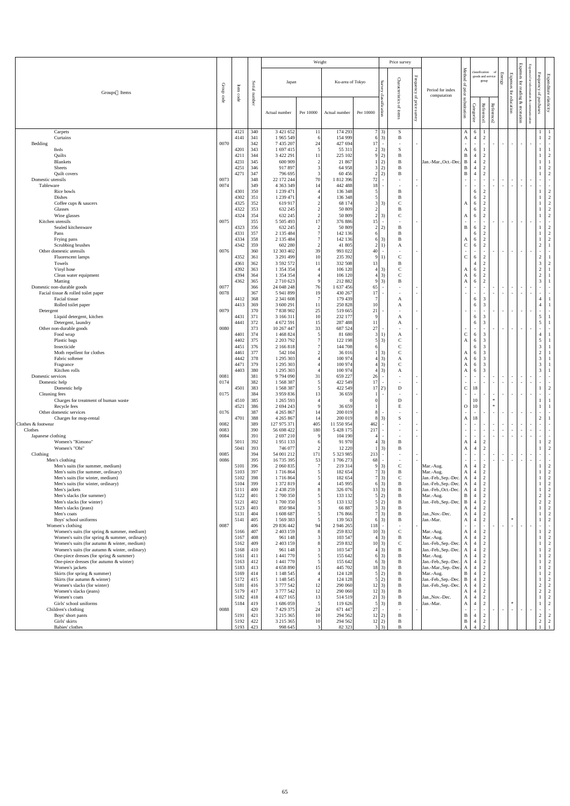|                                                                                                |                                |                    |               |                              | Weight                           |                                   |                 |                                            | Price survey                |                                                           |                                              |                                                 |                                                                          |                        |                          |                                     |                                                                                                                                   |                                                  |
|------------------------------------------------------------------------------------------------|--------------------------------|--------------------|---------------|------------------------------|----------------------------------|-----------------------------------|-----------------|--------------------------------------------|-----------------------------|-----------------------------------------------------------|----------------------------------------------|-------------------------------------------------|--------------------------------------------------------------------------|------------------------|--------------------------|-------------------------------------|-----------------------------------------------------------------------------------------------------------------------------------|--------------------------------------------------|
| Groups Items                                                                                   | Group<br>$\operatorname{code}$ | $\rm Item$<br>code | Serial number | Japan<br>Actual number       | Per 10000                        | Ku-area of Tokyo<br>Actual number | Per 10000       | Surv<br>Ğ<br>cla<br>ssification            | Characteristics<br>of items | Frequency<br>$\overline{\mathfrak{a}}$<br>price<br>survey | Period for index<br>computation              | Method<br>$\mathbf{p}$<br>price<br>substitution | classification<br>goods and service<br>group<br>Reference1<br>Categorize | Reference <sub>2</sub> | <b>Energy</b>            | <b>Expenses</b><br>for<br>education | Expenses<br>Expenses for inform<br>$\operatorname{for}$<br>reading<br>nation<br>&<br>$\mathscr{E}$<br>communication<br>recreation | Frequency of purchases<br>Expenditure elasticity |
| Carpets                                                                                        |                                | 4121               | 340           | 3 421 652                    | 11                               | 174 293                           |                 | $7 \mid 3)$                                | ${\bf S}$                   |                                                           |                                              | $\mathbf{A}$                                    | 6                                                                        |                        |                          |                                     |                                                                                                                                   |                                                  |
| Curtains                                                                                       |                                | 4141               | 341           | 1 965 549                    | 6                                | 154 999                           |                 | $6 \mid 3)$                                | $\overline{B}$              |                                                           |                                              | $\mathbf{A}$                                    | $\overline{2}$<br>$\overline{4}$                                         |                        |                          |                                     |                                                                                                                                   | 2                                                |
| Bedding                                                                                        | 0070                           |                    | 342           | 7 435 207                    | 24                               | 427 694                           | 17 <sup>1</sup> | $\sim$                                     |                             | $\overline{a}$                                            |                                              | $\sim$                                          | $\sim$<br>$\sim$                                                         |                        | $\sim$                   | $\sim$                              | $\sim$<br>$\overline{\phantom{a}}$                                                                                                | $\sim$<br>$\sim$                                 |
| Beds                                                                                           |                                | 4201               | 343           | 1 697 415                    | $\mathfrak{S}$                   | 55 311                            |                 | $2 \overline{3}$                           | S                           |                                                           |                                              | A                                               | 6<br>$\overline{2}$                                                      |                        |                          |                                     |                                                                                                                                   |                                                  |
| Quilts<br>Blankets                                                                             |                                | 4211<br>4231       | 344<br>345    | 3 422 291<br>600 909         | 11<br>2                          | 225 102<br>21 867                 |                 | 9 2)<br>$1 \mid 2)$                        | B<br>B                      |                                                           | Jan.-Mar., Oct.-Dec.                         | $\mathbf{B}$<br>B                               | $\overline{4}$<br>$\overline{2}$<br>$\overline{4}$                       |                        |                          |                                     |                                                                                                                                   | $\overline{2}$                                   |
| Sheets                                                                                         |                                | 4251               | 346           | 917897                       | 3                                | 64 958                            |                 | 3 2)                                       | B                           |                                                           |                                              | B                                               | $\overline{2}$<br>$\overline{4}$                                         |                        |                          |                                     |                                                                                                                                   | 2                                                |
| Quilt covers                                                                                   |                                | 4271               | 347           | 796 695                      | 3                                | 60 456                            |                 | $2\overline{2}$ )                          | B                           |                                                           |                                              | B                                               | $\overline{2}$<br>$\overline{4}$                                         |                        |                          |                                     |                                                                                                                                   | 2                                                |
| Domestic utensils<br>Tableware                                                                 | 0073<br>0074                   |                    | 348<br>349    | 22 172 244<br>4 3 6 3 3 4 9  | 70<br>14                         | 1 812 396<br>442 488              | 72<br>18        | $\sim$<br>$\sim$                           |                             | $\overline{\phantom{a}}$                                  |                                              | $\sim$<br>$\sim$                                | $\sim$                                                                   |                        | $\sim$<br>$\overline{a}$ | $\sim$<br>$\sim$                    | $\sim$<br>$\sim$<br>$\sim$                                                                                                        | $\sim$<br>$\sim$                                 |
| Rice bowls                                                                                     |                                | 4301               | 350           | 1 239 471                    |                                  | 136 348                           | $\vert$ 5       |                                            | B                           |                                                           |                                              |                                                 | $\overline{2}$<br>6                                                      |                        |                          |                                     |                                                                                                                                   | 2                                                |
| Dishes                                                                                         |                                | 4302               | 351           | 1 239 471                    |                                  | 136 348<br>68 174                 | $\vert 5 \vert$ |                                            | B                           |                                                           |                                              |                                                 | $\overline{2}$<br>6                                                      |                        |                          |                                     |                                                                                                                                   | 2                                                |
| Coffee cups & saucers<br>Glasses                                                               |                                | 4325<br>4322       | 352<br>353    | 619 917<br>632 245           | 2<br>$\overline{2}$              | 50 809                            | $\overline{2}$  | $3 \mid 3$                                 | $\mathcal{C}$<br>B          |                                                           |                                              | A                                               | $\overline{2}$<br>6<br>$\overline{2}$<br>6                               |                        |                          |                                     |                                                                                                                                   | 2<br>2                                           |
| Wine glasses                                                                                   |                                | 4324               | 354           | 632 245                      | $\overline{2}$                   | 50 809                            |                 | $2 \overline{3}$                           | $\mathbf C$                 |                                                           |                                              | A                                               | $\overline{2}$<br>6                                                      |                        |                          |                                     |                                                                                                                                   | 2                                                |
| Kitchen utensils                                                                               | 0075                           |                    | 355           | 5 505 493                    | 17                               | 376 886                           | 5               | $\sim$                                     |                             |                                                           |                                              |                                                 | $\sim$                                                                   |                        |                          | $\sim$                              |                                                                                                                                   |                                                  |
| Sealed kitchenware<br>Pans                                                                     |                                | 4323<br>4331       | 356<br>357    | 632 245<br>2 135 484         | $\overline{2}$<br>$\overline{7}$ | 50 809<br>142 136                 | 6               | 2 2)                                       | B<br>B                      |                                                           |                                              | B                                               | $\overline{2}$<br>6<br>$\overline{2}$<br>6                               |                        |                          |                                     |                                                                                                                                   | 2<br>2                                           |
| Frying pans                                                                                    |                                | 4334               | 358           | 2 135 484                    |                                  | 142 136                           |                 | 6 3)                                       | B                           |                                                           |                                              | A                                               | $\overline{2}$<br>6                                                      |                        |                          |                                     |                                                                                                                                   | 2                                                |
| Scrubbing brushes                                                                              |                                | 4342               | 359           | 602 280                      | 2                                | 41 805                            |                 | 2(1)                                       | A                           |                                                           |                                              | $\mathbf C$                                     | $\overline{2}$<br>6                                                      |                        |                          |                                     |                                                                                                                                   | $\overline{2}$                                   |
| Other domestic utensils<br>Fluorescent lamps                                                   | 0076                           | 4352               | 360<br>361    | 12 303 402<br>3 291 499      | 39<br>10                         | 993 022<br>235 392                | 40              | $\overline{\phantom{a}}$<br>9 1)           | $\mathcal{C}$               | $\sim$                                                    |                                              | $\sim$<br>$\mathsf{C}$                          | $\sim$<br>$\overline{2}$<br>6                                            | $\sim$                 | $\sim$                   | $\sim$ $-$                          | $\sim$<br>$\sim$ .                                                                                                                | $\sim$<br>$\sim$<br>$\overline{2}$               |
| Towels                                                                                         |                                | 4361               | 362           | 3 592 572                    | 11                               | 332 508                           | 13.             |                                            | B                           |                                                           |                                              |                                                 | $\overline{2}$<br>$\overline{4}$                                         |                        |                          |                                     |                                                                                                                                   | 3<br>$\overline{2}$                              |
| Vinyl hose                                                                                     |                                | 4392               | 363           | 1 354 354                    |                                  | 106 120                           |                 | $4 \mid 3)$                                |                             |                                                           |                                              | A                                               | $\gamma$                                                                 |                        |                          |                                     |                                                                                                                                   | $\gamma$                                         |
| Clean water equipment<br>Matting                                                               |                                | 4394<br>4362       | 364<br>365    | 1 354 354<br>2 710 623       | -9                               | 106 120<br>212 882                |                 | $4 \mid 3)$<br>$9 \mid 3)$                 | $\mathsf{C}$<br>B           |                                                           |                                              | A<br>A                                          | $\overline{2}$<br>$\sigma$<br>$\overline{2}$<br>6                        |                        |                          |                                     |                                                                                                                                   | $\overline{2}$<br>$\mathfrak{Z}$                 |
| Domestic non-durable goods                                                                     | 0077                           |                    | 366           | 24 048 248                   | 76                               | 1 637 456                         | 65              | $\sim$                                     |                             | $\overline{\phantom{a}}$                                  |                                              |                                                 | $\sim$                                                                   |                        | $\overline{\phantom{a}}$ | $\sim$                              | $\sim$<br>$\sim$                                                                                                                  | $\sim$<br>$\sim$                                 |
| Facial tissue & rolled toilet paper                                                            | 0078                           |                    | 367           | 5 941 899                    | 19                               | 430 267                           | 17 <sup>1</sup> | $\overline{\phantom{a}}$                   |                             |                                                           |                                              |                                                 |                                                                          |                        | $\overline{a}$           | $\sim$                              | $\sim$<br>$\sim$                                                                                                                  | $\sim$<br>$\sim$                                 |
| Facial tissue<br>Rolled toilet paper                                                           |                                | 4412<br>4413       | 368<br>369    | 2 341 608<br>3 600 291       | $\overline{7}$<br>11             | 179 439<br>250 828                | 10              |                                            | A<br>A                      |                                                           |                                              |                                                 | 3<br>6<br>3<br>6                                                         |                        |                          |                                     |                                                                                                                                   |                                                  |
| Detergent                                                                                      | 0079                           |                    | 370           | 7 838 902                    | 25                               | 519 665                           | 21              |                                            |                             |                                                           |                                              |                                                 |                                                                          |                        |                          | $\sim$                              | $\sim$<br>$\sim$                                                                                                                  | $\sim$<br>$\sim$                                 |
| Liquid detergent, kitchen                                                                      |                                | 4431               | 371           | 3 166 311                    |                                  | 232 177                           | $\mathbf Q$     |                                            | A                           |                                                           |                                              |                                                 | 3<br>6                                                                   |                        |                          |                                     |                                                                                                                                   | $5\overline{)}$                                  |
| Detergent, laundry<br>Other non-durable goods                                                  | 0080                           | 4441               | 372<br>373    | 4 672 591<br>10 267 447      | 15<br>33                         | 287 488<br>687 524                | 11<br>27        | $\overline{\phantom{a}}$                   | A                           |                                                           |                                              |                                                 | 3<br>6                                                                   |                        | $\overline{a}$           | $\sim$                              | $\sim$ 100 $\pm$<br>$\sim$                                                                                                        | 5                                                |
| Food wrap                                                                                      |                                | 4401               | 374           | 1 468 824                    |                                  | 81 680                            | $\vert 3 \vert$ | 1)                                         | A                           |                                                           |                                              | $\mathsf{C}$                                    | 3<br><sub>6</sub>                                                        |                        |                          |                                     |                                                                                                                                   |                                                  |
| Plastic bags                                                                                   |                                | 4402               | 375           | 2 203 792                    | $\overline{7}$                   | 122 198                           | 5 <sup>1</sup>  | 3)                                         |                             |                                                           |                                              | A                                               | 3<br>6                                                                   |                        |                          |                                     |                                                                                                                                   |                                                  |
| Insecticide<br>Moth repellent for clothes                                                      |                                | 4451<br>4461       | 376<br>377    | 2 166 8 18<br>542 104        | $\overline{2}$                   | 144 708<br>36 016                 | 6               | $1 \vert 3)$                               | $\mathcal{C}$               |                                                           |                                              | A                                               | 3<br><sub>6</sub><br>3<br>6                                              |                        |                          |                                     |                                                                                                                                   | 3<br>$\overline{2}$                              |
| Fabric softener                                                                                |                                | 4442               | 378           | 1 295 303                    |                                  | 100 974                           |                 | $4 \mid 3)$                                | A                           |                                                           |                                              | A                                               | 3<br><sub>6</sub>                                                        |                        |                          |                                     |                                                                                                                                   | 3                                                |
| Fragrance                                                                                      |                                | 4471               | 379           | 1 295 303                    |                                  | 100 974                           |                 | $4 \mid 3)$                                | $\mathbf C$                 |                                                           |                                              | A                                               | 3<br>6                                                                   |                        |                          |                                     |                                                                                                                                   | 3                                                |
| Kitchen rolls<br>Domestic services                                                             | 0081                           | 4403               | 380<br>381    | 1 295 303<br>9 794 090       | 31                               | 100 974<br>659 227                | 26              | $4 \mid 3)$<br>$\sim$                      | A                           | $\overline{\phantom{a}}$                                  |                                              | A                                               | 3<br>6                                                                   |                        |                          | $\sim$                              | $\sim$                                                                                                                            | 3 <sup>7</sup><br>$\sim$<br>$\sim$ $-$           |
| Domestic help                                                                                  | 0174                           |                    | 382           | 1 568 387                    | 5                                | 422 549                           | 17 <sup>1</sup> | $\sim$                                     |                             |                                                           |                                              |                                                 |                                                                          |                        |                          | $\sim$                              | $\sim$<br>$\sim$                                                                                                                  | $\sim$<br>$\sim$ $-$                             |
| Domestic help                                                                                  |                                | 4501               | 383           | 1 568 387                    | 5                                | 422 549                           |                 | 17 2                                       | D                           |                                                           |                                              | $\mathsf{C}$                                    | 18                                                                       |                        |                          |                                     |                                                                                                                                   | 2                                                |
| Cleaning fees<br>Charges for treatment of human waste                                          | 0175                           | 4510               | 384<br>385    | 3 959 836<br>1 265 593       | 13                               | 36 659                            |                 | $\overline{a}$                             | D                           | $\overline{\phantom{a}}$                                  |                                              |                                                 | $\sim$<br>10                                                             | $\sim$<br>$\ast$       | $\overline{a}$           | $\sim$                              | $\sim$<br>$\sim$                                                                                                                  | $\sim$<br>$\sim$                                 |
| Recycle fees                                                                                   |                                | 4521               | 386           | 2 694 243                    | 9                                | 36 659                            |                 |                                            | E                           |                                                           |                                              | $\Omega$                                        | $\Omega$                                                                 | $\ast$                 |                          |                                     |                                                                                                                                   |                                                  |
| Other domestic services                                                                        | 0176                           |                    | 387           | 4 2 6 5 8 6 7                | 14                               | 200 019                           | 81              |                                            |                             | $\overline{\phantom{a}}$                                  |                                              |                                                 |                                                                          |                        | $\sim$                   | $\sim$                              | $\sim$<br>$\sim$                                                                                                                  | $\overline{a}$<br>$\sim$                         |
| Charges for mop-rental<br>Clothes & footwear                                                   | 0082                           | 4701               | 388<br>389    | 4 2 6 5 8 6 7<br>127 975 371 | 14<br>405                        | 200 019<br>11 550 954             | 462             | $8 \mid 3)$                                | S                           | $\overline{a}$                                            |                                              | A                                               | 18                                                                       |                        |                          | $\sim$                              | $\sim$                                                                                                                            | $\overline{2}$<br>$\sim$<br>$\sim$               |
| Clothes                                                                                        | 0083                           |                    | 390           | 56 698 422                   | 180                              | 5 4 28 1 75                       | 217             | $\overline{\phantom{a}}$                   |                             | $\overline{\phantom{a}}$                                  |                                              |                                                 |                                                                          |                        | $\overline{a}$           | $\sim$                              | $\overline{\phantom{a}}$<br>$\sim$                                                                                                | $\sim$<br>$\sim$                                 |
| Japanese clothing<br>Women's "Kimono"                                                          | 0084                           |                    | 391<br>392    | 2 697 210                    |                                  | 104 190<br>91 970                 |                 |                                            | B                           |                                                           |                                              |                                                 |                                                                          |                        |                          | $\sim$                              | $\sim$<br>$\overline{\phantom{a}}$                                                                                                | $\sim$<br>$\sim$                                 |
| Women's "Obi"                                                                                  |                                | 5011<br>5041       | 393           | 1951133<br>746 077           | 6<br>2                           | 12 2 2 0                          |                 | 3)<br>3)                                   | B                           |                                                           |                                              | A<br>A                                          | 2<br>$\overline{4}$<br>$\overline{2}$<br>$\overline{4}$                  |                        |                          |                                     |                                                                                                                                   | 2<br>2                                           |
| Clothing                                                                                       | 0085                           |                    | 394           | 54 001 212                   | 171                              | 5 323 985                         | 213             | $\sim$                                     |                             |                                                           |                                              |                                                 |                                                                          |                        |                          | $\sim$                              | $\sim$<br>$\sim$                                                                                                                  | $\overline{a}$<br>$\sim$                         |
| Men's clothing<br>Men's suits (for summer, medium)                                             | 0086                           | 5101               | 395<br>396    | 16 735 395<br>2 060 835      | 53                               | 1706273<br>219 314                | 68              | $\overline{\phantom{a}}$<br>9 <sup>3</sup> | $\mathsf{C}$                |                                                           | Mar.-Aug.                                    | $\sim$<br>A                                     | $\overline{2}$<br>$\overline{4}$                                         |                        |                          | $\sim$                              | $\sim$<br>$\sim$                                                                                                                  | $\sim$<br>$\sim$<br>2                            |
| Men's suits (for summer, ordinary)                                                             |                                | 5103               | 397           | 1716864                      |                                  | 182 654                           |                 | $7 \vert 3)$                               | B                           |                                                           | Mar.-Aug.                                    | A                                               | 2<br>$\overline{4}$                                                      |                        |                          |                                     |                                                                                                                                   | 2                                                |
| Men's suits (for winter, medium)                                                               |                                | 5102               | 398           | 1716864                      |                                  | 182 654                           |                 | $7 \vert 3)$                               |                             |                                                           | Jan.-Feb., Sep.-Dec.                         | A                                               | 2<br>4                                                                   |                        |                          |                                     |                                                                                                                                   | $\overline{2}$                                   |
| Men's suits (for winter, ordinary)<br>Men's jackets                                            |                                | 5104<br>5111       | 399<br>400    | 1 372 819<br>2 438 259       | 8                                | 145 995<br>326 076                |                 | $6 \mid 3)$<br>13 3)                       | B                           |                                                           | Jan.-Feb., Sep.-Dec.<br>Jan.-Feb., Oct.-Dec. | A                                               | $\overline{4}$<br>$\gamma$<br>$\overline{2}$<br>4                        |                        |                          |                                     |                                                                                                                                   | $\gamma$<br>2                                    |
| Men's slacks (for summer)                                                                      |                                | 5122               | 401           | 1700 350                     | 5                                | 133 132                           |                 | $5\vert 2)$                                | B                           |                                                           | Mar.-Aug.                                    | A<br>B                                          | 2<br>$\overline{4}$                                                      |                        |                          |                                     |                                                                                                                                   | $\overline{2}$<br>2                              |
| Men's slacks (for winter)                                                                      |                                | 5121               | 402           | 1700 350                     |                                  | 133 132                           |                 | 5 2)                                       | B                           |                                                           | Jan.-Feb., Sep.-Dec.                         | B                                               | $\overline{2}$<br>4                                                      |                        |                          |                                     |                                                                                                                                   | $\overline{2}$<br>2                              |
| Men's slacks (jeans)<br>Men's coats                                                            |                                | 5123<br>5131       | 403<br>404    | 850 984<br>1 608 687         |                                  | 66 887<br>176 866                 |                 | $3 \mid 3$<br>$7 \vert 3)$                 | B<br>B                      |                                                           | Jan., Nov.-Dec.                              | A<br>A                                          | $\overline{2}$<br>$\overline{4}$<br>$\overline{2}$<br>$\overline{4}$     |                        |                          |                                     |                                                                                                                                   | 2<br>2                                           |
| Boys' school uniforms                                                                          |                                | 5141               | 405           | 1 569 383                    |                                  | 139 563                           |                 | $6 \mid 3)$                                | B                           |                                                           | Jan.-Mar.                                    | A                                               | 2<br>$\overline{4}$                                                      |                        |                          | $\ast$                              |                                                                                                                                   | 2                                                |
| Women's clothing                                                                               | 0087                           |                    | 406           | 29 836 442                   | 94                               | 2 946 265                         |                 | $118 -$                                    |                             |                                                           |                                              | $\sim$                                          |                                                                          |                        |                          | $\sim$ $-$                          | $\sim$                                                                                                                            | $\sim$<br>$\sim$                                 |
| Women's suits (for spring & summer, medium)<br>Women's suits (for spring $&$ summer, ordinary) |                                | 5166<br>5167       | 407<br>408    | 2 403 159<br>961 148         |                                  | 259 832<br>103 547                |                 | 10 3)<br>$4 \mid 3)$                       | $\mathsf{C}$<br>B           |                                                           | Mar.-Aug.<br>Mar.-Aug.                       | A<br>A                                          | 2<br>$\mathcal{D}$                                                       |                        |                          |                                     |                                                                                                                                   | 2<br>2                                           |
| Women's suits (for autumn & winter, medium)                                                    |                                | 5162               | 409           | 2 403 159                    |                                  | 259 832                           |                 | 10 3)                                      | $\mathcal{C}$               |                                                           | Jan.-Feb., Sep.-Dec.                         |                                                 |                                                                          |                        |                          |                                     |                                                                                                                                   | 2                                                |
| Women's suits (for autumn & winter, ordinary)                                                  |                                | 5168               | 410           | 961 148                      |                                  | 103 547                           |                 | $4 \mid 3)$                                | B                           |                                                           | Jan.-Feb., Sep.-Dec.                         |                                                 |                                                                          |                        |                          |                                     |                                                                                                                                   | 2                                                |
| One-piece dresses (for spring & summer)<br>One-piece dresses (for autumn & winter)             |                                | 5161<br>5163       | 411<br>412    | 1 441 770<br>1 441 770       | 5                                | 155 642<br>155 642                |                 | $6 \mid 3)$<br>$6 \mid 3)$                 | B<br>B                      |                                                           | Mar.-Aug.<br>Jan.-Feb., Sep.-Dec.            | A<br>A                                          | $\mathcal{L}$<br>$\mathcal{L}$                                           |                        |                          |                                     |                                                                                                                                   | $\overline{2}$<br>2                              |
| Women's jackets                                                                                |                                | 5183               | 413           | 4 658 890                    | 15                               | 445 702                           |                 | $18 \mid 3)$                               |                             |                                                           | Jan.-Mar., Sep.-Dec.                         | A                                               | $\overline{2}$                                                           |                        |                          |                                     |                                                                                                                                   | 2                                                |
| Skirts (for spring & summer)                                                                   |                                | 5169               | 414           | 1 148 545                    |                                  | 124 128                           |                 | 5 2)                                       |                             |                                                           | Mar.-Aug.                                    | B                                               | $\overline{2}$<br>$\overline{4}$                                         |                        |                          |                                     |                                                                                                                                   | 2                                                |
| Skirts (for autumn & winter)<br>Women's slacks (for winter)                                    |                                | 5172<br>5181       | 415<br>416    | 1 148 545<br>3 777 542       |                                  | 124 128<br>290 060                |                 | 5 2)<br>$12 \mid 3)$                       | B<br>B                      |                                                           | Jan.-Feb., Sep.-Dec.                         | B                                               | 2<br>4<br>2                                                              |                        |                          |                                     |                                                                                                                                   | 2<br>2<br>$\overline{2}$                         |
| Women's slacks (jeans)                                                                         |                                | 5179               | 417           | 3 777 542                    | 12<br>12                         | 290 060                           |                 | $12 \mid 3)$                               | B                           |                                                           | Jan.-Feb., Sep.-Dec.                         | A<br>A                                          | 4<br>$\overline{2}$<br>$\overline{4}$                                    |                        |                          |                                     |                                                                                                                                   | $\overline{2}$<br>2                              |
| Women's coats                                                                                  |                                | 5182               | 418           | 4 027 165                    | 13                               | 514 519                           |                 | $21 \,   \, 3)$                            | B                           |                                                           | Jan., Nov.-Dec.                              | A                                               | $\overline{2}$<br>$\overline{4}$                                         |                        |                          |                                     |                                                                                                                                   | 2                                                |
| Girls' school uniforms<br>Children's clothing                                                  | 0088                           | 5184               | 419<br>420    | 1 686 059<br>7 429 375       | 5<br>24                          | 119 626<br>671 447                | 27              | $5 \mid 3)$<br>$\sim$                      | B                           |                                                           | Jan.-Mar.                                    | A                                               | $\overline{2}$<br>$\overline{4}$                                         |                        | $\sim$                   | $\ast$<br>$\sim$                    | $\overline{\phantom{a}}$                                                                                                          | 2<br>$\sim$<br>$\sim$                            |
| Boys' short pants                                                                              |                                | 5191               | 421           | 3 215 365                    | 10                               | 294 562                           |                 | 12 2)                                      | B                           |                                                           |                                              | B                                               | $\overline{2}$<br>$\overline{4}$                                         |                        |                          |                                     | $\overline{\phantom{a}}$                                                                                                          | $\overline{2}$<br>2                              |
| Girls' skirts                                                                                  |                                | 5192               | 422           | 3 215 365                    | 10                               | 294 562                           |                 | 12 2)                                      | B                           |                                                           |                                              | B                                               | $\overline{2}$<br>4                                                      |                        |                          |                                     |                                                                                                                                   | $\overline{2}$<br>2                              |
| Babies' clothes                                                                                |                                | 5193               | 423           | 998 645                      | 3 <sup>1</sup>                   | 82 323                            |                 | $3 \mid 3$                                 |                             |                                                           |                                              |                                                 | $\gamma$                                                                 |                        |                          |                                     |                                                                                                                                   |                                                  |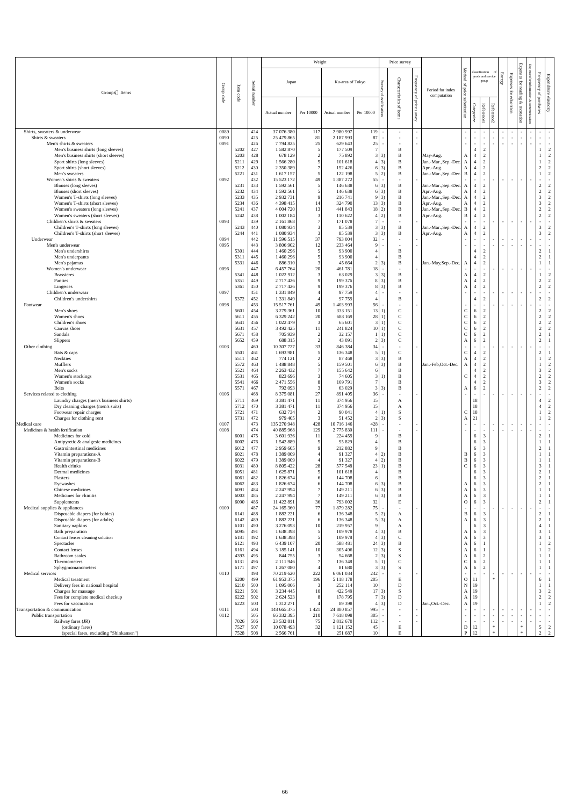|                                                                     |                       |              |             |                             | Weight              |                            |                       |                                      | Price survey                  |                               |                                     |                                |                                  |                                  |                  |                                    |                                                           |                                                        |                                  |
|---------------------------------------------------------------------|-----------------------|--------------|-------------|-----------------------------|---------------------|----------------------------|-----------------------|--------------------------------------|-------------------------------|-------------------------------|-------------------------------------|--------------------------------|----------------------------------|----------------------------------|------------------|------------------------------------|-----------------------------------------------------------|--------------------------------------------------------|----------------------------------|
| Groups Items                                                        | Group                 | Item         | Serial      | Japan                       |                     | Ku-area of Tokyo           |                       | Survey                               | Characteristics               | ${\bf Frequency}$<br>$\rm{P}$ | Period for index<br>computation     | Method<br>of price             | classification                   | goods and service<br>group       | Energy           | Expenses                           | <b>Expenses</b><br>$\operatorname{for}$<br>$E^2$<br>ading | Expenses for information &<br>${\rm Frequency}$        | Expenditure elasticity           |
|                                                                     | $\operatorname{code}$ | code         | number      | Actual number               | Per 10000           | Actual number              | Per 10000             | classification                       | ď<br>items                    | price<br>survey               |                                     | substitution                   | Categorize                       | Reference1<br>Reference2         |                  | for education                      | $\mathscr{E}$<br>recreation                               | of purchases<br>communication                          |                                  |
| Shirts, sweaters & underwear<br>Shirts & sweaters                   | 0089<br>0090          |              | 424<br>425  | 37 076 380<br>25 479 865    | 117                 | 2 980 997<br>2 187 993     | 119<br>87             |                                      | $\overline{\phantom{a}}$      |                               |                                     | $\sim$                         | $\sim$                           |                                  | $\sim$           |                                    | $\sim$                                                    |                                                        |                                  |
| Men's shirts & sweaters                                             | 0091                  |              | 426         | 7794825                     | 81<br>25            | 629 643                    | 25                    |                                      | $\sim$                        |                               |                                     | $\sim$                         | $\sim$<br>$\sim$                 | $\sim$                           | $\sim$<br>$\sim$ | $\sim$<br>$\overline{\phantom{a}}$ | $\sim$<br>$\blacksquare$                                  | $\sim$<br>$\sim$<br>$\sim$<br>$\overline{\phantom{a}}$ | $\sim$<br>$\sim$                 |
| Men's business shirts (long sleeves)                                |                       | 5202         | 427         | 1 582 870                   |                     | 177 509                    |                       |                                      | B                             |                               |                                     |                                | $\overline{4}$                   | $\overline{2}$                   |                  |                                    |                                                           |                                                        | $\overline{2}$                   |
| Men's business shirts (short sleeves)                               |                       | 5203         | 428<br>429  | 678 129                     |                     | 75 892                     |                       | $3 \mid 3)$                          | B<br>B                        |                               | May-Aug.                            | А                              | $\overline{4}$                   | 2                                |                  |                                    |                                                           |                                                        | $\overline{2}$                   |
| Sport shirts (long sleeves)<br>Sport shirts (short sleeves)         |                       | 5211<br>5212 | 430         | 1 566 280<br>2 350 389      |                     | 101 618<br>152 426         |                       | $4 \mid 3)$<br>$6\,3)$               | B                             |                               | Jan.-Mar., Sep.-Dec.<br>Apr.-Aug.   | A                              | $\overline{4}$<br>$\overline{4}$ | $\overline{2}$<br>$\overline{2}$ |                  |                                    |                                                           | $\sqrt{2}$                                             | $\overline{2}$<br>$\overline{2}$ |
| Men's sweaters                                                      |                       | 5221         | 431         | 1 617 157                   |                     | 122 198                    |                       | $5\quad2)$                           | $\, {\bf B}$                  |                               | Jan.-Mar., Sep.-Dec. B              |                                | $\overline{4}$                   | $\overline{2}$                   |                  |                                    |                                                           |                                                        | $\overline{2}$                   |
| Women's shirts & sweaters                                           | 0092                  |              | 432         | 15 523 172                  | 49                  | 1 387 272                  | 55                    | $\sim$                               |                               |                               |                                     |                                |                                  | $\sim$                           | $\sim$           | $\sim$                             | $\sim$                                                    | $\sim$                                                 |                                  |
| Blouses (long sleeves)<br>Blouses (short sleeves)                   |                       | 5231<br>5232 | 433<br>434  | 1 592 561<br>1 592 561      |                     | 146 638<br>146 638         |                       | $6 \mid 3)$<br>6 3)                  | B<br>B                        |                               | Jan.-Mar., Sep.-Dec. A<br>Apr.-Aug. | A                              | $\overline{4}$<br>$\overline{4}$ | 2<br>2                           |                  |                                    |                                                           | $\boldsymbol{2}$<br>$\sqrt{2}$                         | $\overline{2}$<br>$\overline{2}$ |
| Women's T-shirts (long sleeves)                                     |                       | 5233         | 435         | 2 9 3 2 7 3 1               |                     | 216 741                    |                       | 9 <sup>3</sup>                       | B                             |                               | Jan.-Mar., Sep.-Dec. A              |                                | $\overline{4}$                   | 2                                |                  |                                    |                                                           | $\mathfrak{Z}$                                         | $\overline{2}$                   |
| Women's T-shirts (short sleeves)                                    |                       | 5234         | 436         | 4 3 9 4 1 5                 |                     | 324 790                    | $13 \mid 3)$          |                                      | B                             |                               | Apr.-Aug.                           | $\mathbf{A}$                   | $\overline{4}$                   | $\overline{2}$                   |                  |                                    |                                                           | $\mathfrak{Z}$                                         | $\overline{2}$                   |
| Women's sweaters (long sleeves)<br>Women's sweaters (short sleeves) |                       | 5241<br>5242 | 437<br>438  | 4 004 720<br>1 002 184      | 13<br>$\mathcal{R}$ | 441 843<br>110 622         | 18 2)                 | 4 2)                                 | B<br>$\, {\bf B}$             |                               | Jan.-Mar., Sep.-Dec.<br>Apr.-Aug.   | B<br>$\mathbf B$               | $\overline{4}$<br>$\overline{4}$ | $\overline{2}$<br>$\overline{2}$ |                  |                                    |                                                           | $\sqrt{2}$<br>$\sqrt{2}$                               | $\overline{2}$<br>$2^{\circ}$    |
| Children's shirts & sweaters                                        | 0093                  |              | 439         | 2 161 868                   |                     | 171 078                    |                       | $\sim$                               |                               |                               |                                     |                                |                                  |                                  | $\sim$           |                                    | $\sim$                                                    | $\sim$                                                 | $\sim$                           |
| Children's T-shirts (long sleeves)                                  |                       | 5243         | 440         | 1 080 934                   |                     | 85 539                     |                       | $3 \mid 3)$                          | B                             |                               | Jan.-Mar., Sep.-Dec.                | A                              | $\overline{4}$                   | 2                                |                  |                                    |                                                           | $\mathfrak{Z}$                                         | $\overline{2}$                   |
| Children's T-shirts (short sleeves)<br>Underwear                    | 0094                  | 5244         | 441<br>442  | 1 080 934<br>11 596 515     | 37                  | 85 539<br>793 004          | 32                    | $3 \mid 3$                           | B<br>$\sim$                   |                               | Apr.-Aug.                           | $\mathbf{A}$<br>$\sim$         | $\overline{4}$<br>$\sim$         | 2<br>$\sim$                      | $\sim$ .         | $\overline{\phantom{a}}$           | $\sim$                                                    | $\mathfrak{Z}$<br>$\sim$<br>$\overline{\phantom{a}}$   | $2^{\circ}$<br>$\sim$            |
| Men's underwear                                                     | 0095                  |              | 443         | 3 806 902                   |                     | 233 464                    |                       |                                      | $\sim$                        |                               |                                     | $\sim$                         | $\sim$                           | $\sim$                           | $\sim$           | $\sim$                             | $\sim$                                                    | $\sim$<br>$\overline{\phantom{a}}$                     | $\sim$ $-$                       |
| Men's undershirts                                                   |                       | 5301         | 444         | 1 460 296                   |                     | 93 900                     |                       |                                      | B<br>B                        |                               |                                     |                                | $\overline{4}$                   | 2                                |                  |                                    |                                                           | $\overline{2}$                                         |                                  |
| Men's underpants<br>Men's pajamas                                   |                       | 5311<br>5331 | 445<br>446  | 1 460 296<br>886 310        |                     | 93 900<br>45 664           |                       | 2 3)                                 | B                             |                               | Jan.-May, Sep.-Dec.                 | $\mathbf{A}$                   | $\overline{4}$<br>$\overline{4}$ | 2<br>$\overline{2}$              |                  |                                    |                                                           | $\sqrt{2}$                                             |                                  |
| Women's underwear                                                   | 0096                  |              | AA7<br>TT 1 | 6 457 764                   | 20                  | 461 781                    | 18 <sup>1</sup><br>10 |                                      |                               |                               |                                     |                                |                                  |                                  |                  |                                    |                                                           |                                                        |                                  |
| <b>Brassieres</b>                                                   |                       | 5341         | 448         | 1 022 912                   |                     | 63 029                     |                       | $3 \mid 3)$                          | B<br>B                        |                               |                                     | A                              | $\overline{4}$                   | 2                                |                  |                                    |                                                           |                                                        | $\overline{2}$                   |
| Panties<br>Lingeries                                                |                       | 5351<br>5361 | 449<br>450  | 2 717 426<br>2 717 426      |                     | 199 376<br>199 376         |                       | $8 \mid 3)$<br>$8 \mid 3)$           | B                             |                               |                                     | A<br>A                         | $\overline{4}$<br>$\overline{4}$ | 2<br>2                           |                  |                                    |                                                           | $\sqrt{2}$<br>$\sqrt{2}$                               | $\overline{2}$<br>$\overline{2}$ |
| Children's underwear                                                | 0097                  |              | 451         | 1 331 849                   |                     | 97 759                     |                       | $\overline{a}$                       |                               |                               |                                     |                                | $\sim$                           |                                  | $\sim$           | $\overline{a}$                     | $\sim$                                                    | $\sim$                                                 | $\sim$                           |
| Children's undershirts<br>Footwear                                  | 0098                  | 5372         | 452<br>453  | 1 3 3 1 8 4 9<br>15 517 761 | -49                 | 97 759<br>1 403 993        | 56                    |                                      | B                             |                               |                                     |                                | $\overline{4}$<br>$\sim$         | 2                                | $\sim$           | $\sim$                             | $\sim$                                                    | $\sqrt{2}$<br>$\sim$                                   | 2                                |
| Men's shoes                                                         |                       | 5601         | 454         | 3 279 361                   | 10                  | 333 151                    | 13 1)                 |                                      | $\mathbf C$                   |                               |                                     |                                | 6                                | 2                                |                  |                                    |                                                           | $\sqrt{2}$                                             | $\sim$<br>$\overline{2}$         |
| Women's shoes                                                       |                       | 5611         | 455         | 6 329 242                   | 20                  | 688 169                    | 28 1)                 |                                      | $\mathsf{C}$                  |                               |                                     | $\mathsf{C}$                   | 6                                | $\overline{2}$                   |                  |                                    |                                                           | $\sqrt{2}$                                             | $\overline{2}$                   |
| Children's shoes<br>Canvas shoes                                    |                       | 5641<br>5631 | 456<br>457  | 1 022 479<br>3 492 425      |                     | 65 601<br>241 824          |                       | 3 1)<br>10 1)                        | $\mathcal{C}$<br>$\mathsf{C}$ |                               |                                     |                                | 6<br>6                           | $\overline{2}$<br>$\overline{2}$ |                  |                                    |                                                           | $\sqrt{2}$<br>$\sqrt{2}$                               | $\overline{2}$<br>$\overline{2}$ |
| Sandals                                                             |                       | 5671         | 458         | 705 939                     |                     | 32 157                     |                       | 1 1)                                 |                               |                               |                                     |                                | 6                                | 2                                |                  |                                    |                                                           | $\sqrt{2}$                                             |                                  |
| Slippers                                                            |                       | 5652         | 459         | 688 315                     |                     | 43 091                     |                       | $2 \mid 3)$                          | $\mathcal{C}$                 |                               |                                     | A                              | 6                                | 2                                |                  |                                    |                                                           | $\overline{2}$                                         |                                  |
| Other clothing<br>Hats & caps                                       | 0103                  | 5501         | 460<br>461  | 10 307 727<br>1 693 981     | 33                  | 846 384<br>136 348         | 34                    | $\overline{\phantom{a}}$<br>5 1)     | $\mathbf C$                   |                               |                                     |                                | $\overline{4}$                   | $\sim$<br>2                      | $\sim$           | $\overline{\phantom{a}}$           | $\sim$                                                    | $\sim$<br>$\sqrt{2}$                                   |                                  |
| Neckties                                                            |                       | 5511         | 462         | 774 121                     |                     | 87 468                     |                       | $3 \mid 3$                           | $\mathbf B$                   |                               |                                     | A                              | $\overline{4}$                   | 2                                |                  |                                    |                                                           |                                                        | $\overline{2}$                   |
| Mufflers<br>Men's socks                                             |                       | 5572<br>5521 | 463<br>464  | 1488848<br>2 2 6 3 4 3 2    |                     | 159 501<br>155 642         |                       | 6 3)                                 | B<br>B                        |                               | Jan.-Feb, Oct.-Dec.                 |                                | $\overline{4}$<br>$\overline{4}$ | 2<br>2                           |                  |                                    |                                                           | 3                                                      | $\overline{2}$<br>$\overline{2}$ |
| Women's stockings                                                   |                       | 5531         | 465         | 823 696                     |                     | 74 605                     | h I                   | 3 1)                                 | B                             |                               |                                     | $\sim$                         | $\overline{4}$                   | 2                                |                  |                                    |                                                           | $\overline{2}$                                         | $\overline{2}$                   |
| Women's socks                                                       |                       | 5541         | 466         | 2 471 556                   |                     | 169 791                    |                       |                                      | B                             |                               |                                     |                                | $\overline{4}$                   | 2                                |                  |                                    |                                                           | $\mathfrak{Z}$                                         | $\overline{2}$                   |
| <b>Belts</b><br>Services related to clothing                        | 0106                  | 5571         | 467<br>468  | 792 093<br>8 3 7 5 0 8 1    | 27                  | 63 029<br>891 405          | 36                    | $3 \mid 3)$                          | B                             |                               |                                     | A                              | 6                                | $\overline{2}$                   | $\sim$           | $\sim$                             | $\sim$                                                    | $\sqrt{2}$                                             | $\overline{2}$                   |
| Laundry charges (men's business shirts)                             |                       | 5711         | 469         | 3 3 8 1 4 7 1               |                     | 374 956                    | 15                    |                                      | A                             |                               |                                     |                                | 18                               |                                  |                  |                                    |                                                           | $\overline{4}$                                         | $\overline{2}$                   |
| Dry cleaning charges (men's suits)                                  |                       | 5712<br>5721 | 470<br>471  | 3 3 8 1 4 7 1<br>632 734    |                     | 374 956<br>90 041          | 15                    |                                      | A<br><sup>S</sup>             |                               |                                     | C                              | 18                               |                                  |                  |                                    |                                                           |                                                        | $\overline{2}$                   |
| Footwear repair charges<br>Charges for clothing rent                |                       | 5731         | 472         | 979 405                     |                     | 51 452                     |                       | 4 1)<br>2 3)                         | <sub>S</sub>                  |                               |                                     | A                              | 18<br>21                         |                                  |                  |                                    |                                                           |                                                        | $\overline{2}$<br>$\overline{2}$ |
| Medical care                                                        | 0107                  |              | 473         | 135 270 948                 | 428                 | 10 716 146                 | 428                   | $\overline{\phantom{a}}$             |                               |                               |                                     | $\sim$                         | $\sim$                           |                                  | $\sim$           | $\overline{a}$                     | $\overline{\phantom{a}}$                                  | $\sim$                                                 |                                  |
| Medicines & health fortification<br>Medicines for cold              | 0108                  | 6001         | 474<br>475  | 40 885 968<br>3 601 936     | 129                 | 2775830<br>224 459         | 111                   |                                      | B                             |                               |                                     |                                | 6                                | 3                                |                  |                                    |                                                           | $\sim$<br>$\mathbf{2}$                                 |                                  |
| Antipyretic & analgesic medicines                                   |                       | 6002         | 476         | 1542889                     |                     | 95 829                     |                       |                                      |                               |                               |                                     |                                | 6                                | 3                                |                  |                                    |                                                           |                                                        |                                  |
| Gastrointestinal medicines                                          |                       | 6012         | 477         | 2 9 5 6 6 0 5               |                     | 212 882                    |                       |                                      | B                             |                               |                                     |                                | 6                                | 3                                |                  |                                    |                                                           | $\sqrt{2}$                                             |                                  |
| Vitamin preparations-A<br>Vitamin preparations-B                    |                       | 6021<br>6022 | 478<br>479  | 1 389 009<br>1 389 009      |                     | 91 327<br>91 327           |                       | 4 2)<br>2)                           | B<br>B                        |                               |                                     | B<br>B                         | 6<br>6                           | 3<br>3                           |                  |                                    |                                                           |                                                        |                                  |
| Health drinks                                                       |                       | 6031         | 480         | 8 805 422                   | 28                  | 577 548                    | 23 1                  |                                      | B                             |                               |                                     | $\mathcal{C}$                  | 6                                | 3                                |                  |                                    |                                                           | 3                                                      |                                  |
| Dermal medicines<br>Plasters                                        |                       | 6051<br>6061 | 481<br>482  | 1 625 871<br>1 826 674      |                     | 101 618<br>144 708         |                       |                                      |                               |                               |                                     |                                | 6<br>6                           | 3                                |                  |                                    |                                                           | $\mathfrak{2}$<br>$\mathbf{2}$                         |                                  |
| Eyewashes                                                           |                       | 6062         | 483         | 1 826 674                   |                     | 144 708                    |                       | 6 3)                                 |                               |                               |                                     | A                              | 6                                | $\mathcal{R}$                    |                  |                                    |                                                           | $\Omega$                                               |                                  |
| Chinese medicines<br>Medicines for rhinitis                         |                       | 6091<br>6003 | 484<br>485  | 2 247 994<br>2 247 994      |                     | 149 211<br>149 211         |                       | 6 3)<br>$6\,3)$                      | B<br>B                        |                               |                                     | A                              | 6                                | 3<br>3                           |                  |                                    |                                                           |                                                        |                                  |
| Supplements                                                         |                       | 6090         | 486         | 11 422 891                  | 36                  | 793 002                    | 32                    |                                      | E                             |                               |                                     | A<br>$\mathbf{O}$              | 6<br>6                           | $\mathfrak{Z}$                   |                  |                                    |                                                           | $\sqrt{2}$                                             | $\mathbf{1}$                     |
| Medical supplies & appliances                                       | 0109                  |              | 487         | 24 165 360                  | 77                  | 1 879 282                  | 75                    | $\sim$                               |                               |                               |                                     |                                | $\sim$                           | $\sim$                           | $\sim$           |                                    |                                                           | $\sim$                                                 |                                  |
| Disposable diapers (for babies)<br>Disposable diapers (for adults)  |                       | 6141<br>6142 | 488<br>489  | 1 882 221<br>1 882 221      | 6                   | 136 348<br>136 348         |                       | 5 2)<br>$5 \mid 3)$                  | A<br>A                        |                               |                                     | B<br>A                         | 6<br>6                           | 3<br>$\mathfrak{Z}$              |                  |                                    |                                                           | $\boldsymbol{2}$<br>$\sqrt{2}$                         |                                  |
| Sanitary napkins                                                    |                       | 6101         | 490         | 3 276 093                   | 10                  | 219 957                    | 91                    |                                      | A                             |                               |                                     |                                | 6                                | 3                                |                  |                                    |                                                           | $\overline{4}$                                         |                                  |
| Bath preparation<br>Contact lenses cleaning solution                |                       | 6095<br>6181 | 491<br>492  | 1 638 398<br>1 638 398      |                     | 109 978<br>109 978         |                       | $4 \overline{3}$<br>$4 \overline{3}$ | B<br>$\mathcal{C}$            |                               |                                     | Α<br>Α                         | 6<br>6                           | 3<br>3                           |                  |                                    |                                                           | $\mathfrak{Z}$<br>$\mathfrak{Z}$                       |                                  |
| Spectacles                                                          |                       | 6121         | 493         | 6 439 107                   | 20                  | 588 481                    | $24 \mid 3)$          |                                      | B                             |                               |                                     | A                              | 6                                |                                  |                  |                                    |                                                           |                                                        | $\overline{2}$                   |
| Contact lenses                                                      |                       | 6161         | 494         | 3 185 141                   |                     | 305 496                    |                       | $12 \mid 3)$                         | S                             |                               |                                     | Α                              | 6                                |                                  |                  |                                    |                                                           |                                                        | $\overline{2}$                   |
| Bathroom scales<br>Thermometers                                     |                       | 4393<br>6131 | 495<br>496  | 844 755<br>2 111 946        |                     | 54 668<br>136 348          |                       | $2 \mid 3)$<br>5 1)                  |                               |                               |                                     | А<br>$\mathsf{C}$              | 6<br>6                           | 2<br>$\overline{2}$              |                  |                                    |                                                           |                                                        |                                  |
| Sphygmomanometers                                                   |                       | 6171         | 497         | 1 267 080                   |                     | 81 680                     |                       | $3 \quad 3)$                         | <sub>S</sub>                  |                               |                                     | A                              | 6                                | $\overline{2}$                   |                  |                                    |                                                           |                                                        |                                  |
| Medical services<br>Medical treatment                               | 0110                  | 6200         | 498<br>499  | 70 219 620<br>61 953 375    | 222<br>196          | 6 061 034<br>5 1 1 8 1 7 8 | 242                   | $\sim$                               | ${\bf E}$                     |                               |                                     | $\sim$<br>$\mathbf{O}$         | $\sim$                           | $\sim$<br>$\ast$                 | $\sim$           | $\overline{\phantom{a}}$           | $\sim$                                                    | $\sim$                                                 | $\sim$                           |
| Delivery fees in national hospital                                  |                       | 6210         | 500         | 1 095 006                   |                     | 252 114                    | 205<br>10             |                                      | D                             |                               |                                     | $\mathbf N$                    | 19                               |                                  |                  |                                    |                                                           | 6                                                      |                                  |
| Charges for massage                                                 |                       | 6221         | 501         | 3 2 3 4 4 4 5               |                     | 422 549                    | $17 \quad 3)$         |                                      | S                             |                               |                                     | $\mathbf{A}$                   | 19                               |                                  |                  |                                    |                                                           | 3                                                      | $\overline{2}$                   |
| Fees for complete medical checkup<br>Fees for vaccination           |                       | 6222<br>6223 | 502<br>503  | 2 624 523<br>1 3 1 2 2 7 1  |                     | 178 795<br>89 39 8         |                       | $7 \mid 3)$<br>$4 \mid 3)$           | D<br>$\mathbf D$              |                               | Jan., Oct.-Dec.                     | $\boldsymbol{\mathsf{A}}$<br>A | 19<br>19                         |                                  |                  |                                    |                                                           | $\sqrt{2}$                                             | $\overline{2}$<br>$\overline{2}$ |
| Transportation & communication                                      | 0111                  |              | 504         | 448 665 375                 | 1 4 2 1             | 24 880 857                 | 995                   | $\sim$                               |                               |                               |                                     | $\sim$                         |                                  |                                  | $\sim$           | $\overline{a}$                     | $\sim$                                                    |                                                        |                                  |
| Public transportation                                               | 0112                  | 7026         | 505<br>506  | 66 332 395                  | 210                 | 7618098                    | 305<br>112            |                                      | $\sim$                        |                               |                                     |                                |                                  |                                  |                  |                                    | $\sim$                                                    | $\sim$                                                 |                                  |
| Railway fares (JR)<br>(ordinary fares)                              |                       | 7527         | 507         | 23 532 811<br>10 078 493    | 75<br>32            | 2 812 670<br>1 1 2 1 1 5 2 | 45                    |                                      | $\sim$<br>${\bf E}$           |                               |                                     | $\sim$<br>D                    | $\sim$<br>12                     | $\ast$                           | $\sim$           |                                    | $\sim$<br>$*$                                             | $\sim$<br>$\mathfrak{S}$                               | $\sim$<br>$\overline{2}$         |
| (special fares, excluding "Shinkansen")                             |                       | 7528         | 508         | 2 566 761                   |                     | 251 687                    | 10                    |                                      | E                             |                               |                                     | P                              | 12                               | $\ast$                           |                  |                                    | $\ast$                                                    | $\overline{2}$                                         | 2                                |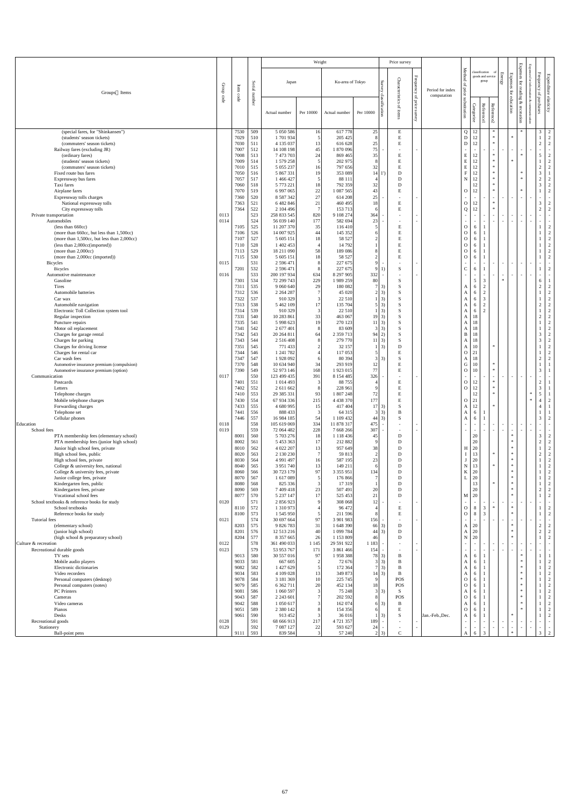|                                                                                        |                       |                    |            |                            | Weight                            |                          |               |                                | Price survey          |                               |                                 |                                                      |                                              |                          |                                                   |                                                           |                                  |                                  |
|----------------------------------------------------------------------------------------|-----------------------|--------------------|------------|----------------------------|-----------------------------------|--------------------------|---------------|--------------------------------|-----------------------|-------------------------------|---------------------------------|------------------------------------------------------|----------------------------------------------|--------------------------|---------------------------------------------------|-----------------------------------------------------------|----------------------------------|----------------------------------|
| Groups Items                                                                           | Group                 | $\rm Item$<br>code | Serial     | Japan                      |                                   | Ku-area of Tokyo         |               | $S$ urvey                      | Characteristics       | ${\bf Frequency}$<br>$\rm{P}$ | Period for index<br>computation | Method<br>$\mathbf{a}$<br><i>i</i> price             | classification<br>goods and service<br>group |                          | <b>Energy</b><br>Expenses<br>$\operatorname{for}$ | <b>Expenses</b><br>$\operatorname{for}$<br>inf<br>reading | ${\bf Frequency}$<br>$\rm{P}$    | Expenditure elasticity           |
|                                                                                        | $\operatorname{code}$ |                    | number     | Actual number              | Per 10000                         | Actual number            | Per 10000     | classification                 | $\mathbf{q}$<br>items | price<br>survey               |                                 | substitution<br>Categorize                           | <b>Reference1</b>                            | Reference2               | education                                         | &<br>recreation                                           | f purchases                      |                                  |
| (special fares, for "Shinkansen")<br>(students' season tickets)                        |                       | 7530<br>7029       | 509<br>510 | 5 050 586<br>1701934       | 16                                | 617 778<br>205 425       | 25            |                                | E<br>E                |                               |                                 | $Q$   12<br>12<br>D                                  |                                              | $\ast$<br>$\ast$         | $\ast$                                            | ∗                                                         | 3 <sup>7</sup><br>$\mathbf{1}$   | 2<br>$\overline{2}$              |
| (commuters' season tickets)                                                            |                       | 7030               | 511        | 4 135 037                  | 13                                | 616 628                  | 25            |                                | E                     |                               |                                 | ${\rm D}$                                            | 12                                           | $\ast$                   |                                                   |                                                           | $\overline{2}$                   | $\overline{2}$                   |
| Railway fares (excluding JR)<br>(ordinary fares)                                       |                       | 7007<br>7008       | 512<br>513 | 14 108 198<br>7 473 703    | 45<br>24                          | 1870096<br>869 465       | 75<br>35      |                                | $\sim$<br>E           | $\blacksquare$                |                                 | $\overline{\phantom{a}}$<br>E                        | $\sim$<br>12                                 | $\sim$<br>$\ast$         | $\overline{a}$                                    | $\sim$<br>$\ast$                                          | $\sim$<br>5                      | $\overline{2}$                   |
| (students' season tickets)                                                             |                       | 7009               | 514        | 1 579 258                  | 5                                 | 202 975                  |               |                                | E                     |                               |                                 | ${\bf E}$                                            | 12                                           | $\ast$<br>$\ast$         | $\ast$                                            |                                                           |                                  | $\overline{2}$                   |
| (commuters' season tickets)<br>Fixed route bus fares                                   |                       | 7010<br>7050       | 515<br>516 | 5 0 5 2 2 3 7<br>5 867 331 | 16<br>19                          | 797 656<br>353 089       | 32<br>14      |                                | E<br>D                |                               |                                 | E<br>$\mathbf{F}$                                    | 12<br>12                                     | $\ast$                   |                                                   | $\ast$                                                    | $\sqrt{2}$<br>$\mathfrak{Z}$     | $\overline{2}$                   |
| Expressway bus fares                                                                   |                       | 7057               | 517        | 1 466 427                  |                                   | 88 111                   |               |                                | D                     |                               |                                 | N                                                    | 12                                           | $\ast$<br>$\ast$         |                                                   | $\ast$                                                    | $2\,$                            | $\overline{2}$                   |
| Taxi fares<br>Airplane fares                                                           |                       | 7060<br>7070       | 518<br>519 | 5 773 221<br>6 997 065     | 18<br>22                          | 792 359<br>1 087 565     | 32<br>43      |                                | D<br>E                |                               |                                 | $\overline{O}$                                       | 12<br>12                                     | $\ast$                   |                                                   | $\ast$                                                    | $\overline{3}$                   | $\overline{2}$<br>$\overline{2}$ |
| Expressway tolls charges                                                               |                       | 7360               | 520        | 8 5 8 7 3 4 2              | 27                                | 614 208                  | 25            |                                |                       | $\overline{\phantom{a}}$      |                                 |                                                      | $\overline{\phantom{a}}$                     | $\ast$                   |                                                   | $\sim$                                                    | $\sim$                           |                                  |
| National expressway tolls<br>City expressway tolls                                     |                       | 7363<br>7364       | 521<br>522 | 6 482 846<br>2 104 496     | 21                                | 460 495<br>153 713       | 18<br>6       |                                | E<br>E                |                               |                                 | $\mathbf{O}$<br>Q                                    | 12<br>12                                     | $\ast$                   |                                                   |                                                           | $\mathfrak{Z}$<br>$\overline{2}$ | $\overline{2}$<br>$\gamma$       |
| Private transportation                                                                 | 0113                  |                    | 523        | 258 833 545                | 820                               | 9 108 274                | 364           |                                |                       | $\blacksquare$                |                                 | $\overline{\phantom{a}}$                             | $\sim$                                       | $\overline{\phantom{a}}$ | $\sim$                                            | $\sim$                                                    | $\sim$                           |                                  |
| Automobiles<br>(less than 660cc)                                                       | 0114                  | 7105               | 524<br>525 | 56 039 140<br>11 207 370   | 177<br>35                         | 582 694<br>116 410       | 23            |                                | E                     |                               |                                 | $\overline{O}$                                       | $\sim$<br>6                                  |                          | $\sim$                                            | $\sim$                                                    | $\sim$                           | $\overline{2}$                   |
| (more than 660cc, but less than 1,500cc)<br>(more than 1,500cc, but less than 2,000cc) |                       | 7106<br>7107       | 526<br>527 | 14 007 925<br>5 605 151    | 44<br>18                          | 145 352<br>58 527        |               |                                | E                     |                               |                                 | $\mathbf{O}$<br>$\mathbf{O}$                         | 6<br>6                                       |                          |                                                   |                                                           |                                  | $\overline{2}$<br>$\mathcal{D}$  |
| (less than 2,000cc(imported))                                                          |                       | 7110               | 528        | 1 402 453                  |                                   | 14 792                   |               |                                | E                     |                               |                                 | $\mathbf{O}$                                         | 6                                            |                          |                                                   |                                                           |                                  | $\bigcap$                        |
| (more than $2,000cc$ )<br>(more than 2,000cc (imported))                               |                       | 7113<br>7115       | 529<br>530 | 18 211 090<br>5 605 151    | 58<br>18                          | 189 086<br>58 527        |               |                                | E                     |                               |                                 | $\mathbf{O}$<br>$\mathbf{O}$                         | 6<br>6                                       |                          |                                                   |                                                           |                                  | $\overline{2}$<br>$\overline{2}$ |
| <b>Bicycles</b>                                                                        | 0115                  |                    | 531        | 2 596 471                  |                                   | 227 675                  |               |                                |                       |                               |                                 |                                                      | $\sim$<br>$\sim$                             | $\sim$                   | $\sim$<br>$\sim$                                  | $\sim$                                                    | $\sim$                           | $\sim$                           |
| <b>Bicycles</b><br>Automotive maintenance                                              | 0116                  | 7201               | 532<br>533 | 2 596 471<br>200 197 934   | $\circ$<br>634                    | 227 675<br>8 297 905     | 332           | 9 <sub>1</sub>                 | D.                    | $\overline{\phantom{a}}$      |                                 | $\cap$                                               | 6<br>$\sim$<br>$\sim$                        | $\sim$                   | $\overline{a}$<br>$\sim$                          | $\sim$                                                    | $\mathbf{I}$<br>$\sim$           | $\sim$<br>$\sim$                 |
| Gasoline                                                                               |                       | 7301               | 534        | 72 299 743                 | 229                               | 1989 259                 | 80            |                                | S                     |                               |                                 |                                                      | 5 <sup>5</sup><br>$\mathfrak{Z}$             |                          | $\ast$                                            |                                                           | 6                                |                                  |
| Tires<br>Automobile batteries                                                          |                       | 7311<br>7312       | 535<br>536 | 9 060 640<br>2 2 6 4 2 8 7 | 29                                | 180 082<br>45 020        |               | $7\overline{3}$<br>$2 \mid 3)$ | S<br>S                |                               |                                 | A<br>A                                               | 2<br>6<br>$\overline{2}$<br>6                |                          |                                                   |                                                           | $\overline{2}$                   | $\overline{2}$<br>$\overline{2}$ |
| Car wax                                                                                |                       | 7322               | 537        | 910 329                    |                                   | 22 510                   |               | $\vert 3)$                     | S                     |                               |                                 | A                                                    | 6<br>3                                       |                          |                                                   |                                                           |                                  | 2                                |
| Automobile navigation<br>Electronic Toll Collection system tool                        |                       | 7313<br>7314       | 538<br>539 | 5 462 109<br>910 329       | 17<br>$\lceil 3 \rceil$           | 135 704<br>22 510        |               | $5 \mid 3)$<br>$\vert 3)$      | S<br>S                |                               |                                 | 6<br>A<br>A                                          | $\overline{2}$<br>$\gamma$<br>6              |                          |                                                   |                                                           | $\overline{2}$                   | $\overline{2}$<br>$\gamma$       |
| Regular inspection                                                                     |                       | 7331               | 540        | 10 283 861                 | 33                                | 463 067                  |               | $19 \mid 3)$                   |                       |                               |                                 | A                                                    | 18                                           |                          |                                                   |                                                           | $\overline{2}$                   | $\gamma$                         |
| Puncture repairs<br>Motor oil replacement                                              |                       | 7335<br>7341       | 541<br>542 | 5 9 9 6 6 2 3<br>2 677 401 | 19                                | 270 123<br>83 609        |               | $11 \quad 3)$<br>3(3)          | S                     |                               |                                 | A<br>A                                               | 18<br>18                                     |                          |                                                   |                                                           |                                  | $\bigcap$<br>ി                   |
| Charges for garage rental                                                              |                       | 7342               | 543        | 20 264 811                 | 64                                | 2 359 713                |               | $94 \ 2)$                      | S                     |                               |                                 | B                                                    | 18                                           |                          |                                                   |                                                           | $\mathfrak{Z}$                   | $\overline{2}$                   |
| Charges for parking<br>Charges for driving license                                     |                       | 7343<br>7351       | 544<br>545 | 2 5 1 6 4 0 8<br>771 433   |                                   | 279 770<br>32 157        |               | $11 \quad 3)$<br>$\vert$ 3)    | S<br>D                |                               |                                 | 18<br>A<br>10<br>A                                   |                                              |                          |                                                   |                                                           | $\mathfrak{Z}$                   | $\overline{2}$<br>$\overline{2}$ |
| Charges for rental car                                                                 |                       | 7344               | 546        | 1 241 782                  |                                   | 117053                   |               |                                | E                     |                               |                                 | 21<br>$\vert$ O                                      |                                              |                          |                                                   |                                                           |                                  | $\overline{2}$                   |
| Car wash fees<br>Automotive insurance premium (compulsion)                             |                       | 7347<br>7370       | 547<br>548 | 1 928 092<br>10 634 940    | 34                                | 80 394<br>293 919        | 12            | 3(3)                           | S<br>E                |                               |                                 | A<br>$\mathbf G$                                     | 18<br>10                                     | $\ast$                   |                                                   |                                                           | $\overline{2}$                   | 2                                |
| Automotive insurance premium (option)<br>Communication                                 | 0117                  | 7390               | 549<br>550 | 52 973 146<br>123 499 435  | 168<br>391                        | 1923015<br>8 154 485     | 77<br>326     |                                | E                     |                               |                                 | $\overline{O}$<br>$\sim$<br>$\overline{\phantom{a}}$ | 10                                           | $\ast$<br>$\sim$         | $\sim$                                            | $\sim$                                                    | $\mathfrak{Z}$<br>$\sim$         |                                  |
| Postcards                                                                              |                       | 7401               | 551        | 1 014 493                  |                                   | 88 755                   |               |                                | E                     |                               |                                 | $\mathbf{O}$                                         | 12                                           | $\ast$                   |                                                   |                                                           | $\overline{2}$                   |                                  |
| Letters<br>Telephone charges                                                           |                       | 7402<br>7410       | 552<br>553 | 2 611 662<br>29 385 331    | 93                                | 228 961<br>1 807 248     | 72            |                                |                       |                               |                                 | $\mathbf{O}$                                         | 12<br>$12\,$                                 | $\ast$                   |                                                   | $\ast$                                                    | $\mathfrak{Z}$<br>5              |                                  |
| Mobile telephone charges                                                               |                       | 7430               | 554        | 67 934 336                 | 215                               | 4 4 3 3 3 7 0            | 177           |                                |                       |                               |                                 | 21<br>$\overline{O}$                                 |                                              |                          |                                                   | $\ast$                                                    | $\overline{4}$                   | $\overline{2}$                   |
| Forwarding charges<br>Telephone set                                                    |                       | 7433<br>7441       | 555<br>556 | 4 680 995<br>888 433       | 15                                | 417 404<br>64 3 15       |               | $17 \quad 3)$<br>3(3)          | S<br>B                |                               |                                 | A<br>A                                               | 12<br>6                                      |                          |                                                   |                                                           | $\overline{4}$                   |                                  |
| Cellular phones                                                                        |                       | 7446               | 557        | 16 984 185                 | 54                                | 1 109 432                |               | $44 \mid 3)$                   | S                     |                               |                                 | A                                                    | 6                                            |                          |                                                   |                                                           | $\mathfrak{Z}$                   | 2                                |
| Education<br>School fees                                                               | 0118<br>0119          |                    | 558<br>559 | 105 619 069<br>72 064 482  | 334<br>228                        | 11 878 317<br>7 668 266  | 475<br>307    | $\overline{\phantom{a}}$       |                       | $\overline{\phantom{a}}$      |                                 | $\sim$                                               | $\sim$                                       | $\sim$                   | $\sim$                                            | $\sim$<br>$\sim$                                          | $\sim$<br>$\sim$                 |                                  |
| PTA membership fees (elementary school)<br>PTA membership fees (junior high school)    |                       | 8001<br>8002       | 560<br>561 | 5 703 276<br>5 453 363     | 18<br>17                          | 1 118 436<br>212 882     | 45            |                                | D<br>D                |                               |                                 | 20                                                   | 20                                           |                          | $\ast$<br>$\ast$                                  |                                                           | $\mathfrak{Z}$<br>$\sqrt{2}$     | $\overline{2}$<br>$\overline{2}$ |
| Junior high school fees, private                                                       |                       | 8010               | 562        | 4 022 207                  | 13                                | 957 649                  | 38            |                                | D                     |                               |                                 | 20<br>H                                              |                                              |                          | $\ast$                                            |                                                           |                                  | 2                                |
| High school fees, public<br>High school fees, private                                  |                       | 8020<br>8030       | 563<br>564 | 2 130 230<br>4 9 9 1 4 9 7 | 16                                | 59 813<br>587 195        | 23            |                                | D<br>D                |                               |                                 | 13<br>20                                             |                                              | $\ast$                   | $\ast$<br>$\ast$                                  |                                                           | $\overline{2}$                   | $\gamma$<br>$\bigcap$            |
| College & university fees, national                                                    |                       | 8040               | 565        | 3 9 5 1 7 4 0              | 13                                | 149 211                  |               |                                | D                     |                               |                                 | $\mathbf N$                                          | 13                                           | $\ast$                   | ∗                                                 |                                                           |                                  |                                  |
| College & university fees, private<br>Junior college fees, private                     |                       | 8060<br>8070       | 566<br>567 | 30 723 179<br>1 617 089    | 97                                | 3 3 5 5 9 5 1<br>176 866 | 134           |                                | D<br>D                |                               |                                 | 20<br>K<br>20                                        |                                              |                          | $\ast$<br>∗                                       |                                                           |                                  | ി<br>2                           |
| Kindergarten fees, public                                                              |                       | 8080               | 568        | 825 336                    |                                   | 17319                    |               |                                | D                     |                               |                                 |                                                      | 12                                           | $\ast$                   | $\ast$                                            |                                                           |                                  | $\bigcap$                        |
| Kindergarten fees, private<br>Vocational school fees                                   |                       | 8090<br>8077       | 569<br>570 | 7 409 418<br>5 237 147     | 23<br>17                          | 507 491<br>525 453       | 20<br>21      |                                | D<br>D                |                               |                                 | $M \mid 20$                                          | 20                                           |                          | $\ast$<br>$*$                                     |                                                           | $\sqrt{2}$<br>$\mathbf{1}$       | $\overline{2}$<br>2              |
| School textbooks & reference books for study<br>School textbooks                       | 0120                  |                    | 571<br>572 | 2 856 923                  |                                   | 308 068<br>96 472        | 12            |                                |                       |                               |                                 |                                                      | $\sim$<br>$\mathfrak{Z}$                     | $\ast$                   | $\overline{\phantom{0}}$<br>$\ast$                | $\sim$                                                    | $\sim$                           |                                  |
| Reference books for study                                                              |                       | 8110<br>8100       | 573        | 1 310 973<br>1 545 950     |                                   | 211 596                  |               |                                | E<br>E                |                               |                                 | $\overline{O}$<br>$\mathbf{O}$                       | 8<br>8<br>$\overline{3}$                     |                          | $\ast$                                            |                                                           | $\mathbf{1}$                     | $\overline{2}$<br>2              |
| Tutorial fees<br>(elementary school)                                                   | 0121                  | 8203               | 574<br>575 | 30 697 664<br>9 826 783    | 97<br>31                          | 3 901 983<br>1 648 390   | 156           | $66 \quad 3)$                  | D                     |                               |                                 | 20<br>A                                              |                                              | $\sim$                   | $\sim$<br>$\ast$                                  | $\sim$                                                    | $\sim$<br>$\sqrt{2}$             | $\overline{2}$                   |
| (junior high school)                                                                   |                       | 8201               | 576        | 12 513 216                 | 40                                | 1 099 784                | 44            | 3)                             | D                     |                               |                                 | 20<br>$\mathbf{A}$                                   |                                              |                          | $\ast$                                            |                                                           | $\overline{2}$                   | $\overline{2}$                   |
| (high school & preparatory school)<br>Culture & recreation                             | 0122                  | 8204               | 577<br>578 | 8 357 665<br>361 490 033   | 26<br>1 1 4 5                     | 1 153 809<br>29 591 922  | 46<br>1 1 8 3 |                                | D                     | $\blacksquare$                |                                 | N<br>20<br>$\blacksquare$                            |                                              | $\overline{\phantom{a}}$ | $*$<br>$\sim$                                     | $\sim$                                                    | $\sim$                           |                                  |
| Recreational durable goods                                                             | 0123                  |                    | 579        | 53 953 767                 | 171                               | 3 861 466                | 154           |                                |                       |                               |                                 | $\overline{\phantom{a}}$                             |                                              | $\sim$                   | $\sim$<br>$\sim$                                  | $\sim$                                                    | $\sim$                           |                                  |
| TV sets<br>Mobile audio players                                                        |                       | 9013<br>9033       | 580<br>581 | 30 557 016<br>667 605      | 97<br>$\mathcal{D}_{\mathcal{L}}$ | 1958 388<br>72 676       |               | 78 3)<br>$3 \mid 3)$           | B<br>B                |                               |                                 | A<br>A                                               | 6<br>6                                       |                          |                                                   | $\ast$<br>$\ast$                                          |                                  | $\overline{2}$                   |
| Electronic dictionaries<br>Video recorders                                             |                       | 9082               | 582        | 1 427 629                  |                                   | 172 364                  |               | $7 \mid 3)$                    | B                     |                               |                                 | A                                                    | 6                                            |                          |                                                   | $\ast$<br>$*$                                             | 1                                | $\overline{2}$                   |
| Personal computers (desktop)                                                           |                       | 9034<br>9078       | 583<br>584 | 4 109 028<br>3 181 369     | 13<br>10                          | 349 873<br>225 745       | -91           | $14 \mid 3)$                   | B<br><b>POS</b>       |                               |                                 | A<br>$\mathbf{O}$                                    | 6<br>6                                       |                          |                                                   | $*$                                                       |                                  | $\overline{2}$<br>$\overline{2}$ |
| Personal computers (notes)<br>PC Printers                                              |                       | 9079               | 585        | 6 362 711                  | 20                                | 452 134                  | 18            |                                | <b>POS</b>            |                               |                                 | $\overline{O}$                                       | 6                                            |                          |                                                   | $*$<br>$*$                                                |                                  | $\overline{2}$                   |
| Cameras                                                                                |                       | 9081<br>9043       | 586<br>587 | 1 060 597<br>2 2 4 3 6 0 1 |                                   | 75 248<br>202 592        | 8             | $3 \mid 3)$                    | S.<br><b>POS</b>      |                               |                                 | A<br>$\mathbf{O}$                                    | 6<br>6                                       |                          |                                                   | $\ast$                                                    |                                  | $\overline{2}$<br>$\overline{2}$ |
| Video cameras<br>Pianos                                                                |                       | 9042<br>9051       | 588<br>589 | 1 050 617<br>2 380 142     |                                   | 162 074<br>154 356       | 61            | $6 \quad 3)$                   | B<br>E                |                               |                                 | A<br>$\mathbf{O}$                                    | 6<br>6                                       |                          |                                                   | $\ast$<br>$\ast$                                          |                                  | $\overline{2}$                   |
| Desks                                                                                  |                       | 9061               | 590        | 913 452                    |                                   | 36 016                   |               | (3)                            | S                     |                               | Jan.-Feb., Dec.                 | $\mathbf{A}$                                         | 6                                            |                          | $\ast$                                            |                                                           |                                  |                                  |
| Recreational goods<br>Stationery                                                       | 0128<br>0129          |                    | 591<br>592 | 68 666 913<br>7 087 127    | 217<br>22                         | 4 721 357<br>593 627     | 189<br>24     | $\overline{\phantom{a}}$       |                       | $\overline{\phantom{a}}$      |                                 | $\sim$                                               | $\sim$<br>$\sim$<br>$\sim$<br>$\sim$         | $\sim$                   | $\sim$<br>$\sim$<br>$\sim$<br>$\sim$              | $\sim$<br>$\sim$                                          | $\sim$<br>$\sim$ .               | $\sim$                           |
| Ball-point pens                                                                        |                       | 9111               | 593        | 839 584                    |                                   | 57 240                   |               | $2 \quad 3)$                   | $\mathcal{C}$         |                               |                                 | A                                                    | 3<br>6                                       |                          | $\ast$                                            |                                                           | $\mathfrak{Z}$                   | 2                                |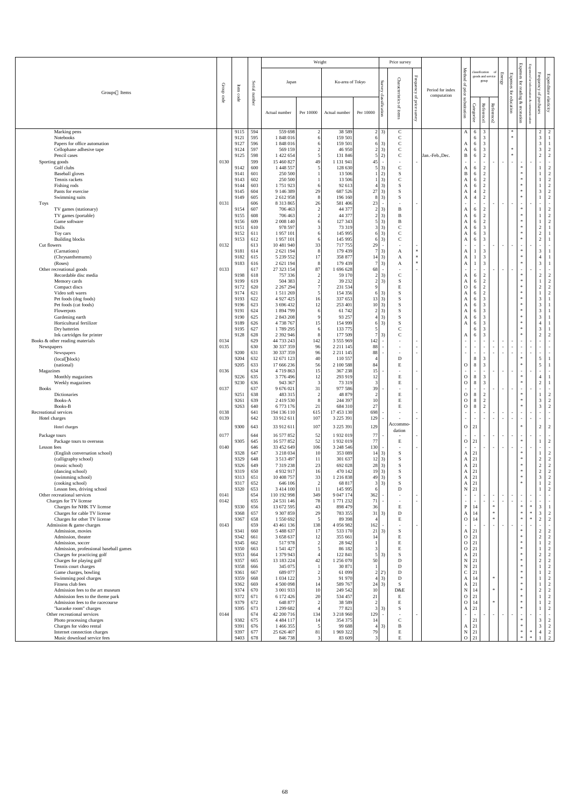| Expenses<br>Method<br>classification<br>Frequency<br>Energy<br>Expenses<br>Expenditure elasticity<br>ses for<br>goods and service<br>${\rm Frequency}$<br>Characteristics<br>Survey<br>group<br>$\operatorname{for}$<br>Ku-area of Tokyo<br>Japan<br>Serial<br>$\mathbf{p}$<br>monu<br>Group<br>Item<br>reading<br>price<br>Period for index<br>for<br>Groups Items<br>of purchases<br>number<br>classification<br>code<br>computation<br>$\rm{b}$<br>code<br>education<br>substitution<br>&<br>price<br>Ŗ<br>cor<br>Categorize<br><b>Reference1</b><br>Reference2<br>of items<br>recreation<br>survey<br>Per 10000<br>Per 10000<br>Actual number<br>Actual number<br>unication<br>$\overline{2}$<br>559 698<br>38 5 89<br>Marking pens<br>9115<br>594<br>$2 \mid 3)$<br>$\mathsf{C}$<br>$\overline{2}$<br>3<br>$\overline{2}$<br>6<br>A<br>$\overline{3}$<br>$\mathcal{C}$<br>Notebooks<br>1848016<br>$\mathfrak{Z}$<br>595<br>159 501<br>6<br>9121<br>6<br>$\overline{3}$<br>$\mathbf C$<br>3<br>Papers for office automation<br>9127<br>596<br>1848016<br>6 3)<br>159 501<br>6<br>Α<br>$\mathfrak{Z}$<br>$\mathbf C$<br>3<br>$\overline{2}$<br>9124<br>597<br>569 159<br>46 950<br>$2 \mid 3)$<br>Cellophane adhesive tape<br>$\ast$<br>A<br>6<br>$\overline{2}$<br>5 2)<br>$\mathbf C$<br>2<br>$\overline{2}$<br>Pencil cases<br>9125<br>598<br>1 422 654<br>B<br>6<br>$\ast$<br>131 846<br>Jan.-Feb., Dec.<br>0130<br>599<br>15 460 827<br>1 131 941<br>Sporting goods<br>49<br>45<br>$\sim$<br>$\sim$<br>$\overline{\phantom{a}}$<br>$\sim$<br>$\sim$<br>$\sim$ .<br>$\overline{\phantom{a}}$<br>Golf clubs<br>1 448 557<br>$\mathbf C$<br>$\ast$<br>$\overline{2}$<br>9142<br>600<br>128 630<br>3)<br>2<br>6<br>A<br>$\overline{2}$<br>2<br>$\ast$<br><b>Baseball</b> gloves<br>250 500<br>13 506<br>$(2)^+$<br>S<br>$\, {\bf B}$<br>9141<br>601<br>6<br>$\overline{2}$<br>$\mathcal{C}$<br>$\ast$<br>Tennis rackets<br>250 500<br>13 506<br>$1 \vert 3)$<br>2<br>9143<br>602<br>A<br>6<br>$\overline{2}$<br>1751923<br>$\ast$<br>Fishing rods<br>9144<br>92 613<br>$4 \mid 3)$<br><sub>S</sub><br>2<br>603<br>A<br>$\mathbf{1}$<br>6<br>$\ast$<br>$\mathfrak{Z}$<br>$\overline{2}$<br>Pants for exercise<br>9 146 389<br>29<br>687 526<br>$27 \mid 3)$<br><sup>S</sup><br>$\overline{2}$<br>604<br>9145<br>A<br>$\overline{\mathcal{L}}$<br>$\ast$<br>S<br>$\overline{2}$<br>$\overline{2}$<br>2 612 958<br>$8 \mid 3)$<br>$\mathbf{1}$<br>Swimming suits<br>9149<br>605<br>196 160<br>8<br>A<br>$\overline{4}$<br>8 3 1 3 8 6 5<br><b>Toys</b><br>0131<br>606<br>26<br>581 406<br>23<br>$\sim$<br>$\sim$<br>$\sim$<br>$\overline{\phantom{a}}$<br>$\sim$<br>$\sim$ $-$<br>$\sim$<br>$\sim$<br>$\overline{2}$<br>44 377<br>$\ast$<br>706 463<br>$2 \overline{3}$<br>2<br>TV games (stationary)<br>9154<br>607<br>2<br>B<br>-1<br>6<br>A<br>$\overline{2}$<br>44 377<br>2<br>$\ast$<br>706 463<br>$2 \mid 3)$<br>$\bf{B}$<br>$\mathbf{1}$<br>TV games (portable)<br>9155<br>608<br>6<br>$\overline{2}$<br>A<br>$\overline{2}$<br>Game software<br>$\ast$<br>$\mathbf{1}$<br>9156<br>609<br>$5 \mid 3)$<br>$\overline{2}$<br>2 008 140<br>127 343<br>B<br>6<br>A<br>Dolls<br>$\mathcal{C}$<br>3<br>$\overline{2}$<br>978 597<br>73 319<br>$3 \mid 3)$<br>$*$<br>9151<br>610<br>6<br>A<br>$\overline{2}$<br>$\mathcal{C}$<br>3<br>$\ast$<br>611<br>1957101<br>145 995<br>$6\vert 3)$<br>9152<br>Toy cars<br>6<br>A<br>6<br>$\sqrt{2}$<br>$\mathcal{C}$<br>3<br>$\ast$<br>9153<br>1957101<br>$6\vert 3)$<br><b>Building blocks</b><br>612<br>145 995<br>6<br>A<br>6<br>Cut flowers<br>10 481 940<br>33<br>717755<br>0132<br>613<br>29<br>$\sim$<br>$\sim$ .<br>$\sim$<br>$\sim$<br>$\sim$<br>$\sim$ $-$<br>$\overline{\phantom{a}}$<br>$*$<br>$\ast$<br>2 621 194<br>179 439<br>$\mathfrak{Z}$<br>3<br>(Carnations)<br>9181<br>$7 \quad 3)$<br>614<br>A<br>A<br>$*$<br>3<br>$\ast$<br>5 239 552<br>358 877<br>(Chrysanthemums)<br>9182<br>615<br>$14 \quad 3)$<br>A<br>$\overline{4}$<br>A<br>3<br>2 621 194<br>179 439<br>3<br>$\ast$<br>9183<br>616<br>$7 \vert 3)$<br>$\ast$<br>(Roses)<br>A<br>A<br>27 323 154<br>87<br>1 696 628<br>68<br>Other recreational goods<br>0133<br>617<br>$\ast$<br>$\overline{2}$<br>$\mathbf C$<br>$\overline{2}$<br>Recordable disc media<br>618<br>757 336<br>59 170<br>$2 \mid 3)$<br>2<br>9198<br>2<br>A<br>6<br>$\overline{2}$<br>$\mathbf{1}$<br>S<br>$\overline{2}$<br>$\ast$<br>504 383<br>$\overline{2}$<br>39 232<br>$2 \mid 3)$<br>Memory cards<br>9199<br>619<br>6<br>A<br>$\overline{2}$<br>$\sqrt{2}$<br>E<br>2<br>$\ast$<br>9172<br>620<br>2 267 294<br>231 534<br>$\mathbf{O}$<br>6<br>Compact discs<br>9 <sup>1</sup><br>$\overline{2}$<br>$\ast$<br>Video soft wares<br>9174<br>154 356<br><sup>S</sup><br>2<br>$\mathbf{1}$<br>621<br>1 511 269<br>$6\vert 3)$<br>6<br>A<br>$\mathfrak{Z}$<br>3<br>Pet foods (dog foods)<br>9193<br>622<br>4 9 27 4 25<br>337 653<br>$13 \mid 3)$<br><sub>S</sub><br>$\ast$<br>6<br>16<br>A<br>$\overline{3}$<br>3<br>623<br>3 696 432<br>253 401<br>10 3)<br><sub>S</sub><br>$\ast$<br>Pet foods (cat foods)<br>9196<br>12<br>A<br>6<br>$\overline{3}$<br>3<br>$\ast$<br>624<br>1 894 799<br>61 742<br>S<br>9191<br>$2 \mid 3)$<br>Flowerpots<br>A<br>6<br>6<br>$\overline{3}$<br>625<br>2 843 208<br>93 257<br>$4 \mid 3)$<br>3<br>$\ast$<br>Gardening earth<br>9190<br>A<br>6<br>Horticultural fertilizer<br>4 738 767<br>154 999<br>$6 \mid 3)$<br>S<br>3<br>$\ast$<br>9189<br>626<br>15<br>A<br>6<br>$\ast$<br>$\mathfrak{Z}$<br>9195<br>627<br>1789 295<br>133 775<br>Dry batteries<br>$\mathcal{F}$<br>6<br>$\mathbf C$<br>$\ast$<br>$\overline{2}$<br>Ink cartridges for printer<br>9128<br>628<br>2 392 946<br>177 509<br>$7 \vert 3)$<br>3<br>$\overline{2}$<br>A<br>6<br>44 733 243<br>0134<br>629<br>3 555 969<br>Books & other reading materials<br>142<br>142<br>$\overline{\phantom{a}}$<br>$\sim$<br>$\sim$<br>$\sim$<br>$\sim$<br>$\overline{\phantom{a}}$<br>0135<br>630<br>30 337 359<br>88<br>96<br>2 2 1 1 1 4 5<br>Newspapers<br>$\sim$<br>$\sim$<br>$\sim$<br>$\sim$<br>$\sim$<br>$\sim$<br>$\sim$<br>$\overline{\phantom{a}}$<br>$\sim$<br>30 337 359<br>88<br>9200<br>631<br>96<br>2 2 1 1 1 4 5<br>Newspapers<br>$\sim$<br>$\sim$ .<br>$\sim$<br>$\sim$<br>$\sim$<br>$\overline{\phantom{a}}$<br>110 557<br>$\ast$<br>$\mathfrak{S}$<br>12 671 123<br>${\bf D}$<br>8<br>3<br>(local block)<br>9204<br>632<br>40<br>${\bf E}$<br>$\mathfrak{Z}$<br>$\ast$<br>5<br>9205<br>8<br>633<br>17 666 236<br>56<br>2 100 588<br>84<br>$\mathbf{O}$<br>(national)<br>0136<br>634<br>4 7 19 8 63<br>367 238<br>15<br>15<br>Magazines<br>$\sim$<br>$\sim$<br>$\sim$<br>$\sim$<br>$\overline{\phantom{a}}$<br>$\overline{\phantom{a}}$<br>9226<br>3776496<br>293 919<br>E<br>8<br>$\mathfrak{Z}$<br>$\ast$<br>635<br>12<br>12<br>$\overline{O}$<br>Monthly magazines<br>$\overline{4}$<br>$\mathfrak{Z}$<br>${\bf E}$<br>8<br>$\ast$<br>$\overline{2}$<br>943 367<br>3<br>73 319<br>3 <sup>l</sup><br>$\overline{O}$<br>Weekly magazines<br>9230<br>636<br>39<br>0137<br>637<br>31<br>977 586<br><b>Books</b><br>9 676 021<br>$\sim$ $-$<br>$\sim$ .<br>$\sim$<br>$\sim$<br>$\overline{\phantom{a}}$<br>$\sim$<br>$\sim$<br>483 315<br>48 879<br>E<br>8<br>$\overline{2}$<br>$\ast$<br>$\overline{2}$<br>Dictionaries<br>9251<br>638<br>2<br>$\overline{O}$<br>$\ast$<br>3<br>$\overline{2}$<br>2 419 530<br>244 397<br>10<br>E<br>$\mathbf{O}$<br>2<br>Books-A<br>9261<br>639<br>8<br>$\mathfrak{Z}$<br>$\mathbf E$<br>$*$<br>$\overline{2}$<br>Books-B<br>6 773 176<br>684 310<br>27<br>$\mathbf{O}$<br>2<br>9263<br>640<br>21<br>8<br>Recreational services<br>0138<br>194 136 110<br>17 453 130<br>698<br>641<br>615<br>$\overline{\phantom{a}}$<br>$\sim$<br>$\sim$<br>$\sim$<br>$\sim$<br>$\overline{\phantom{a}}$<br>$\sim$<br>$\overline{\phantom{a}}$<br>$\sim$<br>0139<br>642<br>129<br>Hotel charges<br>33 912 611<br>107<br>3 2 2 5 3 9 1<br>$\sim$<br>$\sim$ $-$<br>$\sim$ .<br>$\sim$<br>$\sim$<br>Accommo-<br>$\ast$<br>$\overline{2}$<br>129<br>$O$ 21<br>$\overline{2}$<br>Hotel charges<br>9300<br>643<br>33 912 611<br>107<br>3 2 2 5 3 9 1<br>dation<br>0177<br>16 577 852<br>644<br>52<br>1932019<br>77<br>Package tours<br>$\sim$<br>$\sim$<br>$\sim$<br>$\sim$<br>$\sim$<br>$\overline{\phantom{a}}$<br>$\ast$<br>52<br>77<br>$O \mid 21$<br>$\overline{2}$<br>9305<br>645<br>16 577 852<br>1932019<br>E<br>$\mathbf{1}$<br>Package tours to overseas<br>0140<br>33 452 649<br>3 248 546<br>130<br>646<br>106<br>Lesson fees<br>$\sim$<br>$\sim$<br>$\sim$<br>$\sim$ .<br>$\sim$<br>$\sim$<br>$\sim$<br>$\overline{\phantom{a}}$<br>$\overline{2}$<br>647<br>3 2 1 8 0 3 4<br>353 089<br>$14 \mid 3)$<br>S<br>$A \mid 21$<br>$\ast$<br>(English conversation school)<br>9328<br>$\mathbf{1}$<br><sup>10</sup><br>$\overline{2}$<br>S<br>21<br>$\overline{2}$<br>9329<br>3 5 1 3 4 9 7<br>301 637<br>$12 \mid 3)$<br>$\ast$<br>648<br>A<br>(calligraphy school)<br>11<br>$\overline{2}$<br>$\overline{2}$<br>21<br>$\ast$<br>9326<br>23<br>692 028<br>28 3)<br>S<br>(music school)<br>649<br>7 319 238<br>A<br>21<br>$\overline{2}$<br>$\overline{2}$<br>9319<br>650<br>4 9 3 2 9 1 7<br>16<br>470 142<br>$19 \mid 3)$<br><sub>S</sub><br>$*$<br>(dancing school)<br>A<br>3<br>21<br>$\overline{2}$<br>651<br>10 408 757<br>33<br>1 216 838<br>$49 \mid 3)$<br>$\ast$<br>9313<br><sup>S</sup><br>(swimming school)<br>A <sub>1</sub><br>21<br>$\mathbf{A}$<br>$\ast$<br>$\gamma$<br>9317<br>652<br>646 106<br>$\gamma$<br>68 817<br>$3 \mid 3$<br>(cooking school)<br>21<br>$\overline{2}$<br>9320<br>653<br>145 995<br>N<br>Lesson fees, driving school<br>3 4 1 4 1 0 0<br>11<br>D<br>61<br>Other recreational services<br>110 192 998<br>9 047 174<br>0141<br>654<br>349<br>362<br>$\sim$<br>$\sim$ $-$<br>$\overline{\phantom{a}}$<br>$\sim$<br>$\sim$<br>$\sim$<br>$\sim$<br>$\sim$<br>0142<br>78<br>1 771 232<br>71<br>Charges for TV license<br>655<br>24 531 146<br>$\sim$<br>$\sim$<br>$\sim$<br>$\overline{\phantom{a}}$<br>$\sim$<br>$\ast$<br>9330<br>13 672 595<br>36<br>$\ast$<br>3<br>Charges for NHK TV license<br>656<br>898 479<br>E<br>43<br>P<br>14<br>$\ast$<br>3<br>Charges for cable TV license<br>657<br>9 307 859<br>29<br>783 355<br>$31 \,   \, 3)$<br>D<br>$A \mid 14$<br>$\ast$<br>$\ast$<br>$\overline{2}$<br>9368<br>∗<br>89 39 8<br>${\bf E}$<br>$\overline{O}$<br>14<br>$\ast$<br>$\ast$<br>$\overline{2}$<br>$\overline{2}$<br>Charges for other TV license<br>658<br>1 550 692<br>9367<br>∗<br>138<br>Admission & game charges<br>0143<br>659<br>43 461 136<br>4 056 982<br>162<br>$\sim$<br>$\sim$<br>$\sim$<br>$\sim$<br>$\sim$ $-$<br>$\sim$<br>21<br>S<br>$\ast$<br>$\overline{2}$<br>$\overline{2}$<br>Admission, movies<br>9341<br>660<br>5 488 637<br>17<br>533 170<br>3)<br>$A \mid 21$<br>$\sqrt{2}$<br>$O \mid 21$<br>$\overline{2}$<br>$\ast$<br>Admission, theater<br>9342<br>3 658 637<br>14<br>E<br>661<br>12<br>355 661<br>$\overline{O}$ 21<br>$\ast$<br>$\overline{2}$<br>Admission, soccer<br>9345<br>517978<br>E<br>$\mathbf{1}$<br>662<br>$\mathfrak{D}$<br>28 942<br>$O \mid 21$<br>$\overline{2}$<br>9350<br>E<br>$\ast$<br>Admission, professional baseball games<br>663<br>1 541 427<br>86 182<br>$\mathbf{1}$<br>$\overline{2}$<br>$A \mid 21$<br>$\overline{2}$<br>9353<br>S<br>$\ast$<br>664<br>1 379 943<br>122 841<br>$5 \mid 3)$<br>Charges for practicing golf<br>$N \mid 21$<br>$\overline{2}$<br>50<br>$\ast$<br>$\overline{2}$<br>9357<br>665<br>13 183 224<br>256 070<br>Charges for playing golf<br>42<br>D<br>$N \mid 21$<br>$\overline{2}$<br>345 075<br>$\ast$<br>$\mathbf{1}$<br>Tennis court charges<br>9358<br>30 871<br>D<br>666<br>21<br>$\mathbf{C}$<br>$\overline{2}$<br>$\ast$<br>Game charges, bowling<br>9361<br>667<br>689 077<br>61 099<br>D<br>2 2<br>$\overline{2}$<br>$A \mid 14$<br>$\ast$<br>Swimming pool charges<br>9359<br>668<br>1 0 34 1 22<br>91 970<br>$4 \mid 3)$<br>D<br>$\ast$<br>$\overline{2}$<br>Fitness club fees<br>4 500 098<br>$A \mid 21$<br>$\ast$<br>9362<br>669<br>589 767<br>$24 \mid 3)$<br><sub>S</sub><br>14<br>$N$ 14<br>$\ast$<br>$\overline{2}$<br>$\overline{2}$<br>Admission fees to the art museum<br>9374<br>670<br>3 001 933<br>249 542<br>10<br>D&E<br>$\ast$<br>10<br>$O \mid 21$<br>$\overline{2}$<br>21<br>$\ast$<br>Admission fees to the theme park<br>9372<br>6 172 426<br>20<br>534 457<br>E<br>671<br>$\mathbf{1}$<br>$\overline{O}$<br>14<br>$\ast$<br>$\ast$<br>$\overline{2}$<br>Admission fees to the racecourse<br>9379<br>672<br>648 877<br>38 5 89<br>E<br>$\overline{2}$<br>-1<br>2<br>$A \mid 21$<br>$\ast$<br>$\overline{2}$<br>S<br>"karaoke room" charges<br>9395<br>1 299 682<br>77821<br>$\mathbf{1}$<br>673<br>$3 \quad 3)$<br>Other recreational services<br>0144<br>674<br>42 200 716<br>3 218 960<br>129<br>134<br>$\sim$<br>$\sim$ .<br>$\sim$<br>$\sim$<br>$\sim$<br>$\sim$ $-$<br>9382<br>354 375<br>$\mathbf C$<br>$\ast$<br>$\mathfrak{Z}$<br>$\overline{2}$<br>Photo processing charges<br>675<br>4 4 8 4 1 1 7<br>21<br> 14 <br>14<br>$A \mid 21$<br>$\ast$<br>3<br>$\overline{2}$<br>676<br>99 688<br>Charges for video rental<br>9391<br>1 466 355<br>$4 \mid 3)$<br>B<br>$N \mid 21$<br>$\overline{2}$<br>9397<br>677<br>79<br>$\mathbf E$<br>Internet connection charges<br>25 626 407<br>81<br>1 969 322<br>$\ast$<br>$\overline{4}$<br>∗<br>${\bf E}$<br>$O \mid 21$<br>Music download service fees<br>$\mathcal{L}$<br>9403<br>678<br>846738<br>83 609<br>$\ast$<br>3 <sup>l</sup><br>$\overline{3}$ |  |  | Weight |  | Price survey |  |  |  |                |  |
|------------------------------------------------------------------------------------------------------------------------------------------------------------------------------------------------------------------------------------------------------------------------------------------------------------------------------------------------------------------------------------------------------------------------------------------------------------------------------------------------------------------------------------------------------------------------------------------------------------------------------------------------------------------------------------------------------------------------------------------------------------------------------------------------------------------------------------------------------------------------------------------------------------------------------------------------------------------------------------------------------------------------------------------------------------------------------------------------------------------------------------------------------------------------------------------------------------------------------------------------------------------------------------------------------------------------------------------------------------------------------------------------------------------------------------------------------------------------------------------------------------------------------------------------------------------------------------------------------------------------------------------------------------------------------------------------------------------------------------------------------------------------------------------------------------------------------------------------------------------------------------------------------------------------------------------------------------------------------------------------------------------------------------------------------------------------------------------------------------------------------------------------------------------------------------------------------------------------------------------------------------------------------------------------------------------------------------------------------------------------------------------------------------------------------------------------------------------------------------------------------------------------------------------------------------------------------------------------------------------------------------------------------------------------------------------------------------------------------------------------------------------------------------------------------------------------------------------------------------------------------------------------------------------------------------------------------------------------------------------------------------------------------------------------------------------------------------------------------------------------------------------------------------------------------------------------------------------------------------------------------------------------------------------------------------------------------------------------------------------------------------------------------------------------------------------------------------------------------------------------------------------------------------------------------------------------------------------------------------------------------------------------------------------------------------------------------------------------------------------------------------------------------------------------------------------------------------------------------------------------------------------------------------------------------------------------------------------------------------------------------------------------------------------------------------------------------------------------------------------------------------------------------------------------------------------------------------------------------------------------------------------------------------------------------------------------------------------------------------------------------------------------------------------------------------------------------------------------------------------------------------------------------------------------------------------------------------------------------------------------------------------------------------------------------------------------------------------------------------------------------------------------------------------------------------------------------------------------------------------------------------------------------------------------------------------------------------------------------------------------------------------------------------------------------------------------------------------------------------------------------------------------------------------------------------------------------------------------------------------------------------------------------------------------------------------------------------------------------------------------------------------------------------------------------------------------------------------------------------------------------------------------------------------------------------------------------------------------------------------------------------------------------------------------------------------------------------------------------------------------------------------------------------------------------------------------------------------------------------------------------------------------------------------------------------------------------------------------------------------------------------------------------------------------------------------------------------------------------------------------------------------------------------------------------------------------------------------------------------------------------------------------------------------------------------------------------------------------------------------------------------------------------------------------------------------------------------------------------------------------------------------------------------------------------------------------------------------------------------------------------------------------------------------------------------------------------------------------------------------------------------------------------------------------------------------------------------------------------------------------------------------------------------------------------------------------------------------------------------------------------------------------------------------------------------------------------------------------------------------------------------------------------------------------------------------------------------------------------------------------------------------------------------------------------------------------------------------------------------------------------------------------------------------------------------------------------------------------------------------------------------------------------------------------------------------------------------------------------------------------------------------------------------------------------------------------------------------------------------------------------------------------------------------------------------------------------------------------------------------------------------------------------------------------------------------------------------------------------------------------------------------------------------------------------------------------------------------------------------------------------------------------------------------------------------------------------------------------------------------------------------------------------------------------------------------------------------------------------------------------------------------------------------------------------------------------------------------------------------------------------------------------------------------------------------------------------------------------------------------------------------------------------------------------------------------------------------------------------------------------------------------------------------------------------------------------------------------------------------------------------------------------------------------------------------------------------------------------------------------------------------------------------------------------------------------------------------------------------------------------------------------------------------------------------------------------------------------------------------------------------------------------------------------------------------------------------------------------------------------------------------------------------------------------------------------------------------------------------------------------------------------------------------------------------------------------------------------------------------------------------------------------------------------------------------------------------------------------------------------------------------------------------------------------------------------------------------------------------------------------------------------------------------------------------------------------------------------------------------------------------------------------------------------------------------------------------------------------------------------------------------------------------------------------------------------------------------------------------------------------------------------------------------------------------------------------------------------------------------------------------------------------------------------------------------------------------------------------------------------------------------------------------------------------------------------------------------------------------------------------------------------------------------------------------------------------------------------------------------------------------------------------------------------------------------------------------------------------------------------------------------------------------------------------------------------------------------------------------------------------------------------------------------------------------------------------------------------------------------------------------------------------------------------------------------------------------------------------------------------------------------------------------------------------------------------------------------------------------------------------------------------------------------------------------------------------------------------------------------------------------------------------------------------------------------------------------------------------------------------------------------------------------------------------------------------------------------------------------------------------------------------------------------------------------------------------------------------------------------------------------------------------------------------------------------------------------------------------------------------------------------------------------------------------------------------------------------------------------------------------------------------------------------------------------------------------------------------------------------------------------------------------------------------------------------------------------------------------------------------------------------------------------------------------------------------------------------------------------------------------------------------------------------------------------------------------------------------------------------------------------------------------------------------------------------------------------------------------------------------------------------------------------------------------------------------------------------------------------------------------------------------------------------------------------------------------------------------------------------------------------------------------------------------------------------------------------------------------------------------------------------------------------------------------------------------------------------------------------------------------------------------------------------------------------------------------------------------------------------------------------------------------------------------------------------------------------------------------------------------------------------------------------------------------------------------------------------------------------|--|--|--------|--|--------------|--|--|--|----------------|--|
|                                                                                                                                                                                                                                                                                                                                                                                                                                                                                                                                                                                                                                                                                                                                                                                                                                                                                                                                                                                                                                                                                                                                                                                                                                                                                                                                                                                                                                                                                                                                                                                                                                                                                                                                                                                                                                                                                                                                                                                                                                                                                                                                                                                                                                                                                                                                                                                                                                                                                                                                                                                                                                                                                                                                                                                                                                                                                                                                                                                                                                                                                                                                                                                                                                                                                                                                                                                                                                                                                                                                                                                                                                                                                                                                                                                                                                                                                                                                                                                                                                                                                                                                                                                                                                                                                                                                                                                                                                                                                                                                                                                                                                                                                                                                                                                                                                                                                                                                                                                                                                                                                                                                                                                                                                                                                                                                                                                                                                                                                                                                                                                                                                                                                                                                                                                                                                                                                                                                                                                                                                                                                                                                                                                                                                                                                                                                                                                                                                                                                                                                                                                                                                                                                                                                                                                                                                                                                                                                                                                                                                                                                                                                                                                                                                                                                                                                                                                                                                                                                                                                                                                                                                                                                                                                                                                                                                                                                                                                                                                                                                                                                                                                                                                                                                                                                                                                                                                                                                                                                                                                                                                                                                                                                                                                                                                                                                                                                                                                                                                                                                                                                                                                                                                                                                                                                                                                                                                                                                                                                                                                                                                                                                                                                                                                                                                                                                                                                                                                                                                                                                                                                                                                                                                                                                                                                                                                                                                                                                                                                                                                                                                                                                                                                                                                                                                                                                                                                                                                                                                                                                                                                                                                                                                                                                                                                                                                                                                                                                                                                                                                                                                                                                                                                                                                                                                                                                                                                                                                                                                                                                                                                                                                                                                                                                                                                                                                                                                                                                                                                                                                                                                                                                                                                                                                                                                                                                                                                                                                                                                                                                                                                                                                                                                                                                                                                                                                                                                                                                                                                                                                                                                                      |  |  |        |  |              |  |  |  | $_{\rm{Expe}}$ |  |
|                                                                                                                                                                                                                                                                                                                                                                                                                                                                                                                                                                                                                                                                                                                                                                                                                                                                                                                                                                                                                                                                                                                                                                                                                                                                                                                                                                                                                                                                                                                                                                                                                                                                                                                                                                                                                                                                                                                                                                                                                                                                                                                                                                                                                                                                                                                                                                                                                                                                                                                                                                                                                                                                                                                                                                                                                                                                                                                                                                                                                                                                                                                                                                                                                                                                                                                                                                                                                                                                                                                                                                                                                                                                                                                                                                                                                                                                                                                                                                                                                                                                                                                                                                                                                                                                                                                                                                                                                                                                                                                                                                                                                                                                                                                                                                                                                                                                                                                                                                                                                                                                                                                                                                                                                                                                                                                                                                                                                                                                                                                                                                                                                                                                                                                                                                                                                                                                                                                                                                                                                                                                                                                                                                                                                                                                                                                                                                                                                                                                                                                                                                                                                                                                                                                                                                                                                                                                                                                                                                                                                                                                                                                                                                                                                                                                                                                                                                                                                                                                                                                                                                                                                                                                                                                                                                                                                                                                                                                                                                                                                                                                                                                                                                                                                                                                                                                                                                                                                                                                                                                                                                                                                                                                                                                                                                                                                                                                                                                                                                                                                                                                                                                                                                                                                                                                                                                                                                                                                                                                                                                                                                                                                                                                                                                                                                                                                                                                                                                                                                                                                                                                                                                                                                                                                                                                                                                                                                                                                                                                                                                                                                                                                                                                                                                                                                                                                                                                                                                                                                                                                                                                                                                                                                                                                                                                                                                                                                                                                                                                                                                                                                                                                                                                                                                                                                                                                                                                                                                                                                                                                                                                                                                                                                                                                                                                                                                                                                                                                                                                                                                                                                                                                                                                                                                                                                                                                                                                                                                                                                                                                                                                                                                                                                                                                                                                                                                                                                                                                                                                                                                                                                                                      |  |  |        |  |              |  |  |  |                |  |
|                                                                                                                                                                                                                                                                                                                                                                                                                                                                                                                                                                                                                                                                                                                                                                                                                                                                                                                                                                                                                                                                                                                                                                                                                                                                                                                                                                                                                                                                                                                                                                                                                                                                                                                                                                                                                                                                                                                                                                                                                                                                                                                                                                                                                                                                                                                                                                                                                                                                                                                                                                                                                                                                                                                                                                                                                                                                                                                                                                                                                                                                                                                                                                                                                                                                                                                                                                                                                                                                                                                                                                                                                                                                                                                                                                                                                                                                                                                                                                                                                                                                                                                                                                                                                                                                                                                                                                                                                                                                                                                                                                                                                                                                                                                                                                                                                                                                                                                                                                                                                                                                                                                                                                                                                                                                                                                                                                                                                                                                                                                                                                                                                                                                                                                                                                                                                                                                                                                                                                                                                                                                                                                                                                                                                                                                                                                                                                                                                                                                                                                                                                                                                                                                                                                                                                                                                                                                                                                                                                                                                                                                                                                                                                                                                                                                                                                                                                                                                                                                                                                                                                                                                                                                                                                                                                                                                                                                                                                                                                                                                                                                                                                                                                                                                                                                                                                                                                                                                                                                                                                                                                                                                                                                                                                                                                                                                                                                                                                                                                                                                                                                                                                                                                                                                                                                                                                                                                                                                                                                                                                                                                                                                                                                                                                                                                                                                                                                                                                                                                                                                                                                                                                                                                                                                                                                                                                                                                                                                                                                                                                                                                                                                                                                                                                                                                                                                                                                                                                                                                                                                                                                                                                                                                                                                                                                                                                                                                                                                                                                                                                                                                                                                                                                                                                                                                                                                                                                                                                                                                                                                                                                                                                                                                                                                                                                                                                                                                                                                                                                                                                                                                                                                                                                                                                                                                                                                                                                                                                                                                                                                                                                                                                                                                                                                                                                                                                                                                                                                                                                                                                                                                                                      |  |  |        |  |              |  |  |  |                |  |
|                                                                                                                                                                                                                                                                                                                                                                                                                                                                                                                                                                                                                                                                                                                                                                                                                                                                                                                                                                                                                                                                                                                                                                                                                                                                                                                                                                                                                                                                                                                                                                                                                                                                                                                                                                                                                                                                                                                                                                                                                                                                                                                                                                                                                                                                                                                                                                                                                                                                                                                                                                                                                                                                                                                                                                                                                                                                                                                                                                                                                                                                                                                                                                                                                                                                                                                                                                                                                                                                                                                                                                                                                                                                                                                                                                                                                                                                                                                                                                                                                                                                                                                                                                                                                                                                                                                                                                                                                                                                                                                                                                                                                                                                                                                                                                                                                                                                                                                                                                                                                                                                                                                                                                                                                                                                                                                                                                                                                                                                                                                                                                                                                                                                                                                                                                                                                                                                                                                                                                                                                                                                                                                                                                                                                                                                                                                                                                                                                                                                                                                                                                                                                                                                                                                                                                                                                                                                                                                                                                                                                                                                                                                                                                                                                                                                                                                                                                                                                                                                                                                                                                                                                                                                                                                                                                                                                                                                                                                                                                                                                                                                                                                                                                                                                                                                                                                                                                                                                                                                                                                                                                                                                                                                                                                                                                                                                                                                                                                                                                                                                                                                                                                                                                                                                                                                                                                                                                                                                                                                                                                                                                                                                                                                                                                                                                                                                                                                                                                                                                                                                                                                                                                                                                                                                                                                                                                                                                                                                                                                                                                                                                                                                                                                                                                                                                                                                                                                                                                                                                                                                                                                                                                                                                                                                                                                                                                                                                                                                                                                                                                                                                                                                                                                                                                                                                                                                                                                                                                                                                                                                                                                                                                                                                                                                                                                                                                                                                                                                                                                                                                                                                                                                                                                                                                                                                                                                                                                                                                                                                                                                                                                                                                                                                                                                                                                                                                                                                                                                                                                                                                                                                                                      |  |  |        |  |              |  |  |  |                |  |
|                                                                                                                                                                                                                                                                                                                                                                                                                                                                                                                                                                                                                                                                                                                                                                                                                                                                                                                                                                                                                                                                                                                                                                                                                                                                                                                                                                                                                                                                                                                                                                                                                                                                                                                                                                                                                                                                                                                                                                                                                                                                                                                                                                                                                                                                                                                                                                                                                                                                                                                                                                                                                                                                                                                                                                                                                                                                                                                                                                                                                                                                                                                                                                                                                                                                                                                                                                                                                                                                                                                                                                                                                                                                                                                                                                                                                                                                                                                                                                                                                                                                                                                                                                                                                                                                                                                                                                                                                                                                                                                                                                                                                                                                                                                                                                                                                                                                                                                                                                                                                                                                                                                                                                                                                                                                                                                                                                                                                                                                                                                                                                                                                                                                                                                                                                                                                                                                                                                                                                                                                                                                                                                                                                                                                                                                                                                                                                                                                                                                                                                                                                                                                                                                                                                                                                                                                                                                                                                                                                                                                                                                                                                                                                                                                                                                                                                                                                                                                                                                                                                                                                                                                                                                                                                                                                                                                                                                                                                                                                                                                                                                                                                                                                                                                                                                                                                                                                                                                                                                                                                                                                                                                                                                                                                                                                                                                                                                                                                                                                                                                                                                                                                                                                                                                                                                                                                                                                                                                                                                                                                                                                                                                                                                                                                                                                                                                                                                                                                                                                                                                                                                                                                                                                                                                                                                                                                                                                                                                                                                                                                                                                                                                                                                                                                                                                                                                                                                                                                                                                                                                                                                                                                                                                                                                                                                                                                                                                                                                                                                                                                                                                                                                                                                                                                                                                                                                                                                                                                                                                                                                                                                                                                                                                                                                                                                                                                                                                                                                                                                                                                                                                                                                                                                                                                                                                                                                                                                                                                                                                                                                                                                                                                                                                                                                                                                                                                                                                                                                                                                                                                                                                                                      |  |  |        |  |              |  |  |  |                |  |
|                                                                                                                                                                                                                                                                                                                                                                                                                                                                                                                                                                                                                                                                                                                                                                                                                                                                                                                                                                                                                                                                                                                                                                                                                                                                                                                                                                                                                                                                                                                                                                                                                                                                                                                                                                                                                                                                                                                                                                                                                                                                                                                                                                                                                                                                                                                                                                                                                                                                                                                                                                                                                                                                                                                                                                                                                                                                                                                                                                                                                                                                                                                                                                                                                                                                                                                                                                                                                                                                                                                                                                                                                                                                                                                                                                                                                                                                                                                                                                                                                                                                                                                                                                                                                                                                                                                                                                                                                                                                                                                                                                                                                                                                                                                                                                                                                                                                                                                                                                                                                                                                                                                                                                                                                                                                                                                                                                                                                                                                                                                                                                                                                                                                                                                                                                                                                                                                                                                                                                                                                                                                                                                                                                                                                                                                                                                                                                                                                                                                                                                                                                                                                                                                                                                                                                                                                                                                                                                                                                                                                                                                                                                                                                                                                                                                                                                                                                                                                                                                                                                                                                                                                                                                                                                                                                                                                                                                                                                                                                                                                                                                                                                                                                                                                                                                                                                                                                                                                                                                                                                                                                                                                                                                                                                                                                                                                                                                                                                                                                                                                                                                                                                                                                                                                                                                                                                                                                                                                                                                                                                                                                                                                                                                                                                                                                                                                                                                                                                                                                                                                                                                                                                                                                                                                                                                                                                                                                                                                                                                                                                                                                                                                                                                                                                                                                                                                                                                                                                                                                                                                                                                                                                                                                                                                                                                                                                                                                                                                                                                                                                                                                                                                                                                                                                                                                                                                                                                                                                                                                                                                                                                                                                                                                                                                                                                                                                                                                                                                                                                                                                                                                                                                                                                                                                                                                                                                                                                                                                                                                                                                                                                                                                                                                                                                                                                                                                                                                                                                                                                                                                                                                                                      |  |  |        |  |              |  |  |  |                |  |
|                                                                                                                                                                                                                                                                                                                                                                                                                                                                                                                                                                                                                                                                                                                                                                                                                                                                                                                                                                                                                                                                                                                                                                                                                                                                                                                                                                                                                                                                                                                                                                                                                                                                                                                                                                                                                                                                                                                                                                                                                                                                                                                                                                                                                                                                                                                                                                                                                                                                                                                                                                                                                                                                                                                                                                                                                                                                                                                                                                                                                                                                                                                                                                                                                                                                                                                                                                                                                                                                                                                                                                                                                                                                                                                                                                                                                                                                                                                                                                                                                                                                                                                                                                                                                                                                                                                                                                                                                                                                                                                                                                                                                                                                                                                                                                                                                                                                                                                                                                                                                                                                                                                                                                                                                                                                                                                                                                                                                                                                                                                                                                                                                                                                                                                                                                                                                                                                                                                                                                                                                                                                                                                                                                                                                                                                                                                                                                                                                                                                                                                                                                                                                                                                                                                                                                                                                                                                                                                                                                                                                                                                                                                                                                                                                                                                                                                                                                                                                                                                                                                                                                                                                                                                                                                                                                                                                                                                                                                                                                                                                                                                                                                                                                                                                                                                                                                                                                                                                                                                                                                                                                                                                                                                                                                                                                                                                                                                                                                                                                                                                                                                                                                                                                                                                                                                                                                                                                                                                                                                                                                                                                                                                                                                                                                                                                                                                                                                                                                                                                                                                                                                                                                                                                                                                                                                                                                                                                                                                                                                                                                                                                                                                                                                                                                                                                                                                                                                                                                                                                                                                                                                                                                                                                                                                                                                                                                                                                                                                                                                                                                                                                                                                                                                                                                                                                                                                                                                                                                                                                                                                                                                                                                                                                                                                                                                                                                                                                                                                                                                                                                                                                                                                                                                                                                                                                                                                                                                                                                                                                                                                                                                                                                                                                                                                                                                                                                                                                                                                                                                                                                                                                                                      |  |  |        |  |              |  |  |  |                |  |
|                                                                                                                                                                                                                                                                                                                                                                                                                                                                                                                                                                                                                                                                                                                                                                                                                                                                                                                                                                                                                                                                                                                                                                                                                                                                                                                                                                                                                                                                                                                                                                                                                                                                                                                                                                                                                                                                                                                                                                                                                                                                                                                                                                                                                                                                                                                                                                                                                                                                                                                                                                                                                                                                                                                                                                                                                                                                                                                                                                                                                                                                                                                                                                                                                                                                                                                                                                                                                                                                                                                                                                                                                                                                                                                                                                                                                                                                                                                                                                                                                                                                                                                                                                                                                                                                                                                                                                                                                                                                                                                                                                                                                                                                                                                                                                                                                                                                                                                                                                                                                                                                                                                                                                                                                                                                                                                                                                                                                                                                                                                                                                                                                                                                                                                                                                                                                                                                                                                                                                                                                                                                                                                                                                                                                                                                                                                                                                                                                                                                                                                                                                                                                                                                                                                                                                                                                                                                                                                                                                                                                                                                                                                                                                                                                                                                                                                                                                                                                                                                                                                                                                                                                                                                                                                                                                                                                                                                                                                                                                                                                                                                                                                                                                                                                                                                                                                                                                                                                                                                                                                                                                                                                                                                                                                                                                                                                                                                                                                                                                                                                                                                                                                                                                                                                                                                                                                                                                                                                                                                                                                                                                                                                                                                                                                                                                                                                                                                                                                                                                                                                                                                                                                                                                                                                                                                                                                                                                                                                                                                                                                                                                                                                                                                                                                                                                                                                                                                                                                                                                                                                                                                                                                                                                                                                                                                                                                                                                                                                                                                                                                                                                                                                                                                                                                                                                                                                                                                                                                                                                                                                                                                                                                                                                                                                                                                                                                                                                                                                                                                                                                                                                                                                                                                                                                                                                                                                                                                                                                                                                                                                                                                                                                                                                                                                                                                                                                                                                                                                                                                                                                                                                                                      |  |  |        |  |              |  |  |  |                |  |
|                                                                                                                                                                                                                                                                                                                                                                                                                                                                                                                                                                                                                                                                                                                                                                                                                                                                                                                                                                                                                                                                                                                                                                                                                                                                                                                                                                                                                                                                                                                                                                                                                                                                                                                                                                                                                                                                                                                                                                                                                                                                                                                                                                                                                                                                                                                                                                                                                                                                                                                                                                                                                                                                                                                                                                                                                                                                                                                                                                                                                                                                                                                                                                                                                                                                                                                                                                                                                                                                                                                                                                                                                                                                                                                                                                                                                                                                                                                                                                                                                                                                                                                                                                                                                                                                                                                                                                                                                                                                                                                                                                                                                                                                                                                                                                                                                                                                                                                                                                                                                                                                                                                                                                                                                                                                                                                                                                                                                                                                                                                                                                                                                                                                                                                                                                                                                                                                                                                                                                                                                                                                                                                                                                                                                                                                                                                                                                                                                                                                                                                                                                                                                                                                                                                                                                                                                                                                                                                                                                                                                                                                                                                                                                                                                                                                                                                                                                                                                                                                                                                                                                                                                                                                                                                                                                                                                                                                                                                                                                                                                                                                                                                                                                                                                                                                                                                                                                                                                                                                                                                                                                                                                                                                                                                                                                                                                                                                                                                                                                                                                                                                                                                                                                                                                                                                                                                                                                                                                                                                                                                                                                                                                                                                                                                                                                                                                                                                                                                                                                                                                                                                                                                                                                                                                                                                                                                                                                                                                                                                                                                                                                                                                                                                                                                                                                                                                                                                                                                                                                                                                                                                                                                                                                                                                                                                                                                                                                                                                                                                                                                                                                                                                                                                                                                                                                                                                                                                                                                                                                                                                                                                                                                                                                                                                                                                                                                                                                                                                                                                                                                                                                                                                                                                                                                                                                                                                                                                                                                                                                                                                                                                                                                                                                                                                                                                                                                                                                                                                                                                                                                                                                                                      |  |  |        |  |              |  |  |  |                |  |
|                                                                                                                                                                                                                                                                                                                                                                                                                                                                                                                                                                                                                                                                                                                                                                                                                                                                                                                                                                                                                                                                                                                                                                                                                                                                                                                                                                                                                                                                                                                                                                                                                                                                                                                                                                                                                                                                                                                                                                                                                                                                                                                                                                                                                                                                                                                                                                                                                                                                                                                                                                                                                                                                                                                                                                                                                                                                                                                                                                                                                                                                                                                                                                                                                                                                                                                                                                                                                                                                                                                                                                                                                                                                                                                                                                                                                                                                                                                                                                                                                                                                                                                                                                                                                                                                                                                                                                                                                                                                                                                                                                                                                                                                                                                                                                                                                                                                                                                                                                                                                                                                                                                                                                                                                                                                                                                                                                                                                                                                                                                                                                                                                                                                                                                                                                                                                                                                                                                                                                                                                                                                                                                                                                                                                                                                                                                                                                                                                                                                                                                                                                                                                                                                                                                                                                                                                                                                                                                                                                                                                                                                                                                                                                                                                                                                                                                                                                                                                                                                                                                                                                                                                                                                                                                                                                                                                                                                                                                                                                                                                                                                                                                                                                                                                                                                                                                                                                                                                                                                                                                                                                                                                                                                                                                                                                                                                                                                                                                                                                                                                                                                                                                                                                                                                                                                                                                                                                                                                                                                                                                                                                                                                                                                                                                                                                                                                                                                                                                                                                                                                                                                                                                                                                                                                                                                                                                                                                                                                                                                                                                                                                                                                                                                                                                                                                                                                                                                                                                                                                                                                                                                                                                                                                                                                                                                                                                                                                                                                                                                                                                                                                                                                                                                                                                                                                                                                                                                                                                                                                                                                                                                                                                                                                                                                                                                                                                                                                                                                                                                                                                                                                                                                                                                                                                                                                                                                                                                                                                                                                                                                                                                                                                                                                                                                                                                                                                                                                                                                                                                                                                                                                                                      |  |  |        |  |              |  |  |  |                |  |
|                                                                                                                                                                                                                                                                                                                                                                                                                                                                                                                                                                                                                                                                                                                                                                                                                                                                                                                                                                                                                                                                                                                                                                                                                                                                                                                                                                                                                                                                                                                                                                                                                                                                                                                                                                                                                                                                                                                                                                                                                                                                                                                                                                                                                                                                                                                                                                                                                                                                                                                                                                                                                                                                                                                                                                                                                                                                                                                                                                                                                                                                                                                                                                                                                                                                                                                                                                                                                                                                                                                                                                                                                                                                                                                                                                                                                                                                                                                                                                                                                                                                                                                                                                                                                                                                                                                                                                                                                                                                                                                                                                                                                                                                                                                                                                                                                                                                                                                                                                                                                                                                                                                                                                                                                                                                                                                                                                                                                                                                                                                                                                                                                                                                                                                                                                                                                                                                                                                                                                                                                                                                                                                                                                                                                                                                                                                                                                                                                                                                                                                                                                                                                                                                                                                                                                                                                                                                                                                                                                                                                                                                                                                                                                                                                                                                                                                                                                                                                                                                                                                                                                                                                                                                                                                                                                                                                                                                                                                                                                                                                                                                                                                                                                                                                                                                                                                                                                                                                                                                                                                                                                                                                                                                                                                                                                                                                                                                                                                                                                                                                                                                                                                                                                                                                                                                                                                                                                                                                                                                                                                                                                                                                                                                                                                                                                                                                                                                                                                                                                                                                                                                                                                                                                                                                                                                                                                                                                                                                                                                                                                                                                                                                                                                                                                                                                                                                                                                                                                                                                                                                                                                                                                                                                                                                                                                                                                                                                                                                                                                                                                                                                                                                                                                                                                                                                                                                                                                                                                                                                                                                                                                                                                                                                                                                                                                                                                                                                                                                                                                                                                                                                                                                                                                                                                                                                                                                                                                                                                                                                                                                                                                                                                                                                                                                                                                                                                                                                                                                                                                                                                                                                                                      |  |  |        |  |              |  |  |  |                |  |
|                                                                                                                                                                                                                                                                                                                                                                                                                                                                                                                                                                                                                                                                                                                                                                                                                                                                                                                                                                                                                                                                                                                                                                                                                                                                                                                                                                                                                                                                                                                                                                                                                                                                                                                                                                                                                                                                                                                                                                                                                                                                                                                                                                                                                                                                                                                                                                                                                                                                                                                                                                                                                                                                                                                                                                                                                                                                                                                                                                                                                                                                                                                                                                                                                                                                                                                                                                                                                                                                                                                                                                                                                                                                                                                                                                                                                                                                                                                                                                                                                                                                                                                                                                                                                                                                                                                                                                                                                                                                                                                                                                                                                                                                                                                                                                                                                                                                                                                                                                                                                                                                                                                                                                                                                                                                                                                                                                                                                                                                                                                                                                                                                                                                                                                                                                                                                                                                                                                                                                                                                                                                                                                                                                                                                                                                                                                                                                                                                                                                                                                                                                                                                                                                                                                                                                                                                                                                                                                                                                                                                                                                                                                                                                                                                                                                                                                                                                                                                                                                                                                                                                                                                                                                                                                                                                                                                                                                                                                                                                                                                                                                                                                                                                                                                                                                                                                                                                                                                                                                                                                                                                                                                                                                                                                                                                                                                                                                                                                                                                                                                                                                                                                                                                                                                                                                                                                                                                                                                                                                                                                                                                                                                                                                                                                                                                                                                                                                                                                                                                                                                                                                                                                                                                                                                                                                                                                                                                                                                                                                                                                                                                                                                                                                                                                                                                                                                                                                                                                                                                                                                                                                                                                                                                                                                                                                                                                                                                                                                                                                                                                                                                                                                                                                                                                                                                                                                                                                                                                                                                                                                                                                                                                                                                                                                                                                                                                                                                                                                                                                                                                                                                                                                                                                                                                                                                                                                                                                                                                                                                                                                                                                                                                                                                                                                                                                                                                                                                                                                                                                                                                                                                                                      |  |  |        |  |              |  |  |  |                |  |
|                                                                                                                                                                                                                                                                                                                                                                                                                                                                                                                                                                                                                                                                                                                                                                                                                                                                                                                                                                                                                                                                                                                                                                                                                                                                                                                                                                                                                                                                                                                                                                                                                                                                                                                                                                                                                                                                                                                                                                                                                                                                                                                                                                                                                                                                                                                                                                                                                                                                                                                                                                                                                                                                                                                                                                                                                                                                                                                                                                                                                                                                                                                                                                                                                                                                                                                                                                                                                                                                                                                                                                                                                                                                                                                                                                                                                                                                                                                                                                                                                                                                                                                                                                                                                                                                                                                                                                                                                                                                                                                                                                                                                                                                                                                                                                                                                                                                                                                                                                                                                                                                                                                                                                                                                                                                                                                                                                                                                                                                                                                                                                                                                                                                                                                                                                                                                                                                                                                                                                                                                                                                                                                                                                                                                                                                                                                                                                                                                                                                                                                                                                                                                                                                                                                                                                                                                                                                                                                                                                                                                                                                                                                                                                                                                                                                                                                                                                                                                                                                                                                                                                                                                                                                                                                                                                                                                                                                                                                                                                                                                                                                                                                                                                                                                                                                                                                                                                                                                                                                                                                                                                                                                                                                                                                                                                                                                                                                                                                                                                                                                                                                                                                                                                                                                                                                                                                                                                                                                                                                                                                                                                                                                                                                                                                                                                                                                                                                                                                                                                                                                                                                                                                                                                                                                                                                                                                                                                                                                                                                                                                                                                                                                                                                                                                                                                                                                                                                                                                                                                                                                                                                                                                                                                                                                                                                                                                                                                                                                                                                                                                                                                                                                                                                                                                                                                                                                                                                                                                                                                                                                                                                                                                                                                                                                                                                                                                                                                                                                                                                                                                                                                                                                                                                                                                                                                                                                                                                                                                                                                                                                                                                                                                                                                                                                                                                                                                                                                                                                                                                                                                                                                                                      |  |  |        |  |              |  |  |  |                |  |
|                                                                                                                                                                                                                                                                                                                                                                                                                                                                                                                                                                                                                                                                                                                                                                                                                                                                                                                                                                                                                                                                                                                                                                                                                                                                                                                                                                                                                                                                                                                                                                                                                                                                                                                                                                                                                                                                                                                                                                                                                                                                                                                                                                                                                                                                                                                                                                                                                                                                                                                                                                                                                                                                                                                                                                                                                                                                                                                                                                                                                                                                                                                                                                                                                                                                                                                                                                                                                                                                                                                                                                                                                                                                                                                                                                                                                                                                                                                                                                                                                                                                                                                                                                                                                                                                                                                                                                                                                                                                                                                                                                                                                                                                                                                                                                                                                                                                                                                                                                                                                                                                                                                                                                                                                                                                                                                                                                                                                                                                                                                                                                                                                                                                                                                                                                                                                                                                                                                                                                                                                                                                                                                                                                                                                                                                                                                                                                                                                                                                                                                                                                                                                                                                                                                                                                                                                                                                                                                                                                                                                                                                                                                                                                                                                                                                                                                                                                                                                                                                                                                                                                                                                                                                                                                                                                                                                                                                                                                                                                                                                                                                                                                                                                                                                                                                                                                                                                                                                                                                                                                                                                                                                                                                                                                                                                                                                                                                                                                                                                                                                                                                                                                                                                                                                                                                                                                                                                                                                                                                                                                                                                                                                                                                                                                                                                                                                                                                                                                                                                                                                                                                                                                                                                                                                                                                                                                                                                                                                                                                                                                                                                                                                                                                                                                                                                                                                                                                                                                                                                                                                                                                                                                                                                                                                                                                                                                                                                                                                                                                                                                                                                                                                                                                                                                                                                                                                                                                                                                                                                                                                                                                                                                                                                                                                                                                                                                                                                                                                                                                                                                                                                                                                                                                                                                                                                                                                                                                                                                                                                                                                                                                                                                                                                                                                                                                                                                                                                                                                                                                                                                                                                                                      |  |  |        |  |              |  |  |  |                |  |
|                                                                                                                                                                                                                                                                                                                                                                                                                                                                                                                                                                                                                                                                                                                                                                                                                                                                                                                                                                                                                                                                                                                                                                                                                                                                                                                                                                                                                                                                                                                                                                                                                                                                                                                                                                                                                                                                                                                                                                                                                                                                                                                                                                                                                                                                                                                                                                                                                                                                                                                                                                                                                                                                                                                                                                                                                                                                                                                                                                                                                                                                                                                                                                                                                                                                                                                                                                                                                                                                                                                                                                                                                                                                                                                                                                                                                                                                                                                                                                                                                                                                                                                                                                                                                                                                                                                                                                                                                                                                                                                                                                                                                                                                                                                                                                                                                                                                                                                                                                                                                                                                                                                                                                                                                                                                                                                                                                                                                                                                                                                                                                                                                                                                                                                                                                                                                                                                                                                                                                                                                                                                                                                                                                                                                                                                                                                                                                                                                                                                                                                                                                                                                                                                                                                                                                                                                                                                                                                                                                                                                                                                                                                                                                                                                                                                                                                                                                                                                                                                                                                                                                                                                                                                                                                                                                                                                                                                                                                                                                                                                                                                                                                                                                                                                                                                                                                                                                                                                                                                                                                                                                                                                                                                                                                                                                                                                                                                                                                                                                                                                                                                                                                                                                                                                                                                                                                                                                                                                                                                                                                                                                                                                                                                                                                                                                                                                                                                                                                                                                                                                                                                                                                                                                                                                                                                                                                                                                                                                                                                                                                                                                                                                                                                                                                                                                                                                                                                                                                                                                                                                                                                                                                                                                                                                                                                                                                                                                                                                                                                                                                                                                                                                                                                                                                                                                                                                                                                                                                                                                                                                                                                                                                                                                                                                                                                                                                                                                                                                                                                                                                                                                                                                                                                                                                                                                                                                                                                                                                                                                                                                                                                                                                                                                                                                                                                                                                                                                                                                                                                                                                                                                                                      |  |  |        |  |              |  |  |  |                |  |
|                                                                                                                                                                                                                                                                                                                                                                                                                                                                                                                                                                                                                                                                                                                                                                                                                                                                                                                                                                                                                                                                                                                                                                                                                                                                                                                                                                                                                                                                                                                                                                                                                                                                                                                                                                                                                                                                                                                                                                                                                                                                                                                                                                                                                                                                                                                                                                                                                                                                                                                                                                                                                                                                                                                                                                                                                                                                                                                                                                                                                                                                                                                                                                                                                                                                                                                                                                                                                                                                                                                                                                                                                                                                                                                                                                                                                                                                                                                                                                                                                                                                                                                                                                                                                                                                                                                                                                                                                                                                                                                                                                                                                                                                                                                                                                                                                                                                                                                                                                                                                                                                                                                                                                                                                                                                                                                                                                                                                                                                                                                                                                                                                                                                                                                                                                                                                                                                                                                                                                                                                                                                                                                                                                                                                                                                                                                                                                                                                                                                                                                                                                                                                                                                                                                                                                                                                                                                                                                                                                                                                                                                                                                                                                                                                                                                                                                                                                                                                                                                                                                                                                                                                                                                                                                                                                                                                                                                                                                                                                                                                                                                                                                                                                                                                                                                                                                                                                                                                                                                                                                                                                                                                                                                                                                                                                                                                                                                                                                                                                                                                                                                                                                                                                                                                                                                                                                                                                                                                                                                                                                                                                                                                                                                                                                                                                                                                                                                                                                                                                                                                                                                                                                                                                                                                                                                                                                                                                                                                                                                                                                                                                                                                                                                                                                                                                                                                                                                                                                                                                                                                                                                                                                                                                                                                                                                                                                                                                                                                                                                                                                                                                                                                                                                                                                                                                                                                                                                                                                                                                                                                                                                                                                                                                                                                                                                                                                                                                                                                                                                                                                                                                                                                                                                                                                                                                                                                                                                                                                                                                                                                                                                                                                                                                                                                                                                                                                                                                                                                                                                                                                                                                                                      |  |  |        |  |              |  |  |  |                |  |
|                                                                                                                                                                                                                                                                                                                                                                                                                                                                                                                                                                                                                                                                                                                                                                                                                                                                                                                                                                                                                                                                                                                                                                                                                                                                                                                                                                                                                                                                                                                                                                                                                                                                                                                                                                                                                                                                                                                                                                                                                                                                                                                                                                                                                                                                                                                                                                                                                                                                                                                                                                                                                                                                                                                                                                                                                                                                                                                                                                                                                                                                                                                                                                                                                                                                                                                                                                                                                                                                                                                                                                                                                                                                                                                                                                                                                                                                                                                                                                                                                                                                                                                                                                                                                                                                                                                                                                                                                                                                                                                                                                                                                                                                                                                                                                                                                                                                                                                                                                                                                                                                                                                                                                                                                                                                                                                                                                                                                                                                                                                                                                                                                                                                                                                                                                                                                                                                                                                                                                                                                                                                                                                                                                                                                                                                                                                                                                                                                                                                                                                                                                                                                                                                                                                                                                                                                                                                                                                                                                                                                                                                                                                                                                                                                                                                                                                                                                                                                                                                                                                                                                                                                                                                                                                                                                                                                                                                                                                                                                                                                                                                                                                                                                                                                                                                                                                                                                                                                                                                                                                                                                                                                                                                                                                                                                                                                                                                                                                                                                                                                                                                                                                                                                                                                                                                                                                                                                                                                                                                                                                                                                                                                                                                                                                                                                                                                                                                                                                                                                                                                                                                                                                                                                                                                                                                                                                                                                                                                                                                                                                                                                                                                                                                                                                                                                                                                                                                                                                                                                                                                                                                                                                                                                                                                                                                                                                                                                                                                                                                                                                                                                                                                                                                                                                                                                                                                                                                                                                                                                                                                                                                                                                                                                                                                                                                                                                                                                                                                                                                                                                                                                                                                                                                                                                                                                                                                                                                                                                                                                                                                                                                                                                                                                                                                                                                                                                                                                                                                                                                                                                                                                                                      |  |  |        |  |              |  |  |  |                |  |
|                                                                                                                                                                                                                                                                                                                                                                                                                                                                                                                                                                                                                                                                                                                                                                                                                                                                                                                                                                                                                                                                                                                                                                                                                                                                                                                                                                                                                                                                                                                                                                                                                                                                                                                                                                                                                                                                                                                                                                                                                                                                                                                                                                                                                                                                                                                                                                                                                                                                                                                                                                                                                                                                                                                                                                                                                                                                                                                                                                                                                                                                                                                                                                                                                                                                                                                                                                                                                                                                                                                                                                                                                                                                                                                                                                                                                                                                                                                                                                                                                                                                                                                                                                                                                                                                                                                                                                                                                                                                                                                                                                                                                                                                                                                                                                                                                                                                                                                                                                                                                                                                                                                                                                                                                                                                                                                                                                                                                                                                                                                                                                                                                                                                                                                                                                                                                                                                                                                                                                                                                                                                                                                                                                                                                                                                                                                                                                                                                                                                                                                                                                                                                                                                                                                                                                                                                                                                                                                                                                                                                                                                                                                                                                                                                                                                                                                                                                                                                                                                                                                                                                                                                                                                                                                                                                                                                                                                                                                                                                                                                                                                                                                                                                                                                                                                                                                                                                                                                                                                                                                                                                                                                                                                                                                                                                                                                                                                                                                                                                                                                                                                                                                                                                                                                                                                                                                                                                                                                                                                                                                                                                                                                                                                                                                                                                                                                                                                                                                                                                                                                                                                                                                                                                                                                                                                                                                                                                                                                                                                                                                                                                                                                                                                                                                                                                                                                                                                                                                                                                                                                                                                                                                                                                                                                                                                                                                                                                                                                                                                                                                                                                                                                                                                                                                                                                                                                                                                                                                                                                                                                                                                                                                                                                                                                                                                                                                                                                                                                                                                                                                                                                                                                                                                                                                                                                                                                                                                                                                                                                                                                                                                                                                                                                                                                                                                                                                                                                                                                                                                                                                                                                                                      |  |  |        |  |              |  |  |  |                |  |
|                                                                                                                                                                                                                                                                                                                                                                                                                                                                                                                                                                                                                                                                                                                                                                                                                                                                                                                                                                                                                                                                                                                                                                                                                                                                                                                                                                                                                                                                                                                                                                                                                                                                                                                                                                                                                                                                                                                                                                                                                                                                                                                                                                                                                                                                                                                                                                                                                                                                                                                                                                                                                                                                                                                                                                                                                                                                                                                                                                                                                                                                                                                                                                                                                                                                                                                                                                                                                                                                                                                                                                                                                                                                                                                                                                                                                                                                                                                                                                                                                                                                                                                                                                                                                                                                                                                                                                                                                                                                                                                                                                                                                                                                                                                                                                                                                                                                                                                                                                                                                                                                                                                                                                                                                                                                                                                                                                                                                                                                                                                                                                                                                                                                                                                                                                                                                                                                                                                                                                                                                                                                                                                                                                                                                                                                                                                                                                                                                                                                                                                                                                                                                                                                                                                                                                                                                                                                                                                                                                                                                                                                                                                                                                                                                                                                                                                                                                                                                                                                                                                                                                                                                                                                                                                                                                                                                                                                                                                                                                                                                                                                                                                                                                                                                                                                                                                                                                                                                                                                                                                                                                                                                                                                                                                                                                                                                                                                                                                                                                                                                                                                                                                                                                                                                                                                                                                                                                                                                                                                                                                                                                                                                                                                                                                                                                                                                                                                                                                                                                                                                                                                                                                                                                                                                                                                                                                                                                                                                                                                                                                                                                                                                                                                                                                                                                                                                                                                                                                                                                                                                                                                                                                                                                                                                                                                                                                                                                                                                                                                                                                                                                                                                                                                                                                                                                                                                                                                                                                                                                                                                                                                                                                                                                                                                                                                                                                                                                                                                                                                                                                                                                                                                                                                                                                                                                                                                                                                                                                                                                                                                                                                                                                                                                                                                                                                                                                                                                                                                                                                                                                                                                                                      |  |  |        |  |              |  |  |  |                |  |
|                                                                                                                                                                                                                                                                                                                                                                                                                                                                                                                                                                                                                                                                                                                                                                                                                                                                                                                                                                                                                                                                                                                                                                                                                                                                                                                                                                                                                                                                                                                                                                                                                                                                                                                                                                                                                                                                                                                                                                                                                                                                                                                                                                                                                                                                                                                                                                                                                                                                                                                                                                                                                                                                                                                                                                                                                                                                                                                                                                                                                                                                                                                                                                                                                                                                                                                                                                                                                                                                                                                                                                                                                                                                                                                                                                                                                                                                                                                                                                                                                                                                                                                                                                                                                                                                                                                                                                                                                                                                                                                                                                                                                                                                                                                                                                                                                                                                                                                                                                                                                                                                                                                                                                                                                                                                                                                                                                                                                                                                                                                                                                                                                                                                                                                                                                                                                                                                                                                                                                                                                                                                                                                                                                                                                                                                                                                                                                                                                                                                                                                                                                                                                                                                                                                                                                                                                                                                                                                                                                                                                                                                                                                                                                                                                                                                                                                                                                                                                                                                                                                                                                                                                                                                                                                                                                                                                                                                                                                                                                                                                                                                                                                                                                                                                                                                                                                                                                                                                                                                                                                                                                                                                                                                                                                                                                                                                                                                                                                                                                                                                                                                                                                                                                                                                                                                                                                                                                                                                                                                                                                                                                                                                                                                                                                                                                                                                                                                                                                                                                                                                                                                                                                                                                                                                                                                                                                                                                                                                                                                                                                                                                                                                                                                                                                                                                                                                                                                                                                                                                                                                                                                                                                                                                                                                                                                                                                                                                                                                                                                                                                                                                                                                                                                                                                                                                                                                                                                                                                                                                                                                                                                                                                                                                                                                                                                                                                                                                                                                                                                                                                                                                                                                                                                                                                                                                                                                                                                                                                                                                                                                                                                                                                                                                                                                                                                                                                                                                                                                                                                                                                                                                                                      |  |  |        |  |              |  |  |  |                |  |
|                                                                                                                                                                                                                                                                                                                                                                                                                                                                                                                                                                                                                                                                                                                                                                                                                                                                                                                                                                                                                                                                                                                                                                                                                                                                                                                                                                                                                                                                                                                                                                                                                                                                                                                                                                                                                                                                                                                                                                                                                                                                                                                                                                                                                                                                                                                                                                                                                                                                                                                                                                                                                                                                                                                                                                                                                                                                                                                                                                                                                                                                                                                                                                                                                                                                                                                                                                                                                                                                                                                                                                                                                                                                                                                                                                                                                                                                                                                                                                                                                                                                                                                                                                                                                                                                                                                                                                                                                                                                                                                                                                                                                                                                                                                                                                                                                                                                                                                                                                                                                                                                                                                                                                                                                                                                                                                                                                                                                                                                                                                                                                                                                                                                                                                                                                                                                                                                                                                                                                                                                                                                                                                                                                                                                                                                                                                                                                                                                                                                                                                                                                                                                                                                                                                                                                                                                                                                                                                                                                                                                                                                                                                                                                                                                                                                                                                                                                                                                                                                                                                                                                                                                                                                                                                                                                                                                                                                                                                                                                                                                                                                                                                                                                                                                                                                                                                                                                                                                                                                                                                                                                                                                                                                                                                                                                                                                                                                                                                                                                                                                                                                                                                                                                                                                                                                                                                                                                                                                                                                                                                                                                                                                                                                                                                                                                                                                                                                                                                                                                                                                                                                                                                                                                                                                                                                                                                                                                                                                                                                                                                                                                                                                                                                                                                                                                                                                                                                                                                                                                                                                                                                                                                                                                                                                                                                                                                                                                                                                                                                                                                                                                                                                                                                                                                                                                                                                                                                                                                                                                                                                                                                                                                                                                                                                                                                                                                                                                                                                                                                                                                                                                                                                                                                                                                                                                                                                                                                                                                                                                                                                                                                                                                                                                                                                                                                                                                                                                                                                                                                                                                                                                                                      |  |  |        |  |              |  |  |  |                |  |
|                                                                                                                                                                                                                                                                                                                                                                                                                                                                                                                                                                                                                                                                                                                                                                                                                                                                                                                                                                                                                                                                                                                                                                                                                                                                                                                                                                                                                                                                                                                                                                                                                                                                                                                                                                                                                                                                                                                                                                                                                                                                                                                                                                                                                                                                                                                                                                                                                                                                                                                                                                                                                                                                                                                                                                                                                                                                                                                                                                                                                                                                                                                                                                                                                                                                                                                                                                                                                                                                                                                                                                                                                                                                                                                                                                                                                                                                                                                                                                                                                                                                                                                                                                                                                                                                                                                                                                                                                                                                                                                                                                                                                                                                                                                                                                                                                                                                                                                                                                                                                                                                                                                                                                                                                                                                                                                                                                                                                                                                                                                                                                                                                                                                                                                                                                                                                                                                                                                                                                                                                                                                                                                                                                                                                                                                                                                                                                                                                                                                                                                                                                                                                                                                                                                                                                                                                                                                                                                                                                                                                                                                                                                                                                                                                                                                                                                                                                                                                                                                                                                                                                                                                                                                                                                                                                                                                                                                                                                                                                                                                                                                                                                                                                                                                                                                                                                                                                                                                                                                                                                                                                                                                                                                                                                                                                                                                                                                                                                                                                                                                                                                                                                                                                                                                                                                                                                                                                                                                                                                                                                                                                                                                                                                                                                                                                                                                                                                                                                                                                                                                                                                                                                                                                                                                                                                                                                                                                                                                                                                                                                                                                                                                                                                                                                                                                                                                                                                                                                                                                                                                                                                                                                                                                                                                                                                                                                                                                                                                                                                                                                                                                                                                                                                                                                                                                                                                                                                                                                                                                                                                                                                                                                                                                                                                                                                                                                                                                                                                                                                                                                                                                                                                                                                                                                                                                                                                                                                                                                                                                                                                                                                                                                                                                                                                                                                                                                                                                                                                                                                                                                                                                                                      |  |  |        |  |              |  |  |  |                |  |
|                                                                                                                                                                                                                                                                                                                                                                                                                                                                                                                                                                                                                                                                                                                                                                                                                                                                                                                                                                                                                                                                                                                                                                                                                                                                                                                                                                                                                                                                                                                                                                                                                                                                                                                                                                                                                                                                                                                                                                                                                                                                                                                                                                                                                                                                                                                                                                                                                                                                                                                                                                                                                                                                                                                                                                                                                                                                                                                                                                                                                                                                                                                                                                                                                                                                                                                                                                                                                                                                                                                                                                                                                                                                                                                                                                                                                                                                                                                                                                                                                                                                                                                                                                                                                                                                                                                                                                                                                                                                                                                                                                                                                                                                                                                                                                                                                                                                                                                                                                                                                                                                                                                                                                                                                                                                                                                                                                                                                                                                                                                                                                                                                                                                                                                                                                                                                                                                                                                                                                                                                                                                                                                                                                                                                                                                                                                                                                                                                                                                                                                                                                                                                                                                                                                                                                                                                                                                                                                                                                                                                                                                                                                                                                                                                                                                                                                                                                                                                                                                                                                                                                                                                                                                                                                                                                                                                                                                                                                                                                                                                                                                                                                                                                                                                                                                                                                                                                                                                                                                                                                                                                                                                                                                                                                                                                                                                                                                                                                                                                                                                                                                                                                                                                                                                                                                                                                                                                                                                                                                                                                                                                                                                                                                                                                                                                                                                                                                                                                                                                                                                                                                                                                                                                                                                                                                                                                                                                                                                                                                                                                                                                                                                                                                                                                                                                                                                                                                                                                                                                                                                                                                                                                                                                                                                                                                                                                                                                                                                                                                                                                                                                                                                                                                                                                                                                                                                                                                                                                                                                                                                                                                                                                                                                                                                                                                                                                                                                                                                                                                                                                                                                                                                                                                                                                                                                                                                                                                                                                                                                                                                                                                                                                                                                                                                                                                                                                                                                                                                                                                                                                                                                                                      |  |  |        |  |              |  |  |  |                |  |
|                                                                                                                                                                                                                                                                                                                                                                                                                                                                                                                                                                                                                                                                                                                                                                                                                                                                                                                                                                                                                                                                                                                                                                                                                                                                                                                                                                                                                                                                                                                                                                                                                                                                                                                                                                                                                                                                                                                                                                                                                                                                                                                                                                                                                                                                                                                                                                                                                                                                                                                                                                                                                                                                                                                                                                                                                                                                                                                                                                                                                                                                                                                                                                                                                                                                                                                                                                                                                                                                                                                                                                                                                                                                                                                                                                                                                                                                                                                                                                                                                                                                                                                                                                                                                                                                                                                                                                                                                                                                                                                                                                                                                                                                                                                                                                                                                                                                                                                                                                                                                                                                                                                                                                                                                                                                                                                                                                                                                                                                                                                                                                                                                                                                                                                                                                                                                                                                                                                                                                                                                                                                                                                                                                                                                                                                                                                                                                                                                                                                                                                                                                                                                                                                                                                                                                                                                                                                                                                                                                                                                                                                                                                                                                                                                                                                                                                                                                                                                                                                                                                                                                                                                                                                                                                                                                                                                                                                                                                                                                                                                                                                                                                                                                                                                                                                                                                                                                                                                                                                                                                                                                                                                                                                                                                                                                                                                                                                                                                                                                                                                                                                                                                                                                                                                                                                                                                                                                                                                                                                                                                                                                                                                                                                                                                                                                                                                                                                                                                                                                                                                                                                                                                                                                                                                                                                                                                                                                                                                                                                                                                                                                                                                                                                                                                                                                                                                                                                                                                                                                                                                                                                                                                                                                                                                                                                                                                                                                                                                                                                                                                                                                                                                                                                                                                                                                                                                                                                                                                                                                                                                                                                                                                                                                                                                                                                                                                                                                                                                                                                                                                                                                                                                                                                                                                                                                                                                                                                                                                                                                                                                                                                                                                                                                                                                                                                                                                                                                                                                                                                                                                                                                                                      |  |  |        |  |              |  |  |  |                |  |
|                                                                                                                                                                                                                                                                                                                                                                                                                                                                                                                                                                                                                                                                                                                                                                                                                                                                                                                                                                                                                                                                                                                                                                                                                                                                                                                                                                                                                                                                                                                                                                                                                                                                                                                                                                                                                                                                                                                                                                                                                                                                                                                                                                                                                                                                                                                                                                                                                                                                                                                                                                                                                                                                                                                                                                                                                                                                                                                                                                                                                                                                                                                                                                                                                                                                                                                                                                                                                                                                                                                                                                                                                                                                                                                                                                                                                                                                                                                                                                                                                                                                                                                                                                                                                                                                                                                                                                                                                                                                                                                                                                                                                                                                                                                                                                                                                                                                                                                                                                                                                                                                                                                                                                                                                                                                                                                                                                                                                                                                                                                                                                                                                                                                                                                                                                                                                                                                                                                                                                                                                                                                                                                                                                                                                                                                                                                                                                                                                                                                                                                                                                                                                                                                                                                                                                                                                                                                                                                                                                                                                                                                                                                                                                                                                                                                                                                                                                                                                                                                                                                                                                                                                                                                                                                                                                                                                                                                                                                                                                                                                                                                                                                                                                                                                                                                                                                                                                                                                                                                                                                                                                                                                                                                                                                                                                                                                                                                                                                                                                                                                                                                                                                                                                                                                                                                                                                                                                                                                                                                                                                                                                                                                                                                                                                                                                                                                                                                                                                                                                                                                                                                                                                                                                                                                                                                                                                                                                                                                                                                                                                                                                                                                                                                                                                                                                                                                                                                                                                                                                                                                                                                                                                                                                                                                                                                                                                                                                                                                                                                                                                                                                                                                                                                                                                                                                                                                                                                                                                                                                                                                                                                                                                                                                                                                                                                                                                                                                                                                                                                                                                                                                                                                                                                                                                                                                                                                                                                                                                                                                                                                                                                                                                                                                                                                                                                                                                                                                                                                                                                                                                                                                                                      |  |  |        |  |              |  |  |  |                |  |
|                                                                                                                                                                                                                                                                                                                                                                                                                                                                                                                                                                                                                                                                                                                                                                                                                                                                                                                                                                                                                                                                                                                                                                                                                                                                                                                                                                                                                                                                                                                                                                                                                                                                                                                                                                                                                                                                                                                                                                                                                                                                                                                                                                                                                                                                                                                                                                                                                                                                                                                                                                                                                                                                                                                                                                                                                                                                                                                                                                                                                                                                                                                                                                                                                                                                                                                                                                                                                                                                                                                                                                                                                                                                                                                                                                                                                                                                                                                                                                                                                                                                                                                                                                                                                                                                                                                                                                                                                                                                                                                                                                                                                                                                                                                                                                                                                                                                                                                                                                                                                                                                                                                                                                                                                                                                                                                                                                                                                                                                                                                                                                                                                                                                                                                                                                                                                                                                                                                                                                                                                                                                                                                                                                                                                                                                                                                                                                                                                                                                                                                                                                                                                                                                                                                                                                                                                                                                                                                                                                                                                                                                                                                                                                                                                                                                                                                                                                                                                                                                                                                                                                                                                                                                                                                                                                                                                                                                                                                                                                                                                                                                                                                                                                                                                                                                                                                                                                                                                                                                                                                                                                                                                                                                                                                                                                                                                                                                                                                                                                                                                                                                                                                                                                                                                                                                                                                                                                                                                                                                                                                                                                                                                                                                                                                                                                                                                                                                                                                                                                                                                                                                                                                                                                                                                                                                                                                                                                                                                                                                                                                                                                                                                                                                                                                                                                                                                                                                                                                                                                                                                                                                                                                                                                                                                                                                                                                                                                                                                                                                                                                                                                                                                                                                                                                                                                                                                                                                                                                                                                                                                                                                                                                                                                                                                                                                                                                                                                                                                                                                                                                                                                                                                                                                                                                                                                                                                                                                                                                                                                                                                                                                                                                                                                                                                                                                                                                                                                                                                                                                                                                                                                                                      |  |  |        |  |              |  |  |  |                |  |
|                                                                                                                                                                                                                                                                                                                                                                                                                                                                                                                                                                                                                                                                                                                                                                                                                                                                                                                                                                                                                                                                                                                                                                                                                                                                                                                                                                                                                                                                                                                                                                                                                                                                                                                                                                                                                                                                                                                                                                                                                                                                                                                                                                                                                                                                                                                                                                                                                                                                                                                                                                                                                                                                                                                                                                                                                                                                                                                                                                                                                                                                                                                                                                                                                                                                                                                                                                                                                                                                                                                                                                                                                                                                                                                                                                                                                                                                                                                                                                                                                                                                                                                                                                                                                                                                                                                                                                                                                                                                                                                                                                                                                                                                                                                                                                                                                                                                                                                                                                                                                                                                                                                                                                                                                                                                                                                                                                                                                                                                                                                                                                                                                                                                                                                                                                                                                                                                                                                                                                                                                                                                                                                                                                                                                                                                                                                                                                                                                                                                                                                                                                                                                                                                                                                                                                                                                                                                                                                                                                                                                                                                                                                                                                                                                                                                                                                                                                                                                                                                                                                                                                                                                                                                                                                                                                                                                                                                                                                                                                                                                                                                                                                                                                                                                                                                                                                                                                                                                                                                                                                                                                                                                                                                                                                                                                                                                                                                                                                                                                                                                                                                                                                                                                                                                                                                                                                                                                                                                                                                                                                                                                                                                                                                                                                                                                                                                                                                                                                                                                                                                                                                                                                                                                                                                                                                                                                                                                                                                                                                                                                                                                                                                                                                                                                                                                                                                                                                                                                                                                                                                                                                                                                                                                                                                                                                                                                                                                                                                                                                                                                                                                                                                                                                                                                                                                                                                                                                                                                                                                                                                                                                                                                                                                                                                                                                                                                                                                                                                                                                                                                                                                                                                                                                                                                                                                                                                                                                                                                                                                                                                                                                                                                                                                                                                                                                                                                                                                                                                                                                                                                                                                                                      |  |  |        |  |              |  |  |  |                |  |
|                                                                                                                                                                                                                                                                                                                                                                                                                                                                                                                                                                                                                                                                                                                                                                                                                                                                                                                                                                                                                                                                                                                                                                                                                                                                                                                                                                                                                                                                                                                                                                                                                                                                                                                                                                                                                                                                                                                                                                                                                                                                                                                                                                                                                                                                                                                                                                                                                                                                                                                                                                                                                                                                                                                                                                                                                                                                                                                                                                                                                                                                                                                                                                                                                                                                                                                                                                                                                                                                                                                                                                                                                                                                                                                                                                                                                                                                                                                                                                                                                                                                                                                                                                                                                                                                                                                                                                                                                                                                                                                                                                                                                                                                                                                                                                                                                                                                                                                                                                                                                                                                                                                                                                                                                                                                                                                                                                                                                                                                                                                                                                                                                                                                                                                                                                                                                                                                                                                                                                                                                                                                                                                                                                                                                                                                                                                                                                                                                                                                                                                                                                                                                                                                                                                                                                                                                                                                                                                                                                                                                                                                                                                                                                                                                                                                                                                                                                                                                                                                                                                                                                                                                                                                                                                                                                                                                                                                                                                                                                                                                                                                                                                                                                                                                                                                                                                                                                                                                                                                                                                                                                                                                                                                                                                                                                                                                                                                                                                                                                                                                                                                                                                                                                                                                                                                                                                                                                                                                                                                                                                                                                                                                                                                                                                                                                                                                                                                                                                                                                                                                                                                                                                                                                                                                                                                                                                                                                                                                                                                                                                                                                                                                                                                                                                                                                                                                                                                                                                                                                                                                                                                                                                                                                                                                                                                                                                                                                                                                                                                                                                                                                                                                                                                                                                                                                                                                                                                                                                                                                                                                                                                                                                                                                                                                                                                                                                                                                                                                                                                                                                                                                                                                                                                                                                                                                                                                                                                                                                                                                                                                                                                                                                                                                                                                                                                                                                                                                                                                                                                                                                                                                                                      |  |  |        |  |              |  |  |  |                |  |
|                                                                                                                                                                                                                                                                                                                                                                                                                                                                                                                                                                                                                                                                                                                                                                                                                                                                                                                                                                                                                                                                                                                                                                                                                                                                                                                                                                                                                                                                                                                                                                                                                                                                                                                                                                                                                                                                                                                                                                                                                                                                                                                                                                                                                                                                                                                                                                                                                                                                                                                                                                                                                                                                                                                                                                                                                                                                                                                                                                                                                                                                                                                                                                                                                                                                                                                                                                                                                                                                                                                                                                                                                                                                                                                                                                                                                                                                                                                                                                                                                                                                                                                                                                                                                                                                                                                                                                                                                                                                                                                                                                                                                                                                                                                                                                                                                                                                                                                                                                                                                                                                                                                                                                                                                                                                                                                                                                                                                                                                                                                                                                                                                                                                                                                                                                                                                                                                                                                                                                                                                                                                                                                                                                                                                                                                                                                                                                                                                                                                                                                                                                                                                                                                                                                                                                                                                                                                                                                                                                                                                                                                                                                                                                                                                                                                                                                                                                                                                                                                                                                                                                                                                                                                                                                                                                                                                                                                                                                                                                                                                                                                                                                                                                                                                                                                                                                                                                                                                                                                                                                                                                                                                                                                                                                                                                                                                                                                                                                                                                                                                                                                                                                                                                                                                                                                                                                                                                                                                                                                                                                                                                                                                                                                                                                                                                                                                                                                                                                                                                                                                                                                                                                                                                                                                                                                                                                                                                                                                                                                                                                                                                                                                                                                                                                                                                                                                                                                                                                                                                                                                                                                                                                                                                                                                                                                                                                                                                                                                                                                                                                                                                                                                                                                                                                                                                                                                                                                                                                                                                                                                                                                                                                                                                                                                                                                                                                                                                                                                                                                                                                                                                                                                                                                                                                                                                                                                                                                                                                                                                                                                                                                                                                                                                                                                                                                                                                                                                                                                                                                                                                                                                                                      |  |  |        |  |              |  |  |  |                |  |
|                                                                                                                                                                                                                                                                                                                                                                                                                                                                                                                                                                                                                                                                                                                                                                                                                                                                                                                                                                                                                                                                                                                                                                                                                                                                                                                                                                                                                                                                                                                                                                                                                                                                                                                                                                                                                                                                                                                                                                                                                                                                                                                                                                                                                                                                                                                                                                                                                                                                                                                                                                                                                                                                                                                                                                                                                                                                                                                                                                                                                                                                                                                                                                                                                                                                                                                                                                                                                                                                                                                                                                                                                                                                                                                                                                                                                                                                                                                                                                                                                                                                                                                                                                                                                                                                                                                                                                                                                                                                                                                                                                                                                                                                                                                                                                                                                                                                                                                                                                                                                                                                                                                                                                                                                                                                                                                                                                                                                                                                                                                                                                                                                                                                                                                                                                                                                                                                                                                                                                                                                                                                                                                                                                                                                                                                                                                                                                                                                                                                                                                                                                                                                                                                                                                                                                                                                                                                                                                                                                                                                                                                                                                                                                                                                                                                                                                                                                                                                                                                                                                                                                                                                                                                                                                                                                                                                                                                                                                                                                                                                                                                                                                                                                                                                                                                                                                                                                                                                                                                                                                                                                                                                                                                                                                                                                                                                                                                                                                                                                                                                                                                                                                                                                                                                                                                                                                                                                                                                                                                                                                                                                                                                                                                                                                                                                                                                                                                                                                                                                                                                                                                                                                                                                                                                                                                                                                                                                                                                                                                                                                                                                                                                                                                                                                                                                                                                                                                                                                                                                                                                                                                                                                                                                                                                                                                                                                                                                                                                                                                                                                                                                                                                                                                                                                                                                                                                                                                                                                                                                                                                                                                                                                                                                                                                                                                                                                                                                                                                                                                                                                                                                                                                                                                                                                                                                                                                                                                                                                                                                                                                                                                                                                                                                                                                                                                                                                                                                                                                                                                                                                                                                                                      |  |  |        |  |              |  |  |  |                |  |
|                                                                                                                                                                                                                                                                                                                                                                                                                                                                                                                                                                                                                                                                                                                                                                                                                                                                                                                                                                                                                                                                                                                                                                                                                                                                                                                                                                                                                                                                                                                                                                                                                                                                                                                                                                                                                                                                                                                                                                                                                                                                                                                                                                                                                                                                                                                                                                                                                                                                                                                                                                                                                                                                                                                                                                                                                                                                                                                                                                                                                                                                                                                                                                                                                                                                                                                                                                                                                                                                                                                                                                                                                                                                                                                                                                                                                                                                                                                                                                                                                                                                                                                                                                                                                                                                                                                                                                                                                                                                                                                                                                                                                                                                                                                                                                                                                                                                                                                                                                                                                                                                                                                                                                                                                                                                                                                                                                                                                                                                                                                                                                                                                                                                                                                                                                                                                                                                                                                                                                                                                                                                                                                                                                                                                                                                                                                                                                                                                                                                                                                                                                                                                                                                                                                                                                                                                                                                                                                                                                                                                                                                                                                                                                                                                                                                                                                                                                                                                                                                                                                                                                                                                                                                                                                                                                                                                                                                                                                                                                                                                                                                                                                                                                                                                                                                                                                                                                                                                                                                                                                                                                                                                                                                                                                                                                                                                                                                                                                                                                                                                                                                                                                                                                                                                                                                                                                                                                                                                                                                                                                                                                                                                                                                                                                                                                                                                                                                                                                                                                                                                                                                                                                                                                                                                                                                                                                                                                                                                                                                                                                                                                                                                                                                                                                                                                                                                                                                                                                                                                                                                                                                                                                                                                                                                                                                                                                                                                                                                                                                                                                                                                                                                                                                                                                                                                                                                                                                                                                                                                                                                                                                                                                                                                                                                                                                                                                                                                                                                                                                                                                                                                                                                                                                                                                                                                                                                                                                                                                                                                                                                                                                                                                                                                                                                                                                                                                                                                                                                                                                                                                                                                                                      |  |  |        |  |              |  |  |  |                |  |
|                                                                                                                                                                                                                                                                                                                                                                                                                                                                                                                                                                                                                                                                                                                                                                                                                                                                                                                                                                                                                                                                                                                                                                                                                                                                                                                                                                                                                                                                                                                                                                                                                                                                                                                                                                                                                                                                                                                                                                                                                                                                                                                                                                                                                                                                                                                                                                                                                                                                                                                                                                                                                                                                                                                                                                                                                                                                                                                                                                                                                                                                                                                                                                                                                                                                                                                                                                                                                                                                                                                                                                                                                                                                                                                                                                                                                                                                                                                                                                                                                                                                                                                                                                                                                                                                                                                                                                                                                                                                                                                                                                                                                                                                                                                                                                                                                                                                                                                                                                                                                                                                                                                                                                                                                                                                                                                                                                                                                                                                                                                                                                                                                                                                                                                                                                                                                                                                                                                                                                                                                                                                                                                                                                                                                                                                                                                                                                                                                                                                                                                                                                                                                                                                                                                                                                                                                                                                                                                                                                                                                                                                                                                                                                                                                                                                                                                                                                                                                                                                                                                                                                                                                                                                                                                                                                                                                                                                                                                                                                                                                                                                                                                                                                                                                                                                                                                                                                                                                                                                                                                                                                                                                                                                                                                                                                                                                                                                                                                                                                                                                                                                                                                                                                                                                                                                                                                                                                                                                                                                                                                                                                                                                                                                                                                                                                                                                                                                                                                                                                                                                                                                                                                                                                                                                                                                                                                                                                                                                                                                                                                                                                                                                                                                                                                                                                                                                                                                                                                                                                                                                                                                                                                                                                                                                                                                                                                                                                                                                                                                                                                                                                                                                                                                                                                                                                                                                                                                                                                                                                                                                                                                                                                                                                                                                                                                                                                                                                                                                                                                                                                                                                                                                                                                                                                                                                                                                                                                                                                                                                                                                                                                                                                                                                                                                                                                                                                                                                                                                                                                                                                                                                                                      |  |  |        |  |              |  |  |  |                |  |
|                                                                                                                                                                                                                                                                                                                                                                                                                                                                                                                                                                                                                                                                                                                                                                                                                                                                                                                                                                                                                                                                                                                                                                                                                                                                                                                                                                                                                                                                                                                                                                                                                                                                                                                                                                                                                                                                                                                                                                                                                                                                                                                                                                                                                                                                                                                                                                                                                                                                                                                                                                                                                                                                                                                                                                                                                                                                                                                                                                                                                                                                                                                                                                                                                                                                                                                                                                                                                                                                                                                                                                                                                                                                                                                                                                                                                                                                                                                                                                                                                                                                                                                                                                                                                                                                                                                                                                                                                                                                                                                                                                                                                                                                                                                                                                                                                                                                                                                                                                                                                                                                                                                                                                                                                                                                                                                                                                                                                                                                                                                                                                                                                                                                                                                                                                                                                                                                                                                                                                                                                                                                                                                                                                                                                                                                                                                                                                                                                                                                                                                                                                                                                                                                                                                                                                                                                                                                                                                                                                                                                                                                                                                                                                                                                                                                                                                                                                                                                                                                                                                                                                                                                                                                                                                                                                                                                                                                                                                                                                                                                                                                                                                                                                                                                                                                                                                                                                                                                                                                                                                                                                                                                                                                                                                                                                                                                                                                                                                                                                                                                                                                                                                                                                                                                                                                                                                                                                                                                                                                                                                                                                                                                                                                                                                                                                                                                                                                                                                                                                                                                                                                                                                                                                                                                                                                                                                                                                                                                                                                                                                                                                                                                                                                                                                                                                                                                                                                                                                                                                                                                                                                                                                                                                                                                                                                                                                                                                                                                                                                                                                                                                                                                                                                                                                                                                                                                                                                                                                                                                                                                                                                                                                                                                                                                                                                                                                                                                                                                                                                                                                                                                                                                                                                                                                                                                                                                                                                                                                                                                                                                                                                                                                                                                                                                                                                                                                                                                                                                                                                                                                                                                                                      |  |  |        |  |              |  |  |  |                |  |
|                                                                                                                                                                                                                                                                                                                                                                                                                                                                                                                                                                                                                                                                                                                                                                                                                                                                                                                                                                                                                                                                                                                                                                                                                                                                                                                                                                                                                                                                                                                                                                                                                                                                                                                                                                                                                                                                                                                                                                                                                                                                                                                                                                                                                                                                                                                                                                                                                                                                                                                                                                                                                                                                                                                                                                                                                                                                                                                                                                                                                                                                                                                                                                                                                                                                                                                                                                                                                                                                                                                                                                                                                                                                                                                                                                                                                                                                                                                                                                                                                                                                                                                                                                                                                                                                                                                                                                                                                                                                                                                                                                                                                                                                                                                                                                                                                                                                                                                                                                                                                                                                                                                                                                                                                                                                                                                                                                                                                                                                                                                                                                                                                                                                                                                                                                                                                                                                                                                                                                                                                                                                                                                                                                                                                                                                                                                                                                                                                                                                                                                                                                                                                                                                                                                                                                                                                                                                                                                                                                                                                                                                                                                                                                                                                                                                                                                                                                                                                                                                                                                                                                                                                                                                                                                                                                                                                                                                                                                                                                                                                                                                                                                                                                                                                                                                                                                                                                                                                                                                                                                                                                                                                                                                                                                                                                                                                                                                                                                                                                                                                                                                                                                                                                                                                                                                                                                                                                                                                                                                                                                                                                                                                                                                                                                                                                                                                                                                                                                                                                                                                                                                                                                                                                                                                                                                                                                                                                                                                                                                                                                                                                                                                                                                                                                                                                                                                                                                                                                                                                                                                                                                                                                                                                                                                                                                                                                                                                                                                                                                                                                                                                                                                                                                                                                                                                                                                                                                                                                                                                                                                                                                                                                                                                                                                                                                                                                                                                                                                                                                                                                                                                                                                                                                                                                                                                                                                                                                                                                                                                                                                                                                                                                                                                                                                                                                                                                                                                                                                                                                                                                                                                                                      |  |  |        |  |              |  |  |  |                |  |
|                                                                                                                                                                                                                                                                                                                                                                                                                                                                                                                                                                                                                                                                                                                                                                                                                                                                                                                                                                                                                                                                                                                                                                                                                                                                                                                                                                                                                                                                                                                                                                                                                                                                                                                                                                                                                                                                                                                                                                                                                                                                                                                                                                                                                                                                                                                                                                                                                                                                                                                                                                                                                                                                                                                                                                                                                                                                                                                                                                                                                                                                                                                                                                                                                                                                                                                                                                                                                                                                                                                                                                                                                                                                                                                                                                                                                                                                                                                                                                                                                                                                                                                                                                                                                                                                                                                                                                                                                                                                                                                                                                                                                                                                                                                                                                                                                                                                                                                                                                                                                                                                                                                                                                                                                                                                                                                                                                                                                                                                                                                                                                                                                                                                                                                                                                                                                                                                                                                                                                                                                                                                                                                                                                                                                                                                                                                                                                                                                                                                                                                                                                                                                                                                                                                                                                                                                                                                                                                                                                                                                                                                                                                                                                                                                                                                                                                                                                                                                                                                                                                                                                                                                                                                                                                                                                                                                                                                                                                                                                                                                                                                                                                                                                                                                                                                                                                                                                                                                                                                                                                                                                                                                                                                                                                                                                                                                                                                                                                                                                                                                                                                                                                                                                                                                                                                                                                                                                                                                                                                                                                                                                                                                                                                                                                                                                                                                                                                                                                                                                                                                                                                                                                                                                                                                                                                                                                                                                                                                                                                                                                                                                                                                                                                                                                                                                                                                                                                                                                                                                                                                                                                                                                                                                                                                                                                                                                                                                                                                                                                                                                                                                                                                                                                                                                                                                                                                                                                                                                                                                                                                                                                                                                                                                                                                                                                                                                                                                                                                                                                                                                                                                                                                                                                                                                                                                                                                                                                                                                                                                                                                                                                                                                                                                                                                                                                                                                                                                                                                                                                                                                                                                                                      |  |  |        |  |              |  |  |  |                |  |
|                                                                                                                                                                                                                                                                                                                                                                                                                                                                                                                                                                                                                                                                                                                                                                                                                                                                                                                                                                                                                                                                                                                                                                                                                                                                                                                                                                                                                                                                                                                                                                                                                                                                                                                                                                                                                                                                                                                                                                                                                                                                                                                                                                                                                                                                                                                                                                                                                                                                                                                                                                                                                                                                                                                                                                                                                                                                                                                                                                                                                                                                                                                                                                                                                                                                                                                                                                                                                                                                                                                                                                                                                                                                                                                                                                                                                                                                                                                                                                                                                                                                                                                                                                                                                                                                                                                                                                                                                                                                                                                                                                                                                                                                                                                                                                                                                                                                                                                                                                                                                                                                                                                                                                                                                                                                                                                                                                                                                                                                                                                                                                                                                                                                                                                                                                                                                                                                                                                                                                                                                                                                                                                                                                                                                                                                                                                                                                                                                                                                                                                                                                                                                                                                                                                                                                                                                                                                                                                                                                                                                                                                                                                                                                                                                                                                                                                                                                                                                                                                                                                                                                                                                                                                                                                                                                                                                                                                                                                                                                                                                                                                                                                                                                                                                                                                                                                                                                                                                                                                                                                                                                                                                                                                                                                                                                                                                                                                                                                                                                                                                                                                                                                                                                                                                                                                                                                                                                                                                                                                                                                                                                                                                                                                                                                                                                                                                                                                                                                                                                                                                                                                                                                                                                                                                                                                                                                                                                                                                                                                                                                                                                                                                                                                                                                                                                                                                                                                                                                                                                                                                                                                                                                                                                                                                                                                                                                                                                                                                                                                                                                                                                                                                                                                                                                                                                                                                                                                                                                                                                                                                                                                                                                                                                                                                                                                                                                                                                                                                                                                                                                                                                                                                                                                                                                                                                                                                                                                                                                                                                                                                                                                                                                                                                                                                                                                                                                                                                                                                                                                                                                                                                                                      |  |  |        |  |              |  |  |  |                |  |
|                                                                                                                                                                                                                                                                                                                                                                                                                                                                                                                                                                                                                                                                                                                                                                                                                                                                                                                                                                                                                                                                                                                                                                                                                                                                                                                                                                                                                                                                                                                                                                                                                                                                                                                                                                                                                                                                                                                                                                                                                                                                                                                                                                                                                                                                                                                                                                                                                                                                                                                                                                                                                                                                                                                                                                                                                                                                                                                                                                                                                                                                                                                                                                                                                                                                                                                                                                                                                                                                                                                                                                                                                                                                                                                                                                                                                                                                                                                                                                                                                                                                                                                                                                                                                                                                                                                                                                                                                                                                                                                                                                                                                                                                                                                                                                                                                                                                                                                                                                                                                                                                                                                                                                                                                                                                                                                                                                                                                                                                                                                                                                                                                                                                                                                                                                                                                                                                                                                                                                                                                                                                                                                                                                                                                                                                                                                                                                                                                                                                                                                                                                                                                                                                                                                                                                                                                                                                                                                                                                                                                                                                                                                                                                                                                                                                                                                                                                                                                                                                                                                                                                                                                                                                                                                                                                                                                                                                                                                                                                                                                                                                                                                                                                                                                                                                                                                                                                                                                                                                                                                                                                                                                                                                                                                                                                                                                                                                                                                                                                                                                                                                                                                                                                                                                                                                                                                                                                                                                                                                                                                                                                                                                                                                                                                                                                                                                                                                                                                                                                                                                                                                                                                                                                                                                                                                                                                                                                                                                                                                                                                                                                                                                                                                                                                                                                                                                                                                                                                                                                                                                                                                                                                                                                                                                                                                                                                                                                                                                                                                                                                                                                                                                                                                                                                                                                                                                                                                                                                                                                                                                                                                                                                                                                                                                                                                                                                                                                                                                                                                                                                                                                                                                                                                                                                                                                                                                                                                                                                                                                                                                                                                                                                                                                                                                                                                                                                                                                                                                                                                                                                                                                                                      |  |  |        |  |              |  |  |  |                |  |
|                                                                                                                                                                                                                                                                                                                                                                                                                                                                                                                                                                                                                                                                                                                                                                                                                                                                                                                                                                                                                                                                                                                                                                                                                                                                                                                                                                                                                                                                                                                                                                                                                                                                                                                                                                                                                                                                                                                                                                                                                                                                                                                                                                                                                                                                                                                                                                                                                                                                                                                                                                                                                                                                                                                                                                                                                                                                                                                                                                                                                                                                                                                                                                                                                                                                                                                                                                                                                                                                                                                                                                                                                                                                                                                                                                                                                                                                                                                                                                                                                                                                                                                                                                                                                                                                                                                                                                                                                                                                                                                                                                                                                                                                                                                                                                                                                                                                                                                                                                                                                                                                                                                                                                                                                                                                                                                                                                                                                                                                                                                                                                                                                                                                                                                                                                                                                                                                                                                                                                                                                                                                                                                                                                                                                                                                                                                                                                                                                                                                                                                                                                                                                                                                                                                                                                                                                                                                                                                                                                                                                                                                                                                                                                                                                                                                                                                                                                                                                                                                                                                                                                                                                                                                                                                                                                                                                                                                                                                                                                                                                                                                                                                                                                                                                                                                                                                                                                                                                                                                                                                                                                                                                                                                                                                                                                                                                                                                                                                                                                                                                                                                                                                                                                                                                                                                                                                                                                                                                                                                                                                                                                                                                                                                                                                                                                                                                                                                                                                                                                                                                                                                                                                                                                                                                                                                                                                                                                                                                                                                                                                                                                                                                                                                                                                                                                                                                                                                                                                                                                                                                                                                                                                                                                                                                                                                                                                                                                                                                                                                                                                                                                                                                                                                                                                                                                                                                                                                                                                                                                                                                                                                                                                                                                                                                                                                                                                                                                                                                                                                                                                                                                                                                                                                                                                                                                                                                                                                                                                                                                                                                                                                                                                                                                                                                                                                                                                                                                                                                                                                                                                                                                                                      |  |  |        |  |              |  |  |  |                |  |
|                                                                                                                                                                                                                                                                                                                                                                                                                                                                                                                                                                                                                                                                                                                                                                                                                                                                                                                                                                                                                                                                                                                                                                                                                                                                                                                                                                                                                                                                                                                                                                                                                                                                                                                                                                                                                                                                                                                                                                                                                                                                                                                                                                                                                                                                                                                                                                                                                                                                                                                                                                                                                                                                                                                                                                                                                                                                                                                                                                                                                                                                                                                                                                                                                                                                                                                                                                                                                                                                                                                                                                                                                                                                                                                                                                                                                                                                                                                                                                                                                                                                                                                                                                                                                                                                                                                                                                                                                                                                                                                                                                                                                                                                                                                                                                                                                                                                                                                                                                                                                                                                                                                                                                                                                                                                                                                                                                                                                                                                                                                                                                                                                                                                                                                                                                                                                                                                                                                                                                                                                                                                                                                                                                                                                                                                                                                                                                                                                                                                                                                                                                                                                                                                                                                                                                                                                                                                                                                                                                                                                                                                                                                                                                                                                                                                                                                                                                                                                                                                                                                                                                                                                                                                                                                                                                                                                                                                                                                                                                                                                                                                                                                                                                                                                                                                                                                                                                                                                                                                                                                                                                                                                                                                                                                                                                                                                                                                                                                                                                                                                                                                                                                                                                                                                                                                                                                                                                                                                                                                                                                                                                                                                                                                                                                                                                                                                                                                                                                                                                                                                                                                                                                                                                                                                                                                                                                                                                                                                                                                                                                                                                                                                                                                                                                                                                                                                                                                                                                                                                                                                                                                                                                                                                                                                                                                                                                                                                                                                                                                                                                                                                                                                                                                                                                                                                                                                                                                                                                                                                                                                                                                                                                                                                                                                                                                                                                                                                                                                                                                                                                                                                                                                                                                                                                                                                                                                                                                                                                                                                                                                                                                                                                                                                                                                                                                                                                                                                                                                                                                                                                                                                                                      |  |  |        |  |              |  |  |  |                |  |
|                                                                                                                                                                                                                                                                                                                                                                                                                                                                                                                                                                                                                                                                                                                                                                                                                                                                                                                                                                                                                                                                                                                                                                                                                                                                                                                                                                                                                                                                                                                                                                                                                                                                                                                                                                                                                                                                                                                                                                                                                                                                                                                                                                                                                                                                                                                                                                                                                                                                                                                                                                                                                                                                                                                                                                                                                                                                                                                                                                                                                                                                                                                                                                                                                                                                                                                                                                                                                                                                                                                                                                                                                                                                                                                                                                                                                                                                                                                                                                                                                                                                                                                                                                                                                                                                                                                                                                                                                                                                                                                                                                                                                                                                                                                                                                                                                                                                                                                                                                                                                                                                                                                                                                                                                                                                                                                                                                                                                                                                                                                                                                                                                                                                                                                                                                                                                                                                                                                                                                                                                                                                                                                                                                                                                                                                                                                                                                                                                                                                                                                                                                                                                                                                                                                                                                                                                                                                                                                                                                                                                                                                                                                                                                                                                                                                                                                                                                                                                                                                                                                                                                                                                                                                                                                                                                                                                                                                                                                                                                                                                                                                                                                                                                                                                                                                                                                                                                                                                                                                                                                                                                                                                                                                                                                                                                                                                                                                                                                                                                                                                                                                                                                                                                                                                                                                                                                                                                                                                                                                                                                                                                                                                                                                                                                                                                                                                                                                                                                                                                                                                                                                                                                                                                                                                                                                                                                                                                                                                                                                                                                                                                                                                                                                                                                                                                                                                                                                                                                                                                                                                                                                                                                                                                                                                                                                                                                                                                                                                                                                                                                                                                                                                                                                                                                                                                                                                                                                                                                                                                                                                                                                                                                                                                                                                                                                                                                                                                                                                                                                                                                                                                                                                                                                                                                                                                                                                                                                                                                                                                                                                                                                                                                                                                                                                                                                                                                                                                                                                                                                                                                                                                                                      |  |  |        |  |              |  |  |  |                |  |
|                                                                                                                                                                                                                                                                                                                                                                                                                                                                                                                                                                                                                                                                                                                                                                                                                                                                                                                                                                                                                                                                                                                                                                                                                                                                                                                                                                                                                                                                                                                                                                                                                                                                                                                                                                                                                                                                                                                                                                                                                                                                                                                                                                                                                                                                                                                                                                                                                                                                                                                                                                                                                                                                                                                                                                                                                                                                                                                                                                                                                                                                                                                                                                                                                                                                                                                                                                                                                                                                                                                                                                                                                                                                                                                                                                                                                                                                                                                                                                                                                                                                                                                                                                                                                                                                                                                                                                                                                                                                                                                                                                                                                                                                                                                                                                                                                                                                                                                                                                                                                                                                                                                                                                                                                                                                                                                                                                                                                                                                                                                                                                                                                                                                                                                                                                                                                                                                                                                                                                                                                                                                                                                                                                                                                                                                                                                                                                                                                                                                                                                                                                                                                                                                                                                                                                                                                                                                                                                                                                                                                                                                                                                                                                                                                                                                                                                                                                                                                                                                                                                                                                                                                                                                                                                                                                                                                                                                                                                                                                                                                                                                                                                                                                                                                                                                                                                                                                                                                                                                                                                                                                                                                                                                                                                                                                                                                                                                                                                                                                                                                                                                                                                                                                                                                                                                                                                                                                                                                                                                                                                                                                                                                                                                                                                                                                                                                                                                                                                                                                                                                                                                                                                                                                                                                                                                                                                                                                                                                                                                                                                                                                                                                                                                                                                                                                                                                                                                                                                                                                                                                                                                                                                                                                                                                                                                                                                                                                                                                                                                                                                                                                                                                                                                                                                                                                                                                                                                                                                                                                                                                                                                                                                                                                                                                                                                                                                                                                                                                                                                                                                                                                                                                                                                                                                                                                                                                                                                                                                                                                                                                                                                                                                                                                                                                                                                                                                                                                                                                                                                                                                                                                                                      |  |  |        |  |              |  |  |  |                |  |
|                                                                                                                                                                                                                                                                                                                                                                                                                                                                                                                                                                                                                                                                                                                                                                                                                                                                                                                                                                                                                                                                                                                                                                                                                                                                                                                                                                                                                                                                                                                                                                                                                                                                                                                                                                                                                                                                                                                                                                                                                                                                                                                                                                                                                                                                                                                                                                                                                                                                                                                                                                                                                                                                                                                                                                                                                                                                                                                                                                                                                                                                                                                                                                                                                                                                                                                                                                                                                                                                                                                                                                                                                                                                                                                                                                                                                                                                                                                                                                                                                                                                                                                                                                                                                                                                                                                                                                                                                                                                                                                                                                                                                                                                                                                                                                                                                                                                                                                                                                                                                                                                                                                                                                                                                                                                                                                                                                                                                                                                                                                                                                                                                                                                                                                                                                                                                                                                                                                                                                                                                                                                                                                                                                                                                                                                                                                                                                                                                                                                                                                                                                                                                                                                                                                                                                                                                                                                                                                                                                                                                                                                                                                                                                                                                                                                                                                                                                                                                                                                                                                                                                                                                                                                                                                                                                                                                                                                                                                                                                                                                                                                                                                                                                                                                                                                                                                                                                                                                                                                                                                                                                                                                                                                                                                                                                                                                                                                                                                                                                                                                                                                                                                                                                                                                                                                                                                                                                                                                                                                                                                                                                                                                                                                                                                                                                                                                                                                                                                                                                                                                                                                                                                                                                                                                                                                                                                                                                                                                                                                                                                                                                                                                                                                                                                                                                                                                                                                                                                                                                                                                                                                                                                                                                                                                                                                                                                                                                                                                                                                                                                                                                                                                                                                                                                                                                                                                                                                                                                                                                                                                                                                                                                                                                                                                                                                                                                                                                                                                                                                                                                                                                                                                                                                                                                                                                                                                                                                                                                                                                                                                                                                                                                                                                                                                                                                                                                                                                                                                                                                                                                                                                                                      |  |  |        |  |              |  |  |  |                |  |
|                                                                                                                                                                                                                                                                                                                                                                                                                                                                                                                                                                                                                                                                                                                                                                                                                                                                                                                                                                                                                                                                                                                                                                                                                                                                                                                                                                                                                                                                                                                                                                                                                                                                                                                                                                                                                                                                                                                                                                                                                                                                                                                                                                                                                                                                                                                                                                                                                                                                                                                                                                                                                                                                                                                                                                                                                                                                                                                                                                                                                                                                                                                                                                                                                                                                                                                                                                                                                                                                                                                                                                                                                                                                                                                                                                                                                                                                                                                                                                                                                                                                                                                                                                                                                                                                                                                                                                                                                                                                                                                                                                                                                                                                                                                                                                                                                                                                                                                                                                                                                                                                                                                                                                                                                                                                                                                                                                                                                                                                                                                                                                                                                                                                                                                                                                                                                                                                                                                                                                                                                                                                                                                                                                                                                                                                                                                                                                                                                                                                                                                                                                                                                                                                                                                                                                                                                                                                                                                                                                                                                                                                                                                                                                                                                                                                                                                                                                                                                                                                                                                                                                                                                                                                                                                                                                                                                                                                                                                                                                                                                                                                                                                                                                                                                                                                                                                                                                                                                                                                                                                                                                                                                                                                                                                                                                                                                                                                                                                                                                                                                                                                                                                                                                                                                                                                                                                                                                                                                                                                                                                                                                                                                                                                                                                                                                                                                                                                                                                                                                                                                                                                                                                                                                                                                                                                                                                                                                                                                                                                                                                                                                                                                                                                                                                                                                                                                                                                                                                                                                                                                                                                                                                                                                                                                                                                                                                                                                                                                                                                                                                                                                                                                                                                                                                                                                                                                                                                                                                                                                                                                                                                                                                                                                                                                                                                                                                                                                                                                                                                                                                                                                                                                                                                                                                                                                                                                                                                                                                                                                                                                                                                                                                                                                                                                                                                                                                                                                                                                                                                                                                                                                                                      |  |  |        |  |              |  |  |  |                |  |
|                                                                                                                                                                                                                                                                                                                                                                                                                                                                                                                                                                                                                                                                                                                                                                                                                                                                                                                                                                                                                                                                                                                                                                                                                                                                                                                                                                                                                                                                                                                                                                                                                                                                                                                                                                                                                                                                                                                                                                                                                                                                                                                                                                                                                                                                                                                                                                                                                                                                                                                                                                                                                                                                                                                                                                                                                                                                                                                                                                                                                                                                                                                                                                                                                                                                                                                                                                                                                                                                                                                                                                                                                                                                                                                                                                                                                                                                                                                                                                                                                                                                                                                                                                                                                                                                                                                                                                                                                                                                                                                                                                                                                                                                                                                                                                                                                                                                                                                                                                                                                                                                                                                                                                                                                                                                                                                                                                                                                                                                                                                                                                                                                                                                                                                                                                                                                                                                                                                                                                                                                                                                                                                                                                                                                                                                                                                                                                                                                                                                                                                                                                                                                                                                                                                                                                                                                                                                                                                                                                                                                                                                                                                                                                                                                                                                                                                                                                                                                                                                                                                                                                                                                                                                                                                                                                                                                                                                                                                                                                                                                                                                                                                                                                                                                                                                                                                                                                                                                                                                                                                                                                                                                                                                                                                                                                                                                                                                                                                                                                                                                                                                                                                                                                                                                                                                                                                                                                                                                                                                                                                                                                                                                                                                                                                                                                                                                                                                                                                                                                                                                                                                                                                                                                                                                                                                                                                                                                                                                                                                                                                                                                                                                                                                                                                                                                                                                                                                                                                                                                                                                                                                                                                                                                                                                                                                                                                                                                                                                                                                                                                                                                                                                                                                                                                                                                                                                                                                                                                                                                                                                                                                                                                                                                                                                                                                                                                                                                                                                                                                                                                                                                                                                                                                                                                                                                                                                                                                                                                                                                                                                                                                                                                                                                                                                                                                                                                                                                                                                                                                                                                                                                                                      |  |  |        |  |              |  |  |  |                |  |
|                                                                                                                                                                                                                                                                                                                                                                                                                                                                                                                                                                                                                                                                                                                                                                                                                                                                                                                                                                                                                                                                                                                                                                                                                                                                                                                                                                                                                                                                                                                                                                                                                                                                                                                                                                                                                                                                                                                                                                                                                                                                                                                                                                                                                                                                                                                                                                                                                                                                                                                                                                                                                                                                                                                                                                                                                                                                                                                                                                                                                                                                                                                                                                                                                                                                                                                                                                                                                                                                                                                                                                                                                                                                                                                                                                                                                                                                                                                                                                                                                                                                                                                                                                                                                                                                                                                                                                                                                                                                                                                                                                                                                                                                                                                                                                                                                                                                                                                                                                                                                                                                                                                                                                                                                                                                                                                                                                                                                                                                                                                                                                                                                                                                                                                                                                                                                                                                                                                                                                                                                                                                                                                                                                                                                                                                                                                                                                                                                                                                                                                                                                                                                                                                                                                                                                                                                                                                                                                                                                                                                                                                                                                                                                                                                                                                                                                                                                                                                                                                                                                                                                                                                                                                                                                                                                                                                                                                                                                                                                                                                                                                                                                                                                                                                                                                                                                                                                                                                                                                                                                                                                                                                                                                                                                                                                                                                                                                                                                                                                                                                                                                                                                                                                                                                                                                                                                                                                                                                                                                                                                                                                                                                                                                                                                                                                                                                                                                                                                                                                                                                                                                                                                                                                                                                                                                                                                                                                                                                                                                                                                                                                                                                                                                                                                                                                                                                                                                                                                                                                                                                                                                                                                                                                                                                                                                                                                                                                                                                                                                                                                                                                                                                                                                                                                                                                                                                                                                                                                                                                                                                                                                                                                                                                                                                                                                                                                                                                                                                                                                                                                                                                                                                                                                                                                                                                                                                                                                                                                                                                                                                                                                                                                                                                                                                                                                                                                                                                                                                                                                                                                                                                                                      |  |  |        |  |              |  |  |  |                |  |
|                                                                                                                                                                                                                                                                                                                                                                                                                                                                                                                                                                                                                                                                                                                                                                                                                                                                                                                                                                                                                                                                                                                                                                                                                                                                                                                                                                                                                                                                                                                                                                                                                                                                                                                                                                                                                                                                                                                                                                                                                                                                                                                                                                                                                                                                                                                                                                                                                                                                                                                                                                                                                                                                                                                                                                                                                                                                                                                                                                                                                                                                                                                                                                                                                                                                                                                                                                                                                                                                                                                                                                                                                                                                                                                                                                                                                                                                                                                                                                                                                                                                                                                                                                                                                                                                                                                                                                                                                                                                                                                                                                                                                                                                                                                                                                                                                                                                                                                                                                                                                                                                                                                                                                                                                                                                                                                                                                                                                                                                                                                                                                                                                                                                                                                                                                                                                                                                                                                                                                                                                                                                                                                                                                                                                                                                                                                                                                                                                                                                                                                                                                                                                                                                                                                                                                                                                                                                                                                                                                                                                                                                                                                                                                                                                                                                                                                                                                                                                                                                                                                                                                                                                                                                                                                                                                                                                                                                                                                                                                                                                                                                                                                                                                                                                                                                                                                                                                                                                                                                                                                                                                                                                                                                                                                                                                                                                                                                                                                                                                                                                                                                                                                                                                                                                                                                                                                                                                                                                                                                                                                                                                                                                                                                                                                                                                                                                                                                                                                                                                                                                                                                                                                                                                                                                                                                                                                                                                                                                                                                                                                                                                                                                                                                                                                                                                                                                                                                                                                                                                                                                                                                                                                                                                                                                                                                                                                                                                                                                                                                                                                                                                                                                                                                                                                                                                                                                                                                                                                                                                                                                                                                                                                                                                                                                                                                                                                                                                                                                                                                                                                                                                                                                                                                                                                                                                                                                                                                                                                                                                                                                                                                                                                                                                                                                                                                                                                                                                                                                                                                                                                                                                                                      |  |  |        |  |              |  |  |  |                |  |
|                                                                                                                                                                                                                                                                                                                                                                                                                                                                                                                                                                                                                                                                                                                                                                                                                                                                                                                                                                                                                                                                                                                                                                                                                                                                                                                                                                                                                                                                                                                                                                                                                                                                                                                                                                                                                                                                                                                                                                                                                                                                                                                                                                                                                                                                                                                                                                                                                                                                                                                                                                                                                                                                                                                                                                                                                                                                                                                                                                                                                                                                                                                                                                                                                                                                                                                                                                                                                                                                                                                                                                                                                                                                                                                                                                                                                                                                                                                                                                                                                                                                                                                                                                                                                                                                                                                                                                                                                                                                                                                                                                                                                                                                                                                                                                                                                                                                                                                                                                                                                                                                                                                                                                                                                                                                                                                                                                                                                                                                                                                                                                                                                                                                                                                                                                                                                                                                                                                                                                                                                                                                                                                                                                                                                                                                                                                                                                                                                                                                                                                                                                                                                                                                                                                                                                                                                                                                                                                                                                                                                                                                                                                                                                                                                                                                                                                                                                                                                                                                                                                                                                                                                                                                                                                                                                                                                                                                                                                                                                                                                                                                                                                                                                                                                                                                                                                                                                                                                                                                                                                                                                                                                                                                                                                                                                                                                                                                                                                                                                                                                                                                                                                                                                                                                                                                                                                                                                                                                                                                                                                                                                                                                                                                                                                                                                                                                                                                                                                                                                                                                                                                                                                                                                                                                                                                                                                                                                                                                                                                                                                                                                                                                                                                                                                                                                                                                                                                                                                                                                                                                                                                                                                                                                                                                                                                                                                                                                                                                                                                                                                                                                                                                                                                                                                                                                                                                                                                                                                                                                                                                                                                                                                                                                                                                                                                                                                                                                                                                                                                                                                                                                                                                                                                                                                                                                                                                                                                                                                                                                                                                                                                                                                                                                                                                                                                                                                                                                                                                                                                                                                                                                                                      |  |  |        |  |              |  |  |  |                |  |
|                                                                                                                                                                                                                                                                                                                                                                                                                                                                                                                                                                                                                                                                                                                                                                                                                                                                                                                                                                                                                                                                                                                                                                                                                                                                                                                                                                                                                                                                                                                                                                                                                                                                                                                                                                                                                                                                                                                                                                                                                                                                                                                                                                                                                                                                                                                                                                                                                                                                                                                                                                                                                                                                                                                                                                                                                                                                                                                                                                                                                                                                                                                                                                                                                                                                                                                                                                                                                                                                                                                                                                                                                                                                                                                                                                                                                                                                                                                                                                                                                                                                                                                                                                                                                                                                                                                                                                                                                                                                                                                                                                                                                                                                                                                                                                                                                                                                                                                                                                                                                                                                                                                                                                                                                                                                                                                                                                                                                                                                                                                                                                                                                                                                                                                                                                                                                                                                                                                                                                                                                                                                                                                                                                                                                                                                                                                                                                                                                                                                                                                                                                                                                                                                                                                                                                                                                                                                                                                                                                                                                                                                                                                                                                                                                                                                                                                                                                                                                                                                                                                                                                                                                                                                                                                                                                                                                                                                                                                                                                                                                                                                                                                                                                                                                                                                                                                                                                                                                                                                                                                                                                                                                                                                                                                                                                                                                                                                                                                                                                                                                                                                                                                                                                                                                                                                                                                                                                                                                                                                                                                                                                                                                                                                                                                                                                                                                                                                                                                                                                                                                                                                                                                                                                                                                                                                                                                                                                                                                                                                                                                                                                                                                                                                                                                                                                                                                                                                                                                                                                                                                                                                                                                                                                                                                                                                                                                                                                                                                                                                                                                                                                                                                                                                                                                                                                                                                                                                                                                                                                                                                                                                                                                                                                                                                                                                                                                                                                                                                                                                                                                                                                                                                                                                                                                                                                                                                                                                                                                                                                                                                                                                                                                                                                                                                                                                                                                                                                                                                                                                                                                                                                                                      |  |  |        |  |              |  |  |  |                |  |
|                                                                                                                                                                                                                                                                                                                                                                                                                                                                                                                                                                                                                                                                                                                                                                                                                                                                                                                                                                                                                                                                                                                                                                                                                                                                                                                                                                                                                                                                                                                                                                                                                                                                                                                                                                                                                                                                                                                                                                                                                                                                                                                                                                                                                                                                                                                                                                                                                                                                                                                                                                                                                                                                                                                                                                                                                                                                                                                                                                                                                                                                                                                                                                                                                                                                                                                                                                                                                                                                                                                                                                                                                                                                                                                                                                                                                                                                                                                                                                                                                                                                                                                                                                                                                                                                                                                                                                                                                                                                                                                                                                                                                                                                                                                                                                                                                                                                                                                                                                                                                                                                                                                                                                                                                                                                                                                                                                                                                                                                                                                                                                                                                                                                                                                                                                                                                                                                                                                                                                                                                                                                                                                                                                                                                                                                                                                                                                                                                                                                                                                                                                                                                                                                                                                                                                                                                                                                                                                                                                                                                                                                                                                                                                                                                                                                                                                                                                                                                                                                                                                                                                                                                                                                                                                                                                                                                                                                                                                                                                                                                                                                                                                                                                                                                                                                                                                                                                                                                                                                                                                                                                                                                                                                                                                                                                                                                                                                                                                                                                                                                                                                                                                                                                                                                                                                                                                                                                                                                                                                                                                                                                                                                                                                                                                                                                                                                                                                                                                                                                                                                                                                                                                                                                                                                                                                                                                                                                                                                                                                                                                                                                                                                                                                                                                                                                                                                                                                                                                                                                                                                                                                                                                                                                                                                                                                                                                                                                                                                                                                                                                                                                                                                                                                                                                                                                                                                                                                                                                                                                                                                                                                                                                                                                                                                                                                                                                                                                                                                                                                                                                                                                                                                                                                                                                                                                                                                                                                                                                                                                                                                                                                                                                                                                                                                                                                                                                                                                                                                                                                                                                                                                                                      |  |  |        |  |              |  |  |  |                |  |
|                                                                                                                                                                                                                                                                                                                                                                                                                                                                                                                                                                                                                                                                                                                                                                                                                                                                                                                                                                                                                                                                                                                                                                                                                                                                                                                                                                                                                                                                                                                                                                                                                                                                                                                                                                                                                                                                                                                                                                                                                                                                                                                                                                                                                                                                                                                                                                                                                                                                                                                                                                                                                                                                                                                                                                                                                                                                                                                                                                                                                                                                                                                                                                                                                                                                                                                                                                                                                                                                                                                                                                                                                                                                                                                                                                                                                                                                                                                                                                                                                                                                                                                                                                                                                                                                                                                                                                                                                                                                                                                                                                                                                                                                                                                                                                                                                                                                                                                                                                                                                                                                                                                                                                                                                                                                                                                                                                                                                                                                                                                                                                                                                                                                                                                                                                                                                                                                                                                                                                                                                                                                                                                                                                                                                                                                                                                                                                                                                                                                                                                                                                                                                                                                                                                                                                                                                                                                                                                                                                                                                                                                                                                                                                                                                                                                                                                                                                                                                                                                                                                                                                                                                                                                                                                                                                                                                                                                                                                                                                                                                                                                                                                                                                                                                                                                                                                                                                                                                                                                                                                                                                                                                                                                                                                                                                                                                                                                                                                                                                                                                                                                                                                                                                                                                                                                                                                                                                                                                                                                                                                                                                                                                                                                                                                                                                                                                                                                                                                                                                                                                                                                                                                                                                                                                                                                                                                                                                                                                                                                                                                                                                                                                                                                                                                                                                                                                                                                                                                                                                                                                                                                                                                                                                                                                                                                                                                                                                                                                                                                                                                                                                                                                                                                                                                                                                                                                                                                                                                                                                                                                                                                                                                                                                                                                                                                                                                                                                                                                                                                                                                                                                                                                                                                                                                                                                                                                                                                                                                                                                                                                                                                                                                                                                                                                                                                                                                                                                                                                                                                                                                                                                                                      |  |  |        |  |              |  |  |  |                |  |
|                                                                                                                                                                                                                                                                                                                                                                                                                                                                                                                                                                                                                                                                                                                                                                                                                                                                                                                                                                                                                                                                                                                                                                                                                                                                                                                                                                                                                                                                                                                                                                                                                                                                                                                                                                                                                                                                                                                                                                                                                                                                                                                                                                                                                                                                                                                                                                                                                                                                                                                                                                                                                                                                                                                                                                                                                                                                                                                                                                                                                                                                                                                                                                                                                                                                                                                                                                                                                                                                                                                                                                                                                                                                                                                                                                                                                                                                                                                                                                                                                                                                                                                                                                                                                                                                                                                                                                                                                                                                                                                                                                                                                                                                                                                                                                                                                                                                                                                                                                                                                                                                                                                                                                                                                                                                                                                                                                                                                                                                                                                                                                                                                                                                                                                                                                                                                                                                                                                                                                                                                                                                                                                                                                                                                                                                                                                                                                                                                                                                                                                                                                                                                                                                                                                                                                                                                                                                                                                                                                                                                                                                                                                                                                                                                                                                                                                                                                                                                                                                                                                                                                                                                                                                                                                                                                                                                                                                                                                                                                                                                                                                                                                                                                                                                                                                                                                                                                                                                                                                                                                                                                                                                                                                                                                                                                                                                                                                                                                                                                                                                                                                                                                                                                                                                                                                                                                                                                                                                                                                                                                                                                                                                                                                                                                                                                                                                                                                                                                                                                                                                                                                                                                                                                                                                                                                                                                                                                                                                                                                                                                                                                                                                                                                                                                                                                                                                                                                                                                                                                                                                                                                                                                                                                                                                                                                                                                                                                                                                                                                                                                                                                                                                                                                                                                                                                                                                                                                                                                                                                                                                                                                                                                                                                                                                                                                                                                                                                                                                                                                                                                                                                                                                                                                                                                                                                                                                                                                                                                                                                                                                                                                                                                                                                                                                                                                                                                                                                                                                                                                                                                                                                                                      |  |  |        |  |              |  |  |  |                |  |
|                                                                                                                                                                                                                                                                                                                                                                                                                                                                                                                                                                                                                                                                                                                                                                                                                                                                                                                                                                                                                                                                                                                                                                                                                                                                                                                                                                                                                                                                                                                                                                                                                                                                                                                                                                                                                                                                                                                                                                                                                                                                                                                                                                                                                                                                                                                                                                                                                                                                                                                                                                                                                                                                                                                                                                                                                                                                                                                                                                                                                                                                                                                                                                                                                                                                                                                                                                                                                                                                                                                                                                                                                                                                                                                                                                                                                                                                                                                                                                                                                                                                                                                                                                                                                                                                                                                                                                                                                                                                                                                                                                                                                                                                                                                                                                                                                                                                                                                                                                                                                                                                                                                                                                                                                                                                                                                                                                                                                                                                                                                                                                                                                                                                                                                                                                                                                                                                                                                                                                                                                                                                                                                                                                                                                                                                                                                                                                                                                                                                                                                                                                                                                                                                                                                                                                                                                                                                                                                                                                                                                                                                                                                                                                                                                                                                                                                                                                                                                                                                                                                                                                                                                                                                                                                                                                                                                                                                                                                                                                                                                                                                                                                                                                                                                                                                                                                                                                                                                                                                                                                                                                                                                                                                                                                                                                                                                                                                                                                                                                                                                                                                                                                                                                                                                                                                                                                                                                                                                                                                                                                                                                                                                                                                                                                                                                                                                                                                                                                                                                                                                                                                                                                                                                                                                                                                                                                                                                                                                                                                                                                                                                                                                                                                                                                                                                                                                                                                                                                                                                                                                                                                                                                                                                                                                                                                                                                                                                                                                                                                                                                                                                                                                                                                                                                                                                                                                                                                                                                                                                                                                                                                                                                                                                                                                                                                                                                                                                                                                                                                                                                                                                                                                                                                                                                                                                                                                                                                                                                                                                                                                                                                                                                                                                                                                                                                                                                                                                                                                                                                                                                                                                                                      |  |  |        |  |              |  |  |  |                |  |
|                                                                                                                                                                                                                                                                                                                                                                                                                                                                                                                                                                                                                                                                                                                                                                                                                                                                                                                                                                                                                                                                                                                                                                                                                                                                                                                                                                                                                                                                                                                                                                                                                                                                                                                                                                                                                                                                                                                                                                                                                                                                                                                                                                                                                                                                                                                                                                                                                                                                                                                                                                                                                                                                                                                                                                                                                                                                                                                                                                                                                                                                                                                                                                                                                                                                                                                                                                                                                                                                                                                                                                                                                                                                                                                                                                                                                                                                                                                                                                                                                                                                                                                                                                                                                                                                                                                                                                                                                                                                                                                                                                                                                                                                                                                                                                                                                                                                                                                                                                                                                                                                                                                                                                                                                                                                                                                                                                                                                                                                                                                                                                                                                                                                                                                                                                                                                                                                                                                                                                                                                                                                                                                                                                                                                                                                                                                                                                                                                                                                                                                                                                                                                                                                                                                                                                                                                                                                                                                                                                                                                                                                                                                                                                                                                                                                                                                                                                                                                                                                                                                                                                                                                                                                                                                                                                                                                                                                                                                                                                                                                                                                                                                                                                                                                                                                                                                                                                                                                                                                                                                                                                                                                                                                                                                                                                                                                                                                                                                                                                                                                                                                                                                                                                                                                                                                                                                                                                                                                                                                                                                                                                                                                                                                                                                                                                                                                                                                                                                                                                                                                                                                                                                                                                                                                                                                                                                                                                                                                                                                                                                                                                                                                                                                                                                                                                                                                                                                                                                                                                                                                                                                                                                                                                                                                                                                                                                                                                                                                                                                                                                                                                                                                                                                                                                                                                                                                                                                                                                                                                                                                                                                                                                                                                                                                                                                                                                                                                                                                                                                                                                                                                                                                                                                                                                                                                                                                                                                                                                                                                                                                                                                                                                                                                                                                                                                                                                                                                                                                                                                                                                                                                                                      |  |  |        |  |              |  |  |  |                |  |
|                                                                                                                                                                                                                                                                                                                                                                                                                                                                                                                                                                                                                                                                                                                                                                                                                                                                                                                                                                                                                                                                                                                                                                                                                                                                                                                                                                                                                                                                                                                                                                                                                                                                                                                                                                                                                                                                                                                                                                                                                                                                                                                                                                                                                                                                                                                                                                                                                                                                                                                                                                                                                                                                                                                                                                                                                                                                                                                                                                                                                                                                                                                                                                                                                                                                                                                                                                                                                                                                                                                                                                                                                                                                                                                                                                                                                                                                                                                                                                                                                                                                                                                                                                                                                                                                                                                                                                                                                                                                                                                                                                                                                                                                                                                                                                                                                                                                                                                                                                                                                                                                                                                                                                                                                                                                                                                                                                                                                                                                                                                                                                                                                                                                                                                                                                                                                                                                                                                                                                                                                                                                                                                                                                                                                                                                                                                                                                                                                                                                                                                                                                                                                                                                                                                                                                                                                                                                                                                                                                                                                                                                                                                                                                                                                                                                                                                                                                                                                                                                                                                                                                                                                                                                                                                                                                                                                                                                                                                                                                                                                                                                                                                                                                                                                                                                                                                                                                                                                                                                                                                                                                                                                                                                                                                                                                                                                                                                                                                                                                                                                                                                                                                                                                                                                                                                                                                                                                                                                                                                                                                                                                                                                                                                                                                                                                                                                                                                                                                                                                                                                                                                                                                                                                                                                                                                                                                                                                                                                                                                                                                                                                                                                                                                                                                                                                                                                                                                                                                                                                                                                                                                                                                                                                                                                                                                                                                                                                                                                                                                                                                                                                                                                                                                                                                                                                                                                                                                                                                                                                                                                                                                                                                                                                                                                                                                                                                                                                                                                                                                                                                                                                                                                                                                                                                                                                                                                                                                                                                                                                                                                                                                                                                                                                                                                                                                                                                                                                                                                                                                                                                                                                                                      |  |  |        |  |              |  |  |  |                |  |
|                                                                                                                                                                                                                                                                                                                                                                                                                                                                                                                                                                                                                                                                                                                                                                                                                                                                                                                                                                                                                                                                                                                                                                                                                                                                                                                                                                                                                                                                                                                                                                                                                                                                                                                                                                                                                                                                                                                                                                                                                                                                                                                                                                                                                                                                                                                                                                                                                                                                                                                                                                                                                                                                                                                                                                                                                                                                                                                                                                                                                                                                                                                                                                                                                                                                                                                                                                                                                                                                                                                                                                                                                                                                                                                                                                                                                                                                                                                                                                                                                                                                                                                                                                                                                                                                                                                                                                                                                                                                                                                                                                                                                                                                                                                                                                                                                                                                                                                                                                                                                                                                                                                                                                                                                                                                                                                                                                                                                                                                                                                                                                                                                                                                                                                                                                                                                                                                                                                                                                                                                                                                                                                                                                                                                                                                                                                                                                                                                                                                                                                                                                                                                                                                                                                                                                                                                                                                                                                                                                                                                                                                                                                                                                                                                                                                                                                                                                                                                                                                                                                                                                                                                                                                                                                                                                                                                                                                                                                                                                                                                                                                                                                                                                                                                                                                                                                                                                                                                                                                                                                                                                                                                                                                                                                                                                                                                                                                                                                                                                                                                                                                                                                                                                                                                                                                                                                                                                                                                                                                                                                                                                                                                                                                                                                                                                                                                                                                                                                                                                                                                                                                                                                                                                                                                                                                                                                                                                                                                                                                                                                                                                                                                                                                                                                                                                                                                                                                                                                                                                                                                                                                                                                                                                                                                                                                                                                                                                                                                                                                                                                                                                                                                                                                                                                                                                                                                                                                                                                                                                                                                                                                                                                                                                                                                                                                                                                                                                                                                                                                                                                                                                                                                                                                                                                                                                                                                                                                                                                                                                                                                                                                                                                                                                                                                                                                                                                                                                                                                                                                                                                                                                                                      |  |  |        |  |              |  |  |  |                |  |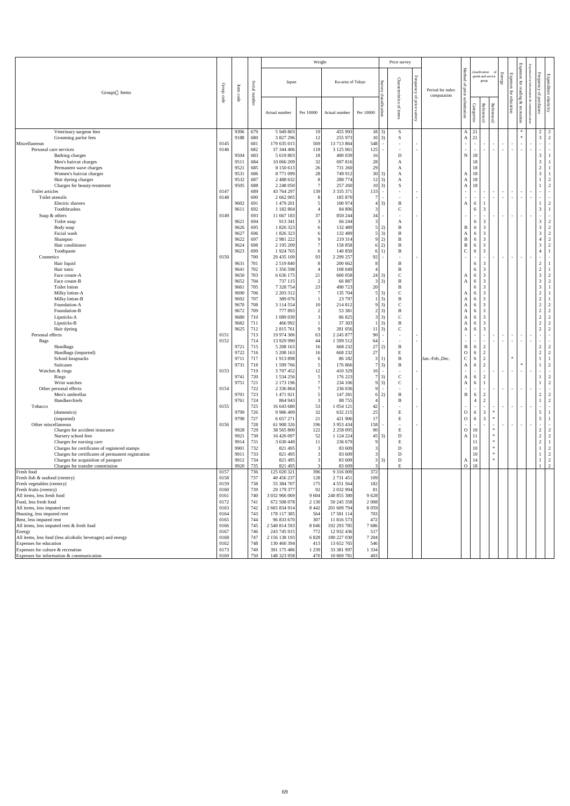|                                                                                                     |              |              |               |                              | Weight                      |                                |                                     | Price survey             |                   |                  |                    |                               |                                  |                  |                                              |                      |      |                                  |                        |
|-----------------------------------------------------------------------------------------------------|--------------|--------------|---------------|------------------------------|-----------------------------|--------------------------------|-------------------------------------|--------------------------|-------------------|------------------|--------------------|-------------------------------|----------------------------------|------------------|----------------------------------------------|----------------------|------|----------------------------------|------------------------|
|                                                                                                     |              |              |               |                              |                             |                                |                                     |                          |                   |                  |                    |                               | classification                   |                  |                                              | <b>Expenses</b>      | Expe |                                  |                        |
|                                                                                                     |              |              |               | Japan                        |                             | Ku-area of Tokyo               |                                     |                          | ${\rm Frequency}$ |                  | Method             |                               | goods and service<br>group       | Energy           | Expenses                                     |                      | for  | ${\rm Frequency}$                | Expenditure elasticity |
|                                                                                                     | Group        | Item         | Serial number |                              |                             |                                | Survey                              | Characteristics          |                   | Period for index | $\overline{a}$     |                               |                                  |                  |                                              | $\operatorname{for}$ | infc |                                  |                        |
| Groups Items                                                                                        |              | code         |               |                              |                             |                                |                                     |                          | $\vec{\sigma}$    | computation      |                    |                               |                                  |                  |                                              | reading              |      | $\mathsf{P}$                     |                        |
|                                                                                                     | code         |              |               |                              |                             |                                | classific                           |                          | price             |                  | price substitution |                               |                                  |                  | for education                                | &                    | ୍ବ   | purchases                        |                        |
|                                                                                                     |              |              |               | Actual number                | Per 10000                   | Actual number                  | ation<br>Per 10000                  | of items                 |                   |                  |                    |                               |                                  |                  |                                              |                      |      |                                  |                        |
|                                                                                                     |              |              |               |                              |                             |                                |                                     |                          | survey            |                  |                    | Categorize                    | Reference1                       | Reference2       |                                              | recreation           |      |                                  |                        |
|                                                                                                     |              |              |               |                              |                             |                                |                                     |                          |                   |                  |                    |                               |                                  |                  |                                              |                      |      |                                  |                        |
| Veterinary surgeon fees<br>Grooming parlor fees                                                     |              | 9396<br>9188 | 679<br>680    | 5 949 803<br>3 827 296       | 19<br>12                    | 455 993<br>255 973             | $18 \mid 3)$<br>3)<br><sup>10</sup> | S<br>S                   |                   |                  | $\mathbf{A}$       | $A \mid 21$<br>21             |                                  |                  |                                              | $*$<br>$*$           |      | $\overline{c}$<br>$\mathfrak{Z}$ | 2<br>$\overline{2}$    |
| Miscellaneous                                                                                       | 0145         |              | 681           | 179 635 015                  | 569                         | 13 713 864                     | 548<br>$\overline{\phantom{0}}$     | $\overline{\phantom{a}}$ | $\sim$            |                  | $\sim$             | $\sim$                        | $\sim$                           |                  | $\sim$<br>$\sim$                             | $\sim$ $-$           |      | $\sim$                           | $\sim$                 |
| Personal care services                                                                              | 0146         |              | 682           | 37 344 406                   | 118                         | 3 125 061                      | 125                                 |                          | $\sim$            |                  |                    | $\sim$                        |                                  |                  | $\sim$<br>$\sim$                             | $\sim$               |      | $\sim$                           | $\sim$                 |
| Bathing charges                                                                                     |              | 9504         | 683           | 5 619 803                    | 18                          | 400 039                        | 16                                  | D                        |                   |                  | N                  | 18                            |                                  |                  |                                              |                      |      | $\mathfrak{Z}$                   |                        |
| Men's haircut charges<br>Permanent wave charges                                                     |              | 9511<br>9521 | 684<br>685    | 10 066 209<br>8 150 613      | 32<br>26                    | 697 816<br>731 260             | 28<br>29                            | A<br>A                   |                   |                  |                    | 18<br>18                      |                                  |                  |                                              |                      |      | $\mathfrak{Z}$<br>$\sqrt{2}$     |                        |
| Women's haircut charges                                                                             |              | 9531         | 686           | 8771099                      | $28\,$                      | 749 912                        | 30<br>3)                            | A                        |                   |                  | A                  | 18                            |                                  |                  |                                              |                      |      | $\mathfrak{Z}$                   |                        |
| Hair dyeing charges                                                                                 |              | 9532         | 687           | 2 488 632                    | 8                           | 288 774                        | 3)                                  | A                        |                   |                  | A                  | 18                            |                                  |                  |                                              |                      |      |                                  |                        |
| Charges for beauty-treatment                                                                        |              | 9505         | 688           | 2 248 050                    | $\overline{7}$              | 257 260                        | 3)                                  | S                        |                   |                  | $\mathbf{A}$       | 18                            |                                  |                  |                                              |                      |      |                                  | $\bigcap$              |
| Toilet articles<br>Toilet utensils                                                                  | 0147<br>0148 |              | 689<br>690    | 43 764 297<br>2 662 005      | 139<br>8                    | 3 3 3 3 3 7 1<br>185 870       | 133<br>$\overline{\phantom{a}}$     | $\overline{\phantom{a}}$ | $\sim$<br>$\sim$  |                  | $\sim$             | $\sim$<br>$\sim$              |                                  | $\sim$           | $\overline{\phantom{a}}$<br>$\sim$<br>$\sim$ | $\sim$               |      | $\sim$                           |                        |
| Electric shavers                                                                                    |              | 9602         | 691           | 1 479 201                    | -5                          | 100 974                        | 3)                                  | B                        |                   |                  | A                  | 6                             |                                  |                  |                                              |                      |      | $\mathbf{1}$                     | $\overline{2}$         |
| Toothbrushes                                                                                        |              | 9611         | 692           | 1 1 8 2 8 0 4                |                             | 84 896                         | 3                                   | $\mathsf{C}$             |                   |                  |                    | 6                             | 3                                |                  |                                              |                      |      | $\mathfrak{Z}$                   |                        |
| Soap & others<br>Toilet soap                                                                        | 0149         | 9621         | 693<br>694    | 11 667 183<br>913 341        | 37<br>$\overline{3}$        | 850 244<br>66 244              | 34<br>Ξ.<br>3                       | $\overline{\phantom{a}}$ | $\sim$            |                  |                    | $\overline{\phantom{a}}$<br>6 | $\sim$<br>3                      |                  | $\sim$<br>$\overline{\phantom{a}}$           | $\sim$               |      | $\sim$<br>$\mathfrak{Z}$         | $\overline{2}$         |
| Body soap                                                                                           |              | 9626         | 695           | 1 826 323                    | 6                           | 132 489                        | 2)<br>$\mathcal{F}$                 | A<br>B                   |                   |                  | B                  | 6                             | 3                                |                  |                                              |                      |      | $\mathfrak{Z}$                   | 2                      |
| Facial wash                                                                                         |              | 9627         | 696           | 1 826 323                    | 6                           | 132 489                        | $5 \mid 3)$                         | B                        |                   |                  | A                  | 6                             | 3                                |                  |                                              |                      |      | 3                                | $\overline{2}$         |
| Shampoo                                                                                             |              | 9622         | 697           | 2 981 222                    | $\mathbf{Q}$                | 219 314                        | 2)<br>Q                             | B                        |                   |                  | B                  | 6                             | 3                                |                  |                                              |                      |      | $\overline{4}$                   | 2                      |
| Hair conditioner                                                                                    |              | 9624         | 698           | 2 195 209                    | $\overline{7}$              | 158 858                        | 2)<br>$\left( \right)$              | B                        |                   |                  | B<br>$\mathbf{C}$  | 6                             | 3<br>$\mathfrak{Z}$              |                  |                                              |                      |      | $\mathfrak{Z}$<br>$\overline{4}$ | $\overline{2}$         |
| Toothpaste<br>Cosmetics                                                                             | 0150         | 9623         | 699<br>700    | 1 924 765<br>29 435 109      | 6<br>93                     | 140 850<br>2 299 257           | 6<br>92<br>Ξ.                       | $\, {\bf B}$             | $\sim$            |                  | $\sim$             | 6<br>$\sim$                   | $\sim$                           |                  | $\sim$ $-$<br>$\sim$                         | $\sim$ $-$           |      | $\sim$                           | $\sim$                 |
| Hair liquid                                                                                         |              | 9631         | 701           | 2 5 1 9 8 4 0                | 8                           | 200 662                        | 8                                   | B                        |                   |                  |                    | 6                             | 3                                |                  |                                              |                      |      | $\overline{2}$                   |                        |
| Hair tonic                                                                                          |              | 9641         | 702           | 1 356 598                    |                             | 108 049                        |                                     |                          |                   |                  |                    |                               | $\mathcal{R}$                    |                  |                                              |                      |      | $\gamma$                         |                        |
| Face cream-A                                                                                        |              | 9650         | 703           | 6 6 3 6 1 7 5                | 21                          | 600 058                        | 24<br>3)                            | $\mathcal{C}$            |                   |                  | A                  | 6                             | 3                                |                  |                                              |                      |      | $\mathfrak{Z}$                   | $\overline{2}$         |
| Face cream-B<br>Toilet lotion                                                                       |              | 9652<br>9661 | 704<br>705    | 737 115<br>7 328 754         | $\overline{2}$<br>23        | 66 887<br>490 723              | 3)<br>3 <sup>1</sup><br>20          | B<br>B                   |                   |                  | A                  | 6<br>6                        | 3<br>3                           |                  |                                              |                      |      | $\mathfrak{Z}$<br>$\mathfrak{Z}$ | 2                      |
| Milky lotion-A                                                                                      |              | 9690         | 706           | 2 203 312                    | $\tau$                      | 135 704                        | $5 \mid 3)$                         | $\mathbf C$              |                   |                  | А                  | 6                             | 3                                |                  |                                              |                      |      | $\mathbf{2}$                     |                        |
| Milky lotion-B                                                                                      |              | 9692         | 707           | 389 076                      |                             | 23 797                         | $1 \vert 3)$                        | B                        |                   |                  | Α                  | 6                             | 3                                |                  |                                              |                      |      | $\overline{c}$                   |                        |
| Foundation-A                                                                                        |              | 9670         | 708           | 3 114 554                    | $\mathcal{D}_{\mathcal{L}}$ | 214 812                        | $9 \mid 3)$                         | $\mathsf{C}$             |                   |                  | Α                  | 6                             | 3                                |                  |                                              |                      |      | $\overline{c}$                   | $\mathcal{D}$          |
| Foundation-B<br>Lipsticks-A                                                                         |              | 9672<br>9680 | 709<br>710    | 777 893<br>1 089 039         |                             | 53 381<br>86 825               | $2 \mid 3)$<br>$3 \mid 3)$          | B<br>$\mathsf{C}$        |                   |                  | A<br>A             | 6<br>6                        | 3<br>3                           |                  |                                              |                      |      | $\overline{2}$<br>$\overline{2}$ | $\overline{2}$<br>2    |
| Lipsticks-B                                                                                         |              | 9682         | 711           | 466 992                      |                             | 37 303                         | 3)                                  | B                        |                   |                  | A                  | 6                             | 3                                |                  |                                              |                      |      | $\overline{c}$                   | $\gamma$               |
| Hair dyeing                                                                                         |              | 9625         | 712           | 2 815 761                    | $\mathbf Q$                 | 281 056                        | 3)                                  | $\mathsf{C}$             |                   |                  | A                  | 6                             | 3                                |                  |                                              |                      |      | $\overline{c}$                   |                        |
| Personal effects                                                                                    | 0151<br>0152 |              | 713<br>714    | 19 974 306<br>13 929 990     | 63                          | 2 2 4 5 8 7 7<br>1 599 512     | 90                                  |                          | $\sim$            |                  |                    |                               |                                  |                  | $\sim$<br>$\overline{a}$                     | $\sim$               |      | $\sim$                           |                        |
| <b>Bags</b><br>Handbags                                                                             |              | 9721         | 715           | 5 208 163                    | 44<br>16                    | 668 232                        | 64<br>27<br>2)                      | B                        |                   |                  | $\sim$<br>B        | $\overline{\phantom{a}}$<br>6 | $\sim$<br>2                      |                  | $\sim$<br>$\overline{a}$                     | $\sim$               |      | $\sim$<br>$\overline{c}$         | 2                      |
| Handbags (imported)                                                                                 |              | 9722         | 716           | 5 208 163                    | 16                          | 668 232                        | 27                                  | E                        |                   |                  | $\mathbf{O}$       | 6                             | $\overline{2}$                   |                  |                                              |                      |      | $\sqrt{2}$                       | 2                      |
| School knapsacks                                                                                    |              | 9711         | 717           | 1913898                      | 6                           | 86 182                         | 3 <sup>1</sup><br><sup>1</sup>      | $\mathbf{B}$             |                   | Jan.-Feb., Dec.  | $\mathsf{C}$       | 6                             | $\overline{2}$                   |                  | $\ast$                                       |                      |      |                                  |                        |
| Suitcases<br>Watches & rings                                                                        | 0153         | 9731         | 718<br>719    | 1 599 766<br>3 707 452       | $5\overline{)}$<br>12       | 176 866<br>410 329             | $7\overline{3}$<br>16<br>$\sim$     | B                        |                   |                  | A                  | 6<br>$\sim$                   | $\overline{2}$<br>$\sim$         |                  | $\sim$                                       | $\ast$<br>$\sim$ $-$ |      |                                  | $\overline{2}$         |
| Rings                                                                                               |              | 9741         | 720           | 1 534 256                    | 5                           | 176 223                        | 3)                                  | $\mathsf{C}$             |                   |                  | Α                  | 6                             | 2                                |                  | $\sim$                                       |                      |      |                                  | 2                      |
| Wrist watches                                                                                       |              | 9751         | 721           | 2 173 196                    |                             | 234 106                        | 3)<br>$\Omega$                      | $\mathbf{C}$             |                   |                  | A                  | 6                             |                                  |                  |                                              |                      |      |                                  | 2                      |
| Other personal effects                                                                              | 0154         |              | 722           | 2 3 3 6 8 6 4                |                             | 236 036                        |                                     |                          |                   |                  |                    |                               |                                  |                  | $\sim$<br>$\alpha$ = $\alpha$                | $\sim$               |      | $\sim$                           |                        |
| Men's umbrellas<br>Handkerchiefs                                                                    |              | 9701<br>9761 | 723<br>724    | 1 471 921<br>864 943         | 3                           | 147 281<br>88755               | 2)                                  | B<br>B                   |                   |                  | B                  | 6<br>$\overline{4}$           | $\overline{2}$<br>$\overline{2}$ |                  |                                              |                      |      | $\boldsymbol{2}$                 | 2<br>2                 |
| Tobacco                                                                                             | 0155         |              | 725           | 16 643 680                   | 53                          | 1 054 121                      | 42                                  |                          |                   |                  | $\sim$             |                               |                                  |                  | $\sim$<br>$\sim$                             | $\sim$ $-$           |      | $\sim$                           |                        |
| (domestics)                                                                                         |              | 9799         | 726           | 9 9 8 4 4 0 9                | 32                          | 632 215                        | 25                                  | E                        |                   |                  | $\overline{O}$     | 6                             | 3                                |                  |                                              |                      |      | $5\overline{)}$                  |                        |
| (imported)                                                                                          |              | 9798         | 727           | 6 657 271                    | 21                          | 421 906                        |                                     | E                        |                   |                  | $\overline{O}$     | 6                             | 3                                | $\ast$           |                                              |                      |      | 5                                |                        |
| Other miscellaneous<br>Charges for accident insurance                                               | 0156         | 9928         | 728<br>729    | 61 908 326<br>38 565 800     | 196<br>122                  | 3 9 5 3 4 3 4<br>2 2 5 8 0 9 5 | 158<br>90                           | E                        | $\sim$            |                  | $\overline{O}$     | $\sim$<br>10                  |                                  | $\ast$           | $\sim$                                       | $\sim$               |      | $\sim$<br>$\overline{c}$         | $\overline{2}$         |
| Nursery school fees                                                                                 |              | 9921         | 730           | 16 426 097                   | 52                          | 1 124 224                      | 3)<br>45                            | D                        |                   |                  | A l                | $\mid$ 11                     |                                  | $\ast$           |                                              |                      |      | $\boldsymbol{2}$                 | 2                      |
| Charges for nursing care                                                                            |              | 9914         | 731           | 3 630 449                    | 11                          | 236 679                        |                                     | E                        |                   |                  |                    | 11                            |                                  | $\ast$           |                                              |                      |      | $\boldsymbol{2}$                 |                        |
| Charges for certificates of registered stamps<br>Charges for certificates of permanent registration |              | 9901<br>991  | 732<br>733    | 821 495<br>821 495           |                             | 83 609<br>83 609               |                                     | D<br>$\mathbf D$         |                   |                  |                    | 10<br>10                      |                                  | $\ast$<br>$\ast$ |                                              |                      |      |                                  | 2<br>$\overline{2}$    |
| Charges for acquisition of passport                                                                 |              | 9912         | 734           | 821 495                      |                             | 83 609                         | $\mathcal{E}$<br>3)                 | D                        |                   |                  | A                  | 14                            |                                  | $\ast$           |                                              |                      |      |                                  | 2                      |
| Charges for transfer commission                                                                     |              | 9920         | 735           | 821 495                      | 3                           | 83 609                         |                                     | E                        |                   |                  | $\overline{O}$     | 18                            |                                  |                  |                                              |                      |      |                                  | 2                      |
| Fresh food                                                                                          | 0157<br>0158 |              | 736<br>737    | 125 020 321<br>40 456 237    | 396                         | 9 316 009<br>2 731 451         | 372                                 |                          |                   |                  |                    |                               |                                  |                  |                                              |                      |      |                                  |                        |
| Fresh fish & seafood (reentry)<br>Fresh vegetables (reentry)                                        | 0159         |              | 738           | 55 384 707                   | 128<br>175                  | 4 5 5 1 5 6 4                  | 109<br>182                          |                          |                   |                  |                    |                               |                                  |                  |                                              |                      |      |                                  |                        |
| Fresh fruits (reentry)                                                                              | 0160         |              | 739           | 29 179 377                   | 92                          | 2 0 3 2 9 9 4                  | $\sim$<br>81                        |                          |                   |                  |                    |                               |                                  |                  |                                              |                      |      |                                  |                        |
| All items, less fresh food                                                                          | 0161         |              | 740           | 3 032 966 069                | 9 6 0 4                     | 240 855 380                    | 9628                                |                          |                   |                  |                    |                               |                                  |                  |                                              |                      |      |                                  |                        |
| Food, less fresh food                                                                               | 0172         |              | 741           | 672 508 078                  | 2 1 3 0                     | 50 245 358                     | 2 0 0 8                             |                          |                   |                  |                    |                               |                                  |                  |                                              |                      |      |                                  |                        |
| All items, less imputed rent<br>Housing, less imputed rent                                          | 0163<br>0164 |              | 742<br>743    | 2 665 834 914<br>178 117 385 | 8 4 4 2<br>564              | 201 609 794<br>17 581 114      | 8 0 5 9<br>703                      |                          |                   |                  |                    |                               |                                  |                  |                                              |                      |      |                                  |                        |
| Rent, less imputed rent                                                                             | 0165         |              | 744           | 96 833 670                   | 307                         | 11 816 573                     | 472                                 |                          |                   |                  |                    |                               |                                  |                  |                                              |                      |      |                                  |                        |
| All items, less imputed rent & fresh food                                                           | 0166         |              | 745           | 2 540 814 593                | 8 0 4 6                     | 192 293 785                    | 7686                                |                          |                   |                  |                    |                               |                                  |                  |                                              |                      |      |                                  |                        |
| Energy                                                                                              | 0167<br>0168 |              | 746<br>747    | 243 745 915<br>2 156 138 193 | 772<br>6 8 2 8              | 12 932 436<br>180 227 030      | 517<br>7 204                        |                          |                   |                  |                    |                               |                                  |                  |                                              |                      |      |                                  |                        |
| All items, less food (less alcoholic beverages) and energy<br>Expenses for education                | 0162         |              | 748           | 130 460 394                  | 413                         | 13 652 765                     | 546                                 |                          |                   |                  |                    |                               |                                  |                  |                                              |                      |      |                                  |                        |
| Expenses for culture & recreation                                                                   | 0173         |              | 749           | 391 175 486                  | 1 2 3 9                     | 33 381 997                     | 1 3 3 4                             |                          |                   |                  |                    |                               |                                  |                  |                                              |                      |      |                                  |                        |
| Expenses for information & communication                                                            | 0169         |              | 750           | 148 323 958                  | 470                         | 10 069 781                     | 403                                 |                          |                   |                  |                    |                               |                                  |                  |                                              |                      |      |                                  |                        |